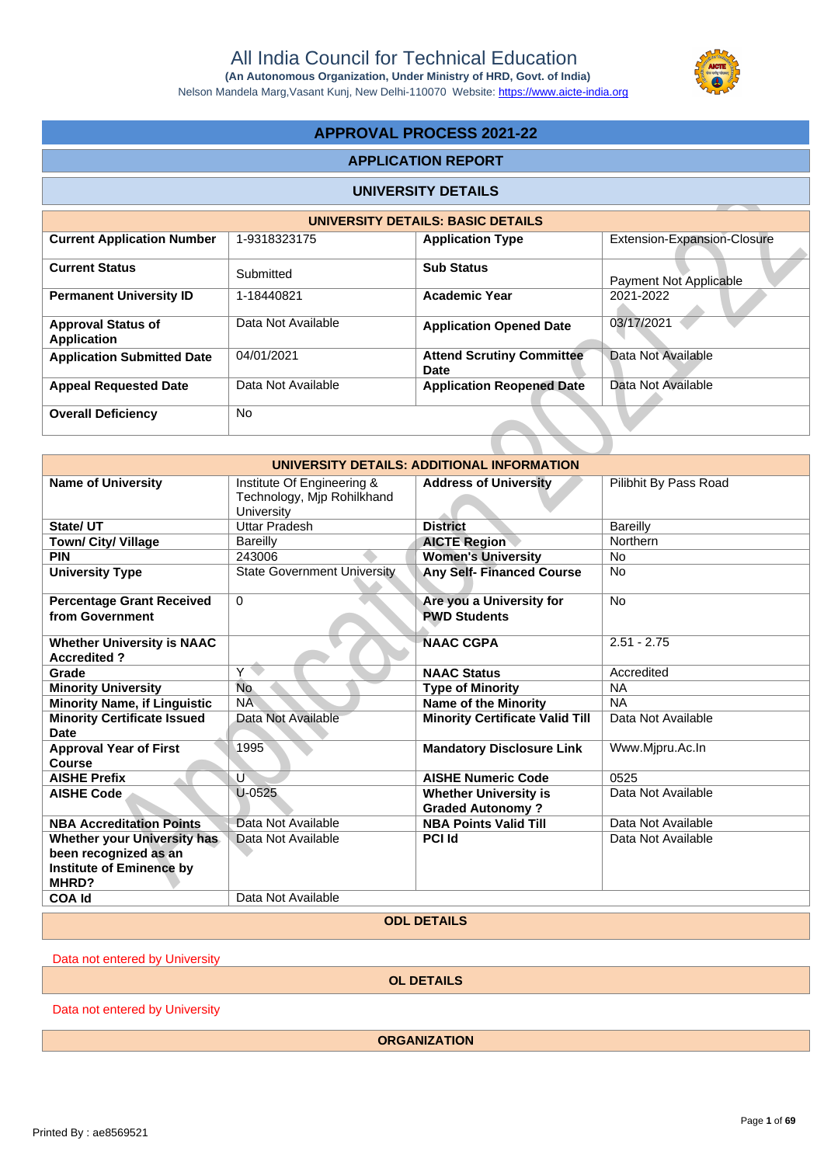**(An Autonomous Organization, Under Ministry of HRD, Govt. of India)** Nelson Mandela Marg,Vasant Kunj, New Delhi-110070 Website: https://www.aicte-india.org

# **APPROVAL PROCESS 2021-22**

# **APPLICATION REPORT**

### **UNIVERSITY DETAILS**

|                                                 |                    | UNIVERSITY DETAILS: BASIC DETAILS        |                               |
|-------------------------------------------------|--------------------|------------------------------------------|-------------------------------|
| <b>Current Application Number</b>               | 1-9318323175       | <b>Application Type</b>                  | Extension-Expansion-Closure   |
| <b>Current Status</b>                           | Submitted          | <b>Sub Status</b>                        | <b>Payment Not Applicable</b> |
| <b>Permanent University ID</b>                  | 1-18440821         | <b>Academic Year</b>                     | 2021-2022                     |
| <b>Approval Status of</b><br><b>Application</b> | Data Not Available | <b>Application Opened Date</b>           | 03/17/2021                    |
| <b>Application Submitted Date</b>               | 04/01/2021         | <b>Attend Scrutiny Committee</b><br>Date | Data Not Available            |
| <b>Appeal Requested Date</b>                    | Data Not Available | <b>Application Reopened Date</b>         | Data Not Available            |
| <b>Overall Deficiency</b>                       | <b>No</b>          |                                          |                               |

|                                                                                                  |                                                                        | <b>UNIVERSITY DETAILS</b>                               |                             |
|--------------------------------------------------------------------------------------------------|------------------------------------------------------------------------|---------------------------------------------------------|-----------------------------|
|                                                                                                  |                                                                        | <b>UNIVERSITY DETAILS: BASIC DETAILS</b>                |                             |
| <b>Current Application Number</b>                                                                | 1-9318323175                                                           | <b>Application Type</b>                                 | Extension-Expansion-Closure |
| <b>Current Status</b>                                                                            | Submitted                                                              | <b>Sub Status</b>                                       | Payment Not Applicable      |
| <b>Permanent University ID</b>                                                                   | 1-18440821                                                             | <b>Academic Year</b>                                    | 2021-2022                   |
| <b>Approval Status of</b><br><b>Application</b>                                                  | Data Not Available                                                     | <b>Application Opened Date</b>                          | 03/17/2021                  |
| <b>Application Submitted Date</b>                                                                | 04/01/2021                                                             | <b>Attend Scrutiny Committee</b><br><b>Date</b>         | Data Not Available          |
| <b>Appeal Requested Date</b>                                                                     | Data Not Available                                                     | <b>Application Reopened Date</b>                        | Data Not Available          |
| <b>Overall Deficiency</b>                                                                        | <b>No</b>                                                              |                                                         |                             |
|                                                                                                  |                                                                        |                                                         |                             |
|                                                                                                  |                                                                        | UNIVERSITY DETAILS: ADDITIONAL INFORMATION              |                             |
| <b>Name of University</b>                                                                        | Institute Of Engineering &<br>Technology, Mjp Rohilkhand<br>University | <b>Address of University</b>                            | Pilibhit By Pass Road       |
| State/ UT                                                                                        | <b>Uttar Pradesh</b>                                                   | <b>District</b>                                         | <b>Bareilly</b>             |
| Town/ City/ Village                                                                              | <b>Bareilly</b>                                                        | <b>AICTE Region</b>                                     | Northern                    |
| <b>PIN</b>                                                                                       | 243006                                                                 | <b>Women's University</b>                               | <b>No</b>                   |
| <b>University Type</b>                                                                           | <b>State Government University</b>                                     | <b>Any Self- Financed Course</b>                        | <b>No</b>                   |
| <b>Percentage Grant Received</b><br>from Government                                              | 0                                                                      | Are you a University for<br><b>PWD Students</b>         | <b>No</b>                   |
| <b>Whether University is NAAC</b><br><b>Accredited?</b>                                          |                                                                        | <b>NAAC CGPA</b>                                        | $2.51 - 2.75$               |
| Grade                                                                                            | $\overline{Y}$                                                         | <b>NAAC Status</b>                                      | Accredited                  |
| <b>Minority University</b>                                                                       | <b>No</b>                                                              | <b>Type of Minority</b>                                 | <b>NA</b>                   |
| <b>Minority Name, if Linguistic</b>                                                              | <b>NA</b>                                                              | <b>Name of the Minority</b>                             | <b>NA</b>                   |
| <b>Minority Certificate Issued</b><br><b>Date</b>                                                | Data Not Available                                                     | <b>Minority Certificate Valid Till</b>                  | Data Not Available          |
| <b>Approval Year of First</b><br><b>Course</b>                                                   | 1995                                                                   | <b>Mandatory Disclosure Link</b>                        | Www.Mjpru.Ac.In             |
| <b>AISHE Prefix</b>                                                                              | Ù                                                                      | <b>AISHE Numeric Code</b>                               | 0525                        |
| <b>AISHE Code</b>                                                                                | $U-0525$                                                               | <b>Whether University is</b><br><b>Graded Autonomy?</b> | Data Not Available          |
| <b>NBA Accreditation Points</b>                                                                  | Data Not Available                                                     | <b>NBA Points Valid Till</b>                            | Data Not Available          |
| Whether your University has<br>been recognized as an<br><b>Institute of Eminence by</b><br>MHRD? | Data Not Available                                                     | PCI Id                                                  | Data Not Available          |
| <b>COA Id</b>                                                                                    | Data Not Available                                                     |                                                         |                             |
|                                                                                                  |                                                                        |                                                         |                             |

**ODL DETAILS**

Data not entered by University

**OL DETAILS**

Data not entered by University

**ORGANIZATION**

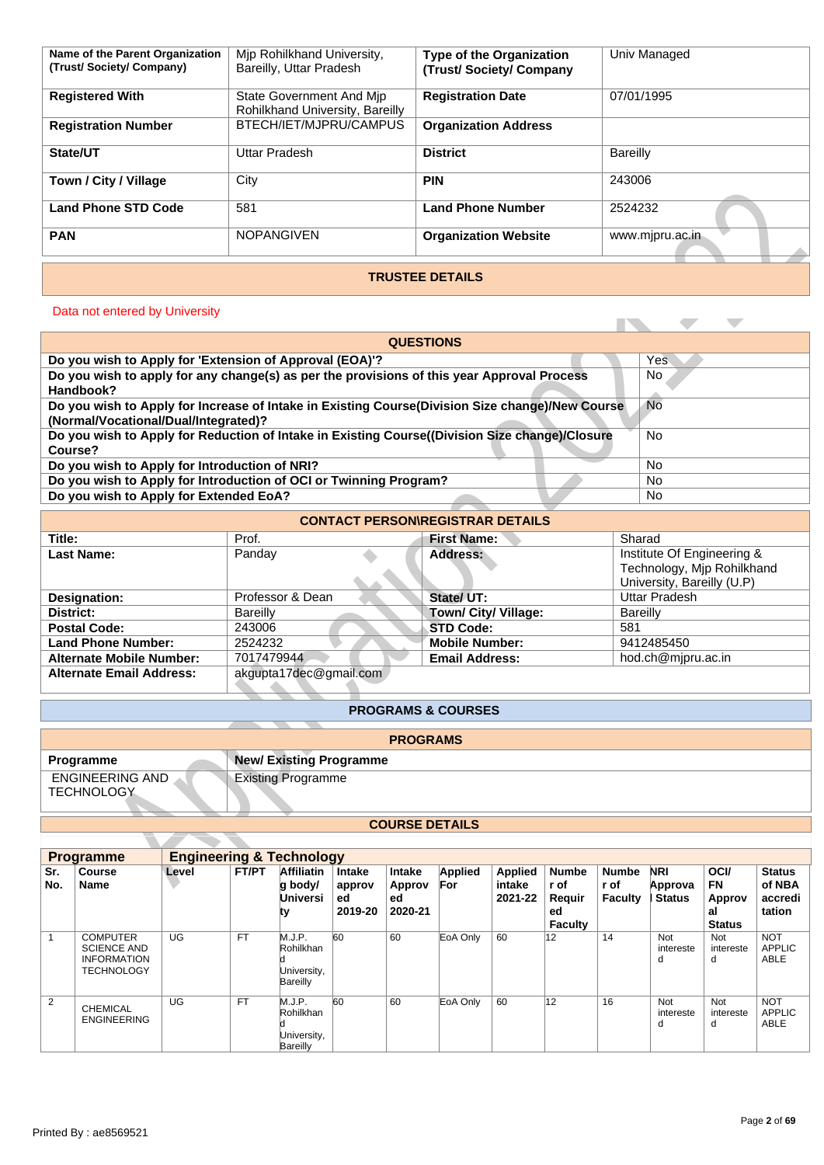| Name of the Parent Organization<br>(Trust/Society/Company) | Mip Rohilkhand University,<br>Bareilly, Uttar Pradesh       | <b>Type of the Organization</b><br>(Trust/Society/Company | Univ Managed    |  |  |  |  |
|------------------------------------------------------------|-------------------------------------------------------------|-----------------------------------------------------------|-----------------|--|--|--|--|
| <b>Registered With</b>                                     | State Government And Mip<br>Rohilkhand University, Bareilly | <b>Registration Date</b>                                  | 07/01/1995      |  |  |  |  |
| <b>Registration Number</b>                                 | BTECH/IET/MJPRU/CAMPUS                                      | <b>Organization Address</b>                               |                 |  |  |  |  |
| State/UT                                                   | Uttar Pradesh                                               | <b>District</b>                                           | Bareilly        |  |  |  |  |
| Town / City / Village                                      | City                                                        | <b>PIN</b>                                                | 243006          |  |  |  |  |
| <b>Land Phone STD Code</b>                                 | 581                                                         | <b>Land Phone Number</b>                                  | 2524232         |  |  |  |  |
| <b>PAN</b>                                                 | <b>NOPANGIVEN</b>                                           | <b>Organization Website</b>                               | www.mjpru.ac.in |  |  |  |  |
| <b>TRUSTEE DETAILS</b>                                     |                                                             |                                                           |                 |  |  |  |  |

# Data not entered by University

| <b>Land Phone STD Code</b>                                                                                                                           |  |                                              | 581        |                               |        |                             | <b>Land Phone Number</b>                |                   |                      | 2524232              |                                                                                        |             |                         |
|------------------------------------------------------------------------------------------------------------------------------------------------------|--|----------------------------------------------|------------|-------------------------------|--------|-----------------------------|-----------------------------------------|-------------------|----------------------|----------------------|----------------------------------------------------------------------------------------|-------------|-------------------------|
| <b>PAN</b>                                                                                                                                           |  |                                              |            | <b>NOPANGIVEN</b>             |        |                             | <b>Organization Website</b>             |                   |                      | www.mjpru.ac.in      |                                                                                        |             |                         |
|                                                                                                                                                      |  |                                              |            |                               |        |                             | <b>TRUSTEE DETAILS</b>                  |                   |                      |                      |                                                                                        |             |                         |
|                                                                                                                                                      |  |                                              |            |                               |        |                             |                                         |                   |                      |                      |                                                                                        |             |                         |
| Data not entered by University                                                                                                                       |  |                                              |            |                               |        |                             |                                         |                   |                      |                      |                                                                                        | o.          |                         |
|                                                                                                                                                      |  |                                              |            |                               |        | <b>QUESTIONS</b>            |                                         |                   |                      |                      |                                                                                        |             |                         |
| Do you wish to Apply for 'Extension of Approval (EOA)'?                                                                                              |  |                                              |            |                               |        |                             |                                         |                   |                      |                      | Yes                                                                                    |             |                         |
| Do you wish to apply for any change(s) as per the provisions of this year Approval Process<br>No<br>Handbook?                                        |  |                                              |            |                               |        |                             |                                         |                   |                      |                      |                                                                                        |             |                         |
| Do you wish to Apply for Increase of Intake in Existing Course(Division Size change)/New Course<br><b>No</b><br>(Normal/Vocational/Dual/Integrated)? |  |                                              |            |                               |        |                             |                                         |                   |                      |                      |                                                                                        |             |                         |
| Do you wish to Apply for Reduction of Intake in Existing Course((Division Size change)/Closure<br>Course?                                            |  |                                              |            |                               |        |                             |                                         |                   |                      |                      | No                                                                                     |             |                         |
| Do you wish to Apply for Introduction of NRI?                                                                                                        |  |                                              |            |                               |        |                             |                                         |                   |                      |                      | <b>No</b>                                                                              |             |                         |
| Do you wish to Apply for Introduction of OCI or Twinning Program?<br><b>No</b>                                                                       |  |                                              |            |                               |        |                             |                                         |                   |                      |                      |                                                                                        |             |                         |
| Do you wish to Apply for Extended EoA?                                                                                                               |  |                                              |            |                               |        |                             |                                         |                   |                      |                      | <b>No</b>                                                                              |             |                         |
|                                                                                                                                                      |  |                                              |            |                               |        |                             | <b>CONTACT PERSON\REGISTRAR DETAILS</b> |                   |                      |                      |                                                                                        |             |                         |
| Title:                                                                                                                                               |  |                                              | Prof.      |                               |        |                             | <b>First Name:</b>                      |                   |                      | Sharad               |                                                                                        |             |                         |
| <b>Last Name:</b>                                                                                                                                    |  |                                              | Panday     |                               |        |                             | <b>Address:</b>                         |                   |                      |                      | Institute Of Engineering &<br>Technology, Mjp Rohilkhand<br>University, Bareilly (U.P) |             |                         |
| Designation:                                                                                                                                         |  |                                              |            | Professor & Dean              |        |                             | State/ UT:                              |                   |                      |                      | <b>Uttar Pradesh</b>                                                                   |             |                         |
| District:                                                                                                                                            |  |                                              | Bareilly   |                               |        |                             | Town/ City/ Village:                    |                   |                      | <b>Bareilly</b>      |                                                                                        |             |                         |
| <b>Postal Code:</b>                                                                                                                                  |  |                                              | 243006     |                               |        |                             | <b>STD Code:</b>                        |                   |                      | 581                  |                                                                                        |             |                         |
| <b>Land Phone Number:</b>                                                                                                                            |  |                                              | 2524232    |                               |        |                             | <b>Mobile Number:</b>                   |                   |                      |                      | 9412485450                                                                             |             |                         |
| <b>Alternate Mobile Number:</b>                                                                                                                      |  |                                              | 7017479944 |                               |        |                             | <b>Email Address:</b>                   |                   |                      |                      | hod.ch@mjpru.ac.in                                                                     |             |                         |
| <b>Alternate Email Address:</b>                                                                                                                      |  |                                              |            | akgupta17dec@gmail.com        |        |                             |                                         |                   |                      |                      |                                                                                        |             |                         |
|                                                                                                                                                      |  |                                              |            |                               |        |                             | <b>PROGRAMS &amp; COURSES</b>           |                   |                      |                      |                                                                                        |             |                         |
|                                                                                                                                                      |  |                                              |            |                               |        | <b>PROGRAMS</b>             |                                         |                   |                      |                      |                                                                                        |             |                         |
| Programme                                                                                                                                            |  |                                              |            | <b>New/Existing Programme</b> |        |                             |                                         |                   |                      |                      |                                                                                        |             |                         |
| <b>ENGINEERING AND</b>                                                                                                                               |  |                                              |            | <b>Existing Programme</b>     |        |                             |                                         |                   |                      |                      |                                                                                        |             |                         |
| <b>TECHNOLOGY</b>                                                                                                                                    |  |                                              |            |                               |        |                             |                                         |                   |                      |                      |                                                                                        |             |                         |
|                                                                                                                                                      |  |                                              |            |                               |        |                             |                                         |                   |                      |                      |                                                                                        |             |                         |
|                                                                                                                                                      |  |                                              |            |                               |        | <b>COURSE DETAILS</b>       |                                         |                   |                      |                      |                                                                                        |             |                         |
|                                                                                                                                                      |  |                                              |            |                               |        |                             |                                         |                   |                      |                      |                                                                                        |             |                         |
| <b>Programme</b>                                                                                                                                     |  | <b>Engineering &amp; Technology</b><br>Level | FT/PT      |                               |        |                             |                                         |                   |                      |                      |                                                                                        | <b>OCI/</b> |                         |
| Sr.<br><b>Course</b><br><b>Name</b><br>No.                                                                                                           |  |                                              |            | Affiliatin Intake<br>u hodvl  | annroy | <b>Intake</b><br>Annroy For | <b>Applied</b>                          | Applied<br>intake | <b>Numbe</b><br>r of | <b>Numbe</b><br>r of | <b>NRI</b><br>Annrova                                                                  | <b>FN</b>   | <b>Status</b><br>of NRA |

| <b>CONTACT PERSON\REGISTRAR DETAILS</b> |                        |                                             |                            |  |  |  |  |  |  |  |  |
|-----------------------------------------|------------------------|---------------------------------------------|----------------------------|--|--|--|--|--|--|--|--|
| Title:                                  | Prof.                  | <b>First Name:</b>                          | Sharad                     |  |  |  |  |  |  |  |  |
| Last Name:                              | Panday                 | Address:                                    | Institute Of Engineering & |  |  |  |  |  |  |  |  |
|                                         |                        |                                             | Technology, Mjp Rohilkhand |  |  |  |  |  |  |  |  |
|                                         |                        |                                             | University, Bareilly (U.P) |  |  |  |  |  |  |  |  |
| Designation:                            | Professor & Dean       | State/ UT:                                  | Uttar Pradesh              |  |  |  |  |  |  |  |  |
| District:                               | <b>Bareilly</b>        | Town/ City/ Village:                        | Bareilly                   |  |  |  |  |  |  |  |  |
| <b>Postal Code:</b>                     | 243006                 | <b>STD Code:</b>                            | 581                        |  |  |  |  |  |  |  |  |
| <b>Land Phone Number:</b>               | 2524232                | <b>Mobile Number:</b>                       | 9412485450                 |  |  |  |  |  |  |  |  |
| <b>Alternate Mobile Number:</b>         | 7017479944             | hod.ch@mjpru.ac.in<br><b>Email Address:</b> |                            |  |  |  |  |  |  |  |  |
| <b>Alternate Email Address:</b>         | akgupta17dec@gmail.com |                                             |                            |  |  |  |  |  |  |  |  |

### **PROGRAMS & COURSES**

|                                      | <b>PROGRAMS</b>               |
|--------------------------------------|-------------------------------|
| Programme                            | <b>New/Existing Programme</b> |
| ENGINEERING AND<br><b>TECHNOLOGY</b> | <b>Existing Programme</b>     |

# **COURSE DETAILS**

|                | <b>Programme</b>                                                                 | <b>Engineering &amp; Technology</b> |              |                                                |                                   |                                          |                       |                              |                                                        |                                        |                                 |                                                           |                                              |
|----------------|----------------------------------------------------------------------------------|-------------------------------------|--------------|------------------------------------------------|-----------------------------------|------------------------------------------|-----------------------|------------------------------|--------------------------------------------------------|----------------------------------------|---------------------------------|-----------------------------------------------------------|----------------------------------------------|
| Sr.<br>No.     | <b>Course</b><br>Name                                                            | Level                               | <b>FT/PT</b> | <b>Affiliatin</b><br>q body/<br>Universi       | Intake<br>approv<br>ed<br>2019-20 | <b>Intake</b><br>Approv<br>ed<br>2020-21 | <b>Applied</b><br>For | Applied<br>intake<br>2021-22 | <b>Numbe</b><br>r of<br>Reauir<br>ed<br><b>Faculty</b> | <b>Numbe</b><br>r of<br><b>Faculty</b> | NRI<br>Approva<br><b>Status</b> | <b>OCI/</b><br><b>FN</b><br>Approv<br>al<br><b>Status</b> | <b>Status</b><br>of NBA<br>accredi<br>tation |
|                | <b>COMPUTER</b><br><b>SCIENCE AND</b><br><b>INFORMATION</b><br><b>TECHNOLOGY</b> | UG                                  | <b>FT</b>    | M.J.P.<br>Rohilkhan<br>University,<br>Bareilly | 60                                | 60                                       | EoA Only              | 60                           | 12                                                     | 14                                     | Not<br>intereste<br>d           | Not<br>intereste<br>d                                     | <b>NOT</b><br><b>APPLIC</b><br><b>ABLE</b>   |
| $\overline{2}$ | <b>CHEMICAL</b><br><b>ENGINEERING</b>                                            | UG                                  | <b>FT</b>    | M.J.P.<br>Rohilkhan<br>University,<br>Bareilly | 60                                | 60                                       | EoA Only              | 60                           | 12                                                     | 16                                     | Not<br>intereste<br>d           | Not<br>intereste<br>d                                     | <b>NOT</b><br>APPLIC<br><b>ABLE</b>          |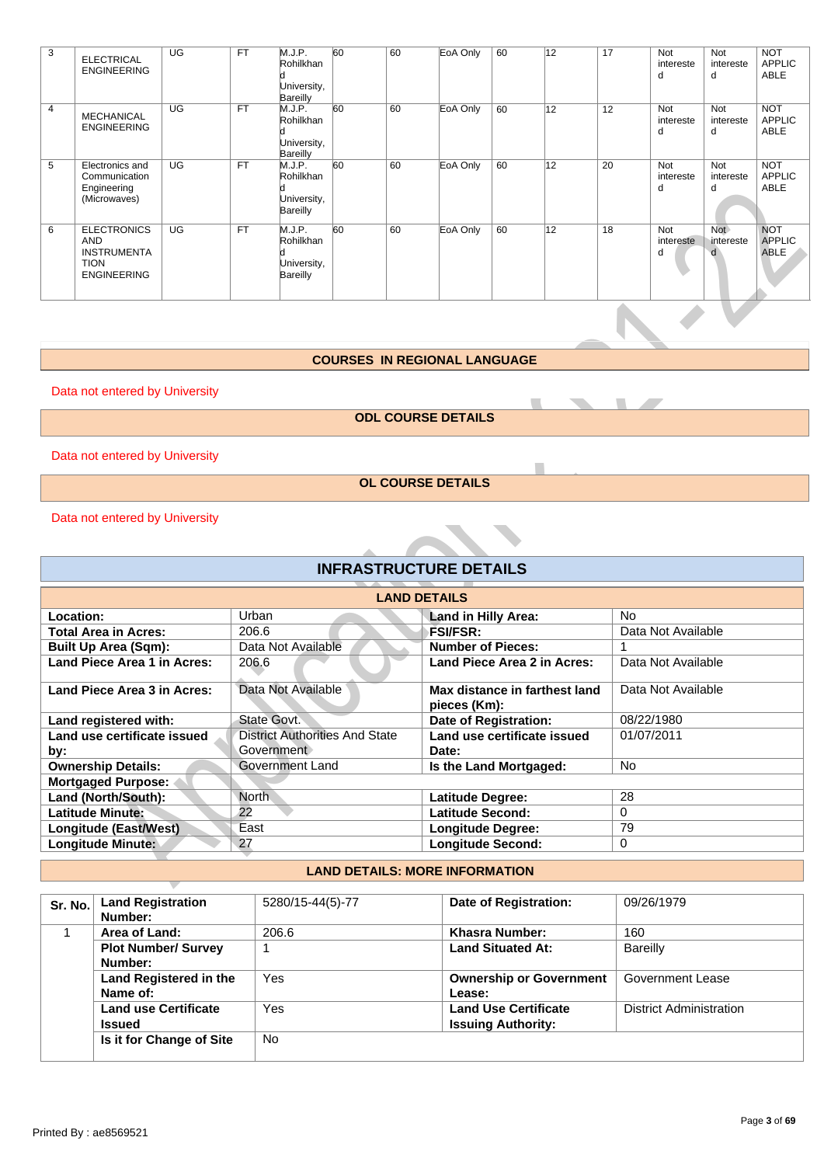| 3              | <b>ELECTRICAL</b><br><b>ENGINEERING</b>                                                     | UG        | <b>FT</b> | M.J.P.<br>Rohilkhan<br>University,<br><b>Bareilly</b> | 60 | 60 | EoA Only | 60 | 12 | 17 | <b>Not</b><br>intereste<br>d | Not<br>intereste<br>d        | <b>NOT</b><br><b>APPLIC</b><br><b>ABLE</b> |
|----------------|---------------------------------------------------------------------------------------------|-----------|-----------|-------------------------------------------------------|----|----|----------|----|----|----|------------------------------|------------------------------|--------------------------------------------|
| $\overline{4}$ | <b>MECHANICAL</b><br><b>ENGINEERING</b>                                                     | UG        | <b>FT</b> | M.J.P.<br>Rohilkhan<br>University,<br><b>Bareilly</b> | 60 | 60 | EoA Only | 60 | 12 | 12 | <b>Not</b><br>intereste<br>d | Not<br>intereste<br>d        | <b>NOT</b><br><b>APPLIC</b><br><b>ABLE</b> |
| 5              | Electronics and<br>Communication<br>Engineering<br>(Microwaves)                             | UG        | <b>FT</b> | M.J.P.<br>Rohilkhan<br>University,<br><b>Bareilly</b> | 60 | 60 | EoA Only | 60 | 12 | 20 | <b>Not</b><br>intereste<br>d | <b>Not</b><br>intereste<br>d | <b>NOT</b><br><b>APPLIC</b><br><b>ABLE</b> |
| 6              | <b>ELECTRONICS</b><br><b>AND</b><br><b>INSTRUMENTA</b><br><b>TION</b><br><b>ENGINEERING</b> | <b>UG</b> | <b>FT</b> | M.J.P.<br>Rohilkhan<br>University,<br><b>Bareilly</b> | 60 | 60 | EoA Only | 60 | 12 | 18 | <b>Not</b><br>intereste<br>d | <b>Not</b><br>intereste      | <b>NOT</b><br><b>APPLIC</b><br>ABLE        |

#### **COURSES IN REGIONAL LANGUAGE**

## **INFRASTRUCTURE DETAILS**

|                                     | Engineering<br>(Microwaves)                                                                 |                 |             | d<br>University,<br>Bareilly                          |    |                     |                                               |    |                 |                 | d                     | d                     | ABLE                                       |
|-------------------------------------|---------------------------------------------------------------------------------------------|-----------------|-------------|-------------------------------------------------------|----|---------------------|-----------------------------------------------|----|-----------------|-----------------|-----------------------|-----------------------|--------------------------------------------|
| 6                                   | <b>ELECTRONICS</b><br><b>AND</b><br><b>INSTRUMENTA</b><br><b>TION</b><br><b>ENGINEERING</b> | $\overline{UG}$ | FT          | M.J.P.<br>Rohilkhan<br>University,<br><b>Bareilly</b> | 60 | 60                  | EoA Only                                      | 60 | $\overline{12}$ | $\overline{18}$ | Not<br>intereste<br>d | Not<br>intereste<br>d | <b>NOT</b><br><b>APPLIC</b><br><b>ABLE</b> |
|                                     |                                                                                             |                 |             |                                                       |    |                     |                                               |    |                 |                 |                       |                       |                                            |
| <b>COURSES IN REGIONAL LANGUAGE</b> |                                                                                             |                 |             |                                                       |    |                     |                                               |    |                 |                 |                       |                       |                                            |
|                                     | Data not entered by University                                                              |                 |             |                                                       |    |                     |                                               |    |                 |                 |                       |                       |                                            |
|                                     |                                                                                             |                 |             |                                                       |    |                     | <b>ODL COURSE DETAILS</b>                     |    |                 |                 |                       |                       |                                            |
|                                     | Data not entered by University                                                              |                 |             |                                                       |    |                     |                                               |    |                 |                 |                       |                       |                                            |
|                                     |                                                                                             |                 |             |                                                       |    |                     | <b>OL COURSE DETAILS</b>                      |    |                 |                 |                       |                       |                                            |
|                                     | Data not entered by University                                                              |                 |             |                                                       |    |                     |                                               |    |                 |                 |                       |                       |                                            |
|                                     |                                                                                             |                 |             |                                                       |    |                     | <b>INFRASTRUCTURE DETAILS</b>                 |    |                 |                 |                       |                       |                                            |
|                                     |                                                                                             |                 |             |                                                       |    | <b>LAND DETAILS</b> |                                               |    |                 |                 |                       |                       |                                            |
|                                     | Location:                                                                                   |                 | Urban       |                                                       |    |                     | Land in Hilly Area:                           |    |                 | No.             |                       |                       |                                            |
|                                     | <b>Total Area in Acres:</b>                                                                 |                 | 206.6       |                                                       |    |                     | <b>FSI/FSR:</b>                               |    |                 |                 | Data Not Available    |                       |                                            |
|                                     | <b>Built Up Area (Sqm):</b>                                                                 |                 |             | Data Not Available                                    |    |                     | <b>Number of Pieces:</b>                      |    |                 | 1               |                       |                       |                                            |
|                                     | <b>Land Piece Area 1 in Acres:</b>                                                          |                 | 206.6       |                                                       |    |                     | Land Piece Area 2 in Acres:                   |    |                 |                 | Data Not Available    |                       |                                            |
|                                     | Land Piece Area 3 in Acres:                                                                 |                 |             | Data Not Available                                    |    |                     | Max distance in farthest land<br>pieces (Km): |    |                 |                 | Data Not Available    |                       |                                            |
|                                     | Land registered with:                                                                       |                 | State Govt. |                                                       |    |                     | Date of Registration:                         |    |                 |                 | 08/22/1980            |                       |                                            |
|                                     | Land use certificate issued                                                                 |                 |             | <b>District Authorities And State</b>                 |    |                     | Land use certificate issued                   |    |                 |                 | 01/07/2011            |                       |                                            |
| by:                                 |                                                                                             |                 |             | Government                                            |    |                     | Date:                                         |    |                 |                 |                       |                       |                                            |
|                                     | <b>Ownership Details:</b>                                                                   |                 |             | <b>Government Land</b>                                |    |                     | Is the Land Mortgaged:                        |    |                 | <b>No</b>       |                       |                       |                                            |
|                                     | <b>Mortgaged Purpose:</b>                                                                   |                 |             |                                                       |    |                     |                                               |    |                 |                 |                       |                       |                                            |
|                                     | Land (North/South):                                                                         |                 | North       |                                                       |    |                     | <b>Latitude Degree:</b>                       |    |                 | 28              |                       |                       |                                            |
|                                     | <b>Latitude Minute:</b>                                                                     |                 | 22          |                                                       |    |                     | <b>Latitude Second:</b>                       |    |                 | 0               |                       |                       |                                            |
|                                     | <b>Longitude (East/West)</b>                                                                |                 | East        |                                                       |    |                     | <b>Longitude Degree:</b>                      |    |                 | 79              |                       |                       |                                            |
|                                     | 27<br>Longitude Minute:<br><b>Longitude Second:</b><br>$\mathbf 0$                          |                 |             |                                                       |    |                     |                                               |    |                 |                 |                       |                       |                                            |
|                                     | <b>LAND DETAILS: MORE INFORMATION</b>                                                       |                 |             |                                                       |    |                     |                                               |    |                 |                 |                       |                       |                                            |
|                                     |                                                                                             |                 |             |                                                       |    |                     |                                               |    |                 |                 |                       |                       |                                            |

### **LAND DETAILS: MORE INFORMATION**

| Sr. No. | <b>Land Registration</b><br>Number: | 5280/15-44(5)-77 | Date of Registration:          | 09/26/1979              |
|---------|-------------------------------------|------------------|--------------------------------|-------------------------|
|         | Area of Land:                       | 206.6            | <b>Khasra Number:</b>          | 160                     |
|         | <b>Plot Number/ Survey</b>          |                  | <b>Land Situated At:</b>       | Bareilly                |
|         | Number:                             |                  |                                |                         |
|         | Land Registered in the              | Yes              | <b>Ownership or Government</b> | Government Lease        |
|         | Name of:                            |                  | Lease:                         |                         |
|         | <b>Land use Certificate</b>         | Yes              | <b>Land Use Certificate</b>    | District Administration |
|         | <b>Issued</b>                       |                  | <b>Issuing Authority:</b>      |                         |
|         | Is it for Change of Site            | <b>No</b>        |                                |                         |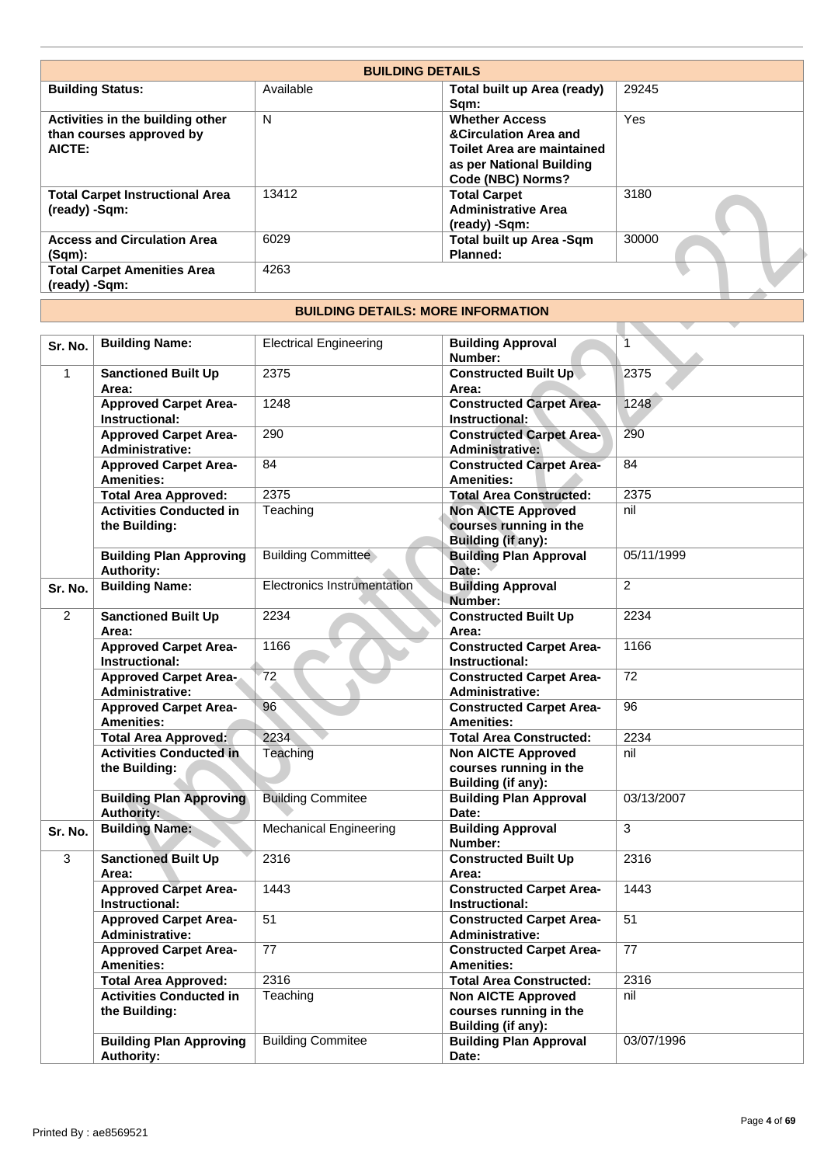| 29245<br>Available<br><b>Building Status:</b><br>Total built up Area (ready)<br>Sqm:<br>N<br>Yes<br><b>Whether Access</b><br>Activities in the building other<br><b>&amp;Circulation Area and</b><br>than courses approved by<br>AICTE:<br><b>Toilet Area are maintained</b><br>as per National Building<br>Code (NBC) Norms?<br>3180<br><b>Total Carpet Instructional Area</b><br>13412<br><b>Total Carpet</b><br><b>Administrative Area</b><br>(ready) -Sqm:<br>(ready) -Sqm:<br>30000<br><b>Access and Circulation Area</b><br>6029<br>Total built up Area -Sqm<br>Planned:<br>$(Sqm)$ :<br>4263<br><b>Total Carpet Amenities Area</b><br>(ready) -Sqm: | <b>BUILDING DETAILS</b> |  |
|------------------------------------------------------------------------------------------------------------------------------------------------------------------------------------------------------------------------------------------------------------------------------------------------------------------------------------------------------------------------------------------------------------------------------------------------------------------------------------------------------------------------------------------------------------------------------------------------------------------------------------------------------------|-------------------------|--|
|                                                                                                                                                                                                                                                                                                                                                                                                                                                                                                                                                                                                                                                            |                         |  |
|                                                                                                                                                                                                                                                                                                                                                                                                                                                                                                                                                                                                                                                            |                         |  |
|                                                                                                                                                                                                                                                                                                                                                                                                                                                                                                                                                                                                                                                            |                         |  |
|                                                                                                                                                                                                                                                                                                                                                                                                                                                                                                                                                                                                                                                            |                         |  |
|                                                                                                                                                                                                                                                                                                                                                                                                                                                                                                                                                                                                                                                            |                         |  |

## **BUILDING DETAILS: MORE INFORMATION**

| (ready) -Sqm:  | <b>Total Carpet Instructional Area</b>                                           | 13412                                     | <b>Total Carpet</b><br><b>Administrative Area</b>                                      | 3180           |
|----------------|----------------------------------------------------------------------------------|-------------------------------------------|----------------------------------------------------------------------------------------|----------------|
|                |                                                                                  |                                           | (ready) -Sqm:                                                                          |                |
| $(Sqm)$ :      | <b>Access and Circulation Area</b>                                               | 6029                                      | Total built up Area -Sqm<br>Planned:                                                   | 30000          |
| (ready) -Sqm:  | <b>Total Carpet Amenities Area</b>                                               | 4263                                      |                                                                                        |                |
|                |                                                                                  | <b>BUILDING DETAILS: MORE INFORMATION</b> |                                                                                        |                |
|                |                                                                                  |                                           |                                                                                        |                |
| Sr. No.        | <b>Building Name:</b>                                                            | <b>Electrical Engineering</b>             | <b>Building Approval</b><br>Number:                                                    | $\overline{1}$ |
| $\mathbf{1}$   | <b>Sanctioned Built Up</b><br>Area:                                              | 2375                                      | <b>Constructed Built Up</b><br>Area:                                                   | 2375           |
|                | <b>Approved Carpet Area-</b><br>Instructional:                                   | 1248                                      | <b>Constructed Carpet Area-</b><br>Instructional:                                      | 1248           |
|                | <b>Approved Carpet Area-</b><br><b>Administrative:</b>                           | 290                                       | <b>Constructed Carpet Area-</b><br><b>Administrative:</b>                              | 290            |
|                | <b>Approved Carpet Area-</b><br><b>Amenities:</b>                                | 84                                        | <b>Constructed Carpet Area-</b><br><b>Amenities:</b>                                   | 84             |
|                | <b>Total Area Approved:</b>                                                      | 2375                                      | <b>Total Area Constructed:</b>                                                         | 2375           |
|                | <b>Activities Conducted in</b><br>the Building:                                  | Teaching                                  | <b>Non AICTE Approved</b><br>courses running in the<br><b>Building (if any):</b>       | nil            |
|                | <b>Building Plan Approving</b><br><b>Authority:</b>                              | <b>Building Committee</b>                 | <b>Building Plan Approval</b><br>Date:                                                 | 05/11/1999     |
| Sr. No.        | <b>Building Name:</b>                                                            | Electronics Instrumentation               | <b>Building Approval</b><br>Number:                                                    | $\overline{2}$ |
| $\overline{2}$ | <b>Sanctioned Built Up</b><br>Area:                                              | 2234                                      | <b>Constructed Built Up</b><br>Area:                                                   | 2234           |
|                | <b>Approved Carpet Area-</b><br>Instructional:                                   | 1166                                      | <b>Constructed Carpet Area-</b><br>Instructional:                                      | 1166           |
|                | <b>Approved Carpet Area-</b><br><b>Administrative:</b>                           | 72                                        | <b>Constructed Carpet Area-</b><br><b>Administrative:</b>                              | 72             |
|                | <b>Approved Carpet Area-</b><br><b>Amenities:</b><br><b>Total Area Approved:</b> | 96<br>2234                                | <b>Constructed Carpet Area-</b><br><b>Amenities:</b><br><b>Total Area Constructed:</b> | 96<br>2234     |
|                | <b>Activities Conducted in</b>                                                   | Teaching                                  | <b>Non AICTE Approved</b>                                                              | nil            |
|                | the Building:                                                                    |                                           | courses running in the<br>Building (if any):                                           |                |
|                | <b>Building Plan Approving</b><br><b>Authority:</b>                              | <b>Building Commitee</b>                  | <b>Building Plan Approval</b><br>Date:                                                 | 03/13/2007     |
| Sr. No.        | <b>Building Name:</b>                                                            | <b>Mechanical Engineering</b>             | <b>Building Approval</b><br>Number:                                                    | 3              |
| $\overline{3}$ | <b>Sanctioned Built Up</b><br>Area:                                              | 2316                                      | <b>Constructed Built Up</b><br>Area:                                                   | 2316           |
|                | <b>Approved Carpet Area-</b><br>Instructional:                                   | 1443                                      | <b>Constructed Carpet Area-</b><br>Instructional:                                      | 1443           |
|                | <b>Approved Carpet Area-</b><br><b>Administrative:</b>                           | 51                                        | <b>Constructed Carpet Area-</b><br><b>Administrative:</b>                              | 51             |
|                | <b>Approved Carpet Area-</b><br><b>Amenities:</b>                                | 77                                        | <b>Constructed Carpet Area-</b><br><b>Amenities:</b>                                   | 77             |
|                | <b>Total Area Approved:</b>                                                      | 2316                                      | <b>Total Area Constructed:</b>                                                         | 2316           |
|                | <b>Activities Conducted in</b><br>the Building:                                  | Teaching                                  | <b>Non AICTE Approved</b><br>courses running in the                                    | nil            |
|                | <b>Building Plan Approving</b><br><b>Authority:</b>                              | <b>Building Commitee</b>                  | Building (if any):<br><b>Building Plan Approval</b><br>Date:                           | 03/07/1996     |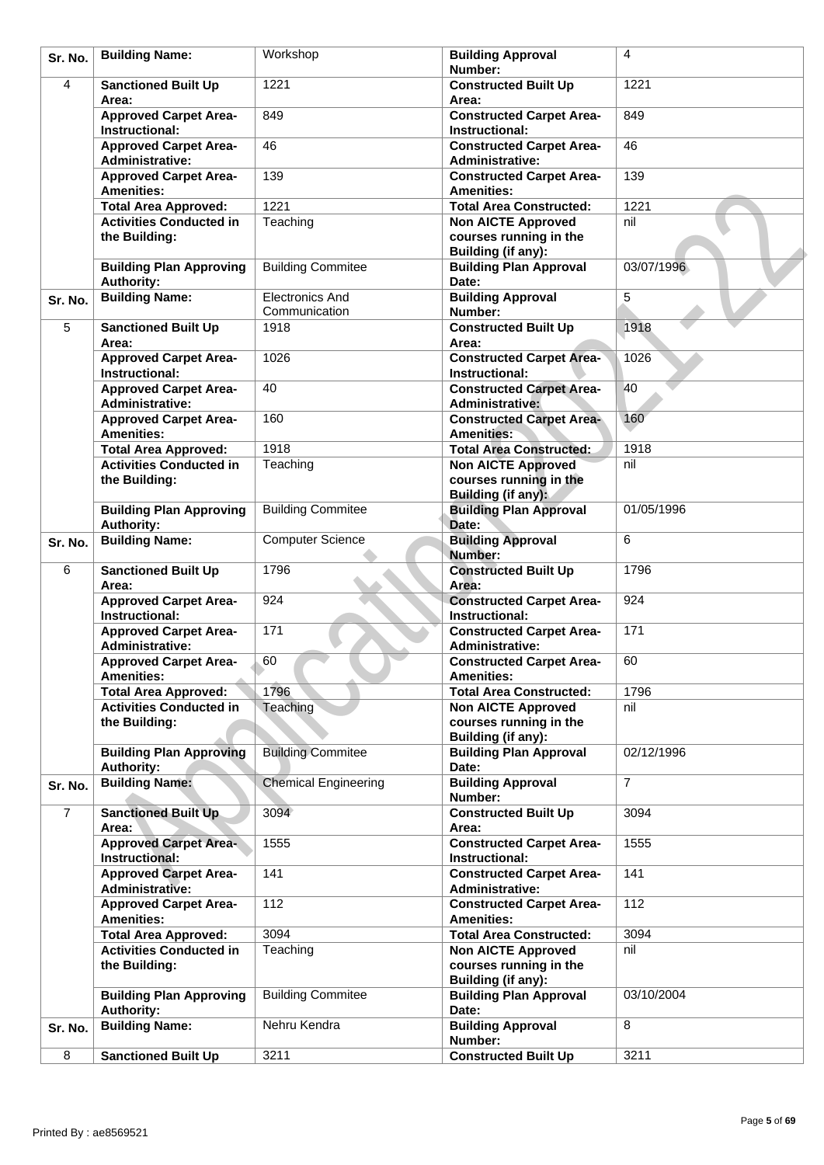| Sr. No.        | <b>Building Name:</b>                                         | Workshop                                | <b>Building Approval</b><br>Number:                                                    | 4              |
|----------------|---------------------------------------------------------------|-----------------------------------------|----------------------------------------------------------------------------------------|----------------|
| 4              | <b>Sanctioned Built Up</b><br>Area:                           | 1221                                    | <b>Constructed Built Up</b><br>Area:                                                   | 1221           |
|                | <b>Approved Carpet Area-</b><br><b>Instructional:</b>         | 849                                     | <b>Constructed Carpet Area-</b><br>Instructional:                                      | 849            |
|                | <b>Approved Carpet Area-</b><br><b>Administrative:</b>        | 46                                      | <b>Constructed Carpet Area-</b><br><b>Administrative:</b>                              | 46             |
|                | <b>Approved Carpet Area-</b><br><b>Amenities:</b>             | 139                                     | <b>Constructed Carpet Area-</b><br><b>Amenities:</b>                                   | 139            |
|                | <b>Total Area Approved:</b>                                   | 1221                                    | <b>Total Area Constructed:</b>                                                         | 1221           |
|                | <b>Activities Conducted in</b><br>the Building:               | Teaching                                | <b>Non AICTE Approved</b><br>courses running in the<br>Building (if any):              | nil            |
|                | <b>Building Plan Approving</b><br><b>Authority:</b>           | <b>Building Commitee</b>                | <b>Building Plan Approval</b><br>Date:                                                 | 03/07/1996     |
| Sr. No.        | <b>Building Name:</b>                                         | <b>Electronics And</b><br>Communication | <b>Building Approval</b><br>Number:                                                    | 5              |
| 5              | <b>Sanctioned Built Up</b><br>Area:                           | 1918                                    | <b>Constructed Built Up</b><br>Area:                                                   | 1918           |
|                | <b>Approved Carpet Area-</b><br>Instructional:                | 1026                                    | <b>Constructed Carpet Area-</b><br>Instructional:                                      | 1026           |
|                | <b>Approved Carpet Area-</b><br><b>Administrative:</b>        | 40                                      | <b>Constructed Carpet Area-</b><br><b>Administrative:</b>                              | 40             |
|                | <b>Approved Carpet Area-</b><br><b>Amenities:</b>             | 160                                     | <b>Constructed Carpet Area-</b><br><b>Amenities:</b>                                   | 160            |
|                | <b>Total Area Approved:</b>                                   | 1918                                    | <b>Total Area Constructed:</b>                                                         | 1918<br>nil    |
|                | <b>Activities Conducted in</b><br>the Building:               | Teaching                                | <b>Non AICTE Approved</b><br>courses running in the<br><b>Building (if any):</b>       |                |
|                | <b>Building Plan Approving</b><br><b>Authority:</b>           | <b>Building Commitee</b>                | <b>Building Plan Approval</b><br>Date:                                                 | 01/05/1996     |
| Sr. No.        | <b>Building Name:</b>                                         | <b>Computer Science</b>                 | <b>Building Approval</b><br>Number:                                                    | 6              |
| 6              | <b>Sanctioned Built Up</b><br>Area:                           | 1796                                    | <b>Constructed Built Up</b><br>Area:                                                   | 1796           |
|                | <b>Approved Carpet Area-</b><br>Instructional:                | 924                                     | <b>Constructed Carpet Area-</b><br>Instructional:                                      | 924            |
|                | <b>Approved Carpet Area-</b><br><b>Administrative:</b>        | 171                                     | <b>Constructed Carpet Area-</b><br><b>Administrative:</b>                              | 171            |
|                | <b>Approved Carpet Area-</b><br><b>Amenities:</b>             | 60                                      | <b>Constructed Carpet Area-</b><br><b>Amenities:</b>                                   | 60             |
|                | <b>Total Area Approved:</b><br><b>Activities Conducted in</b> | 1796<br>Teaching                        | <b>Total Area Constructed:</b><br><b>Non AICTE Approved</b>                            | 1796<br>nil    |
|                | the Building:                                                 |                                         | courses running in the<br>Building (if any):                                           |                |
|                | <b>Building Plan Approving</b><br><b>Authority:</b>           | <b>Building Commitee</b>                | <b>Building Plan Approval</b><br>Date:                                                 | 02/12/1996     |
| Sr. No.        | <b>Building Name:</b>                                         | <b>Chemical Engineering</b>             | <b>Building Approval</b><br>Number:                                                    | $\overline{7}$ |
| $\overline{7}$ | <b>Sanctioned Built Up</b><br>Area:                           | 3094                                    | <b>Constructed Built Up</b><br>Area:                                                   | 3094           |
|                | <b>Approved Carpet Area-</b><br>Instructional:                | 1555                                    | <b>Constructed Carpet Area-</b><br>Instructional:                                      | 1555           |
|                | <b>Approved Carpet Area-</b><br><b>Administrative:</b>        | 141                                     | <b>Constructed Carpet Area-</b><br><b>Administrative:</b>                              | 141            |
|                | <b>Approved Carpet Area-</b><br><b>Amenities:</b>             | 112<br>3094                             | <b>Constructed Carpet Area-</b><br><b>Amenities:</b><br><b>Total Area Constructed:</b> | 112<br>3094    |
|                | <b>Total Area Approved:</b><br><b>Activities Conducted in</b> | Teaching                                | <b>Non AICTE Approved</b>                                                              | nil            |
|                | the Building:                                                 |                                         | courses running in the<br>Building (if any):                                           |                |
|                | <b>Building Plan Approving</b><br><b>Authority:</b>           | <b>Building Commitee</b>                | <b>Building Plan Approval</b><br>Date:                                                 | 03/10/2004     |
| Sr. No.        | <b>Building Name:</b>                                         | Nehru Kendra                            | <b>Building Approval</b><br>Number:                                                    | 8              |
| 8              | <b>Sanctioned Built Up</b>                                    | 3211                                    | <b>Constructed Built Up</b>                                                            | 3211           |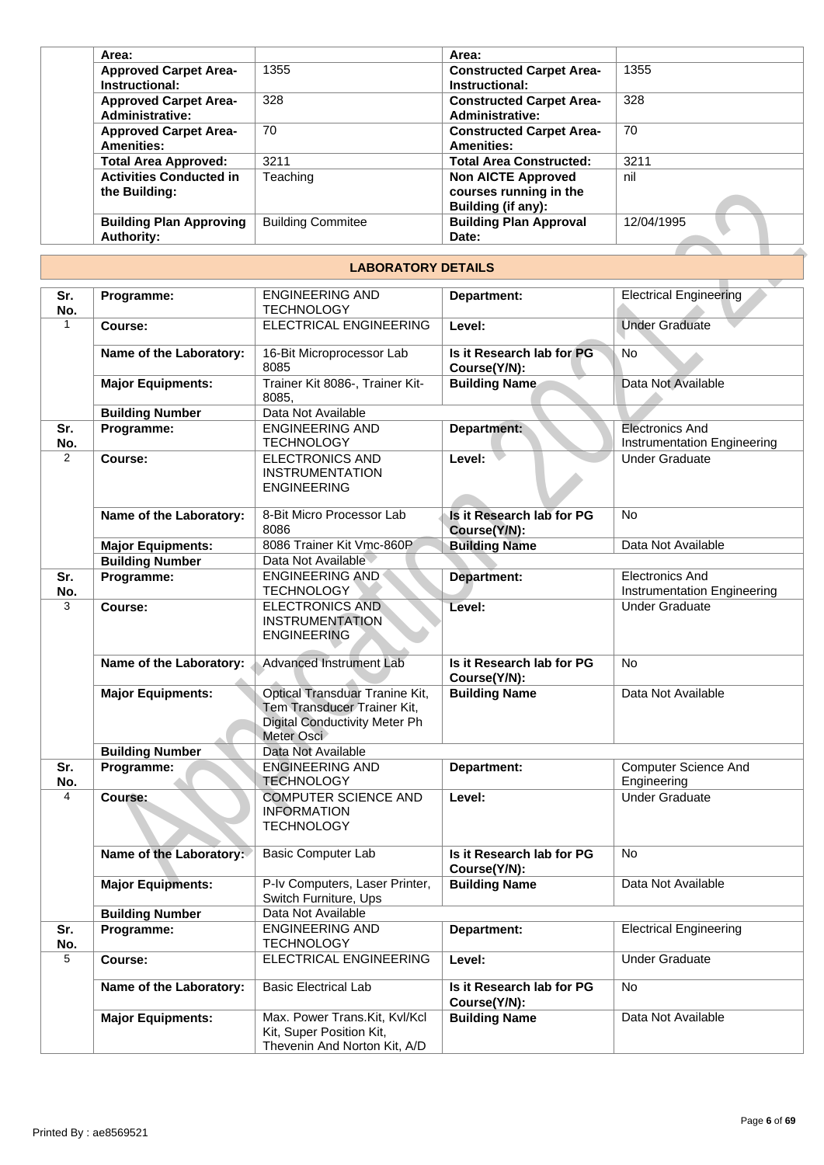| Area:                          |                          | Area:                           |            |
|--------------------------------|--------------------------|---------------------------------|------------|
| <b>Approved Carpet Area-</b>   | 1355                     | <b>Constructed Carpet Area-</b> | 1355       |
| Instructional:                 |                          | Instructional:                  |            |
| <b>Approved Carpet Area-</b>   | 328                      | <b>Constructed Carpet Area-</b> | 328        |
| <b>Administrative:</b>         |                          | <b>Administrative:</b>          |            |
| <b>Approved Carpet Area-</b>   | 70                       | <b>Constructed Carpet Area-</b> | 70         |
| <b>Amenities:</b>              |                          | <b>Amenities:</b>               |            |
| <b>Total Area Approved:</b>    | 3211                     | <b>Total Area Constructed:</b>  | 3211       |
| <b>Activities Conducted in</b> | Teaching                 | <b>Non AICTE Approved</b>       | nil        |
| the Building:                  |                          | courses running in the          |            |
|                                |                          | Building (if any):              |            |
| <b>Building Plan Approving</b> | <b>Building Commitee</b> | <b>Building Plan Approval</b>   | 12/04/1995 |
| <b>Authority:</b>              |                          | Date:                           |            |

### **LABORATORY DETAILS**

|                | the Building:                                       |                                                                                                                     | courses running in the<br>Building (if any): |                                                       |
|----------------|-----------------------------------------------------|---------------------------------------------------------------------------------------------------------------------|----------------------------------------------|-------------------------------------------------------|
|                | <b>Building Plan Approving</b><br><b>Authority:</b> | <b>Building Commitee</b>                                                                                            | <b>Building Plan Approval</b><br>Date:       | 12/04/1995                                            |
|                |                                                     | <b>LABORATORY DETAILS</b>                                                                                           |                                              |                                                       |
| Sr.<br>No.     | Programme:                                          | <b>ENGINEERING AND</b><br><b>TECHNOLOGY</b>                                                                         | Department:                                  | <b>Electrical Engineering</b>                         |
| $\mathbf{1}$   | Course:                                             | <b>ELECTRICAL ENGINEERING</b>                                                                                       | Level:                                       | <b>Under Graduate</b>                                 |
|                | Name of the Laboratory:                             | 16-Bit Microprocessor Lab<br>8085                                                                                   | Is it Research lab for PG<br>Course(Y/N):    | <b>No</b>                                             |
|                | <b>Major Equipments:</b>                            | Trainer Kit 8086-, Trainer Kit-<br>8085.                                                                            | <b>Building Name</b>                         | Data Not Available                                    |
|                | <b>Building Number</b>                              | Data Not Available                                                                                                  |                                              |                                                       |
| Sr.<br>No.     | Programme:                                          | <b>ENGINEERING AND</b><br><b>TECHNOLOGY</b>                                                                         | Department:                                  | <b>Electronics And</b><br>Instrumentation Engineering |
| $\overline{2}$ | Course:                                             | <b>ELECTRONICS AND</b><br><b>INSTRUMENTATION</b><br><b>ENGINEERING</b>                                              | Level:                                       | <b>Under Graduate</b>                                 |
|                | Name of the Laboratory:                             | 8-Bit Micro Processor Lab<br>8086                                                                                   | Is it Research lab for PG<br>Course(Y/N):    | <b>No</b>                                             |
|                | <b>Major Equipments:</b>                            | 8086 Trainer Kit Vmc-860P                                                                                           | <b>Building Name</b>                         | Data Not Available                                    |
|                | <b>Building Number</b>                              | Data Not Available                                                                                                  |                                              |                                                       |
| Sr.<br>No.     | Programme:                                          | <b>ENGINEERING AND</b><br><b>TECHNOLOGY</b>                                                                         | Department:                                  | <b>Electronics And</b><br>Instrumentation Engineering |
| 3              | Course:                                             | <b>ELECTRONICS AND</b><br><b>INSTRUMENTATION</b><br><b>ENGINEERING</b>                                              | Level:                                       | <b>Under Graduate</b>                                 |
|                | Name of the Laboratory:                             | <b>Advanced Instrument Lab</b>                                                                                      | Is it Research lab for PG<br>Course(Y/N):    | <b>No</b>                                             |
|                | <b>Major Equipments:</b>                            | Optical Transduar Tranine Kit,<br>Tem Transducer Trainer Kit,<br><b>Digital Conductivity Meter Ph</b><br>Meter Osci | <b>Building Name</b>                         | Data Not Available                                    |
|                | <b>Building Number</b>                              | Data Not Available                                                                                                  |                                              |                                                       |
| Sr.<br>No.     | Programme:                                          | <b>ENGINEERING AND</b><br><b>TECHNOLOGY</b>                                                                         | Department:                                  | <b>Computer Science And</b><br>Engineering            |
| 4              | Course:                                             | <b>COMPUTER SCIENCE AND</b><br><b>INFORMATION</b><br><b>TECHNOLOGY</b>                                              | Level:                                       | <b>Under Graduate</b>                                 |
|                | Name of the Laboratory:                             | <b>Basic Computer Lab</b>                                                                                           | Is it Research lab for PG<br>Course(Y/N):    | No                                                    |
|                | <b>Major Equipments:</b>                            | P-Iv Computers, Laser Printer,<br>Switch Furniture, Ups                                                             | <b>Building Name</b>                         | Data Not Available                                    |
|                | <b>Building Number</b>                              | Data Not Available                                                                                                  |                                              |                                                       |
| Sr.<br>No.     | Programme:                                          | <b>ENGINEERING AND</b><br><b>TECHNOLOGY</b>                                                                         | Department:                                  | <b>Electrical Engineering</b>                         |
| 5              | Course:                                             | ELECTRICAL ENGINEERING                                                                                              | Level:                                       | <b>Under Graduate</b>                                 |
|                | Name of the Laboratory:                             | <b>Basic Electrical Lab</b>                                                                                         | Is it Research lab for PG<br>Course(Y/N):    | No                                                    |
|                | <b>Major Equipments:</b>                            | Max. Power Trans.Kit, Kvl/Kcl<br>Kit, Super Position Kit,<br>Thevenin And Norton Kit, A/D                           | <b>Building Name</b>                         | Data Not Available                                    |
|                |                                                     |                                                                                                                     |                                              |                                                       |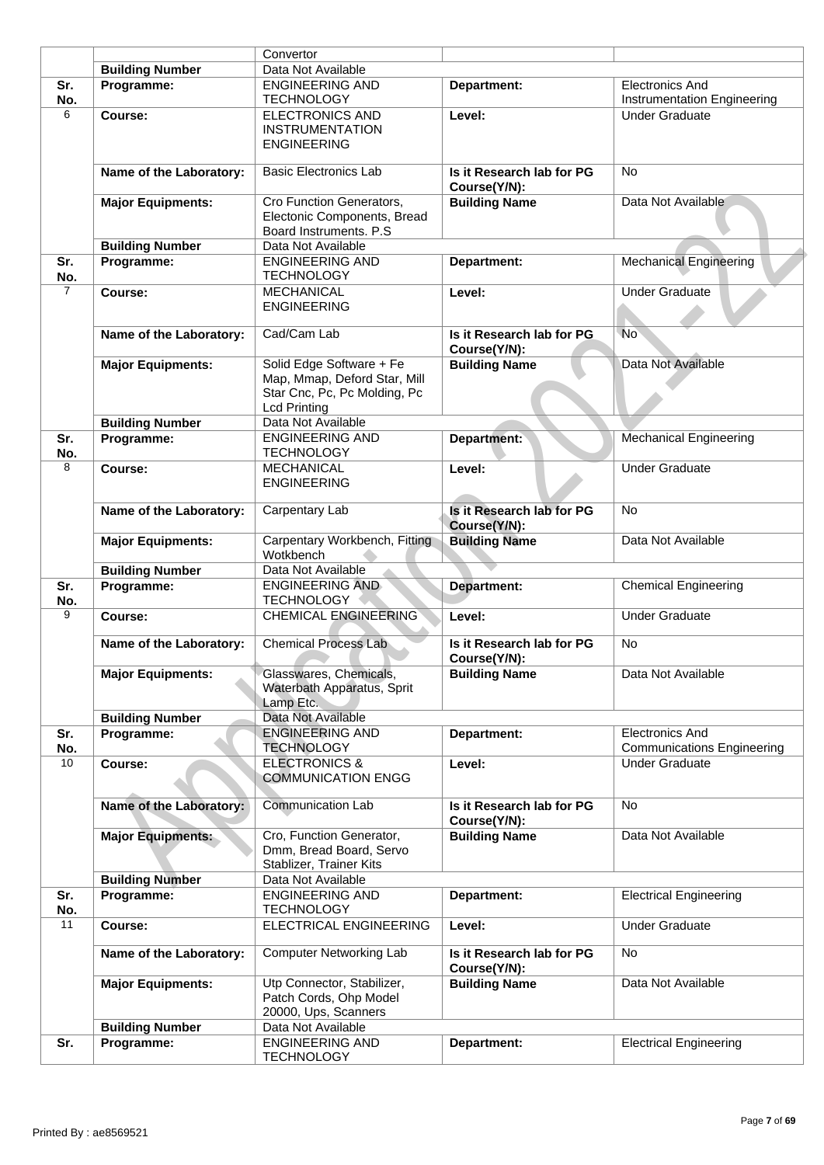|                |                          | Convertor                                                                                                       |                                           |                                                             |
|----------------|--------------------------|-----------------------------------------------------------------------------------------------------------------|-------------------------------------------|-------------------------------------------------------------|
|                | <b>Building Number</b>   | Data Not Available                                                                                              |                                           |                                                             |
| Sr.<br>No.     | Programme:               | <b>ENGINEERING AND</b><br><b>TECHNOLOGY</b>                                                                     | Department:                               | <b>Electronics And</b><br>Instrumentation Engineering       |
| 6              | Course:                  | <b>ELECTRONICS AND</b><br><b>INSTRUMENTATION</b><br><b>ENGINEERING</b>                                          | Level:                                    | Under Graduate                                              |
|                | Name of the Laboratory:  | <b>Basic Electronics Lab</b>                                                                                    | Is it Research lab for PG<br>Course(Y/N): | <b>No</b>                                                   |
|                | <b>Major Equipments:</b> | Cro Function Generators,<br>Electonic Components, Bread<br>Board Instruments. P.S.                              | <b>Building Name</b>                      | Data Not Available                                          |
|                | <b>Building Number</b>   | Data Not Available                                                                                              |                                           |                                                             |
| Sr.<br>No.     | Programme:               | <b>ENGINEERING AND</b><br><b>TECHNOLOGY</b>                                                                     | Department:                               | <b>Mechanical Engineering</b>                               |
| $\overline{7}$ | Course:                  | <b>MECHANICAL</b><br><b>ENGINEERING</b>                                                                         | Level:                                    | <b>Under Graduate</b>                                       |
|                | Name of the Laboratory:  | Cad/Cam Lab                                                                                                     | Is it Research lab for PG<br>Course(Y/N): | <b>No</b>                                                   |
|                | <b>Major Equipments:</b> | Solid Edge Software + Fe<br>Map, Mmap, Deford Star, Mill<br>Star Cnc, Pc, Pc Molding, Pc<br><b>Lcd Printing</b> | <b>Building Name</b>                      | Data Not Available                                          |
|                | <b>Building Number</b>   | Data Not Available                                                                                              |                                           |                                                             |
| Sr.<br>No.     | Programme:               | <b>ENGINEERING AND</b><br><b>TECHNOLOGY</b>                                                                     | <b>Department:</b>                        | Mechanical Engineering                                      |
| 8              | Course:                  | <b>MECHANICAL</b><br><b>ENGINEERING</b>                                                                         | Level:                                    | <b>Under Graduate</b>                                       |
|                | Name of the Laboratory:  | Carpentary Lab                                                                                                  | Is it Research lab for PG<br>Course(Y/N): | <b>No</b>                                                   |
|                | <b>Major Equipments:</b> | Carpentary Workbench, Fitting<br>Wotkbench                                                                      | <b>Building Name</b>                      | Data Not Available                                          |
|                | <b>Building Number</b>   | Data Not Available                                                                                              |                                           |                                                             |
| Sr.<br>No.     | Programme:               | <b>ENGINEERING AND</b><br><b>TECHNOLOGY</b>                                                                     | Department:                               | <b>Chemical Engineering</b>                                 |
| 9              | Course:                  | <b>CHEMICAL ENGINEERING</b>                                                                                     | Level:                                    | <b>Under Graduate</b>                                       |
|                | Name of the Laboratory:  | <b>Chemical Process Lab</b>                                                                                     | Is it Research lab for PG<br>Course(Y/N): | No                                                          |
|                | <b>Major Equipments:</b> | Glasswares, Chemicals,<br>Waterbath Apparatus, Sprit<br>Lamp Etc.                                               | <b>Building Name</b>                      | Data Not Available                                          |
|                | <b>Building Number</b>   | Data Not Available                                                                                              |                                           |                                                             |
| Sr.<br>No.     | Programme:               | <b>ENGINEERING AND</b><br><b>TECHNOLOGY</b>                                                                     | Department:                               | <b>Electronics And</b><br><b>Communications Engineering</b> |
| 10             | Course:                  | <b>ELECTRONICS &amp;</b><br><b>COMMUNICATION ENGG</b>                                                           | Level:                                    | <b>Under Graduate</b>                                       |
|                | Name of the Laboratory:  | <b>Communication Lab</b>                                                                                        | Is it Research lab for PG<br>Course(Y/N): | No                                                          |
|                | <b>Major Equipments:</b> | Cro, Function Generator,<br>Dmm, Bread Board, Servo<br>Stablizer, Trainer Kits                                  | <b>Building Name</b>                      | Data Not Available                                          |
|                | <b>Building Number</b>   | Data Not Available                                                                                              |                                           |                                                             |
| Sr.<br>No.     | Programme:               | <b>ENGINEERING AND</b><br><b>TECHNOLOGY</b>                                                                     | Department:                               | <b>Electrical Engineering</b>                               |
| 11             | Course:                  | <b>ELECTRICAL ENGINEERING</b>                                                                                   | Level:                                    | <b>Under Graduate</b>                                       |
|                | Name of the Laboratory:  | Computer Networking Lab                                                                                         | Is it Research lab for PG<br>Course(Y/N): | No.                                                         |
|                | <b>Major Equipments:</b> | Utp Connector, Stabilizer,<br>Patch Cords, Ohp Model<br>20000, Ups, Scanners                                    | <b>Building Name</b>                      | Data Not Available                                          |
|                | <b>Building Number</b>   | Data Not Available                                                                                              |                                           |                                                             |
| Sr.            | Programme:               | <b>ENGINEERING AND</b><br><b>TECHNOLOGY</b>                                                                     | Department:                               | <b>Electrical Engineering</b>                               |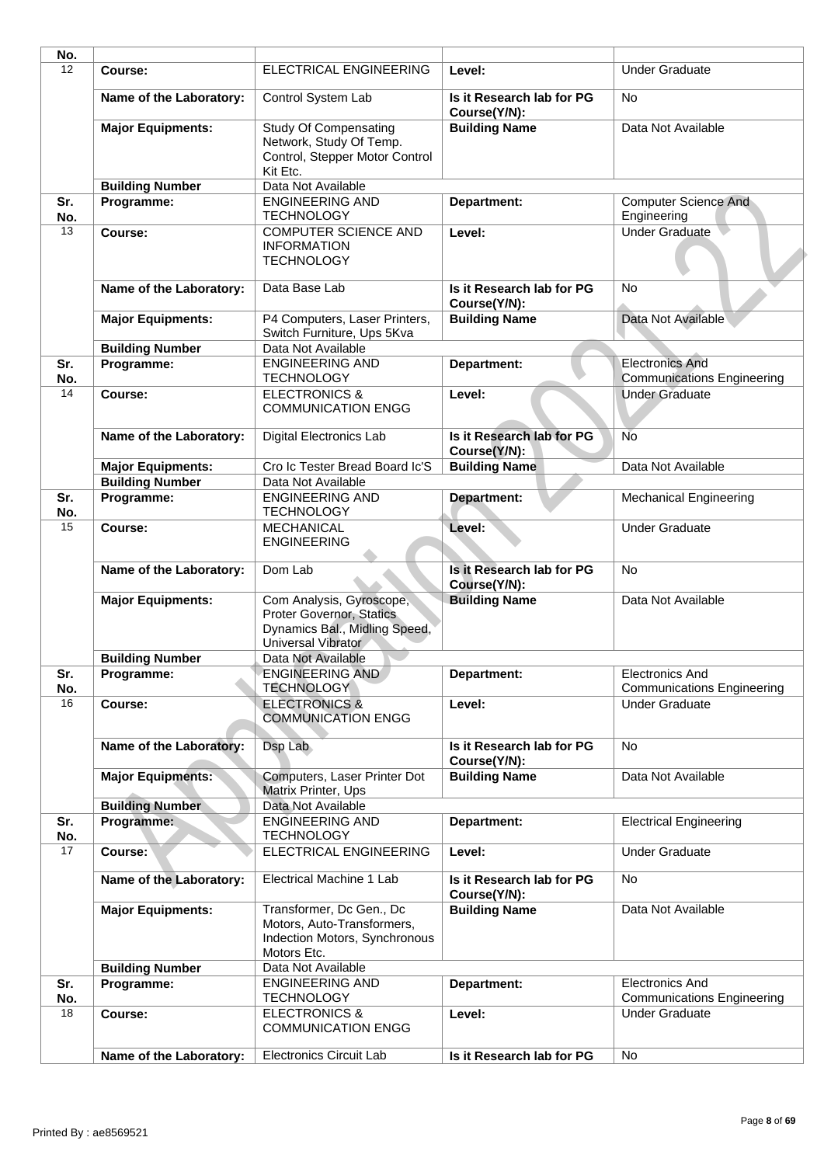| No.        |                          |                                                                                                             |                                           |                                                             |
|------------|--------------------------|-------------------------------------------------------------------------------------------------------------|-------------------------------------------|-------------------------------------------------------------|
| 12         | Course:                  | ELECTRICAL ENGINEERING                                                                                      | Level:                                    | <b>Under Graduate</b>                                       |
|            | Name of the Laboratory:  | Control System Lab                                                                                          | Is it Research lab for PG<br>Course(Y/N): | No                                                          |
|            | <b>Major Equipments:</b> | <b>Study Of Compensating</b><br>Network, Study Of Temp.<br>Control, Stepper Motor Control<br>Kit Etc.       | <b>Building Name</b>                      | Data Not Available                                          |
|            | <b>Building Number</b>   | Data Not Available                                                                                          |                                           |                                                             |
| Sr.<br>No. | Programme:               | <b>ENGINEERING AND</b><br><b>TECHNOLOGY</b>                                                                 | Department:                               | <b>Computer Science And</b><br>Engineering                  |
| 13         | Course:                  | <b>COMPUTER SCIENCE AND</b><br><b>INFORMATION</b><br><b>TECHNOLOGY</b>                                      | Level:                                    | <b>Under Graduate</b>                                       |
|            | Name of the Laboratory:  | Data Base Lab                                                                                               | Is it Research lab for PG<br>Course(Y/N): | <b>No</b>                                                   |
|            | <b>Major Equipments:</b> | P4 Computers, Laser Printers,<br>Switch Furniture, Ups 5Kva                                                 | <b>Building Name</b>                      | Data Not Available                                          |
|            | <b>Building Number</b>   | Data Not Available                                                                                          |                                           |                                                             |
| Sr.<br>No. | Programme:               | <b>ENGINEERING AND</b><br><b>TECHNOLOGY</b>                                                                 | Department:                               | <b>Electronics And</b><br><b>Communications Engineering</b> |
| 14         | Course:                  | <b>ELECTRONICS &amp;</b><br><b>COMMUNICATION ENGG</b>                                                       | Level:                                    | <b>Under Graduate</b>                                       |
|            | Name of the Laboratory:  | <b>Digital Electronics Lab</b>                                                                              | Is it Research lab for PG<br>Course(Y/N): | <b>No</b>                                                   |
|            | <b>Major Equipments:</b> | Cro Ic Tester Bread Board Ic'S                                                                              | <b>Building Name</b>                      | Data Not Available                                          |
|            | <b>Building Number</b>   | Data Not Available                                                                                          |                                           |                                                             |
| Sr.<br>No. | Programme:               | <b>ENGINEERING AND</b><br><b>TECHNOLOGY</b>                                                                 | Department:                               | <b>Mechanical Engineering</b>                               |
| 15         | Course:                  | <b>MECHANICAL</b><br><b>ENGINEERING</b>                                                                     | Level:                                    | <b>Under Graduate</b>                                       |
|            | Name of the Laboratory:  | Dom Lab                                                                                                     | Is it Research lab for PG<br>Course(Y/N): | <b>No</b>                                                   |
|            | <b>Major Equipments:</b> | Com Analysis, Gyroscope,<br>Proter Governor, Statics<br>Dynamics Bal., Midling Speed,<br>Universal Vibrator | <b>Building Name</b>                      | Data Not Available                                          |
|            | <b>Building Number</b>   | Data Not Available                                                                                          |                                           |                                                             |
| Sr.        | Programme:               | <b>ENGINEERING AND</b>                                                                                      | Department:                               | <b>Electronics And</b>                                      |
| No.<br>16  | Course:                  | <b>TECHNOLOGY</b><br><b>ELECTRONICS &amp;</b>                                                               | Level:                                    | <b>Communications Engineering</b><br><b>Under Graduate</b>  |
|            | Name of the Laboratory:  | <b>COMMUNICATION ENGG</b><br>Dsp Lab                                                                        | Is it Research lab for PG                 | No                                                          |
|            |                          | Computers, Laser Printer Dot                                                                                | Course(Y/N):                              |                                                             |
|            | <b>Major Equipments:</b> | Matrix Printer, Ups                                                                                         | <b>Building Name</b>                      | Data Not Available                                          |
|            | <b>Building Number</b>   | Data Not Available                                                                                          |                                           |                                                             |
| Sr.<br>No. | Programme:               | <b>ENGINEERING AND</b><br><b>TECHNOLOGY</b>                                                                 | Department:                               | <b>Electrical Engineering</b>                               |
| 17         | Course:                  | ELECTRICAL ENGINEERING                                                                                      | Level:                                    | <b>Under Graduate</b>                                       |
|            | Name of the Laboratory:  | Electrical Machine 1 Lab                                                                                    | Is it Research lab for PG<br>Course(Y/N): | No                                                          |
|            | <b>Major Equipments:</b> | Transformer, Dc Gen., Dc<br>Motors, Auto-Transformers,<br>Indection Motors, Synchronous<br>Motors Etc.      | <b>Building Name</b>                      | Data Not Available                                          |
|            | <b>Building Number</b>   | Data Not Available                                                                                          |                                           |                                                             |
| Sr.<br>No. | Programme:               | <b>ENGINEERING AND</b><br><b>TECHNOLOGY</b>                                                                 | Department:                               | <b>Electronics And</b><br><b>Communications Engineering</b> |
| 18         | Course:                  | <b>ELECTRONICS &amp;</b><br><b>COMMUNICATION ENGG</b>                                                       | Level:                                    | <b>Under Graduate</b>                                       |
|            | Name of the Laboratory:  | <b>Electronics Circuit Lab</b>                                                                              | Is it Research lab for PG                 | No                                                          |
|            |                          |                                                                                                             |                                           |                                                             |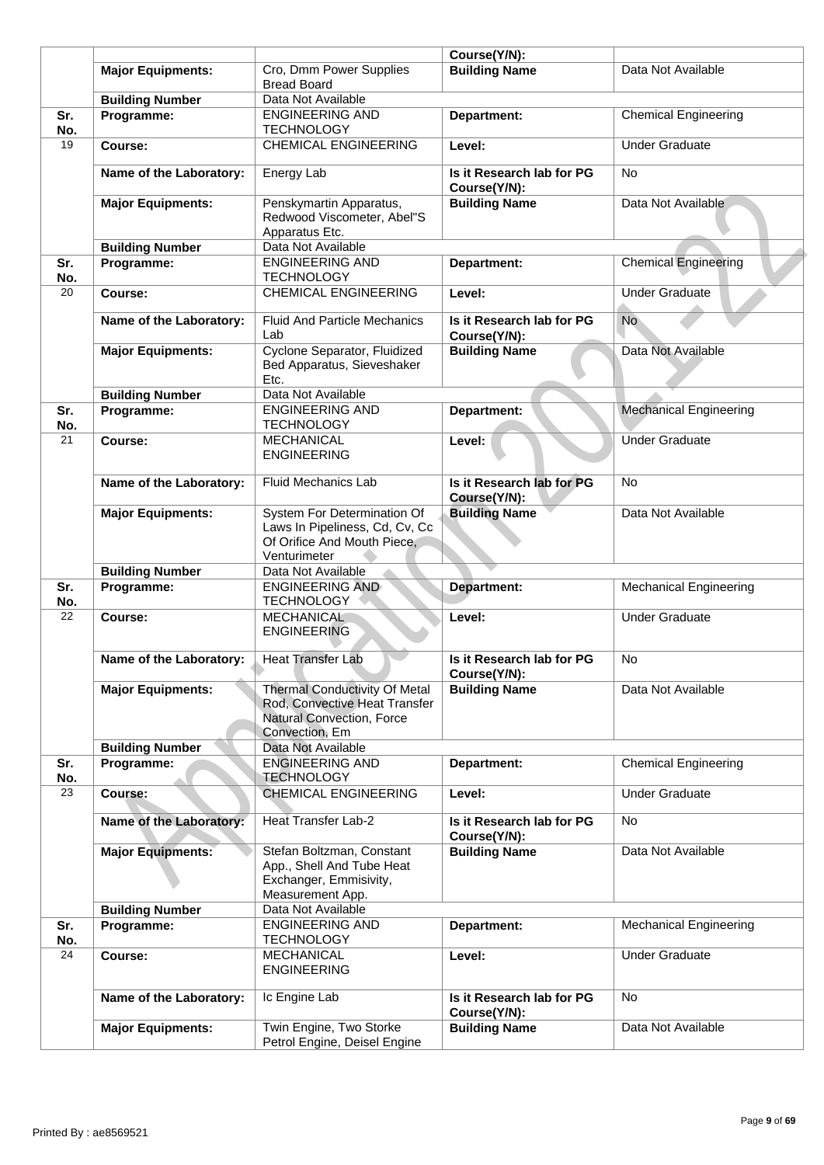|            |                          |                                                                                                                      | Course(Y/N):                              |                               |
|------------|--------------------------|----------------------------------------------------------------------------------------------------------------------|-------------------------------------------|-------------------------------|
|            | <b>Major Equipments:</b> | Cro, Dmm Power Supplies<br><b>Bread Board</b>                                                                        | <b>Building Name</b>                      | Data Not Available            |
|            | <b>Building Number</b>   | Data Not Available                                                                                                   |                                           |                               |
| Sr.<br>No. | Programme:               | <b>ENGINEERING AND</b><br><b>TECHNOLOGY</b>                                                                          | Department:                               | <b>Chemical Engineering</b>   |
| 19         | Course:                  | <b>CHEMICAL ENGINEERING</b>                                                                                          | Level:                                    | <b>Under Graduate</b>         |
|            | Name of the Laboratory:  | Energy Lab                                                                                                           | Is it Research lab for PG<br>Course(Y/N): | No                            |
|            | <b>Major Equipments:</b> | Penskymartin Apparatus,<br>Redwood Viscometer, Abel"S<br>Apparatus Etc.                                              | <b>Building Name</b>                      | Data Not Available            |
|            | <b>Building Number</b>   | Data Not Available                                                                                                   |                                           |                               |
| Sr.<br>No. | Programme:               | <b>ENGINEERING AND</b><br><b>TECHNOLOGY</b>                                                                          | Department:                               | <b>Chemical Engineering</b>   |
| 20         | Course:                  | <b>CHEMICAL ENGINEERING</b>                                                                                          | Level:                                    | <b>Under Graduate</b>         |
|            | Name of the Laboratory:  | <b>Fluid And Particle Mechanics</b><br>Lab                                                                           | Is it Research lab for PG<br>Course(Y/N): | No                            |
|            | <b>Major Equipments:</b> | Cyclone Separator, Fluidized<br>Bed Apparatus, Sieveshaker<br>Etc.                                                   | <b>Building Name</b>                      | Data Not Available            |
|            | <b>Building Number</b>   | Data Not Available                                                                                                   |                                           |                               |
| Sr.<br>No. | Programme:               | <b>ENGINEERING AND</b><br><b>TECHNOLOGY</b>                                                                          | Department:                               | <b>Mechanical Engineering</b> |
| 21         | Course:                  | <b>MECHANICAL</b><br><b>ENGINEERING</b>                                                                              | Level:                                    | <b>Under Graduate</b>         |
|            | Name of the Laboratory:  | <b>Fluid Mechanics Lab</b>                                                                                           | Is it Research lab for PG<br>Course(Y/N): | <b>No</b>                     |
|            | <b>Major Equipments:</b> | System For Determination Of<br>Laws In Pipeliness, Cd, Cv, Cc<br>Of Orifice And Mouth Piece,<br>Venturimeter         | <b>Building Name</b>                      | Data Not Available            |
|            | <b>Building Number</b>   | Data Not Available                                                                                                   |                                           |                               |
| Sr.        | Programme:               | <b>ENGINEERING AND</b>                                                                                               | Department:                               | <b>Mechanical Engineering</b> |
| No.<br>22  | Course:                  | <b>TECHNOLOGY</b><br>MECHANICAL                                                                                      | Level:                                    | <b>Under Graduate</b>         |
|            |                          | <b>ENGINEERING</b>                                                                                                   |                                           |                               |
|            | Name of the Laboratory:  | <b>Heat Transfer Lab</b>                                                                                             | Is it Research lab for PG<br>Course(Y/N): | No                            |
|            | <b>Major Equipments:</b> | <b>Thermal Conductivity Of Metal</b><br>Rod, Convective Heat Transfer<br>Natural Convection, Force<br>Convection, Em | <b>Building Name</b>                      | Data Not Available            |
|            | <b>Building Number</b>   | Data Not Available                                                                                                   |                                           |                               |
| Sr.<br>No. | Programme:               | <b>ENGINEERING AND</b><br><b>TECHNOLOGY</b>                                                                          | Department:                               | <b>Chemical Engineering</b>   |
| 23         | Course:                  | <b>CHEMICAL ENGINEERING</b>                                                                                          | Level:                                    | <b>Under Graduate</b>         |
|            | Name of the Laboratory:  | <b>Heat Transfer Lab-2</b>                                                                                           | Is it Research lab for PG<br>Course(Y/N): | No.                           |
|            | <b>Major Equipments:</b> | Stefan Boltzman, Constant<br>App., Shell And Tube Heat<br>Exchanger, Emmisivity,<br>Measurement App.                 | <b>Building Name</b>                      | Data Not Available            |
|            | <b>Building Number</b>   | Data Not Available                                                                                                   |                                           |                               |
| Sr.        | Programme:               | <b>ENGINEERING AND</b>                                                                                               | Department:                               | <b>Mechanical Engineering</b> |
| No.        |                          | <b>TECHNOLOGY</b>                                                                                                    |                                           |                               |
| 24         | Course:                  | <b>MECHANICAL</b><br><b>ENGINEERING</b>                                                                              | Level:                                    | <b>Under Graduate</b>         |
|            | Name of the Laboratory:  | Ic Engine Lab                                                                                                        | Is it Research lab for PG<br>Course(Y/N): | <b>No</b>                     |
|            | <b>Major Equipments:</b> | Twin Engine, Two Storke<br>Petrol Engine, Deisel Engine                                                              | <b>Building Name</b>                      | Data Not Available            |
|            |                          |                                                                                                                      |                                           |                               |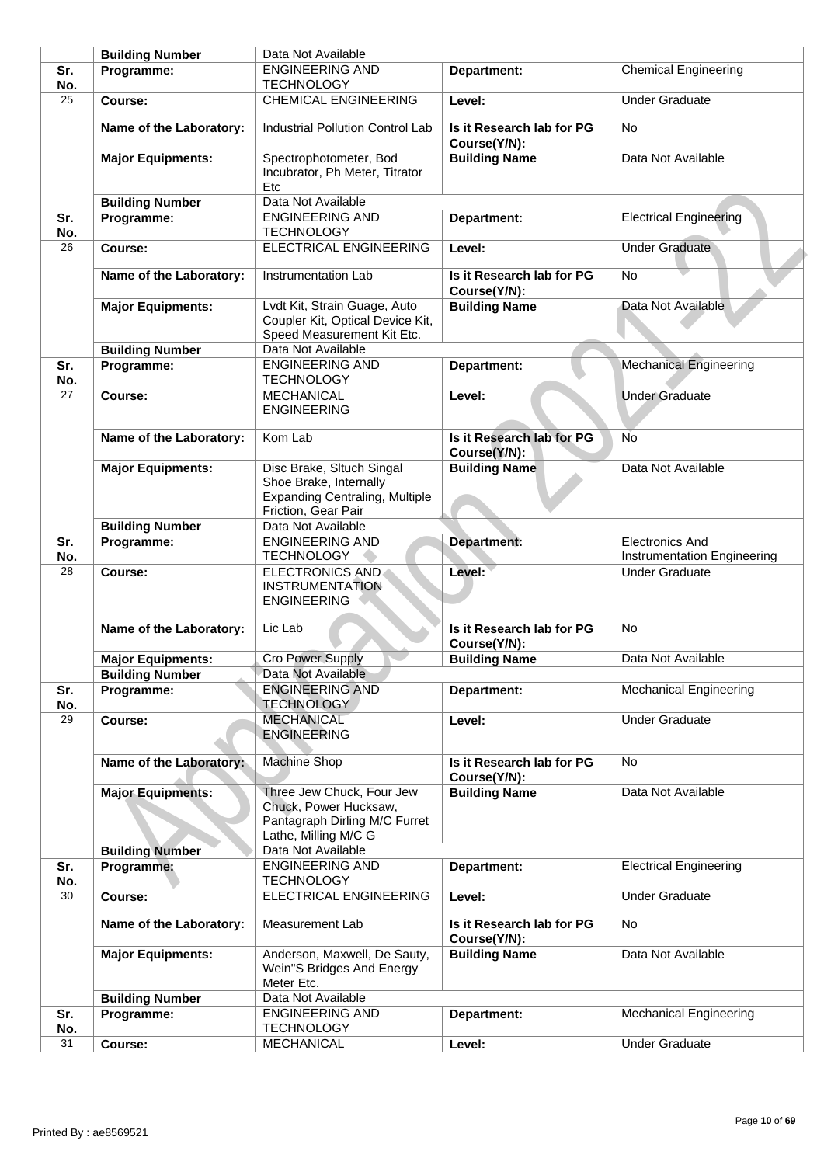|            | <b>Building Number</b>   | Data Not Available                                                                                                  |                                           |                                                       |
|------------|--------------------------|---------------------------------------------------------------------------------------------------------------------|-------------------------------------------|-------------------------------------------------------|
| Sr.<br>No. | Programme:               | <b>ENGINEERING AND</b><br><b>TECHNOLOGY</b>                                                                         | Department:                               | Chemical Engineering                                  |
| 25         | Course:                  | <b>CHEMICAL ENGINEERING</b>                                                                                         | Level:                                    | <b>Under Graduate</b>                                 |
|            | Name of the Laboratory:  | <b>Industrial Pollution Control Lab</b>                                                                             | Is it Research lab for PG<br>Course(Y/N): | <b>No</b>                                             |
|            | <b>Major Equipments:</b> | Spectrophotometer, Bod<br>Incubrator, Ph Meter, Titrator<br>Etc                                                     | <b>Building Name</b>                      | Data Not Available                                    |
|            | <b>Building Number</b>   | Data Not Available                                                                                                  |                                           |                                                       |
| Sr.<br>No. | Programme:               | <b>ENGINEERING AND</b><br><b>TECHNOLOGY</b>                                                                         | Department:                               | <b>Electrical Engineering</b>                         |
| 26         | Course:                  | ELECTRICAL ENGINEERING                                                                                              | Level:                                    | <b>Under Graduate</b>                                 |
|            | Name of the Laboratory:  | Instrumentation Lab                                                                                                 | Is it Research lab for PG<br>Course(Y/N): | <b>No</b>                                             |
|            | <b>Major Equipments:</b> | Lvdt Kit, Strain Guage, Auto<br>Coupler Kit, Optical Device Kit,<br>Speed Measurement Kit Etc.                      | <b>Building Name</b>                      | Data Not Available                                    |
|            | <b>Building Number</b>   | Data Not Available                                                                                                  |                                           |                                                       |
| Sr.<br>No. | Programme:               | <b>ENGINEERING AND</b><br><b>TECHNOLOGY</b>                                                                         | Department:                               | <b>Mechanical Engineering</b>                         |
| 27         | Course:                  | <b>MECHANICAL</b><br><b>ENGINEERING</b>                                                                             | Level:                                    | <b>Under Graduate</b>                                 |
|            | Name of the Laboratory:  | Kom Lab                                                                                                             | Is it Research lab for PG<br>Course(Y/N): | <b>No</b>                                             |
|            | <b>Major Equipments:</b> | Disc Brake, Sltuch Singal<br>Shoe Brake, Internally<br><b>Expanding Centraling, Multiple</b><br>Friction, Gear Pair | <b>Building Name</b>                      | Data Not Available                                    |
|            | <b>Building Number</b>   | Data Not Available                                                                                                  |                                           |                                                       |
| Sr.<br>No. | Programme:               | <b>ENGINEERING AND</b><br><b>TECHNOLOGY</b>                                                                         | Department:                               | <b>Electronics And</b><br>Instrumentation Engineering |
| 28         | Course:                  | <b>ELECTRONICS AND</b><br><b>INSTRUMENTATION</b><br><b>ENGINEERING</b>                                              | Level:                                    | <b>Under Graduate</b>                                 |
|            | Name of the Laboratory:  | Lic Lab                                                                                                             | Is it Research lab for PG<br>Course(Y/N): | <b>No</b>                                             |
|            | <b>Major Equipments:</b> | <b>Cro Power Supply</b>                                                                                             | <b>Building Name</b>                      | Data Not Available                                    |
|            | <b>Building Number</b>   | Data Not Available                                                                                                  |                                           |                                                       |
| Sr.<br>No. | Programme:               | <b>ENGINEERING AND</b><br><b>TECHNOLOGY</b>                                                                         | Department:                               | <b>Mechanical Engineering</b>                         |
| 29         | Course:                  | <b>MECHANICAL</b><br><b>ENGINEERING</b>                                                                             | Level:                                    | <b>Under Graduate</b>                                 |
|            | Name of the Laboratory:  | Machine Shop                                                                                                        | Is it Research lab for PG<br>Course(Y/N): | No                                                    |
|            | <b>Major Equipments:</b> | Three Jew Chuck, Four Jew<br>Chuck, Power Hucksaw,<br>Pantagraph Dirling M/C Furret<br>Lathe, Milling M/C G         | <b>Building Name</b>                      | Data Not Available                                    |
|            | <b>Building Number</b>   | Data Not Available                                                                                                  |                                           |                                                       |
| Sr.<br>No. | Programme:               | <b>ENGINEERING AND</b><br><b>TECHNOLOGY</b>                                                                         | Department:                               | <b>Electrical Engineering</b>                         |
| 30         | Course:                  | ELECTRICAL ENGINEERING                                                                                              | Level:                                    | <b>Under Graduate</b>                                 |
|            | Name of the Laboratory:  | Measurement Lab                                                                                                     | Is it Research lab for PG<br>Course(Y/N): | No                                                    |
|            | <b>Major Equipments:</b> | Anderson, Maxwell, De Sauty,<br>Wein"S Bridges And Energy<br>Meter Etc.                                             | <b>Building Name</b>                      | Data Not Available                                    |
|            | <b>Building Number</b>   | Data Not Available                                                                                                  |                                           |                                                       |
| Sr.<br>No. | Programme:               | <b>ENGINEERING AND</b><br><b>TECHNOLOGY</b>                                                                         | Department:                               | <b>Mechanical Engineering</b>                         |
| 31         | Course:                  | MECHANICAL                                                                                                          | Level:                                    | <b>Under Graduate</b>                                 |
|            |                          |                                                                                                                     |                                           |                                                       |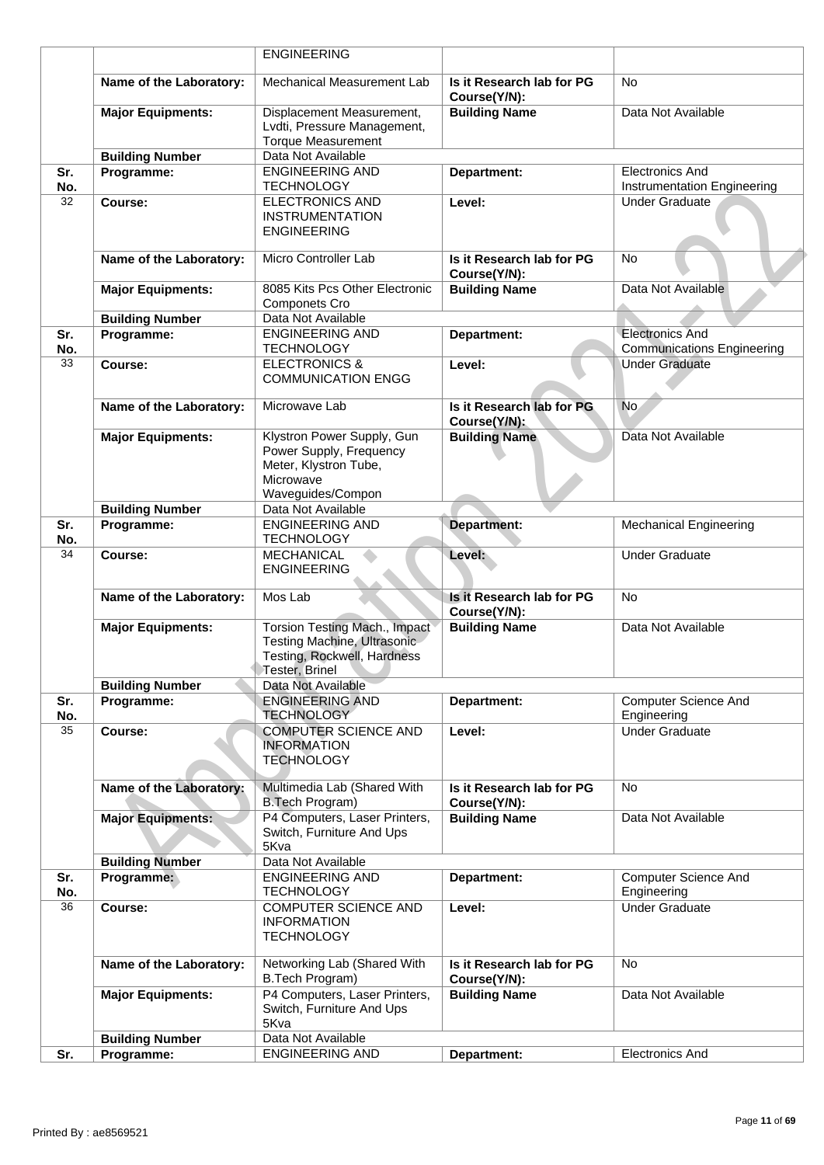|            |                          | <b>ENGINEERING</b>                                                                                               |                                           |                                                            |
|------------|--------------------------|------------------------------------------------------------------------------------------------------------------|-------------------------------------------|------------------------------------------------------------|
|            | Name of the Laboratory:  | Mechanical Measurement Lab                                                                                       | Is it Research lab for PG<br>Course(Y/N): | <b>No</b>                                                  |
|            | <b>Major Equipments:</b> | Displacement Measurement,<br>Lvdti, Pressure Management,<br><b>Torque Measurement</b>                            | <b>Building Name</b>                      | Data Not Available                                         |
|            | <b>Building Number</b>   | Data Not Available                                                                                               |                                           |                                                            |
| Sr.        | Programme:               | <b>ENGINEERING AND</b>                                                                                           | Department:                               | <b>Electronics And</b>                                     |
| No.        |                          | <b>TECHNOLOGY</b>                                                                                                |                                           | Instrumentation Engineering                                |
| 32         | Course:                  | <b>ELECTRONICS AND</b><br><b>INSTRUMENTATION</b><br><b>ENGINEERING</b>                                           | Level:                                    | <b>Under Graduate</b>                                      |
|            | Name of the Laboratory:  | Micro Controller Lab                                                                                             | Is it Research lab for PG<br>Course(Y/N): | <b>No</b>                                                  |
|            | <b>Major Equipments:</b> | 8085 Kits Pcs Other Electronic<br>Componets Cro                                                                  | <b>Building Name</b>                      | Data Not Available                                         |
|            | <b>Building Number</b>   | Data Not Available                                                                                               |                                           |                                                            |
| Sr.        | Programme:               | <b>ENGINEERING AND</b>                                                                                           | Department:                               | <b>Electronics And</b>                                     |
| No.<br>33  | Course:                  | <b>TECHNOLOGY</b><br><b>ELECTRONICS &amp;</b><br><b>COMMUNICATION ENGG</b>                                       | Level:                                    | <b>Communications Engineering</b><br><b>Under Graduate</b> |
|            | Name of the Laboratory:  | Microwave Lab                                                                                                    | Is it Research lab for PG<br>Course(Y/N): | No.                                                        |
|            | <b>Major Equipments:</b> | Klystron Power Supply, Gun<br>Power Supply, Frequency<br>Meter, Klystron Tube,<br>Microwave<br>Waveguides/Compon | <b>Building Name</b>                      | Data Not Available                                         |
|            | <b>Building Number</b>   | Data Not Available                                                                                               |                                           |                                                            |
| Sr.        | Programme:               | <b>ENGINEERING AND</b>                                                                                           | Department:                               | <b>Mechanical Engineering</b>                              |
| No.        |                          | <b>TECHNOLOGY</b>                                                                                                |                                           |                                                            |
| 34         | Course:                  | <b>MECHANICAL</b><br><b>ENGINEERING</b>                                                                          | Level:                                    | <b>Under Graduate</b>                                      |
|            | Name of the Laboratory:  | Mos Lab                                                                                                          | Is it Research lab for PG<br>Course(Y/N): | <b>No</b>                                                  |
|            | <b>Major Equipments:</b> | Torsion Testing Mach., Impact<br>Testing Machine, Ultrasonic<br>Testing, Rockwell, Hardness<br>Tester, Brinel    | <b>Building Name</b>                      | Data Not Available                                         |
|            | <b>Building Number</b>   | Data Not Available                                                                                               |                                           |                                                            |
| Sr.<br>No. | Programme:               | <b>ENGINEERING AND</b><br><b>TECHNOLOGY</b>                                                                      | Department:                               | <b>Computer Science And</b><br>Engineering                 |
| 35         | Course:                  | <b>COMPUTER SCIENCE AND</b><br><b>INFORMATION</b><br><b>TECHNOLOGY</b>                                           | Level:                                    | <b>Under Graduate</b>                                      |
|            | Name of the Laboratory:  | Multimedia Lab (Shared With<br>B.Tech Program)                                                                   | Is it Research lab for PG<br>Course(Y/N): | <b>No</b>                                                  |
|            | <b>Major Equipments:</b> | P4 Computers, Laser Printers,<br>Switch, Furniture And Ups<br>5Kva                                               | <b>Building Name</b>                      | Data Not Available                                         |
|            | <b>Building Number</b>   | Data Not Available                                                                                               |                                           |                                                            |
| Sr.<br>No. | Programme:               | <b>ENGINEERING AND</b><br><b>TECHNOLOGY</b>                                                                      | Department:                               | <b>Computer Science And</b><br>Engineering                 |
| 36         | Course:                  | <b>COMPUTER SCIENCE AND</b><br><b>INFORMATION</b><br><b>TECHNOLOGY</b>                                           | Level:                                    | <b>Under Graduate</b>                                      |
|            | Name of the Laboratory:  | Networking Lab (Shared With<br>B.Tech Program)                                                                   | Is it Research lab for PG<br>Course(Y/N): | No.                                                        |
|            | <b>Major Equipments:</b> | P4 Computers, Laser Printers,<br>Switch, Furniture And Ups<br>5Kva                                               | <b>Building Name</b>                      | Data Not Available                                         |
|            | <b>Building Number</b>   | Data Not Available                                                                                               |                                           |                                                            |
| Sr.        | Programme:               | <b>ENGINEERING AND</b>                                                                                           | Department:                               | <b>Electronics And</b>                                     |
|            |                          |                                                                                                                  |                                           |                                                            |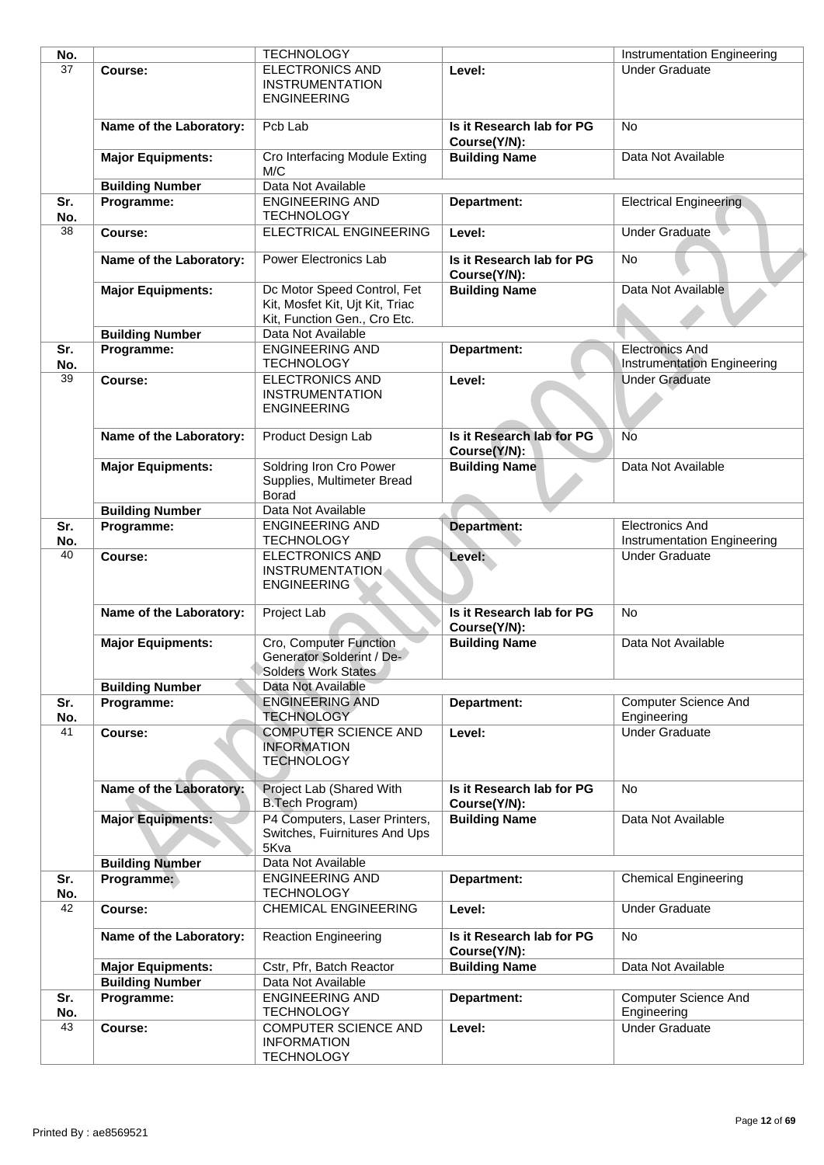|                          | <b>TECHNOLOGY</b>                                                      |                                                                                                                                                                         | Instrumentation Engineering                                  |
|--------------------------|------------------------------------------------------------------------|-------------------------------------------------------------------------------------------------------------------------------------------------------------------------|--------------------------------------------------------------|
| Course:                  | <b>ELECTRONICS AND</b><br><b>INSTRUMENTATION</b><br><b>ENGINEERING</b> | Level:                                                                                                                                                                  | <b>Under Graduate</b>                                        |
| Name of the Laboratory:  | Pcb Lab                                                                | Is it Research lab for PG<br>Course(Y/N):                                                                                                                               | <b>No</b>                                                    |
| <b>Major Equipments:</b> | Cro Interfacing Module Exting<br>M/C                                   | <b>Building Name</b>                                                                                                                                                    | Data Not Available                                           |
|                          | Data Not Available                                                     |                                                                                                                                                                         |                                                              |
| Programme:               | <b>ENGINEERING AND</b><br><b>TECHNOLOGY</b>                            | Department:                                                                                                                                                             | <b>Electrical Engineering</b>                                |
| Course:                  | <b>ELECTRICAL ENGINEERING</b>                                          | Level:                                                                                                                                                                  | <b>Under Graduate</b>                                        |
| Name of the Laboratory:  | <b>Power Electronics Lab</b>                                           | Is it Research lab for PG<br>Course(Y/N):                                                                                                                               | <b>No</b>                                                    |
| <b>Major Equipments:</b> | Kit, Mosfet Kit, Ujt Kit, Triac<br>Kit, Function Gen., Cro Etc.        | <b>Building Name</b>                                                                                                                                                    | Data Not Available                                           |
| <b>Building Number</b>   | Data Not Available                                                     |                                                                                                                                                                         |                                                              |
| Programme:               | <b>ENGINEERING AND</b><br><b>TECHNOLOGY</b>                            | Department:                                                                                                                                                             | Electronics And<br>Instrumentation Engineering               |
| Course:                  | <b>ELECTRONICS AND</b><br><b>INSTRUMENTATION</b><br><b>ENGINEERING</b> | Level:                                                                                                                                                                  | <b>Under Graduate</b>                                        |
| Name of the Laboratory:  | Product Design Lab                                                     | Is it Research lab for PG                                                                                                                                               | <b>No</b>                                                    |
| <b>Major Equipments:</b> | Soldring Iron Cro Power<br>Supplies, Multimeter Bread<br><b>Borad</b>  | <b>Building Name</b>                                                                                                                                                    | Data Not Available                                           |
| <b>Building Number</b>   | Data Not Available                                                     |                                                                                                                                                                         |                                                              |
| Programme:               | <b>ENGINEERING AND</b>                                                 | Department:                                                                                                                                                             | <b>Electronics And</b>                                       |
|                          | <b>TECHNOLOGY</b>                                                      |                                                                                                                                                                         | Instrumentation Engineering                                  |
| Course:                  | <b>ELECTRONICS AND</b><br><b>INSTRUMENTATION</b><br><b>ENGINEERING</b> | Level:                                                                                                                                                                  | <b>Under Graduate</b>                                        |
| Name of the Laboratory:  | Project Lab                                                            | Is it Research lab for PG<br>Course(Y/N):                                                                                                                               | No                                                           |
| <b>Major Equipments:</b> | Generator Solderint / De-<br>Solders Work States                       |                                                                                                                                                                         | Data Not Available                                           |
| <b>Building Number</b>   | Data Not Available                                                     |                                                                                                                                                                         |                                                              |
| Programme:               | <b>ENGINEERING AND</b><br><b>TECHNOLOGY</b>                            | Department:                                                                                                                                                             | <b>Computer Science And</b><br>Engineering                   |
| Course:                  | <b>INFORMATION</b><br><b>TECHNOLOGY</b>                                | Level:                                                                                                                                                                  | <b>Under Graduate</b>                                        |
|                          | B.Tech Program)                                                        | Is it Research lab for PG<br>Course(Y/N):                                                                                                                               | No                                                           |
| <b>Major Equipments:</b> | Switches, Fuirnitures And Ups<br>5Kva                                  |                                                                                                                                                                         | Data Not Available                                           |
| <b>Building Number</b>   |                                                                        |                                                                                                                                                                         |                                                              |
| Programme:               | <b>ENGINEERING AND</b><br><b>TECHNOLOGY</b>                            | Department:                                                                                                                                                             | <b>Chemical Engineering</b>                                  |
| Course:                  | <b>CHEMICAL ENGINEERING</b>                                            | Level:                                                                                                                                                                  | <b>Under Graduate</b>                                        |
| Name of the Laboratory:  | <b>Reaction Engineering</b>                                            | Is it Research lab for PG<br>Course(Y/N):                                                                                                                               | No.                                                          |
| <b>Major Equipments:</b> | Cstr, Pfr, Batch Reactor                                               | <b>Building Name</b>                                                                                                                                                    | Data Not Available                                           |
| <b>Building Number</b>   | Data Not Available                                                     |                                                                                                                                                                         |                                                              |
| Programme:               | <b>ENGINEERING AND</b><br><b>TECHNOLOGY</b>                            | Department:                                                                                                                                                             | <b>Computer Science And</b><br>Engineering                   |
| Course:                  | <b>COMPUTER SCIENCE AND</b><br><b>INFORMATION</b><br><b>TECHNOLOGY</b> | Level:                                                                                                                                                                  | <b>Under Graduate</b>                                        |
|                          | <b>Building Number</b><br>Name of the Laboratory:                      | Dc Motor Speed Control, Fet<br>Cro, Computer Function<br><b>COMPUTER SCIENCE AND</b><br>Project Lab (Shared With<br>P4 Computers, Laser Printers,<br>Data Not Available | Course(Y/N):<br><b>Building Name</b><br><b>Building Name</b> |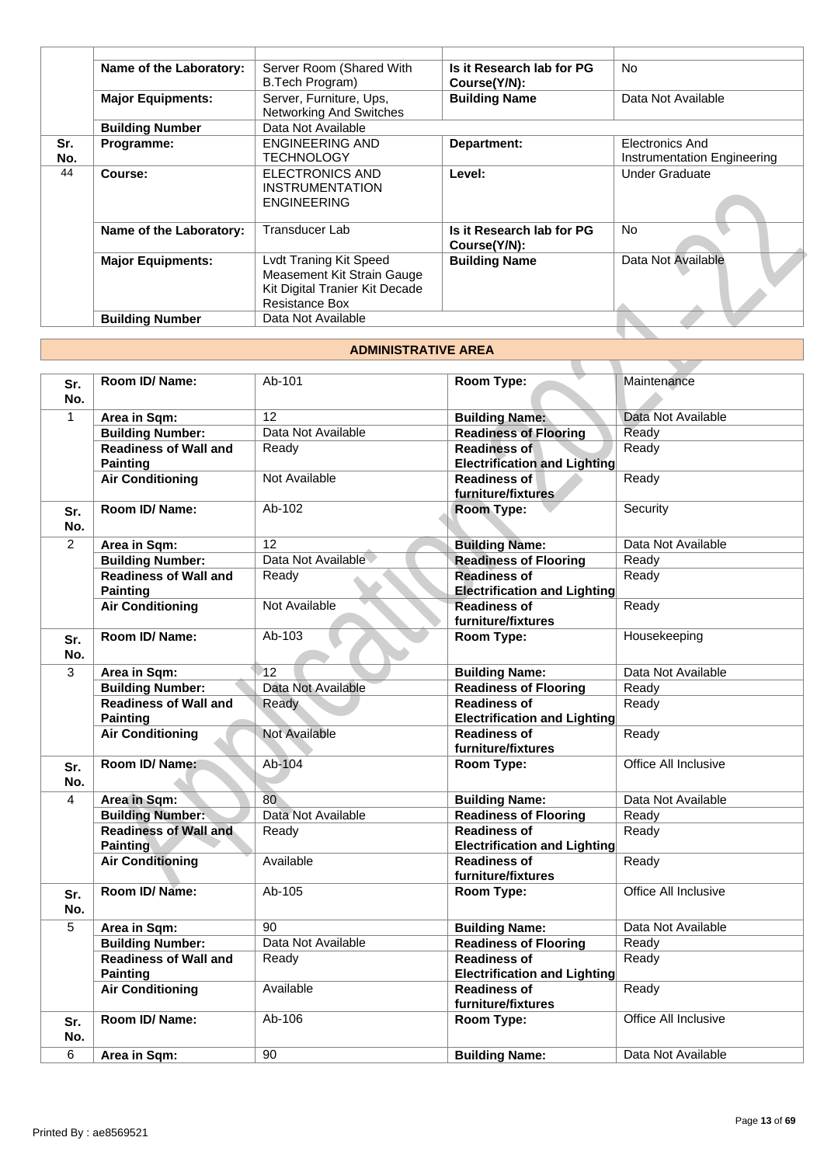|     | Name of the Laboratory:  | Server Room (Shared With       | Is it Research lab for PG                 | <b>No</b>                   |
|-----|--------------------------|--------------------------------|-------------------------------------------|-----------------------------|
|     |                          | B.Tech Program)                | Course(Y/N):                              |                             |
|     | <b>Major Equipments:</b> | Server, Furniture, Ups,        | <b>Building Name</b>                      | Data Not Available          |
|     |                          | Networking And Switches        |                                           |                             |
|     | <b>Building Number</b>   | Data Not Available             |                                           |                             |
| Sr. | Programme:               | <b>ENGINEERING AND</b>         | Department:                               | Electronics And             |
| No. |                          | <b>TECHNOLOGY</b>              |                                           | Instrumentation Engineering |
| 44  | Course:                  | <b>ELECTRONICS AND</b>         | Level:                                    | <b>Under Graduate</b>       |
|     |                          | <b>INSTRUMENTATION</b>         |                                           |                             |
|     |                          | <b>ENGINEERING</b>             |                                           |                             |
|     | Name of the Laboratory:  | <b>Transducer Lab</b>          | Is it Research lab for PG<br>Course(Y/N): | <b>No</b>                   |
|     | <b>Major Equipments:</b> | Lvdt Traning Kit Speed         | <b>Building Name</b>                      | Data Not Available          |
|     |                          | Measement Kit Strain Gauge     |                                           |                             |
|     |                          | Kit Digital Tranier Kit Decade |                                           |                             |
|     |                          | <b>Resistance Box</b>          |                                           |                             |
|     | <b>Building Number</b>   | Data Not Available             |                                           |                             |

#### **ADMINISTRATIVE AREA**

|                |                                                 | INSI RUMENTATION<br><b>ENGINEERING</b>                                                                                 |                                                            |                      |
|----------------|-------------------------------------------------|------------------------------------------------------------------------------------------------------------------------|------------------------------------------------------------|----------------------|
|                | Name of the Laboratory:                         | <b>Transducer Lab</b>                                                                                                  | Is it Research lab for PG<br>Course(Y/N):                  | No                   |
|                | <b>Major Equipments:</b>                        | <b>Lvdt Traning Kit Speed</b><br>Measement Kit Strain Gauge<br>Kit Digital Tranier Kit Decade<br><b>Resistance Box</b> | <b>Building Name</b>                                       | Data Not Available   |
|                | <b>Building Number</b>                          | Data Not Available                                                                                                     |                                                            |                      |
|                |                                                 |                                                                                                                        |                                                            |                      |
|                |                                                 | <b>ADMINISTRATIVE AREA</b>                                                                                             |                                                            |                      |
| Sr.<br>No.     | Room ID/Name:                                   | Ab-101                                                                                                                 | Room Type:                                                 | Maintenance          |
| $\mathbf{1}$   | Area in Sqm:                                    | 12                                                                                                                     | <b>Building Name:</b>                                      | Data Not Available   |
|                | <b>Building Number:</b>                         | Data Not Available                                                                                                     | <b>Readiness of Flooring</b>                               | Ready                |
|                | <b>Readiness of Wall and</b><br><b>Painting</b> | Ready                                                                                                                  | <b>Readiness of</b><br><b>Electrification and Lighting</b> | Ready                |
|                | <b>Air Conditioning</b>                         | Not Available                                                                                                          | <b>Readiness of</b><br>furniture/fixtures                  | Ready                |
| Sr.<br>No.     | Room ID/Name:                                   | Ab-102                                                                                                                 | Room Type:                                                 | Security             |
| $\overline{2}$ | Area in Sqm:                                    | 12                                                                                                                     | <b>Building Name:</b>                                      | Data Not Available   |
|                | <b>Building Number:</b>                         | Data Not Available                                                                                                     | <b>Readiness of Flooring</b>                               | Ready                |
|                | <b>Readiness of Wall and</b><br><b>Painting</b> | Ready                                                                                                                  | <b>Readiness of</b><br><b>Electrification and Lighting</b> | Ready                |
|                | <b>Air Conditioning</b>                         | Not Available                                                                                                          | <b>Readiness of</b><br>furniture/fixtures                  | Ready                |
| Sr.<br>No.     | Room ID/Name:                                   | Ab-103                                                                                                                 | Room Type:                                                 | Housekeeping         |
| 3              | Area in Sqm:                                    | 12                                                                                                                     | <b>Building Name:</b>                                      | Data Not Available   |
|                | <b>Building Number:</b>                         | Data Not Available                                                                                                     | <b>Readiness of Flooring</b>                               | Ready                |
|                | <b>Readiness of Wall and</b>                    | Ready                                                                                                                  | <b>Readiness of</b>                                        | Ready                |
|                | <b>Painting</b>                                 |                                                                                                                        | <b>Electrification and Lighting</b>                        |                      |
|                | <b>Air Conditioning</b>                         | Not Available                                                                                                          | <b>Readiness of</b><br>furniture/fixtures                  | Ready                |
| Sr.<br>No.     | Room ID/ Name:                                  | Ab-104                                                                                                                 | Room Type:                                                 | Office All Inclusive |
| 4              | Area in Sqm:                                    | 80                                                                                                                     | <b>Building Name:</b>                                      | Data Not Available   |
|                | <b>Building Number:</b>                         | Data Not Available                                                                                                     | <b>Readiness of Flooring</b>                               | Ready                |
|                | <b>Readiness of Wall and</b><br><b>Painting</b> | Ready                                                                                                                  | <b>Readiness of</b><br><b>Electrification and Lighting</b> | Ready                |
|                | <b>Air Conditioning</b>                         | Available                                                                                                              | <b>Readiness of</b><br>furniture/fixtures                  | Ready                |
| Sr.<br>No.     | Room ID/Name:                                   | Ab-105                                                                                                                 | Room Type:                                                 | Office All Inclusive |
| 5              | Area in Sqm:                                    | 90                                                                                                                     | <b>Building Name:</b>                                      | Data Not Available   |
|                | <b>Building Number:</b>                         | Data Not Available                                                                                                     | <b>Readiness of Flooring</b>                               | Ready                |
|                | <b>Readiness of Wall and</b><br><b>Painting</b> | Ready                                                                                                                  | <b>Readiness of</b><br><b>Electrification and Lighting</b> | Ready                |
|                | <b>Air Conditioning</b>                         | Available                                                                                                              | <b>Readiness of</b><br>furniture/fixtures                  | Ready                |
| Sr.<br>No.     | Room ID/ Name:                                  | Ab-106                                                                                                                 | Room Type:                                                 | Office All Inclusive |
| 6              | Area in Sqm:                                    | 90                                                                                                                     | <b>Building Name:</b>                                      | Data Not Available   |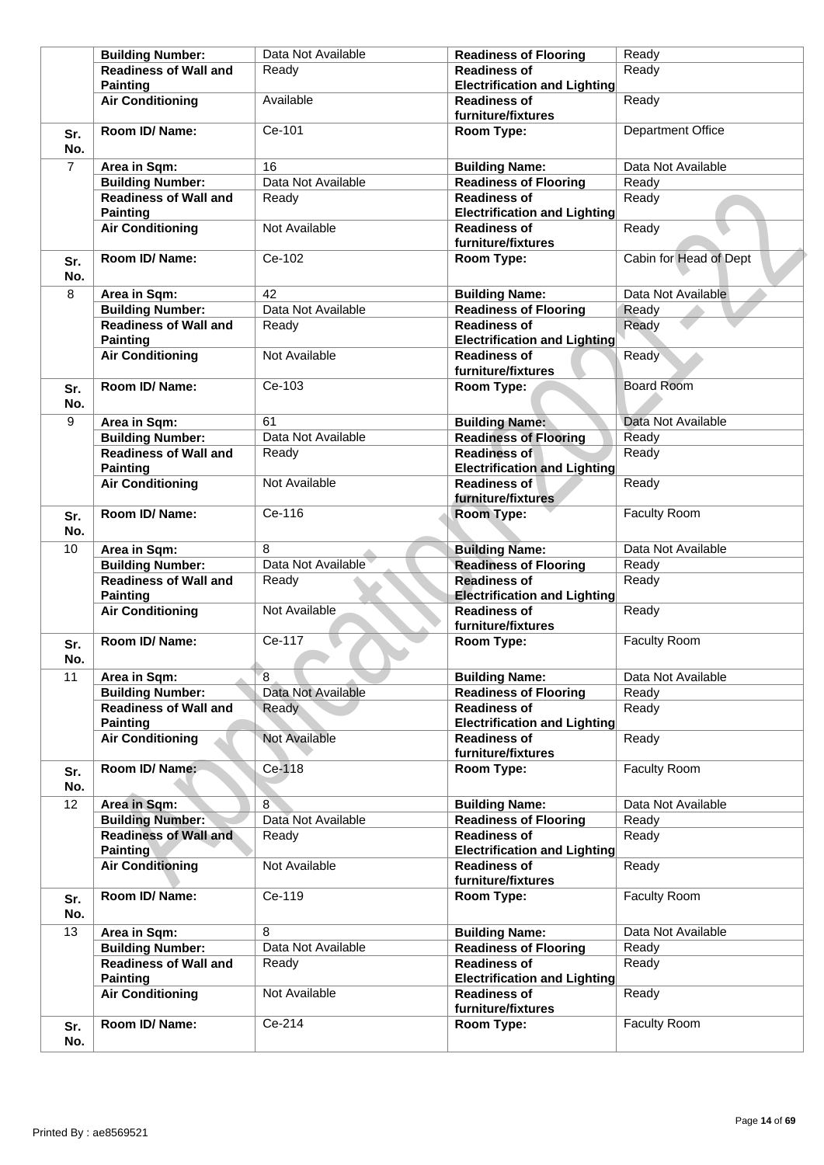|                | <b>Building Number:</b>                         | Data Not Available | <b>Readiness of Flooring</b>                               | Ready                    |
|----------------|-------------------------------------------------|--------------------|------------------------------------------------------------|--------------------------|
|                | <b>Readiness of Wall and</b><br><b>Painting</b> | Ready              | <b>Readiness of</b><br><b>Electrification and Lighting</b> | Ready                    |
|                | <b>Air Conditioning</b>                         | Available          | <b>Readiness of</b><br>furniture/fixtures                  | Ready                    |
| Sr.<br>No.     | Room ID/Name:                                   | Ce-101             | Room Type:                                                 | <b>Department Office</b> |
| $\overline{7}$ | Area in Sqm:                                    | 16                 | <b>Building Name:</b>                                      | Data Not Available       |
|                | <b>Building Number:</b>                         | Data Not Available | <b>Readiness of Flooring</b>                               | Ready                    |
|                | <b>Readiness of Wall and</b><br><b>Painting</b> | Ready              | <b>Readiness of</b><br><b>Electrification and Lighting</b> | Ready                    |
|                | <b>Air Conditioning</b>                         | Not Available      | <b>Readiness of</b><br>furniture/fixtures                  | Ready                    |
| Sr.<br>No.     | Room ID/ Name:                                  | Ce-102             | Room Type:                                                 | Cabin for Head of Dept   |
| 8              | Area in Sqm:                                    | 42                 | <b>Building Name:</b>                                      | Data Not Available       |
|                | <b>Building Number:</b>                         | Data Not Available | <b>Readiness of Flooring</b>                               | Ready                    |
|                | <b>Readiness of Wall and</b><br><b>Painting</b> | Ready              | <b>Readiness of</b><br><b>Electrification and Lighting</b> | Ready                    |
|                | <b>Air Conditioning</b>                         | Not Available      | <b>Readiness of</b><br>furniture/fixtures                  | Ready                    |
| Sr.<br>No.     | Room ID/ Name:                                  | Ce-103             | Room Type:                                                 | <b>Board Room</b>        |
| 9              | Area in Sqm:                                    | 61                 | <b>Building Name:</b>                                      | Data Not Available       |
|                | <b>Building Number:</b>                         | Data Not Available | <b>Readiness of Flooring</b>                               | Ready                    |
|                | <b>Readiness of Wall and</b><br><b>Painting</b> | Ready              | <b>Readiness of</b><br><b>Electrification and Lighting</b> | Ready                    |
|                | <b>Air Conditioning</b>                         | Not Available      | <b>Readiness of</b><br>furniture/fixtures                  | Ready                    |
| Sr.<br>No.     | Room ID/ Name:                                  | Ce-116             | Room Type:                                                 | <b>Faculty Room</b>      |
| 10             | Area in Sqm:                                    | 8                  | <b>Building Name:</b>                                      | Data Not Available       |
|                | <b>Building Number:</b>                         | Data Not Available | <b>Readiness of Flooring</b>                               | Ready                    |
|                | <b>Readiness of Wall and</b>                    | Ready              | <b>Readiness of</b>                                        | Ready                    |
|                | <b>Painting</b>                                 |                    | <b>Electrification and Lighting</b>                        |                          |
|                | <b>Air Conditioning</b>                         | Not Available      | <b>Readiness of</b><br>furniture/fixtures                  | Ready                    |
| Sr.<br>No.     | Room ID/ Name:                                  | Ce-117             | Room Type:                                                 | <b>Faculty Room</b>      |
| 11             | Area in Sqm:                                    | 8                  | <b>Building Name:</b>                                      | Data Not Available       |
|                | <b>Building Number:</b>                         | Data Not Available | <b>Readiness of Flooring</b>                               | Ready                    |
|                | <b>Readiness of Wall and</b>                    | Ready              | <b>Readiness of</b>                                        | Ready                    |
|                | <b>Painting</b>                                 |                    | <b>Electrification and Lighting</b>                        |                          |
|                | <b>Air Conditioning</b>                         | Not Available      | <b>Readiness of</b><br>furniture/fixtures                  | Ready                    |
| Sr.<br>No.     | Room ID/ Name:                                  | Ce-118             | Room Type:                                                 | Faculty Room             |
| 12             | Area in Sqm:                                    | 8                  | <b>Building Name:</b>                                      | Data Not Available       |
|                | <b>Building Number:</b>                         | Data Not Available | <b>Readiness of Flooring</b>                               | Ready                    |
|                | <b>Readiness of Wall and</b><br><b>Painting</b> | Ready              | <b>Readiness of</b><br><b>Electrification and Lighting</b> | Ready                    |
|                | <b>Air Conditioning</b>                         | Not Available      | <b>Readiness of</b><br>furniture/fixtures                  | Ready                    |
| Sr.<br>No.     | Room ID/ Name:                                  | Ce-119             | Room Type:                                                 | <b>Faculty Room</b>      |
| 13             | Area in Sqm:                                    | 8                  | <b>Building Name:</b>                                      | Data Not Available       |
|                | <b>Building Number:</b>                         | Data Not Available | <b>Readiness of Flooring</b>                               | Ready                    |
|                | <b>Readiness of Wall and</b>                    | Ready              | <b>Readiness of</b>                                        | Ready                    |
|                | <b>Painting</b><br><b>Air Conditioning</b>      | Not Available      | <b>Electrification and Lighting</b><br><b>Readiness of</b> | Ready                    |
|                |                                                 |                    | furniture/fixtures                                         |                          |
| Sr.<br>No.     | Room ID/Name:                                   | Ce-214             | Room Type:                                                 | Faculty Room             |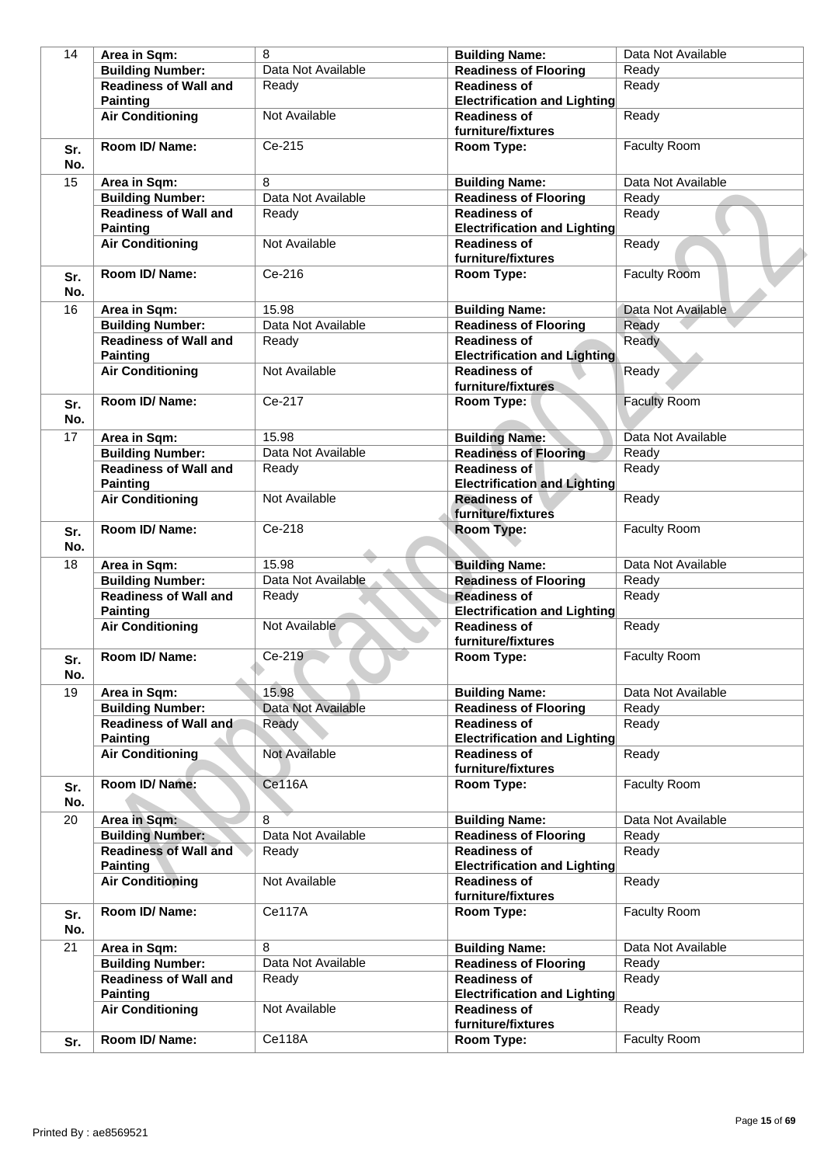| 14         | Area in Sqm:                                    | 8                  | <b>Building Name:</b>                                      | Data Not Available  |
|------------|-------------------------------------------------|--------------------|------------------------------------------------------------|---------------------|
|            | <b>Building Number:</b>                         | Data Not Available | <b>Readiness of Flooring</b>                               | Ready               |
|            | <b>Readiness of Wall and</b>                    | Ready              | <b>Readiness of</b>                                        | Ready               |
|            | <b>Painting</b>                                 |                    | <b>Electrification and Lighting</b>                        |                     |
|            | <b>Air Conditioning</b>                         | Not Available      | <b>Readiness of</b>                                        | Ready               |
|            |                                                 |                    | furniture/fixtures                                         |                     |
| Sr.<br>No. | Room ID/ Name:                                  | Ce-215             | Room Type:                                                 | Faculty Room        |
| 15         | Area in Sqm:                                    | 8                  | <b>Building Name:</b>                                      | Data Not Available  |
|            | <b>Building Number:</b>                         | Data Not Available | <b>Readiness of Flooring</b>                               | Ready               |
|            | <b>Readiness of Wall and</b>                    | Ready              | <b>Readiness of</b>                                        | Ready               |
|            | <b>Painting</b>                                 |                    | <b>Electrification and Lighting</b>                        |                     |
|            | <b>Air Conditioning</b>                         | Not Available      | <b>Readiness of</b><br>furniture/fixtures                  | Ready               |
| Sr.<br>No. | Room ID/ Name:                                  | Ce-216             | Room Type:                                                 | <b>Faculty Room</b> |
| 16         | Area in Sqm:                                    | 15.98              | <b>Building Name:</b>                                      | Data Not Available  |
|            | <b>Building Number:</b>                         | Data Not Available | <b>Readiness of Flooring</b>                               | Ready               |
|            | <b>Readiness of Wall and</b>                    | Ready              | <b>Readiness of</b>                                        | Ready               |
|            | <b>Painting</b>                                 |                    | <b>Electrification and Lighting</b>                        |                     |
|            | <b>Air Conditioning</b>                         | Not Available      | <b>Readiness of</b>                                        | Ready               |
|            |                                                 |                    | furniture/fixtures                                         |                     |
| Sr.<br>No. | Room ID/ Name:                                  | Ce-217             | Room Type:                                                 | <b>Faculty Room</b> |
| 17         | Area in Sqm:                                    | 15.98              | <b>Building Name:</b>                                      | Data Not Available  |
|            | <b>Building Number:</b>                         | Data Not Available | <b>Readiness of Flooring</b>                               | Ready               |
|            | <b>Readiness of Wall and</b><br><b>Painting</b> | Ready              | <b>Readiness of</b><br><b>Electrification and Lighting</b> | Ready               |
|            | <b>Air Conditioning</b>                         | Not Available      | <b>Readiness of</b><br>furniture/fixtures                  | Ready               |
| Sr.<br>No. | Room ID/Name:                                   | Ce-218             | Room Type:                                                 | <b>Faculty Room</b> |
| 18         | Area in Sqm:                                    | 15.98              | <b>Building Name:</b>                                      | Data Not Available  |
|            | <b>Building Number:</b>                         | Data Not Available | <b>Readiness of Flooring</b>                               | Ready               |
|            | <b>Readiness of Wall and</b><br><b>Painting</b> | Ready              | <b>Readiness of</b><br><b>Electrification and Lighting</b> | Ready               |
|            | <b>Air Conditioning</b>                         | Not Available      | <b>Readiness of</b><br>furniture/fixtures                  | Ready               |
| Sr.<br>No. | Room ID/ Name:                                  | Ce-219             | Room Type:                                                 | <b>Faculty Room</b> |
| 19         | Area in Sqm:                                    | 15.98              | <b>Building Name:</b>                                      | Data Not Available  |
|            | <b>Building Number:</b>                         | Data Not Available | <b>Readiness of Flooring</b>                               | Ready               |
|            | <b>Readiness of Wall and</b><br><b>Painting</b> | Ready              | <b>Readiness of</b><br><b>Electrification and Lighting</b> | Ready               |
|            | <b>Air Conditioning</b>                         | Not Available      | <b>Readiness of</b><br>furniture/fixtures                  | Ready               |
| Sr.<br>No. | Room ID/ Name:                                  | Ce116A             | Room Type:                                                 | <b>Faculty Room</b> |
| 20         | Area in Sqm:                                    | 8                  | <b>Building Name:</b>                                      | Data Not Available  |
|            | <b>Building Number:</b>                         | Data Not Available | <b>Readiness of Flooring</b>                               | Ready               |
|            | <b>Readiness of Wall and</b><br><b>Painting</b> | Ready              | <b>Readiness of</b><br><b>Electrification and Lighting</b> | Ready               |
|            | <b>Air Conditioning</b>                         | Not Available      | <b>Readiness of</b><br>furniture/fixtures                  | Ready               |
| Sr.<br>No. | Room ID/ Name:                                  | Ce117A             | Room Type:                                                 | <b>Faculty Room</b> |
| 21         | Area in Sqm:                                    | 8                  | <b>Building Name:</b>                                      | Data Not Available  |
|            | <b>Building Number:</b>                         | Data Not Available | <b>Readiness of Flooring</b>                               | Ready               |
|            | <b>Readiness of Wall and</b><br><b>Painting</b> | Ready              | <b>Readiness of</b><br><b>Electrification and Lighting</b> | Ready               |
|            | <b>Air Conditioning</b>                         | Not Available      | <b>Readiness of</b><br>furniture/fixtures                  | Ready               |
| Sr.        | Room ID/ Name:                                  | Ce118A             | Room Type:                                                 | Faculty Room        |
|            |                                                 |                    |                                                            |                     |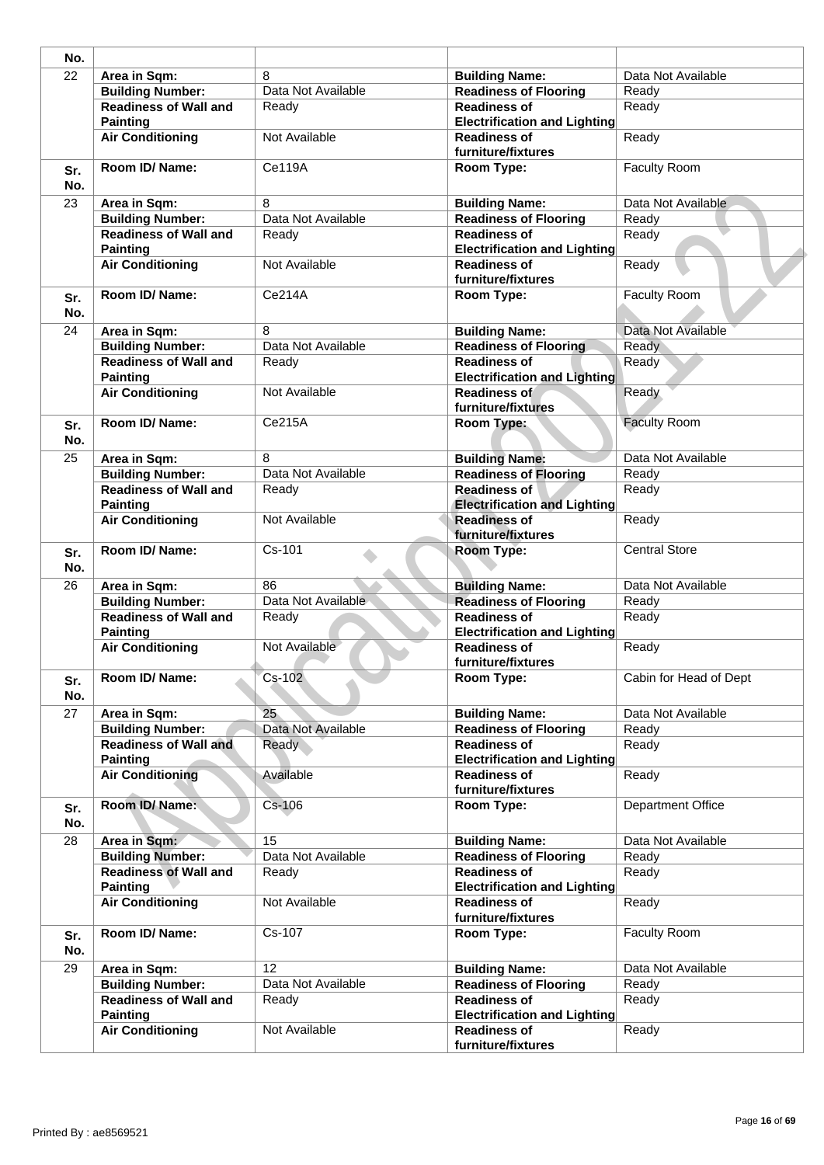| 8<br>Data Not Available<br>Area in Sqm:<br><b>Building Name:</b><br>Data Not Available<br><b>Building Number:</b><br><b>Readiness of Flooring</b><br>Ready<br><b>Readiness of Wall and</b><br><b>Readiness of</b><br>Ready<br>Ready<br><b>Painting</b><br><b>Electrification and Lighting</b><br><b>Air Conditioning</b><br>Not Available<br><b>Readiness of</b><br>Ready<br>furniture/fixtures<br>Room ID/ Name:<br><b>Ce119A</b><br>Faculty Room<br>Room Type:<br>No.<br>8<br>Data Not Available<br>23<br>Area in Sqm:<br><b>Building Name:</b><br>Data Not Available<br><b>Building Number:</b><br><b>Readiness of Flooring</b><br>Ready<br><b>Readiness of Wall and</b><br><b>Readiness of</b><br>Ready<br>Readv<br><b>Electrification and Lighting</b><br><b>Painting</b><br><b>Air Conditioning</b><br>Not Available<br><b>Readiness of</b><br>Ready<br>furniture/fixtures<br>Room ID/Name:<br>Ce214A<br><b>Faculty Room</b><br>Room Type:<br>Data Not Available<br>8<br><b>Building Name:</b><br>Area in Sqm:<br><b>Building Number:</b><br>Data Not Available<br><b>Readiness of Flooring</b><br><b>Ready</b><br><b>Readiness of Wall and</b><br><b>Readiness of</b><br>Ready<br>Ready<br><b>Painting</b><br><b>Electrification and Lighting</b><br>Not Available<br><b>Air Conditioning</b><br>Ready<br>Readiness of<br>furniture/fixtures<br>Ce215A<br><b>Faculty Room</b><br>Room ID/ Name:<br>Room Type:<br>No.<br>8<br>Data Not Available<br><b>Building Name:</b><br>Area in Sqm:<br>Data Not Available<br><b>Building Number:</b><br><b>Readiness of Flooring</b><br>Ready<br><b>Readiness of Wall and</b><br><b>Readiness of</b><br>Ready<br>Ready<br><b>Electrification and Lighting</b><br><b>Painting</b><br><b>Air Conditioning</b><br><b>Readiness of</b><br>Not Available<br>Ready<br>furniture/fixtures<br>Room ID/ Name:<br>Cs-101<br><b>Central Store</b><br><b>Room Type:</b><br>Data Not Available<br>86<br><b>Building Name:</b><br>Area in Sqm:<br>Data Not Available<br><b>Building Number:</b><br><b>Readiness of Flooring</b><br>Ready<br>Ready<br><b>Readiness of Wall and</b><br><b>Readiness of</b><br>Ready<br><b>Painting</b><br><b>Electrification and Lighting</b><br><b>Air Conditioning</b><br>Not Available<br><b>Readiness of</b><br>Ready<br>furniture/fixtures<br>Room ID/ Name:<br>Cs-102<br>Room Type:<br>Cabin for Head of Dept<br>No.<br>25 <sub>1</sub><br>Data Not Available<br>Area in Sqm:<br><b>Building Name:</b><br><b>Building Number:</b><br>Data Not Available<br>Ready<br><b>Readiness of Flooring</b><br><b>Readiness of Wall and</b><br><b>Readiness of</b><br>Ready<br>Ready<br><b>Painting</b><br><b>Electrification and Lighting</b><br><b>Air Conditioning</b><br>Available<br><b>Readiness of</b><br>Ready<br>furniture/fixtures<br>Room ID/Name:<br>$Cs-106$<br>Room Type:<br>Department Office<br>15<br>Data Not Available<br>Area in Sqm:<br><b>Building Name:</b><br><b>Building Number:</b><br><b>Readiness of Flooring</b><br>Data Not Available<br>Ready<br><b>Readiness of Wall and</b><br><b>Readiness of</b><br>Ready<br>Ready<br><b>Electrification and Lighting</b><br><b>Painting</b><br><b>Air Conditioning</b><br>Not Available<br><b>Readiness of</b><br>Ready<br>furniture/fixtures<br>Cs-107<br>Faculty Room<br>Room ID/ Name:<br>Room Type:<br>Area in Sqm:<br>12<br><b>Building Name:</b><br>Data Not Available<br><b>Building Number:</b><br>Data Not Available<br><b>Readiness of Flooring</b><br>Ready<br><b>Readiness of Wall and</b><br><b>Readiness of</b><br>Ready<br>Ready<br><b>Painting</b><br><b>Electrification and Lighting</b><br><b>Air Conditioning</b><br>Not Available<br><b>Readiness of</b><br>Ready | No.        |  |                    |  |
|-----------------------------------------------------------------------------------------------------------------------------------------------------------------------------------------------------------------------------------------------------------------------------------------------------------------------------------------------------------------------------------------------------------------------------------------------------------------------------------------------------------------------------------------------------------------------------------------------------------------------------------------------------------------------------------------------------------------------------------------------------------------------------------------------------------------------------------------------------------------------------------------------------------------------------------------------------------------------------------------------------------------------------------------------------------------------------------------------------------------------------------------------------------------------------------------------------------------------------------------------------------------------------------------------------------------------------------------------------------------------------------------------------------------------------------------------------------------------------------------------------------------------------------------------------------------------------------------------------------------------------------------------------------------------------------------------------------------------------------------------------------------------------------------------------------------------------------------------------------------------------------------------------------------------------------------------------------------------------------------------------------------------------------------------------------------------------------------------------------------------------------------------------------------------------------------------------------------------------------------------------------------------------------------------------------------------------------------------------------------------------------------------------------------------------------------------------------------------------------------------------------------------------------------------------------------------------------------------------------------------------------------------------------------------------------------------------------------------------------------------------------------------------------------------------------------------------------------------------------------------------------------------------------------------------------------------------------------------------------------------------------------------------------------------------------------------------------------------------------------------------------------------------------------------------------------------------------------------------------------------------------------------------------------------------------------------------------------------------------------------------------------------------------------------------------------------------------------------------------------------------------------------------------------------------------------------------------------------------------------------------------------------------------------------------------------------------------------|------------|--|--------------------|--|
|                                                                                                                                                                                                                                                                                                                                                                                                                                                                                                                                                                                                                                                                                                                                                                                                                                                                                                                                                                                                                                                                                                                                                                                                                                                                                                                                                                                                                                                                                                                                                                                                                                                                                                                                                                                                                                                                                                                                                                                                                                                                                                                                                                                                                                                                                                                                                                                                                                                                                                                                                                                                                                                                                                                                                                                                                                                                                                                                                                                                                                                                                                                                                                                                                                                                                                                                                                                                                                                                                                                                                                                                                                                                                                                 | 22         |  |                    |  |
|                                                                                                                                                                                                                                                                                                                                                                                                                                                                                                                                                                                                                                                                                                                                                                                                                                                                                                                                                                                                                                                                                                                                                                                                                                                                                                                                                                                                                                                                                                                                                                                                                                                                                                                                                                                                                                                                                                                                                                                                                                                                                                                                                                                                                                                                                                                                                                                                                                                                                                                                                                                                                                                                                                                                                                                                                                                                                                                                                                                                                                                                                                                                                                                                                                                                                                                                                                                                                                                                                                                                                                                                                                                                                                                 |            |  |                    |  |
|                                                                                                                                                                                                                                                                                                                                                                                                                                                                                                                                                                                                                                                                                                                                                                                                                                                                                                                                                                                                                                                                                                                                                                                                                                                                                                                                                                                                                                                                                                                                                                                                                                                                                                                                                                                                                                                                                                                                                                                                                                                                                                                                                                                                                                                                                                                                                                                                                                                                                                                                                                                                                                                                                                                                                                                                                                                                                                                                                                                                                                                                                                                                                                                                                                                                                                                                                                                                                                                                                                                                                                                                                                                                                                                 |            |  |                    |  |
|                                                                                                                                                                                                                                                                                                                                                                                                                                                                                                                                                                                                                                                                                                                                                                                                                                                                                                                                                                                                                                                                                                                                                                                                                                                                                                                                                                                                                                                                                                                                                                                                                                                                                                                                                                                                                                                                                                                                                                                                                                                                                                                                                                                                                                                                                                                                                                                                                                                                                                                                                                                                                                                                                                                                                                                                                                                                                                                                                                                                                                                                                                                                                                                                                                                                                                                                                                                                                                                                                                                                                                                                                                                                                                                 |            |  |                    |  |
|                                                                                                                                                                                                                                                                                                                                                                                                                                                                                                                                                                                                                                                                                                                                                                                                                                                                                                                                                                                                                                                                                                                                                                                                                                                                                                                                                                                                                                                                                                                                                                                                                                                                                                                                                                                                                                                                                                                                                                                                                                                                                                                                                                                                                                                                                                                                                                                                                                                                                                                                                                                                                                                                                                                                                                                                                                                                                                                                                                                                                                                                                                                                                                                                                                                                                                                                                                                                                                                                                                                                                                                                                                                                                                                 | Sr.        |  |                    |  |
|                                                                                                                                                                                                                                                                                                                                                                                                                                                                                                                                                                                                                                                                                                                                                                                                                                                                                                                                                                                                                                                                                                                                                                                                                                                                                                                                                                                                                                                                                                                                                                                                                                                                                                                                                                                                                                                                                                                                                                                                                                                                                                                                                                                                                                                                                                                                                                                                                                                                                                                                                                                                                                                                                                                                                                                                                                                                                                                                                                                                                                                                                                                                                                                                                                                                                                                                                                                                                                                                                                                                                                                                                                                                                                                 |            |  |                    |  |
|                                                                                                                                                                                                                                                                                                                                                                                                                                                                                                                                                                                                                                                                                                                                                                                                                                                                                                                                                                                                                                                                                                                                                                                                                                                                                                                                                                                                                                                                                                                                                                                                                                                                                                                                                                                                                                                                                                                                                                                                                                                                                                                                                                                                                                                                                                                                                                                                                                                                                                                                                                                                                                                                                                                                                                                                                                                                                                                                                                                                                                                                                                                                                                                                                                                                                                                                                                                                                                                                                                                                                                                                                                                                                                                 |            |  |                    |  |
|                                                                                                                                                                                                                                                                                                                                                                                                                                                                                                                                                                                                                                                                                                                                                                                                                                                                                                                                                                                                                                                                                                                                                                                                                                                                                                                                                                                                                                                                                                                                                                                                                                                                                                                                                                                                                                                                                                                                                                                                                                                                                                                                                                                                                                                                                                                                                                                                                                                                                                                                                                                                                                                                                                                                                                                                                                                                                                                                                                                                                                                                                                                                                                                                                                                                                                                                                                                                                                                                                                                                                                                                                                                                                                                 |            |  |                    |  |
|                                                                                                                                                                                                                                                                                                                                                                                                                                                                                                                                                                                                                                                                                                                                                                                                                                                                                                                                                                                                                                                                                                                                                                                                                                                                                                                                                                                                                                                                                                                                                                                                                                                                                                                                                                                                                                                                                                                                                                                                                                                                                                                                                                                                                                                                                                                                                                                                                                                                                                                                                                                                                                                                                                                                                                                                                                                                                                                                                                                                                                                                                                                                                                                                                                                                                                                                                                                                                                                                                                                                                                                                                                                                                                                 |            |  |                    |  |
|                                                                                                                                                                                                                                                                                                                                                                                                                                                                                                                                                                                                                                                                                                                                                                                                                                                                                                                                                                                                                                                                                                                                                                                                                                                                                                                                                                                                                                                                                                                                                                                                                                                                                                                                                                                                                                                                                                                                                                                                                                                                                                                                                                                                                                                                                                                                                                                                                                                                                                                                                                                                                                                                                                                                                                                                                                                                                                                                                                                                                                                                                                                                                                                                                                                                                                                                                                                                                                                                                                                                                                                                                                                                                                                 |            |  |                    |  |
|                                                                                                                                                                                                                                                                                                                                                                                                                                                                                                                                                                                                                                                                                                                                                                                                                                                                                                                                                                                                                                                                                                                                                                                                                                                                                                                                                                                                                                                                                                                                                                                                                                                                                                                                                                                                                                                                                                                                                                                                                                                                                                                                                                                                                                                                                                                                                                                                                                                                                                                                                                                                                                                                                                                                                                                                                                                                                                                                                                                                                                                                                                                                                                                                                                                                                                                                                                                                                                                                                                                                                                                                                                                                                                                 | Sr.<br>No. |  |                    |  |
|                                                                                                                                                                                                                                                                                                                                                                                                                                                                                                                                                                                                                                                                                                                                                                                                                                                                                                                                                                                                                                                                                                                                                                                                                                                                                                                                                                                                                                                                                                                                                                                                                                                                                                                                                                                                                                                                                                                                                                                                                                                                                                                                                                                                                                                                                                                                                                                                                                                                                                                                                                                                                                                                                                                                                                                                                                                                                                                                                                                                                                                                                                                                                                                                                                                                                                                                                                                                                                                                                                                                                                                                                                                                                                                 | 24         |  |                    |  |
|                                                                                                                                                                                                                                                                                                                                                                                                                                                                                                                                                                                                                                                                                                                                                                                                                                                                                                                                                                                                                                                                                                                                                                                                                                                                                                                                                                                                                                                                                                                                                                                                                                                                                                                                                                                                                                                                                                                                                                                                                                                                                                                                                                                                                                                                                                                                                                                                                                                                                                                                                                                                                                                                                                                                                                                                                                                                                                                                                                                                                                                                                                                                                                                                                                                                                                                                                                                                                                                                                                                                                                                                                                                                                                                 |            |  |                    |  |
|                                                                                                                                                                                                                                                                                                                                                                                                                                                                                                                                                                                                                                                                                                                                                                                                                                                                                                                                                                                                                                                                                                                                                                                                                                                                                                                                                                                                                                                                                                                                                                                                                                                                                                                                                                                                                                                                                                                                                                                                                                                                                                                                                                                                                                                                                                                                                                                                                                                                                                                                                                                                                                                                                                                                                                                                                                                                                                                                                                                                                                                                                                                                                                                                                                                                                                                                                                                                                                                                                                                                                                                                                                                                                                                 |            |  |                    |  |
|                                                                                                                                                                                                                                                                                                                                                                                                                                                                                                                                                                                                                                                                                                                                                                                                                                                                                                                                                                                                                                                                                                                                                                                                                                                                                                                                                                                                                                                                                                                                                                                                                                                                                                                                                                                                                                                                                                                                                                                                                                                                                                                                                                                                                                                                                                                                                                                                                                                                                                                                                                                                                                                                                                                                                                                                                                                                                                                                                                                                                                                                                                                                                                                                                                                                                                                                                                                                                                                                                                                                                                                                                                                                                                                 |            |  |                    |  |
|                                                                                                                                                                                                                                                                                                                                                                                                                                                                                                                                                                                                                                                                                                                                                                                                                                                                                                                                                                                                                                                                                                                                                                                                                                                                                                                                                                                                                                                                                                                                                                                                                                                                                                                                                                                                                                                                                                                                                                                                                                                                                                                                                                                                                                                                                                                                                                                                                                                                                                                                                                                                                                                                                                                                                                                                                                                                                                                                                                                                                                                                                                                                                                                                                                                                                                                                                                                                                                                                                                                                                                                                                                                                                                                 | Sr.        |  |                    |  |
|                                                                                                                                                                                                                                                                                                                                                                                                                                                                                                                                                                                                                                                                                                                                                                                                                                                                                                                                                                                                                                                                                                                                                                                                                                                                                                                                                                                                                                                                                                                                                                                                                                                                                                                                                                                                                                                                                                                                                                                                                                                                                                                                                                                                                                                                                                                                                                                                                                                                                                                                                                                                                                                                                                                                                                                                                                                                                                                                                                                                                                                                                                                                                                                                                                                                                                                                                                                                                                                                                                                                                                                                                                                                                                                 | 25         |  |                    |  |
|                                                                                                                                                                                                                                                                                                                                                                                                                                                                                                                                                                                                                                                                                                                                                                                                                                                                                                                                                                                                                                                                                                                                                                                                                                                                                                                                                                                                                                                                                                                                                                                                                                                                                                                                                                                                                                                                                                                                                                                                                                                                                                                                                                                                                                                                                                                                                                                                                                                                                                                                                                                                                                                                                                                                                                                                                                                                                                                                                                                                                                                                                                                                                                                                                                                                                                                                                                                                                                                                                                                                                                                                                                                                                                                 |            |  |                    |  |
|                                                                                                                                                                                                                                                                                                                                                                                                                                                                                                                                                                                                                                                                                                                                                                                                                                                                                                                                                                                                                                                                                                                                                                                                                                                                                                                                                                                                                                                                                                                                                                                                                                                                                                                                                                                                                                                                                                                                                                                                                                                                                                                                                                                                                                                                                                                                                                                                                                                                                                                                                                                                                                                                                                                                                                                                                                                                                                                                                                                                                                                                                                                                                                                                                                                                                                                                                                                                                                                                                                                                                                                                                                                                                                                 |            |  |                    |  |
|                                                                                                                                                                                                                                                                                                                                                                                                                                                                                                                                                                                                                                                                                                                                                                                                                                                                                                                                                                                                                                                                                                                                                                                                                                                                                                                                                                                                                                                                                                                                                                                                                                                                                                                                                                                                                                                                                                                                                                                                                                                                                                                                                                                                                                                                                                                                                                                                                                                                                                                                                                                                                                                                                                                                                                                                                                                                                                                                                                                                                                                                                                                                                                                                                                                                                                                                                                                                                                                                                                                                                                                                                                                                                                                 |            |  |                    |  |
|                                                                                                                                                                                                                                                                                                                                                                                                                                                                                                                                                                                                                                                                                                                                                                                                                                                                                                                                                                                                                                                                                                                                                                                                                                                                                                                                                                                                                                                                                                                                                                                                                                                                                                                                                                                                                                                                                                                                                                                                                                                                                                                                                                                                                                                                                                                                                                                                                                                                                                                                                                                                                                                                                                                                                                                                                                                                                                                                                                                                                                                                                                                                                                                                                                                                                                                                                                                                                                                                                                                                                                                                                                                                                                                 | Sr.<br>No. |  |                    |  |
|                                                                                                                                                                                                                                                                                                                                                                                                                                                                                                                                                                                                                                                                                                                                                                                                                                                                                                                                                                                                                                                                                                                                                                                                                                                                                                                                                                                                                                                                                                                                                                                                                                                                                                                                                                                                                                                                                                                                                                                                                                                                                                                                                                                                                                                                                                                                                                                                                                                                                                                                                                                                                                                                                                                                                                                                                                                                                                                                                                                                                                                                                                                                                                                                                                                                                                                                                                                                                                                                                                                                                                                                                                                                                                                 | 26         |  |                    |  |
|                                                                                                                                                                                                                                                                                                                                                                                                                                                                                                                                                                                                                                                                                                                                                                                                                                                                                                                                                                                                                                                                                                                                                                                                                                                                                                                                                                                                                                                                                                                                                                                                                                                                                                                                                                                                                                                                                                                                                                                                                                                                                                                                                                                                                                                                                                                                                                                                                                                                                                                                                                                                                                                                                                                                                                                                                                                                                                                                                                                                                                                                                                                                                                                                                                                                                                                                                                                                                                                                                                                                                                                                                                                                                                                 |            |  |                    |  |
|                                                                                                                                                                                                                                                                                                                                                                                                                                                                                                                                                                                                                                                                                                                                                                                                                                                                                                                                                                                                                                                                                                                                                                                                                                                                                                                                                                                                                                                                                                                                                                                                                                                                                                                                                                                                                                                                                                                                                                                                                                                                                                                                                                                                                                                                                                                                                                                                                                                                                                                                                                                                                                                                                                                                                                                                                                                                                                                                                                                                                                                                                                                                                                                                                                                                                                                                                                                                                                                                                                                                                                                                                                                                                                                 |            |  |                    |  |
|                                                                                                                                                                                                                                                                                                                                                                                                                                                                                                                                                                                                                                                                                                                                                                                                                                                                                                                                                                                                                                                                                                                                                                                                                                                                                                                                                                                                                                                                                                                                                                                                                                                                                                                                                                                                                                                                                                                                                                                                                                                                                                                                                                                                                                                                                                                                                                                                                                                                                                                                                                                                                                                                                                                                                                                                                                                                                                                                                                                                                                                                                                                                                                                                                                                                                                                                                                                                                                                                                                                                                                                                                                                                                                                 |            |  |                    |  |
|                                                                                                                                                                                                                                                                                                                                                                                                                                                                                                                                                                                                                                                                                                                                                                                                                                                                                                                                                                                                                                                                                                                                                                                                                                                                                                                                                                                                                                                                                                                                                                                                                                                                                                                                                                                                                                                                                                                                                                                                                                                                                                                                                                                                                                                                                                                                                                                                                                                                                                                                                                                                                                                                                                                                                                                                                                                                                                                                                                                                                                                                                                                                                                                                                                                                                                                                                                                                                                                                                                                                                                                                                                                                                                                 | Sr.        |  |                    |  |
|                                                                                                                                                                                                                                                                                                                                                                                                                                                                                                                                                                                                                                                                                                                                                                                                                                                                                                                                                                                                                                                                                                                                                                                                                                                                                                                                                                                                                                                                                                                                                                                                                                                                                                                                                                                                                                                                                                                                                                                                                                                                                                                                                                                                                                                                                                                                                                                                                                                                                                                                                                                                                                                                                                                                                                                                                                                                                                                                                                                                                                                                                                                                                                                                                                                                                                                                                                                                                                                                                                                                                                                                                                                                                                                 | 27         |  |                    |  |
|                                                                                                                                                                                                                                                                                                                                                                                                                                                                                                                                                                                                                                                                                                                                                                                                                                                                                                                                                                                                                                                                                                                                                                                                                                                                                                                                                                                                                                                                                                                                                                                                                                                                                                                                                                                                                                                                                                                                                                                                                                                                                                                                                                                                                                                                                                                                                                                                                                                                                                                                                                                                                                                                                                                                                                                                                                                                                                                                                                                                                                                                                                                                                                                                                                                                                                                                                                                                                                                                                                                                                                                                                                                                                                                 |            |  |                    |  |
|                                                                                                                                                                                                                                                                                                                                                                                                                                                                                                                                                                                                                                                                                                                                                                                                                                                                                                                                                                                                                                                                                                                                                                                                                                                                                                                                                                                                                                                                                                                                                                                                                                                                                                                                                                                                                                                                                                                                                                                                                                                                                                                                                                                                                                                                                                                                                                                                                                                                                                                                                                                                                                                                                                                                                                                                                                                                                                                                                                                                                                                                                                                                                                                                                                                                                                                                                                                                                                                                                                                                                                                                                                                                                                                 |            |  |                    |  |
|                                                                                                                                                                                                                                                                                                                                                                                                                                                                                                                                                                                                                                                                                                                                                                                                                                                                                                                                                                                                                                                                                                                                                                                                                                                                                                                                                                                                                                                                                                                                                                                                                                                                                                                                                                                                                                                                                                                                                                                                                                                                                                                                                                                                                                                                                                                                                                                                                                                                                                                                                                                                                                                                                                                                                                                                                                                                                                                                                                                                                                                                                                                                                                                                                                                                                                                                                                                                                                                                                                                                                                                                                                                                                                                 |            |  |                    |  |
|                                                                                                                                                                                                                                                                                                                                                                                                                                                                                                                                                                                                                                                                                                                                                                                                                                                                                                                                                                                                                                                                                                                                                                                                                                                                                                                                                                                                                                                                                                                                                                                                                                                                                                                                                                                                                                                                                                                                                                                                                                                                                                                                                                                                                                                                                                                                                                                                                                                                                                                                                                                                                                                                                                                                                                                                                                                                                                                                                                                                                                                                                                                                                                                                                                                                                                                                                                                                                                                                                                                                                                                                                                                                                                                 | Sr.<br>No. |  |                    |  |
|                                                                                                                                                                                                                                                                                                                                                                                                                                                                                                                                                                                                                                                                                                                                                                                                                                                                                                                                                                                                                                                                                                                                                                                                                                                                                                                                                                                                                                                                                                                                                                                                                                                                                                                                                                                                                                                                                                                                                                                                                                                                                                                                                                                                                                                                                                                                                                                                                                                                                                                                                                                                                                                                                                                                                                                                                                                                                                                                                                                                                                                                                                                                                                                                                                                                                                                                                                                                                                                                                                                                                                                                                                                                                                                 | 28         |  |                    |  |
|                                                                                                                                                                                                                                                                                                                                                                                                                                                                                                                                                                                                                                                                                                                                                                                                                                                                                                                                                                                                                                                                                                                                                                                                                                                                                                                                                                                                                                                                                                                                                                                                                                                                                                                                                                                                                                                                                                                                                                                                                                                                                                                                                                                                                                                                                                                                                                                                                                                                                                                                                                                                                                                                                                                                                                                                                                                                                                                                                                                                                                                                                                                                                                                                                                                                                                                                                                                                                                                                                                                                                                                                                                                                                                                 |            |  |                    |  |
|                                                                                                                                                                                                                                                                                                                                                                                                                                                                                                                                                                                                                                                                                                                                                                                                                                                                                                                                                                                                                                                                                                                                                                                                                                                                                                                                                                                                                                                                                                                                                                                                                                                                                                                                                                                                                                                                                                                                                                                                                                                                                                                                                                                                                                                                                                                                                                                                                                                                                                                                                                                                                                                                                                                                                                                                                                                                                                                                                                                                                                                                                                                                                                                                                                                                                                                                                                                                                                                                                                                                                                                                                                                                                                                 |            |  |                    |  |
|                                                                                                                                                                                                                                                                                                                                                                                                                                                                                                                                                                                                                                                                                                                                                                                                                                                                                                                                                                                                                                                                                                                                                                                                                                                                                                                                                                                                                                                                                                                                                                                                                                                                                                                                                                                                                                                                                                                                                                                                                                                                                                                                                                                                                                                                                                                                                                                                                                                                                                                                                                                                                                                                                                                                                                                                                                                                                                                                                                                                                                                                                                                                                                                                                                                                                                                                                                                                                                                                                                                                                                                                                                                                                                                 |            |  |                    |  |
|                                                                                                                                                                                                                                                                                                                                                                                                                                                                                                                                                                                                                                                                                                                                                                                                                                                                                                                                                                                                                                                                                                                                                                                                                                                                                                                                                                                                                                                                                                                                                                                                                                                                                                                                                                                                                                                                                                                                                                                                                                                                                                                                                                                                                                                                                                                                                                                                                                                                                                                                                                                                                                                                                                                                                                                                                                                                                                                                                                                                                                                                                                                                                                                                                                                                                                                                                                                                                                                                                                                                                                                                                                                                                                                 | Sr.<br>No. |  |                    |  |
|                                                                                                                                                                                                                                                                                                                                                                                                                                                                                                                                                                                                                                                                                                                                                                                                                                                                                                                                                                                                                                                                                                                                                                                                                                                                                                                                                                                                                                                                                                                                                                                                                                                                                                                                                                                                                                                                                                                                                                                                                                                                                                                                                                                                                                                                                                                                                                                                                                                                                                                                                                                                                                                                                                                                                                                                                                                                                                                                                                                                                                                                                                                                                                                                                                                                                                                                                                                                                                                                                                                                                                                                                                                                                                                 | 29         |  |                    |  |
|                                                                                                                                                                                                                                                                                                                                                                                                                                                                                                                                                                                                                                                                                                                                                                                                                                                                                                                                                                                                                                                                                                                                                                                                                                                                                                                                                                                                                                                                                                                                                                                                                                                                                                                                                                                                                                                                                                                                                                                                                                                                                                                                                                                                                                                                                                                                                                                                                                                                                                                                                                                                                                                                                                                                                                                                                                                                                                                                                                                                                                                                                                                                                                                                                                                                                                                                                                                                                                                                                                                                                                                                                                                                                                                 |            |  |                    |  |
|                                                                                                                                                                                                                                                                                                                                                                                                                                                                                                                                                                                                                                                                                                                                                                                                                                                                                                                                                                                                                                                                                                                                                                                                                                                                                                                                                                                                                                                                                                                                                                                                                                                                                                                                                                                                                                                                                                                                                                                                                                                                                                                                                                                                                                                                                                                                                                                                                                                                                                                                                                                                                                                                                                                                                                                                                                                                                                                                                                                                                                                                                                                                                                                                                                                                                                                                                                                                                                                                                                                                                                                                                                                                                                                 |            |  |                    |  |
|                                                                                                                                                                                                                                                                                                                                                                                                                                                                                                                                                                                                                                                                                                                                                                                                                                                                                                                                                                                                                                                                                                                                                                                                                                                                                                                                                                                                                                                                                                                                                                                                                                                                                                                                                                                                                                                                                                                                                                                                                                                                                                                                                                                                                                                                                                                                                                                                                                                                                                                                                                                                                                                                                                                                                                                                                                                                                                                                                                                                                                                                                                                                                                                                                                                                                                                                                                                                                                                                                                                                                                                                                                                                                                                 |            |  | furniture/fixtures |  |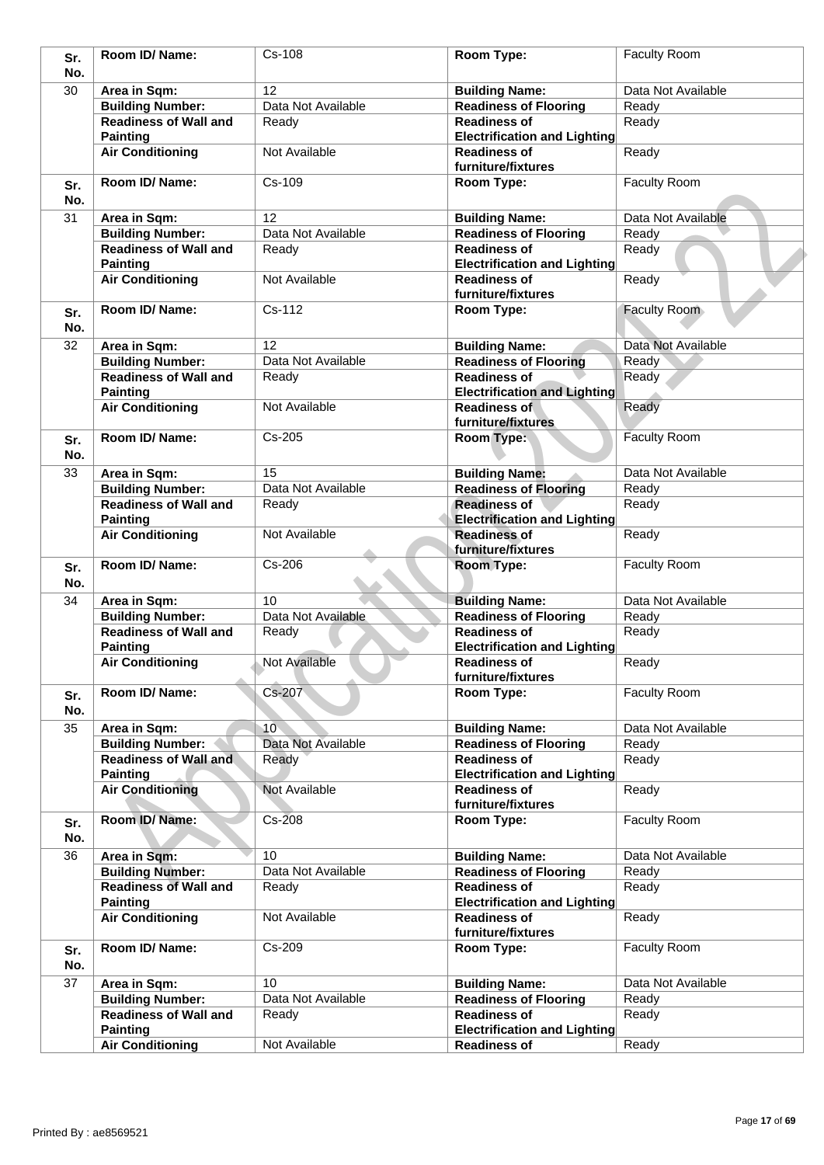| Sr.        | Room ID/Name:                                   | $Cs - 108$           | Room Type:                                                 | <b>Faculty Room</b> |
|------------|-------------------------------------------------|----------------------|------------------------------------------------------------|---------------------|
| No.        |                                                 |                      |                                                            |                     |
| 30         | Area in Sqm:                                    | 12                   | <b>Building Name:</b>                                      | Data Not Available  |
|            | <b>Building Number:</b>                         | Data Not Available   | <b>Readiness of Flooring</b>                               | Ready               |
|            | <b>Readiness of Wall and</b>                    | Ready                | <b>Readiness of</b>                                        | Ready               |
|            | <b>Painting</b>                                 |                      | <b>Electrification and Lighting</b>                        |                     |
|            | <b>Air Conditioning</b>                         | Not Available        | <b>Readiness of</b><br>furniture/fixtures                  | Ready               |
| Sr.<br>No. | Room ID/ Name:                                  | Cs-109               | Room Type:                                                 | <b>Faculty Room</b> |
| 31         | Area in Sqm:                                    | 12                   | <b>Building Name:</b>                                      | Data Not Available  |
|            | <b>Building Number:</b>                         | Data Not Available   | <b>Readiness of Flooring</b>                               | Ready               |
|            | <b>Readiness of Wall and</b>                    | Ready                | <b>Readiness of</b>                                        | Ready               |
|            | <b>Painting</b>                                 |                      | <b>Electrification and Lighting</b>                        |                     |
|            | <b>Air Conditioning</b>                         | Not Available        | <b>Readiness of</b><br>furniture/fixtures                  | Ready               |
| Sr.<br>No. | Room ID/Name:                                   | Cs-112               | Room Type:                                                 | Faculty Room        |
| 32         | Area in Sqm:                                    | 12                   | <b>Building Name:</b>                                      | Data Not Available  |
|            | <b>Building Number:</b>                         | Data Not Available   | <b>Readiness of Flooring</b>                               | Ready               |
|            | <b>Readiness of Wall and</b>                    |                      | <b>Readiness of</b>                                        | Ready               |
|            |                                                 | Ready                |                                                            |                     |
|            | <b>Painting</b>                                 | Not Available        | <b>Electrification and Lighting</b>                        |                     |
|            | <b>Air Conditioning</b>                         |                      | <b>Readiness of</b><br>furniture/fixtures                  | Ready               |
| Sr.<br>No. | Room ID/ Name:                                  | Cs-205               | <b>Room Type:</b>                                          | <b>Faculty Room</b> |
| 33         | Area in Sqm:                                    | 15                   | <b>Building Name:</b>                                      | Data Not Available  |
|            | <b>Building Number:</b>                         | Data Not Available   | <b>Readiness of Flooring</b>                               | Ready               |
|            | <b>Readiness of Wall and</b><br><b>Painting</b> | Ready                | <b>Readiness of</b><br><b>Electrification and Lighting</b> | Ready               |
|            | <b>Air Conditioning</b>                         | Not Available        | <b>Readiness of</b><br>furniture/fixtures                  | Ready               |
| Sr.<br>No. | Room ID/ Name:                                  | Cs-206               | Room Type:                                                 | <b>Faculty Room</b> |
| 34         | Area in Sqm:                                    | 10                   | <b>Building Name:</b>                                      | Data Not Available  |
|            | <b>Building Number:</b>                         | Data Not Available   | <b>Readiness of Flooring</b>                               | Ready               |
|            | <b>Readiness of Wall and</b>                    | Ready                | <b>Readiness of</b>                                        | Ready               |
|            | <b>Painting</b>                                 |                      | <b>Electrification and Lighting</b>                        |                     |
|            | <b>Air Conditioning</b>                         | <b>Not Available</b> | <b>Readiness of</b><br>furniture/fixtures                  | Ready               |
| Sr.<br>No. | Room ID/ Name:                                  | Cs-207               | Room Type:                                                 | <b>Faculty Room</b> |
| 35         | Area in Sqm:                                    | 10 <sup>°</sup>      | <b>Building Name:</b>                                      | Data Not Available  |
|            | <b>Building Number:</b>                         | Data Not Available   | <b>Readiness of Flooring</b>                               | Ready               |
|            | <b>Readiness of Wall and</b>                    | Ready                | <b>Readiness of</b>                                        | Ready               |
|            | <b>Painting</b>                                 |                      | <b>Electrification and Lighting</b>                        |                     |
|            | <b>Air Conditioning</b>                         | Not Available        | <b>Readiness of</b><br>furniture/fixtures                  | Ready               |
| Sr.<br>No. | Room ID/Name:                                   | Cs-208               | Room Type:                                                 | Faculty Room        |
| 36         | Area in Sqm:                                    | 10                   | <b>Building Name:</b>                                      | Data Not Available  |
|            | <b>Building Number:</b>                         | Data Not Available   | <b>Readiness of Flooring</b>                               | Ready               |
|            | <b>Readiness of Wall and</b>                    | Ready                | <b>Readiness of</b>                                        | Ready               |
|            | <b>Painting</b>                                 |                      | <b>Electrification and Lighting</b>                        |                     |
|            | <b>Air Conditioning</b>                         | Not Available        | <b>Readiness of</b><br>furniture/fixtures                  | Ready               |
| Sr.<br>No. | Room ID/ Name:                                  | Cs-209               | Room Type:                                                 | <b>Faculty Room</b> |
| 37         | Area in Sqm:                                    | 10                   | <b>Building Name:</b>                                      | Data Not Available  |
|            | <b>Building Number:</b>                         | Data Not Available   | <b>Readiness of Flooring</b>                               | Ready               |
|            | <b>Readiness of Wall and</b><br><b>Painting</b> | Ready                | <b>Readiness of</b><br><b>Electrification and Lighting</b> | Ready               |
|            | <b>Air Conditioning</b>                         | Not Available        | <b>Readiness of</b>                                        | Ready               |
|            |                                                 |                      |                                                            |                     |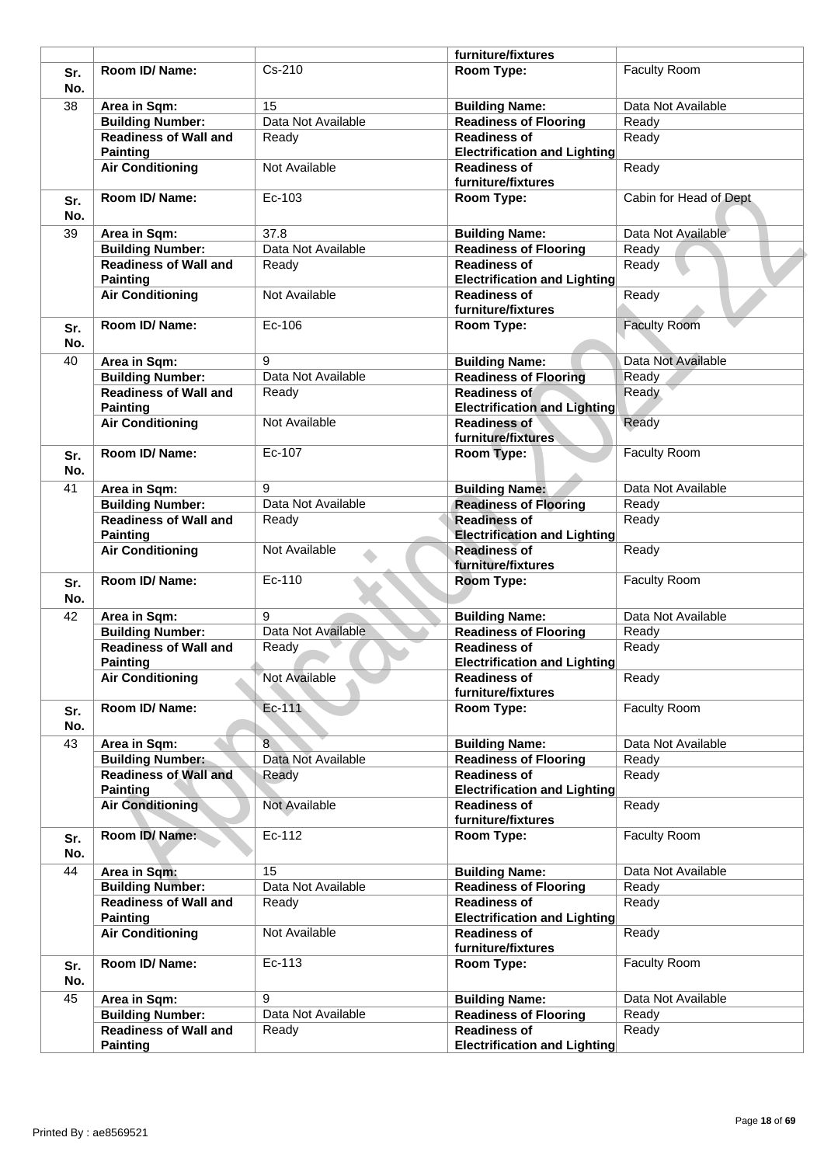|            |                                                 |                    | furniture/fixtures                                         |                        |
|------------|-------------------------------------------------|--------------------|------------------------------------------------------------|------------------------|
| Sr.<br>No. | Room ID/ Name:                                  | Cs-210             | Room Type:                                                 | <b>Faculty Room</b>    |
| 38         | Area in Sqm:                                    | 15                 | <b>Building Name:</b>                                      | Data Not Available     |
|            | <b>Building Number:</b>                         | Data Not Available | <b>Readiness of Flooring</b>                               | Ready                  |
|            | <b>Readiness of Wall and</b><br><b>Painting</b> | Ready              | <b>Readiness of</b><br><b>Electrification and Lighting</b> | Ready                  |
|            | <b>Air Conditioning</b>                         | Not Available      | <b>Readiness of</b><br>furniture/fixtures                  | Ready                  |
| Sr.<br>No. | Room ID/ Name:                                  | Ec-103             | Room Type:                                                 | Cabin for Head of Dept |
| 39         | Area in Sqm:                                    | 37.8               | <b>Building Name:</b>                                      | Data Not Available     |
|            | <b>Building Number:</b>                         | Data Not Available | <b>Readiness of Flooring</b>                               | Ready                  |
|            | <b>Readiness of Wall and</b><br><b>Painting</b> | Ready              | <b>Readiness of</b><br><b>Electrification and Lighting</b> | Ready                  |
|            | <b>Air Conditioning</b>                         | Not Available      | <b>Readiness of</b><br>furniture/fixtures                  | Ready                  |
| Sr.<br>No. | Room ID/ Name:                                  | Ec-106             | Room Type:                                                 | <b>Faculty Room</b>    |
| 40         | Area in Sqm:                                    | 9                  | <b>Building Name:</b>                                      | Data Not Available     |
|            | <b>Building Number:</b>                         | Data Not Available | <b>Readiness of Flooring</b>                               | Ready                  |
|            | <b>Readiness of Wall and</b>                    | Ready              | Readiness of                                               | Ready                  |
|            | <b>Painting</b>                                 |                    | <b>Electrification and Lighting</b>                        |                        |
|            | <b>Air Conditioning</b>                         | Not Available      | <b>Readiness of</b><br>furniture/fixtures                  | Ready                  |
| Sr.<br>No. | Room ID/ Name:                                  | Ec-107             | Room Type:                                                 | <b>Faculty Room</b>    |
| 41         | Area in Sqm:                                    | 9                  | <b>Building Name:</b>                                      | Data Not Available     |
|            | <b>Building Number:</b>                         | Data Not Available | <b>Readiness of Flooring</b>                               | Ready                  |
|            | <b>Readiness of Wall and</b>                    | Ready              | <b>Readiness of</b>                                        | Ready                  |
|            | <b>Painting</b>                                 |                    | <b>Electrification and Lighting</b>                        |                        |
|            | <b>Air Conditioning</b>                         | Not Available      | <b>Readiness of</b><br>furniture/fixtures                  | Ready                  |
| Sr.<br>No. | Room ID/ Name:                                  | Ec-110             | Room Type:                                                 | <b>Faculty Room</b>    |
| 42         | Area in Sqm:                                    | 9                  | <b>Building Name:</b>                                      | Data Not Available     |
|            | <b>Building Number:</b>                         | Data Not Available | <b>Readiness of Flooring</b>                               | Ready                  |
|            | <b>Readiness of Wall and</b>                    | Ready              | <b>Readiness of</b>                                        | Ready                  |
|            | Painting                                        |                    | <b>Electrification and Lighting</b>                        |                        |
|            | <b>Air Conditioning</b>                         | Not Available      | <b>Readiness of</b><br>furniture/fixtures                  | Ready                  |
| Sr.<br>No. | Room ID/ Name:                                  | Ec-111             | Room Type:                                                 | Faculty Room           |
| 43         | Area in Sqm:                                    | 8                  | <b>Building Name:</b>                                      | Data Not Available     |
|            | <b>Building Number:</b>                         | Data Not Available | <b>Readiness of Flooring</b>                               | Ready                  |
|            | <b>Readiness of Wall and</b><br><b>Painting</b> | Ready              | <b>Readiness of</b><br><b>Electrification and Lighting</b> | Ready                  |
|            | <b>Air Conditioning</b>                         | Not Available      | <b>Readiness of</b><br>furniture/fixtures                  | Ready                  |
| Sr.<br>No. | Room ID/Name:                                   | Ec-112             | Room Type:                                                 | Faculty Room           |
| 44         | Area in Sqm:                                    | 15                 | <b>Building Name:</b>                                      | Data Not Available     |
|            | <b>Building Number:</b>                         | Data Not Available | <b>Readiness of Flooring</b>                               | Ready                  |
|            | <b>Readiness of Wall and</b>                    | Ready              | <b>Readiness of</b>                                        | Ready                  |
|            | <b>Painting</b><br><b>Air Conditioning</b>      | Not Available      | <b>Electrification and Lighting</b><br><b>Readiness of</b> | Ready                  |
|            |                                                 | Ec-113             | furniture/fixtures                                         | Faculty Room           |
| Sr.<br>No. | Room ID/ Name:                                  |                    | Room Type:                                                 |                        |
| 45         | Area in Sqm:                                    | 9                  | <b>Building Name:</b>                                      | Data Not Available     |
|            | <b>Building Number:</b>                         | Data Not Available | Readiness of Flooring                                      | Ready                  |
|            | <b>Readiness of Wall and</b>                    | Ready              | <b>Readiness of</b>                                        | Ready                  |
|            | <b>Painting</b>                                 |                    | <b>Electrification and Lighting</b>                        |                        |
|            |                                                 |                    |                                                            |                        |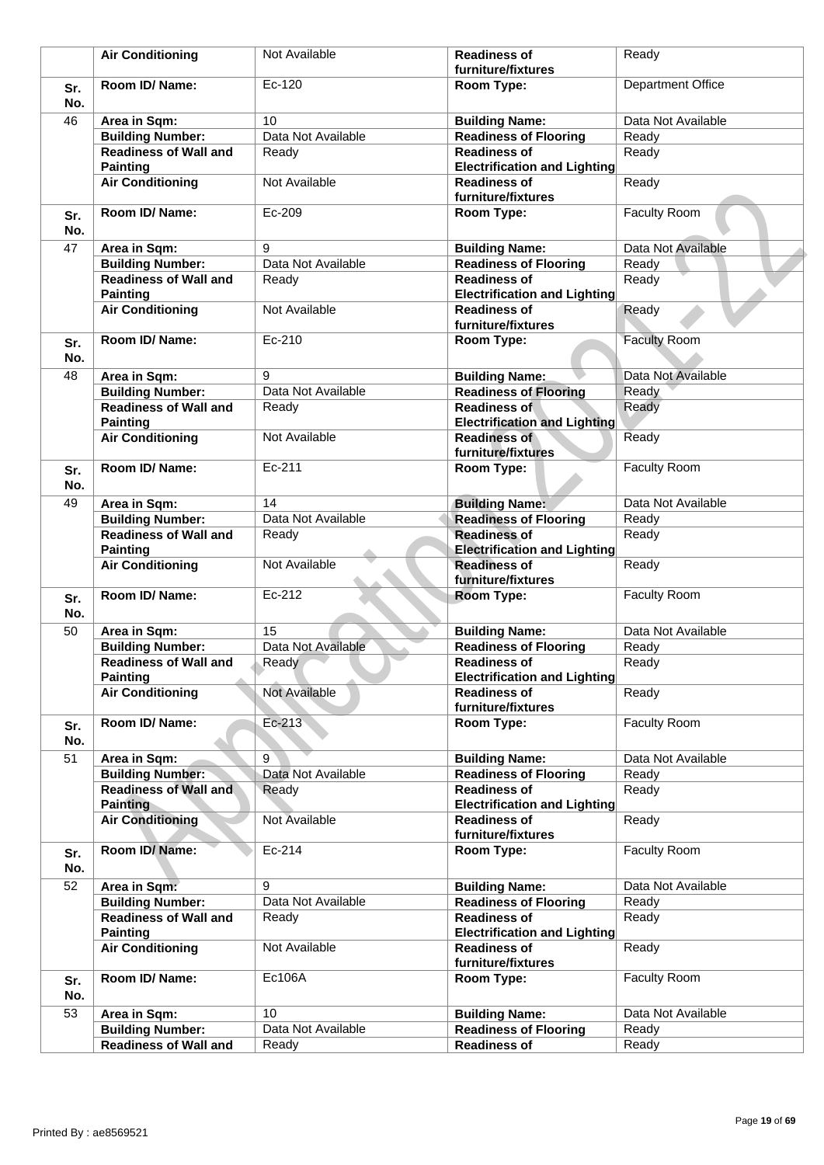|            | <b>Air Conditioning</b>                         | Not Available      | <b>Readiness of</b>                                        | Ready                    |
|------------|-------------------------------------------------|--------------------|------------------------------------------------------------|--------------------------|
|            |                                                 |                    | furniture/fixtures                                         |                          |
|            | Room ID/Name:                                   | Ec-120             | Room Type:                                                 | <b>Department Office</b> |
| Sr.<br>No. |                                                 |                    |                                                            |                          |
| 46         | Area in Sqm:                                    | 10                 | <b>Building Name:</b>                                      | Data Not Available       |
|            | <b>Building Number:</b>                         | Data Not Available | Readiness of Flooring                                      | Ready                    |
|            | <b>Readiness of Wall and</b><br><b>Painting</b> | Ready              | <b>Readiness of</b><br><b>Electrification and Lighting</b> | Ready                    |
|            | <b>Air Conditioning</b>                         | Not Available      | <b>Readiness of</b><br>furniture/fixtures                  | Ready                    |
| Sr.<br>No. | Room ID/Name:                                   | Ec-209             | Room Type:                                                 | <b>Faculty Room</b>      |
| 47         | Area in Sqm:                                    | 9                  | <b>Building Name:</b>                                      | Data Not Available       |
|            | <b>Building Number:</b>                         | Data Not Available | <b>Readiness of Flooring</b>                               | Ready                    |
|            | <b>Readiness of Wall and</b><br><b>Painting</b> | Ready              | <b>Readiness of</b><br><b>Electrification and Lighting</b> | Ready                    |
|            | <b>Air Conditioning</b>                         | Not Available      | <b>Readiness of</b><br>furniture/fixtures                  | Ready                    |
| Sr.<br>No. | Room ID/Name:                                   | Ec-210             | Room Type:                                                 | <b>Faculty Room</b>      |
| 48         | Area in Sqm:                                    | 9                  | <b>Building Name:</b>                                      | Data Not Available       |
|            | <b>Building Number:</b>                         | Data Not Available | <b>Readiness of Flooring</b>                               | Ready                    |
|            | <b>Readiness of Wall and</b><br><b>Painting</b> | Ready              | <b>Readiness of</b><br><b>Electrification and Lighting</b> | Ready                    |
|            | <b>Air Conditioning</b>                         | Not Available      | <b>Readiness of</b><br>furniture/fixtures                  | Ready                    |
| Sr.<br>No. | Room ID/ Name:                                  | Ec-211             | Room Type:                                                 | <b>Faculty Room</b>      |
| 49         | Area in Sqm:                                    | 14                 | <b>Building Name:</b>                                      | Data Not Available       |
|            | <b>Building Number:</b>                         | Data Not Available | <b>Readiness of Flooring</b>                               | Ready                    |
|            | <b>Readiness of Wall and</b><br><b>Painting</b> | Ready              | <b>Readiness of</b><br><b>Electrification and Lighting</b> | Ready                    |
|            | <b>Air Conditioning</b>                         | Not Available      | <b>Readiness of</b><br>furniture/fixtures                  | Ready                    |
| Sr.<br>No. | Room ID/Name:                                   | Ec-212             | Room Type:                                                 | <b>Faculty Room</b>      |
| 50         | Area in Sqm:                                    | 15                 | <b>Building Name:</b>                                      | Data Not Available       |
|            | <b>Building Number:</b>                         | Data Not Available | <b>Readiness of Flooring</b>                               | Ready                    |
|            | <b>Readiness of Wall and</b><br><b>Painting</b> | Ready              | <b>Readiness of</b><br><b>Electrification and Lighting</b> | Ready                    |
|            | <b>Air Conditioning</b>                         | Not Available      | <b>Readiness of</b><br>furniture/fixtures                  | Ready                    |
| Sr.<br>No. | Room ID/ Name:                                  | $Ec-213$           | Room Type:                                                 | <b>Faculty Room</b>      |
| 51         | Area in Sqm:                                    | 9                  | <b>Building Name:</b>                                      | Data Not Available       |
|            | <b>Building Number:</b>                         | Data Not Available | <b>Readiness of Flooring</b>                               | Ready                    |
|            | <b>Readiness of Wall and</b><br><b>Painting</b> | Ready              | <b>Readiness of</b><br><b>Electrification and Lighting</b> | Ready                    |
|            | <b>Air Conditioning</b>                         | Not Available      | <b>Readiness of</b><br>furniture/fixtures                  | Ready                    |
| Sr.<br>No. | Room ID/Name:                                   | Ec-214             | Room Type:                                                 | <b>Faculty Room</b>      |
| 52         | Area in Sqm:                                    | 9                  | <b>Building Name:</b>                                      | Data Not Available       |
|            | <b>Building Number:</b>                         | Data Not Available | <b>Readiness of Flooring</b>                               | Ready                    |
|            | <b>Readiness of Wall and</b>                    | Ready              | <b>Readiness of</b>                                        | Ready                    |
|            | <b>Painting</b>                                 |                    | <b>Electrification and Lighting</b>                        |                          |
|            | <b>Air Conditioning</b>                         | Not Available      | <b>Readiness of</b><br>furniture/fixtures                  | Ready                    |
| Sr.<br>No. | Room ID/ Name:                                  | Ec106A             | Room Type:                                                 | <b>Faculty Room</b>      |
| 53         | Area in Sqm:                                    | 10                 | <b>Building Name:</b>                                      | Data Not Available       |
|            | <b>Building Number:</b>                         | Data Not Available | <b>Readiness of Flooring</b>                               | Ready                    |
|            | <b>Readiness of Wall and</b>                    | Ready              | <b>Readiness of</b>                                        | Ready                    |
|            |                                                 |                    |                                                            |                          |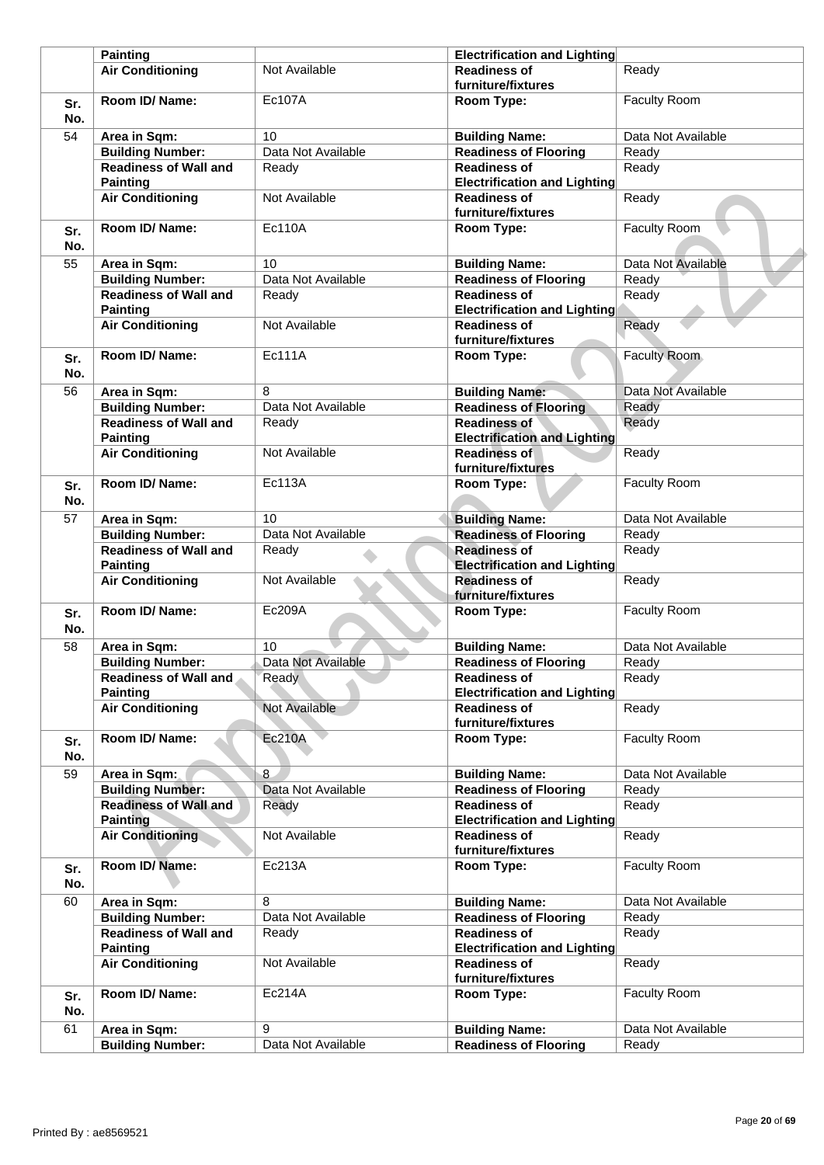|            | <b>Painting</b>                                 |                    | <b>Electrification and Lighting</b>                        |                     |
|------------|-------------------------------------------------|--------------------|------------------------------------------------------------|---------------------|
|            | <b>Air Conditioning</b>                         | Not Available      | <b>Readiness of</b><br>furniture/fixtures                  | Ready               |
| Sr.<br>No. | Room ID/ Name:                                  | <b>Ec107A</b>      | Room Type:                                                 | <b>Faculty Room</b> |
| 54         | Area in Sqm:                                    | 10                 | <b>Building Name:</b>                                      | Data Not Available  |
|            | <b>Building Number:</b>                         | Data Not Available | <b>Readiness of Flooring</b>                               | Ready               |
|            | <b>Readiness of Wall and</b>                    | Ready              | <b>Readiness of</b>                                        | Ready               |
|            | <b>Painting</b>                                 |                    | <b>Electrification and Lighting</b>                        |                     |
|            | <b>Air Conditioning</b>                         | Not Available      | <b>Readiness of</b><br>furniture/fixtures                  | Ready               |
| Sr.<br>No. | Room ID/ Name:                                  | <b>Ec110A</b>      | Room Type:                                                 | <b>Faculty Room</b> |
| 55         | Area in Sqm:                                    | 10                 | <b>Building Name:</b>                                      | Data Not Available  |
|            | <b>Building Number:</b>                         | Data Not Available | <b>Readiness of Flooring</b>                               | Ready               |
|            | <b>Readiness of Wall and</b>                    | Ready              | <b>Readiness of</b>                                        | Ready               |
|            | <b>Painting</b>                                 |                    | <b>Electrification and Lighting</b>                        |                     |
|            | <b>Air Conditioning</b>                         | Not Available      | <b>Readiness of</b><br>furniture/fixtures                  | Ready               |
| Sr.<br>No. | Room ID/ Name:                                  | <b>Ec111A</b>      | Room Type:                                                 | <b>Faculty Room</b> |
| 56         | Area in Sqm:                                    | 8                  | <b>Building Name:</b>                                      | Data Not Available  |
|            | <b>Building Number:</b>                         | Data Not Available | <b>Readiness of Flooring</b>                               | Ready               |
|            | <b>Readiness of Wall and</b><br><b>Painting</b> | Ready              | <b>Readiness of</b><br><b>Electrification and Lighting</b> | Ready               |
|            | <b>Air Conditioning</b>                         | Not Available      | <b>Readiness of</b><br>furniture/fixtures                  | Ready               |
| Sr.<br>No. | Room ID/ Name:                                  | <b>Ec113A</b>      | Room Type:                                                 | <b>Faculty Room</b> |
| 57         | Area in Sqm:                                    | 10                 | <b>Building Name:</b>                                      | Data Not Available  |
|            | <b>Building Number:</b>                         | Data Not Available | <b>Readiness of Flooring</b>                               | Ready               |
|            | <b>Readiness of Wall and</b><br><b>Painting</b> | Ready              | <b>Readiness of</b><br><b>Electrification and Lighting</b> | Ready               |
|            | <b>Air Conditioning</b>                         | Not Available      | <b>Readiness of</b><br>furniture/fixtures                  | Ready               |
| Sr.<br>No. | Room ID/ Name:                                  | Ec209A             | Room Type:                                                 | <b>Faculty Room</b> |
| 58         | Area in Sqm:                                    | 10                 | <b>Building Name:</b>                                      | Data Not Available  |
|            | <b>Building Number:</b>                         | Data Not Available | <b>Readiness of Flooring</b>                               | Ready               |
|            | <b>Readiness of Wall and</b><br><b>Painting</b> | Ready              | <b>Readiness of</b><br><b>Electrification and Lighting</b> | Ready               |
|            | <b>Air Conditioning</b>                         | Not Available      | <b>Readiness of</b>                                        | Ready               |
| Sr.<br>No. | Room ID/ Name:                                  | <b>Ec210A</b>      | furniture/fixtures<br>Room Type:                           | Faculty Room        |
| 59         | Area in Sqm:                                    | 8                  | <b>Building Name:</b>                                      | Data Not Available  |
|            | <b>Building Number:</b>                         | Data Not Available | <b>Readiness of Flooring</b>                               | Ready               |
|            | <b>Readiness of Wall and</b><br><b>Painting</b> | Ready              | <b>Readiness of</b><br><b>Electrification and Lighting</b> | Ready               |
|            | <b>Air Conditioning</b>                         | Not Available      | <b>Readiness of</b><br>furniture/fixtures                  | Ready               |
| Sr.<br>No. | Room ID/Name:                                   | Ec213A             | Room Type:                                                 | <b>Faculty Room</b> |
| 60         | Area in Sqm:                                    | 8                  | <b>Building Name:</b>                                      | Data Not Available  |
|            | <b>Building Number:</b>                         | Data Not Available | <b>Readiness of Flooring</b>                               | Ready               |
|            | <b>Readiness of Wall and</b><br><b>Painting</b> | Ready              | <b>Readiness of</b><br><b>Electrification and Lighting</b> | Ready               |
|            | <b>Air Conditioning</b>                         | Not Available      | <b>Readiness of</b><br>furniture/fixtures                  | Ready               |
| Sr.<br>No. | Room ID/ Name:                                  | Ec214A             | Room Type:                                                 | Faculty Room        |
| 61         | Area in Sqm:                                    | 9                  | <b>Building Name:</b>                                      | Data Not Available  |
|            | <b>Building Number:</b>                         | Data Not Available | <b>Readiness of Flooring</b>                               | Ready               |
|            |                                                 |                    |                                                            |                     |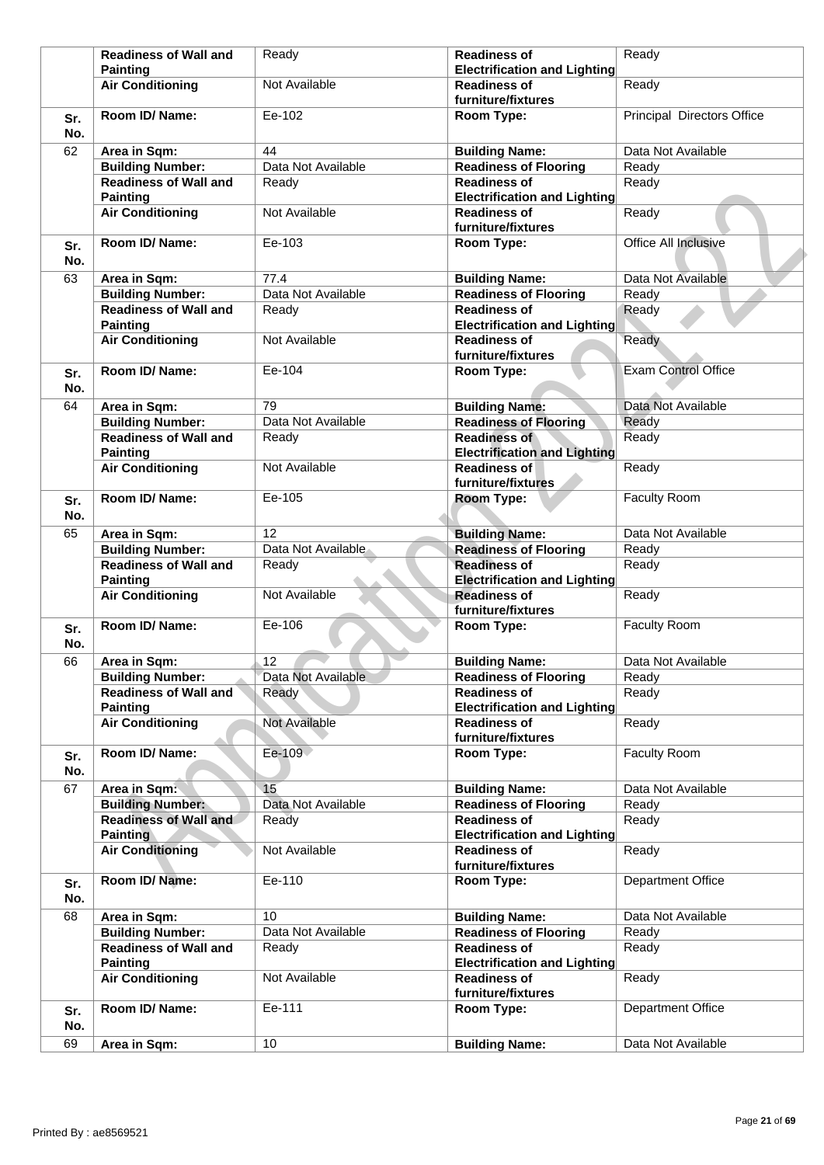|            | <b>Readiness of Wall and</b>                    | Ready              | <b>Readiness of</b>                                                              | Ready                      |
|------------|-------------------------------------------------|--------------------|----------------------------------------------------------------------------------|----------------------------|
|            | <b>Painting</b>                                 |                    | <b>Electrification and Lighting</b>                                              |                            |
|            | <b>Air Conditioning</b>                         | Not Available      | <b>Readiness of</b><br>furniture/fixtures                                        | Ready                      |
| Sr.<br>No. | Room ID/Name:                                   | Ee-102             | Room Type:                                                                       | Principal Directors Office |
| 62         | Area in Sqm:                                    | 44                 | <b>Building Name:</b>                                                            | Data Not Available         |
|            | <b>Building Number:</b>                         | Data Not Available | <b>Readiness of Flooring</b>                                                     | Ready                      |
|            | <b>Readiness of Wall and</b>                    | Ready              | <b>Readiness of</b>                                                              | Ready                      |
|            | <b>Painting</b>                                 |                    | <b>Electrification and Lighting</b>                                              |                            |
|            | <b>Air Conditioning</b>                         | Not Available      | <b>Readiness of</b><br>furniture/fixtures                                        | Ready                      |
| Sr.<br>No. | Room ID/Name:                                   | Ee-103             | Room Type:                                                                       | Office All Inclusive       |
| 63         | Area in Sqm:                                    | 77.4               | <b>Building Name:</b>                                                            | Data Not Available         |
|            | <b>Building Number:</b>                         | Data Not Available | <b>Readiness of Flooring</b>                                                     | Ready                      |
|            | <b>Readiness of Wall and</b>                    | Ready              | <b>Readiness of</b>                                                              | Ready                      |
|            | <b>Painting</b>                                 |                    | <b>Electrification and Lighting</b>                                              |                            |
|            | <b>Air Conditioning</b>                         | Not Available      | <b>Readiness of</b><br>furniture/fixtures                                        | Ready                      |
| Sr.<br>No. | Room ID/Name:                                   | Ee-104             | Room Type:                                                                       | <b>Exam Control Office</b> |
| 64         | Area in Sqm:                                    | 79                 | <b>Building Name:</b>                                                            | Data Not Available         |
|            | <b>Building Number:</b>                         | Data Not Available | <b>Readiness of Flooring</b>                                                     | Ready                      |
|            | <b>Readiness of Wall and</b>                    |                    | <b>Readiness of</b>                                                              | Ready                      |
|            | <b>Painting</b>                                 | Ready              | <b>Electrification and Lighting</b>                                              |                            |
|            | <b>Air Conditioning</b>                         | Not Available      | <b>Readiness of</b><br>furniture/fixtures                                        | Ready                      |
|            | Room ID/Name:                                   | Ee-105             | Room Type:                                                                       | Faculty Room               |
| Sr.<br>No. |                                                 |                    |                                                                                  |                            |
| 65         | Area in Sqm:                                    | 12                 | <b>Building Name:</b>                                                            | Data Not Available         |
|            | <b>Building Number:</b>                         | Data Not Available | <b>Readiness of Flooring</b>                                                     | Ready                      |
|            | <b>Readiness of Wall and</b><br><b>Painting</b> | Ready              | <b>Readiness of</b><br><b>Electrification and Lighting</b>                       | Ready                      |
|            | <b>Air Conditioning</b>                         | Not Available      | <b>Readiness of</b><br>furniture/fixtures                                        | Ready                      |
| Sr.<br>No. | Room ID/Name:                                   | Ee-106             | Room Type:                                                                       | Faculty Room               |
|            |                                                 |                    |                                                                                  |                            |
| 66         | Area in Sqm:                                    | 12                 | <b>Building Name:</b>                                                            | Data Not Available         |
|            | <b>Building Number:</b>                         | Data Not Available | <b>Readiness of Flooring</b>                                                     | Ready                      |
|            | <b>Readiness of Wall and</b>                    | Ready              | <b>Readiness of</b>                                                              | Ready                      |
|            | <b>Painting</b><br><b>Air Conditioning</b>      | Not Available      | <b>Electrification and Lighting</b><br><b>Readiness of</b><br>furniture/fixtures | Ready                      |
| Sr.        | Room ID/Name:                                   | Ee-109             | Room Type:                                                                       | Faculty Room               |
| No.        |                                                 |                    |                                                                                  |                            |
| 67         | Area in Sqm:                                    | 15                 | <b>Building Name:</b>                                                            | Data Not Available         |
|            | <b>Building Number:</b>                         | Data Not Available | <b>Readiness of Flooring</b>                                                     | Ready                      |
|            | <b>Readiness of Wall and</b><br><b>Painting</b> | Ready              | <b>Readiness of</b><br><b>Electrification and Lighting</b>                       | Ready                      |
|            | <b>Air Conditioning</b>                         | Not Available      | <b>Readiness of</b><br>furniture/fixtures                                        | Ready                      |
| Sr.<br>No. | Room ID/Name:                                   | Ee-110             | Room Type:                                                                       | Department Office          |
| 68         | Area in Sqm:                                    | 10                 | <b>Building Name:</b>                                                            | Data Not Available         |
|            | <b>Building Number:</b>                         | Data Not Available | <b>Readiness of Flooring</b>                                                     | Ready                      |
|            | <b>Readiness of Wall and</b>                    | Ready              | <b>Readiness of</b><br><b>Electrification and Lighting</b>                       | Ready                      |
|            | <b>Painting</b><br><b>Air Conditioning</b>      | Not Available      | <b>Readiness of</b><br>furniture/fixtures                                        | Ready                      |
| Sr.<br>No. | Room ID/ Name:                                  | Ee-111             | Room Type:                                                                       | Department Office          |
| 69         | Area in Sqm:                                    | 10                 | <b>Building Name:</b>                                                            | Data Not Available         |
|            |                                                 |                    |                                                                                  |                            |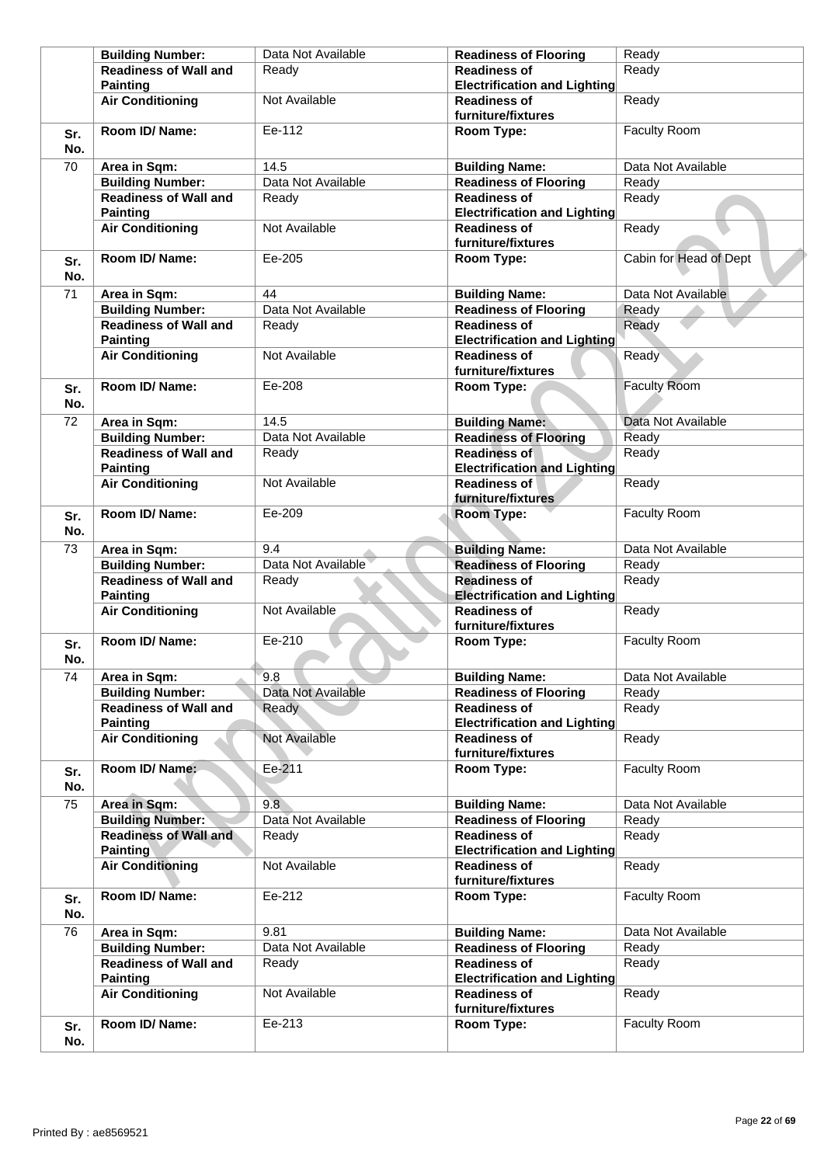|            | <b>Building Number:</b>                         | Data Not Available | <b>Readiness of Flooring</b>                               | Ready                  |
|------------|-------------------------------------------------|--------------------|------------------------------------------------------------|------------------------|
|            | <b>Readiness of Wall and</b><br><b>Painting</b> | Ready              | <b>Readiness of</b><br><b>Electrification and Lighting</b> | Ready                  |
|            | <b>Air Conditioning</b>                         | Not Available      | <b>Readiness of</b><br>furniture/fixtures                  | Ready                  |
| Sr.<br>No. | Room ID/Name:                                   | Ee-112             | Room Type:                                                 | Faculty Room           |
| 70         | Area in Sqm:                                    | 14.5               | <b>Building Name:</b>                                      | Data Not Available     |
|            | <b>Building Number:</b>                         | Data Not Available | <b>Readiness of Flooring</b>                               | Ready                  |
|            | <b>Readiness of Wall and</b><br><b>Painting</b> | Ready              | <b>Readiness of</b><br><b>Electrification and Lighting</b> | Ready                  |
|            | <b>Air Conditioning</b>                         | Not Available      | <b>Readiness of</b><br>furniture/fixtures                  | Ready                  |
| Sr.<br>No. | Room ID/Name:                                   | Ee-205             | Room Type:                                                 | Cabin for Head of Dept |
| 71         | Area in Sqm:                                    | 44                 | <b>Building Name:</b>                                      | Data Not Available     |
|            | <b>Building Number:</b>                         | Data Not Available | <b>Readiness of Flooring</b>                               | Ready                  |
|            | <b>Readiness of Wall and</b><br><b>Painting</b> | Ready              | <b>Readiness of</b><br><b>Electrification and Lighting</b> | Ready                  |
|            | <b>Air Conditioning</b>                         | Not Available      | <b>Readiness of</b><br>furniture/fixtures                  | Ready                  |
| Sr.<br>No. | Room ID/Name:                                   | Ee-208             | Room Type:                                                 | <b>Faculty Room</b>    |
| 72         | Area in Sqm:                                    | 14.5               | <b>Building Name:</b>                                      | Data Not Available     |
|            | <b>Building Number:</b>                         | Data Not Available | <b>Readiness of Flooring</b>                               | Ready                  |
|            | <b>Readiness of Wall and</b>                    | Ready              | <b>Readiness of</b>                                        | Ready                  |
|            | <b>Painting</b>                                 |                    | <b>Electrification and Lighting</b>                        |                        |
|            | <b>Air Conditioning</b>                         | Not Available      | <b>Readiness of</b><br>furniture/fixtures                  | Ready                  |
| Sr.<br>No. | Room ID/Name:                                   | Ee-209             | Room Type:                                                 | Faculty Room           |
| 73         | Area in Sqm:                                    | 9.4                | <b>Building Name:</b>                                      | Data Not Available     |
|            | <b>Building Number:</b>                         | Data Not Available | <b>Readiness of Flooring</b>                               | Ready                  |
|            | <b>Readiness of Wall and</b>                    | Ready              | <b>Readiness of</b>                                        | Ready                  |
|            | <b>Painting</b>                                 |                    | <b>Electrification and Lighting</b>                        |                        |
|            | <b>Air Conditioning</b>                         | Not Available      | <b>Readiness of</b><br>furniture/fixtures                  | Ready                  |
| Sr.<br>No. | Room ID/Name:                                   | Ee-210             | Room Type:                                                 | Faculty Room           |
| 74         | Area in Sqm:                                    | 9.8                | <b>Building Name:</b>                                      | Data Not Available     |
|            | <b>Building Number:</b>                         | Data Not Available | <b>Readiness of Flooring</b>                               | Ready                  |
|            | <b>Readiness of Wall and</b><br><b>Painting</b> | Ready              | <b>Readiness of</b><br><b>Electrification and Lighting</b> | Ready                  |
|            | <b>Air Conditioning</b>                         | Not Available      | <b>Readiness of</b><br>furniture/fixtures                  | Ready                  |
| Sr.<br>No. | Room ID/Name:                                   | Ee-211             | Room Type:                                                 | Faculty Room           |
| 75         | Area in Sqm:                                    | 9.8                | <b>Building Name:</b>                                      | Data Not Available     |
|            | <b>Building Number:</b>                         | Data Not Available | <b>Readiness of Flooring</b>                               | Ready                  |
|            | <b>Readiness of Wall and</b><br><b>Painting</b> | Ready              | <b>Readiness of</b><br><b>Electrification and Lighting</b> | Ready                  |
|            | <b>Air Conditioning</b>                         | Not Available      | <b>Readiness of</b><br>furniture/fixtures                  | Ready                  |
| Sr.<br>No. | Room ID/ Name:                                  | Ee-212             | Room Type:                                                 | Faculty Room           |
| 76         | Area in Sqm:                                    | 9.81               | <b>Building Name:</b>                                      | Data Not Available     |
|            | <b>Building Number:</b>                         | Data Not Available | <b>Readiness of Flooring</b>                               | Ready                  |
|            | <b>Readiness of Wall and</b>                    | Ready              | <b>Readiness of</b>                                        | Ready                  |
|            | <b>Painting</b><br><b>Air Conditioning</b>      | Not Available      | <b>Electrification and Lighting</b><br><b>Readiness of</b> | Ready                  |
|            |                                                 |                    | furniture/fixtures                                         |                        |
| Sr.<br>No. | Room ID/ Name:                                  | Ee-213             | Room Type:                                                 | Faculty Room           |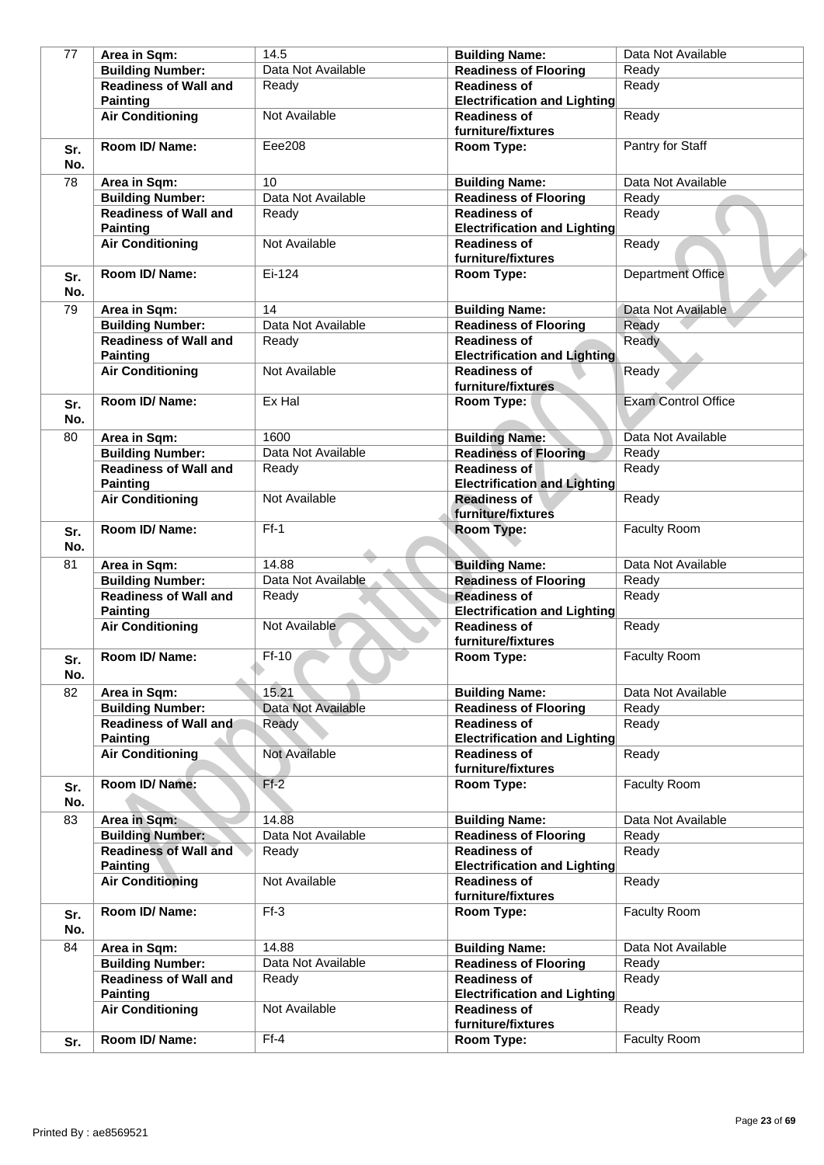| 77         | Area in Sqm:                                    | 14.5               | <b>Building Name:</b>                                      | Data Not Available         |
|------------|-------------------------------------------------|--------------------|------------------------------------------------------------|----------------------------|
|            | <b>Building Number:</b>                         | Data Not Available | <b>Readiness of Flooring</b>                               | Ready                      |
|            | <b>Readiness of Wall and</b>                    | Ready              | <b>Readiness of</b>                                        | Ready                      |
|            | <b>Painting</b>                                 |                    | <b>Electrification and Lighting</b>                        |                            |
|            | <b>Air Conditioning</b>                         | Not Available      | <b>Readiness of</b>                                        | Ready                      |
|            |                                                 |                    | furniture/fixtures                                         |                            |
| Sr.<br>No. | Room ID/ Name:                                  | Eee208             | Room Type:                                                 | Pantry for Staff           |
| 78         | Area in Sqm:                                    | 10                 | <b>Building Name:</b>                                      | Data Not Available         |
|            | <b>Building Number:</b>                         | Data Not Available | <b>Readiness of Flooring</b>                               | Ready                      |
|            | <b>Readiness of Wall and</b>                    | Ready              | <b>Readiness of</b>                                        | Ready                      |
|            | <b>Painting</b>                                 |                    | <b>Electrification and Lighting</b>                        |                            |
|            | <b>Air Conditioning</b>                         | Not Available      | <b>Readiness of</b><br>furniture/fixtures                  | Ready                      |
| Sr.<br>No. | Room ID/ Name:                                  | Ei-124             | Room Type:                                                 | Department Office          |
| 79         | Area in Sqm:                                    | 14                 | <b>Building Name:</b>                                      | Data Not Available         |
|            | <b>Building Number:</b>                         | Data Not Available | <b>Readiness of Flooring</b>                               | Ready                      |
|            | <b>Readiness of Wall and</b>                    | Ready              | <b>Readiness of</b>                                        | Ready                      |
|            | <b>Painting</b>                                 |                    | <b>Electrification and Lighting</b>                        |                            |
|            | <b>Air Conditioning</b>                         | Not Available      | <b>Readiness of</b>                                        | Ready                      |
|            |                                                 |                    | furniture/fixtures                                         |                            |
| Sr.<br>No. | Room ID/ Name:                                  | Ex Hal             | Room Type:                                                 | <b>Exam Control Office</b> |
| 80         | Area in Sqm:                                    | 1600               | <b>Building Name:</b>                                      | Data Not Available         |
|            | <b>Building Number:</b>                         | Data Not Available | <b>Readiness of Flooring</b>                               | Ready                      |
|            | <b>Readiness of Wall and</b><br><b>Painting</b> | Ready              | <b>Readiness of</b><br><b>Electrification and Lighting</b> | Ready                      |
|            | <b>Air Conditioning</b>                         | Not Available      | <b>Readiness of</b><br>furniture/fixtures                  | Ready                      |
| Sr.<br>No. | Room ID/Name:                                   | $Ff-1$             | Room Type:                                                 | <b>Faculty Room</b>        |
| 81         | Area in Sqm:                                    | 14.88              | <b>Building Name:</b>                                      | Data Not Available         |
|            | <b>Building Number:</b>                         | Data Not Available | <b>Readiness of Flooring</b>                               | Ready                      |
|            | <b>Readiness of Wall and</b><br><b>Painting</b> | Ready              | <b>Readiness of</b><br><b>Electrification and Lighting</b> | Ready                      |
|            | <b>Air Conditioning</b>                         | Not Available      | <b>Readiness of</b><br>furniture/fixtures                  | Ready                      |
| Sr.<br>No. | Room ID/ Name:                                  | $Ff-10$            | Room Type:                                                 | <b>Faculty Room</b>        |
| 82         | Area in Sqm:                                    | 15.21              | <b>Building Name:</b>                                      | Data Not Available         |
|            | <b>Building Number:</b>                         | Data Not Available | <b>Readiness of Flooring</b>                               | Ready                      |
|            | <b>Readiness of Wall and</b><br><b>Painting</b> | Ready              | <b>Readiness of</b><br><b>Electrification and Lighting</b> | Ready                      |
|            | <b>Air Conditioning</b>                         | Not Available      | <b>Readiness of</b><br>furniture/fixtures                  | Ready                      |
| Sr.<br>No. | Room ID/ Name:                                  | $Ff-2$             | Room Type:                                                 | <b>Faculty Room</b>        |
| 83         | Area in Sqm:                                    | 14.88              | <b>Building Name:</b>                                      | Data Not Available         |
|            | <b>Building Number:</b>                         | Data Not Available | <b>Readiness of Flooring</b>                               | Ready                      |
|            | <b>Readiness of Wall and</b><br><b>Painting</b> | Ready              | <b>Readiness of</b><br><b>Electrification and Lighting</b> | Ready                      |
|            | <b>Air Conditioning</b>                         | Not Available      | <b>Readiness of</b><br>furniture/fixtures                  | Ready                      |
| Sr.<br>No. | Room ID/ Name:                                  | $Ff-3$             | Room Type:                                                 | <b>Faculty Room</b>        |
| 84         | Area in Sqm:                                    | 14.88              | <b>Building Name:</b>                                      | Data Not Available         |
|            | <b>Building Number:</b>                         | Data Not Available | <b>Readiness of Flooring</b>                               | Ready                      |
|            | <b>Readiness of Wall and</b><br><b>Painting</b> | Ready              | <b>Readiness of</b><br><b>Electrification and Lighting</b> | Ready                      |
|            | <b>Air Conditioning</b>                         | Not Available      | <b>Readiness of</b><br>furniture/fixtures                  | Ready                      |
| Sr.        | Room ID/ Name:                                  | $Ff-4$             | Room Type:                                                 | Faculty Room               |
|            |                                                 |                    |                                                            |                            |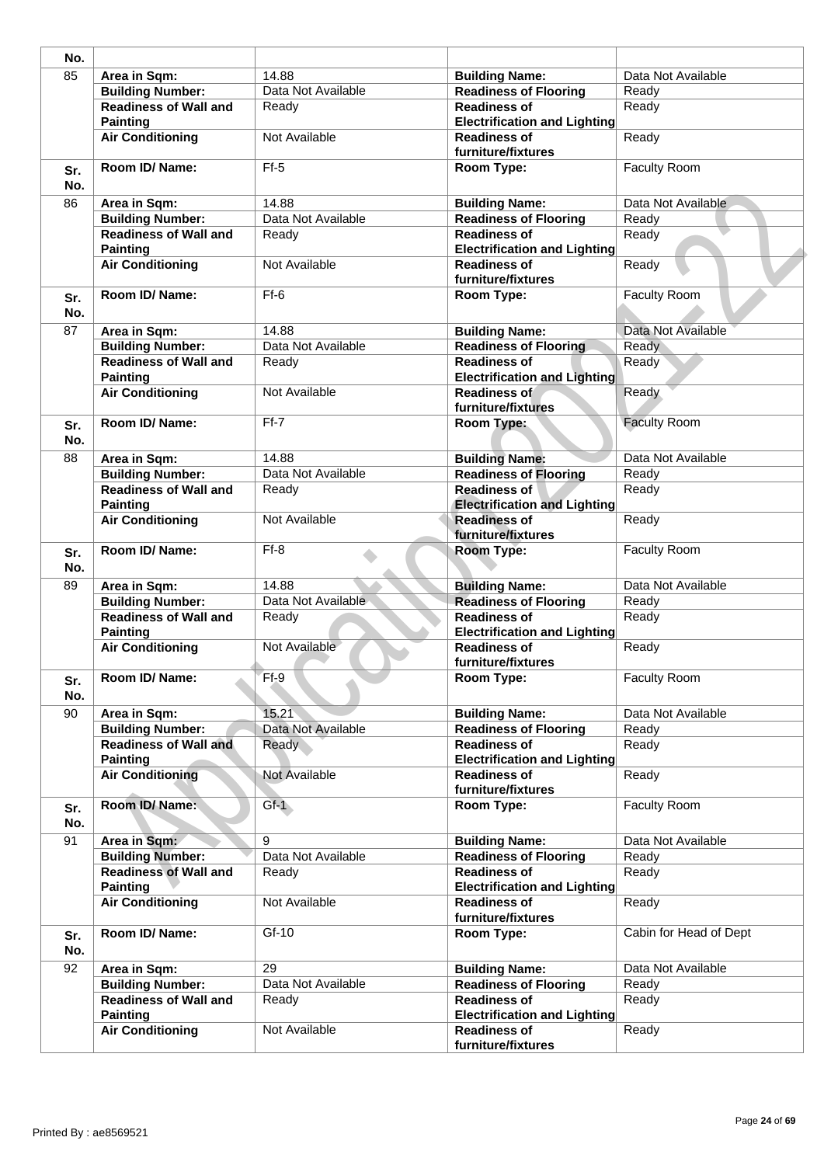| No.        |                                                 |                    |                                                            |                        |
|------------|-------------------------------------------------|--------------------|------------------------------------------------------------|------------------------|
| 85         | Area in Sqm:                                    | 14.88              | <b>Building Name:</b>                                      | Data Not Available     |
|            | <b>Building Number:</b>                         | Data Not Available | <b>Readiness of Flooring</b>                               | Ready                  |
|            | <b>Readiness of Wall and</b><br><b>Painting</b> | Ready              | <b>Readiness of</b><br><b>Electrification and Lighting</b> | Ready                  |
|            | <b>Air Conditioning</b>                         | Not Available      | <b>Readiness of</b><br>furniture/fixtures                  | Ready                  |
| Sr.<br>No. | Room ID/ Name:                                  | $Ff-5$             | Room Type:                                                 | Faculty Room           |
| 86         | Area in Sqm:                                    | 14.88              | <b>Building Name:</b>                                      | Data Not Available     |
|            | <b>Building Number:</b>                         | Data Not Available | <b>Readiness of Flooring</b>                               | Ready                  |
|            | <b>Readiness of Wall and</b><br><b>Painting</b> | Readv              | <b>Readiness of</b><br><b>Electrification and Lighting</b> | Ready                  |
|            | <b>Air Conditioning</b>                         | Not Available      | <b>Readiness of</b><br>furniture/fixtures                  | Ready                  |
| Sr.<br>No. | Room ID/Name:                                   | $Ff-6$             | Room Type:                                                 | <b>Faculty Room</b>    |
| 87         | Area in Sqm:                                    | 14.88              | <b>Building Name:</b>                                      | Data Not Available     |
|            | <b>Building Number:</b>                         | Data Not Available | <b>Readiness of Flooring</b>                               | <b>Ready</b>           |
|            | <b>Readiness of Wall and</b><br><b>Painting</b> | Ready              | <b>Readiness of</b><br><b>Electrification and Lighting</b> | Ready                  |
|            | <b>Air Conditioning</b>                         | Not Available      | Readiness of<br>furniture/fixtures                         | Ready                  |
| Sr.<br>No. | Room ID/ Name:                                  | $Ff-7$             | Room Type:                                                 | <b>Faculty Room</b>    |
| 88         | Area in Sqm:                                    | 14.88              | <b>Building Name:</b>                                      | Data Not Available     |
|            | <b>Building Number:</b>                         | Data Not Available | <b>Readiness of Flooring</b>                               | Ready                  |
|            | <b>Readiness of Wall and</b><br><b>Painting</b> | Ready              | <b>Readiness of</b><br><b>Electrification and Lighting</b> | Ready                  |
|            | <b>Air Conditioning</b>                         | Not Available      | <b>Readiness of</b><br>furniture/fixtures                  | Ready                  |
| Sr.<br>No. | Room ID/ Name:                                  | $Ff-8$             | <b>Room Type:</b>                                          | <b>Faculty Room</b>    |
| 89         | Area in Sqm:                                    | 14.88              | <b>Building Name:</b>                                      | Data Not Available     |
|            | <b>Building Number:</b>                         | Data Not Available | <b>Readiness of Flooring</b>                               | Ready                  |
|            | <b>Readiness of Wall and</b><br><b>Painting</b> | Ready              | <b>Readiness of</b><br><b>Electrification and Lighting</b> | Ready                  |
|            | <b>Air Conditioning</b>                         | Not Available      | <b>Readiness of</b><br>furniture/fixtures                  | Ready                  |
| Sr.<br>No. | Room ID/ Name:                                  | $Ff-9$             | Room Type:                                                 | Faculty Room           |
| 90         | Area in Sqm:                                    | 15.21              | <b>Building Name:</b>                                      | Data Not Available     |
|            | <b>Building Number:</b>                         | Data Not Available | <b>Readiness of Flooring</b>                               | Ready                  |
|            | <b>Readiness of Wall and</b><br><b>Painting</b> | Ready              | <b>Readiness of</b><br><b>Electrification and Lighting</b> | Ready                  |
|            | <b>Air Conditioning</b>                         | Not Available      | <b>Readiness of</b><br>furniture/fixtures                  | Ready                  |
| Sr.<br>No. | Room ID/Name:                                   | $Gf-1$             | Room Type:                                                 | Faculty Room           |
| 91         | Area in Sqm:                                    | 9                  | <b>Building Name:</b>                                      | Data Not Available     |
|            | <b>Building Number:</b>                         | Data Not Available | <b>Readiness of Flooring</b>                               | Ready                  |
|            | <b>Readiness of Wall and</b><br><b>Painting</b> | Ready              | <b>Readiness of</b><br><b>Electrification and Lighting</b> | Ready                  |
|            | <b>Air Conditioning</b>                         | Not Available      | <b>Readiness of</b><br>furniture/fixtures                  | Ready                  |
| Sr.<br>No. | Room ID/ Name:                                  | $Gf-10$            | Room Type:                                                 | Cabin for Head of Dept |
| 92         | Area in Sqm:                                    | 29                 | <b>Building Name:</b>                                      | Data Not Available     |
|            | <b>Building Number:</b>                         | Data Not Available | <b>Readiness of Flooring</b>                               | Ready                  |
|            | <b>Readiness of Wall and</b><br><b>Painting</b> | Ready              | <b>Readiness of</b><br><b>Electrification and Lighting</b> | Ready                  |
|            | <b>Air Conditioning</b>                         | Not Available      | <b>Readiness of</b><br>furniture/fixtures                  | Ready                  |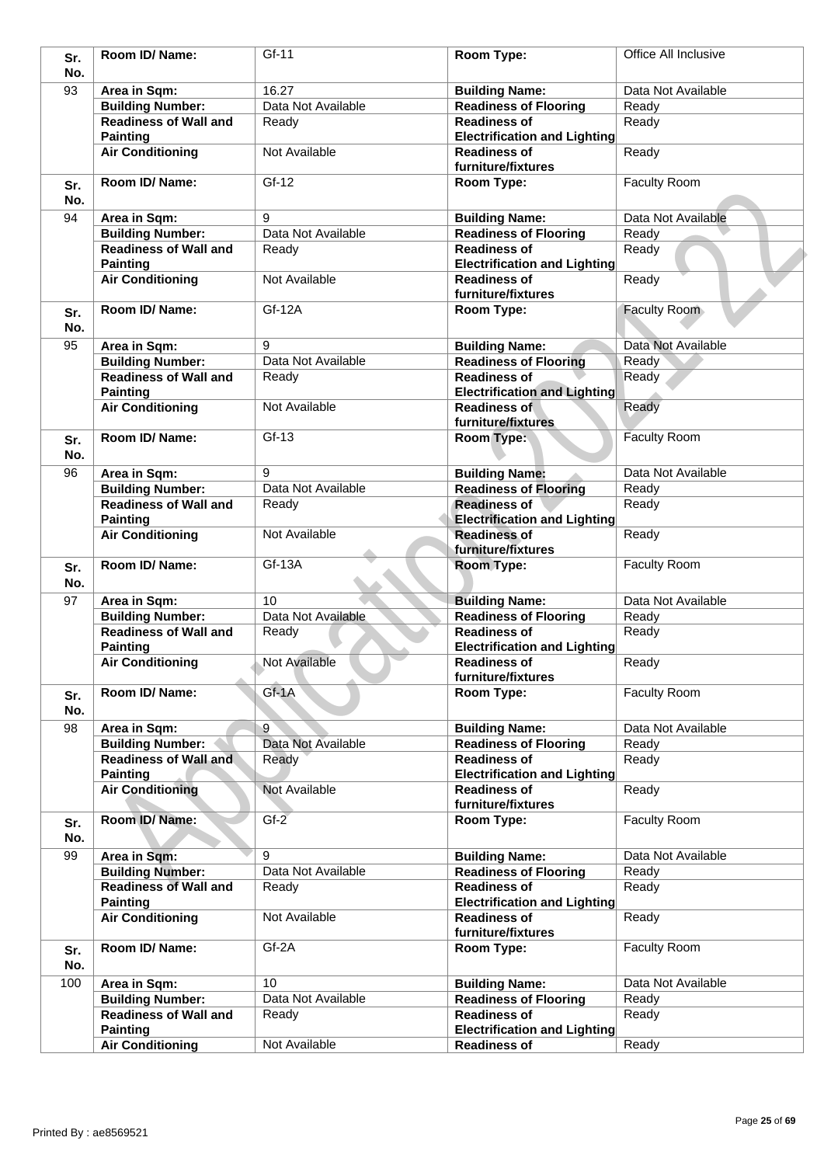| Sr.        | Room ID/Name:                                   | Gf-11                | Room Type:                                                 | Office All Inclusive |
|------------|-------------------------------------------------|----------------------|------------------------------------------------------------|----------------------|
| No.        |                                                 |                      |                                                            |                      |
| 93         | Area in Sqm:                                    | 16.27                | <b>Building Name:</b>                                      | Data Not Available   |
|            | <b>Building Number:</b>                         | Data Not Available   | <b>Readiness of Flooring</b>                               | Ready                |
|            | <b>Readiness of Wall and</b>                    | Ready                | <b>Readiness of</b>                                        | Ready                |
|            | <b>Painting</b>                                 |                      | <b>Electrification and Lighting</b>                        |                      |
|            | <b>Air Conditioning</b>                         | Not Available        | <b>Readiness of</b><br>furniture/fixtures                  | Ready                |
| Sr.<br>No. | Room ID/ Name:                                  | Gf-12                | Room Type:                                                 | <b>Faculty Room</b>  |
| 94         | Area in Sqm:                                    | 9                    | <b>Building Name:</b>                                      | Data Not Available   |
|            | <b>Building Number:</b>                         | Data Not Available   | <b>Readiness of Flooring</b>                               | Ready                |
|            | <b>Readiness of Wall and</b>                    | Ready                | <b>Readiness of</b>                                        | Ready                |
|            | <b>Painting</b>                                 |                      | <b>Electrification and Lighting</b>                        |                      |
|            | <b>Air Conditioning</b>                         | Not Available        | <b>Readiness of</b><br>furniture/fixtures                  | Ready                |
| Sr.<br>No. | Room ID/ Name:                                  | Gf-12A               | Room Type:                                                 | Faculty Room         |
| 95         | Area in Sqm:                                    | 9                    | <b>Building Name:</b>                                      | Data Not Available   |
|            | <b>Building Number:</b>                         | Data Not Available   | <b>Readiness of Flooring</b>                               | Ready                |
|            | <b>Readiness of Wall and</b>                    |                      | <b>Readiness of</b>                                        | Ready                |
|            |                                                 | Ready                |                                                            |                      |
|            | <b>Painting</b><br><b>Air Conditioning</b>      | Not Available        | <b>Electrification and Lighting</b><br><b>Readiness of</b> | Ready                |
|            |                                                 |                      | furniture/fixtures                                         |                      |
| Sr.<br>No. | Room ID/ Name:                                  | $Gf-13$              | <b>Room Type:</b>                                          | <b>Faculty Room</b>  |
| 96         | Area in Sqm:                                    | 9                    | <b>Building Name:</b>                                      | Data Not Available   |
|            | <b>Building Number:</b>                         | Data Not Available   | <b>Readiness of Flooring</b>                               | Ready                |
|            | <b>Readiness of Wall and</b><br><b>Painting</b> | Ready                | <b>Readiness of</b><br><b>Electrification and Lighting</b> | Ready                |
|            | <b>Air Conditioning</b>                         | Not Available        | <b>Readiness of</b><br>furniture/fixtures                  | Ready                |
| Sr.<br>No. | Room ID/ Name:                                  | Gf-13A               | Room Type:                                                 | <b>Faculty Room</b>  |
| 97         | Area in Sqm:                                    | 10                   | <b>Building Name:</b>                                      | Data Not Available   |
|            | <b>Building Number:</b>                         | Data Not Available   | <b>Readiness of Flooring</b>                               | Ready                |
|            | <b>Readiness of Wall and</b>                    | Ready                | <b>Readiness of</b>                                        | Ready                |
|            | <b>Painting</b>                                 |                      | <b>Electrification and Lighting</b>                        |                      |
|            | <b>Air Conditioning</b>                         | <b>Not Available</b> | <b>Readiness of</b><br>furniture/fixtures                  | Ready                |
| Sr.<br>No. | Room ID/ Name:                                  | Gf-1A                | Room Type:                                                 | <b>Faculty Room</b>  |
| 98         | Area in Sqm:                                    | 9                    | <b>Building Name:</b>                                      | Data Not Available   |
|            | <b>Building Number:</b>                         | Data Not Available   | <b>Readiness of Flooring</b>                               | Ready                |
|            | <b>Readiness of Wall and</b><br><b>Painting</b> | Ready                | <b>Readiness of</b><br><b>Electrification and Lighting</b> | Ready                |
|            | <b>Air Conditioning</b>                         | Not Available        | <b>Readiness of</b><br>furniture/fixtures                  | Ready                |
| Sr.<br>No. | Room ID/Name:                                   | $Gf-2$               | Room Type:                                                 | Faculty Room         |
| 99         | Area in Sqm:                                    | 9                    | <b>Building Name:</b>                                      | Data Not Available   |
|            | <b>Building Number:</b>                         | Data Not Available   | <b>Readiness of Flooring</b>                               | Ready                |
|            | <b>Readiness of Wall and</b>                    | Ready                | <b>Readiness of</b>                                        | Ready                |
|            | <b>Painting</b><br><b>Air Conditioning</b>      | Not Available        | <b>Electrification and Lighting</b><br><b>Readiness of</b> | Ready                |
|            |                                                 |                      | furniture/fixtures                                         |                      |
| Sr.<br>No. | Room ID/ Name:                                  | Gf-2A                | Room Type:                                                 | <b>Faculty Room</b>  |
| 100        | Area in Sqm:                                    | 10                   | <b>Building Name:</b>                                      | Data Not Available   |
|            | <b>Building Number:</b>                         | Data Not Available   | <b>Readiness of Flooring</b>                               | Ready                |
|            | <b>Readiness of Wall and</b><br><b>Painting</b> | Ready                | <b>Readiness of</b><br><b>Electrification and Lighting</b> | Ready                |
|            | <b>Air Conditioning</b>                         | Not Available        | <b>Readiness of</b>                                        | Ready                |
|            |                                                 |                      |                                                            |                      |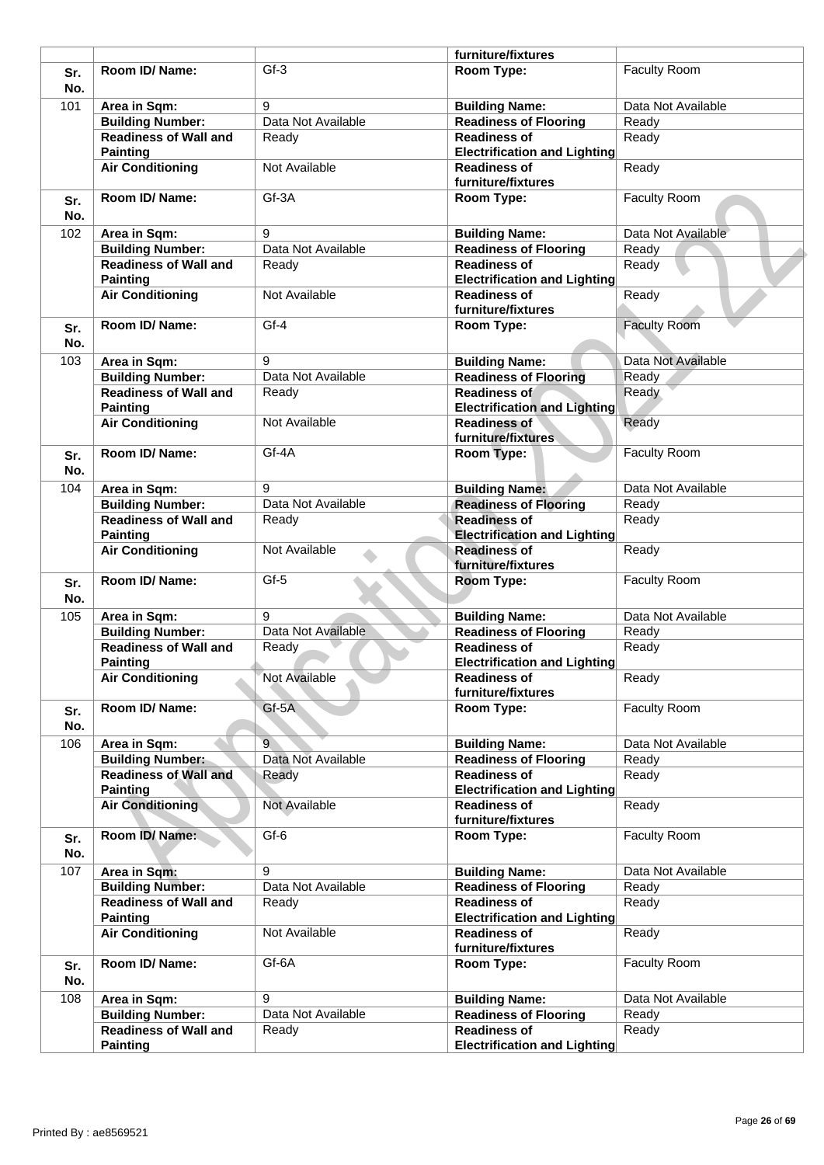|            |                                                         |                         | furniture/fixtures                                         |                     |
|------------|---------------------------------------------------------|-------------------------|------------------------------------------------------------|---------------------|
| Sr.<br>No. | Room ID/Name:                                           | $Gf-3$                  | Room Type:                                                 | <b>Faculty Room</b> |
| 101        | Area in Sqm:                                            | 9                       | <b>Building Name:</b>                                      | Data Not Available  |
|            | <b>Building Number:</b>                                 | Data Not Available      | <b>Readiness of Flooring</b>                               | Ready               |
|            | <b>Readiness of Wall and</b><br><b>Painting</b>         | Ready                   | <b>Readiness of</b><br><b>Electrification and Lighting</b> | Ready               |
|            | <b>Air Conditioning</b>                                 | Not Available           | <b>Readiness of</b><br>furniture/fixtures                  | Ready               |
| Sr.<br>No. | Room ID/Name:                                           | Gf-3A                   | Room Type:                                                 | <b>Faculty Room</b> |
| 102        | Area in Sqm:                                            | 9                       | <b>Building Name:</b>                                      | Data Not Available  |
|            | <b>Building Number:</b>                                 | Data Not Available      | <b>Readiness of Flooring</b>                               | Ready               |
|            | <b>Readiness of Wall and</b><br><b>Painting</b>         | Ready                   | <b>Readiness of</b><br><b>Electrification and Lighting</b> | Ready               |
|            | <b>Air Conditioning</b>                                 | Not Available           | <b>Readiness of</b><br>furniture/fixtures                  | Ready               |
| Sr.<br>No. | Room ID/Name:                                           | $Gf-4$                  | Room Type:                                                 | <b>Faculty Room</b> |
|            |                                                         |                         |                                                            |                     |
| 103        | Area in Sqm:                                            | 9<br>Data Not Available | <b>Building Name:</b>                                      | Data Not Available  |
|            | <b>Building Number:</b>                                 |                         | <b>Readiness of Flooring</b>                               | Ready               |
|            | <b>Readiness of Wall and</b>                            | Ready                   | <b>Readiness of</b>                                        | Ready               |
|            | <b>Painting</b>                                         |                         | <b>Electrification and Lighting</b>                        |                     |
|            | <b>Air Conditioning</b>                                 | Not Available           | <b>Readiness of</b><br>furniture/fixtures                  | Ready               |
| Sr.<br>No. | Room ID/ Name:                                          | Gf-4A                   | Room Type:                                                 | <b>Faculty Room</b> |
| 104        | Area in Sqm:                                            | 9                       | <b>Building Name:</b>                                      | Data Not Available  |
|            | <b>Building Number:</b>                                 | Data Not Available      | <b>Readiness of Flooring</b>                               | Ready               |
|            | <b>Readiness of Wall and</b>                            | Ready                   | <b>Readiness of</b>                                        | Ready               |
|            | <b>Painting</b>                                         |                         | <b>Electrification and Lighting</b>                        |                     |
|            | <b>Air Conditioning</b>                                 | Not Available           | <b>Readiness of</b><br>furniture/fixtures                  | Ready               |
| Sr.<br>No. | Room ID/Name:                                           | Gf-5                    | <b>Room Type:</b>                                          | <b>Faculty Room</b> |
| 105        |                                                         | 9                       |                                                            | Data Not Available  |
|            | Area in Sqm:                                            | Data Not Available      | <b>Building Name:</b><br><b>Readiness of Flooring</b>      | Ready               |
|            | <b>Building Number:</b><br><b>Readiness of Wall and</b> |                         | <b>Readiness of</b>                                        |                     |
|            |                                                         | Ready                   |                                                            | Ready               |
|            | <b>Painting</b><br><b>Air Conditioning</b>              | Not Available           | <b>Electrification and Lighting</b><br><b>Readiness of</b> | Ready               |
|            | Room ID/ Name:                                          | $Gf-5A$                 | furniture/fixtures                                         | <b>Faculty Room</b> |
| Sr.<br>No. |                                                         |                         | Room Type:                                                 |                     |
| 106        | Area in Sqm:                                            | 9                       | <b>Building Name:</b>                                      | Data Not Available  |
|            | <b>Building Number:</b>                                 | Data Not Available      | <b>Readiness of Flooring</b>                               | Ready               |
|            | <b>Readiness of Wall and</b><br><b>Painting</b>         | Ready                   | <b>Readiness of</b><br><b>Electrification and Lighting</b> | Ready               |
|            | <b>Air Conditioning</b>                                 | Not Available           | <b>Readiness of</b><br>furniture/fixtures                  | Ready               |
| Sr.<br>No. | Room ID/Name:                                           | Gf-6                    | Room Type:                                                 | Faculty Room        |
|            |                                                         |                         |                                                            |                     |
| 107        | Area in Sqm:                                            | 9                       | <b>Building Name:</b>                                      | Data Not Available  |
|            | <b>Building Number:</b>                                 | Data Not Available      | <b>Readiness of Flooring</b>                               | Ready               |
|            | <b>Readiness of Wall and</b><br><b>Painting</b>         | Ready                   | <b>Readiness of</b><br><b>Electrification and Lighting</b> | Ready               |
|            | <b>Air Conditioning</b>                                 | Not Available           | <b>Readiness of</b><br>furniture/fixtures                  | Ready               |
| Sr.<br>No. | Room ID/ Name:                                          | Gf-6A                   | Room Type:                                                 | Faculty Room        |
| 108        | Area in Sqm:                                            | 9                       | <b>Building Name:</b>                                      | Data Not Available  |
|            | <b>Building Number:</b>                                 | Data Not Available      | <b>Readiness of Flooring</b>                               | Ready               |
|            | <b>Readiness of Wall and</b>                            | Ready                   | <b>Readiness of</b>                                        | Ready               |
|            | <b>Painting</b>                                         |                         | <b>Electrification and Lighting</b>                        |                     |
|            |                                                         |                         |                                                            |                     |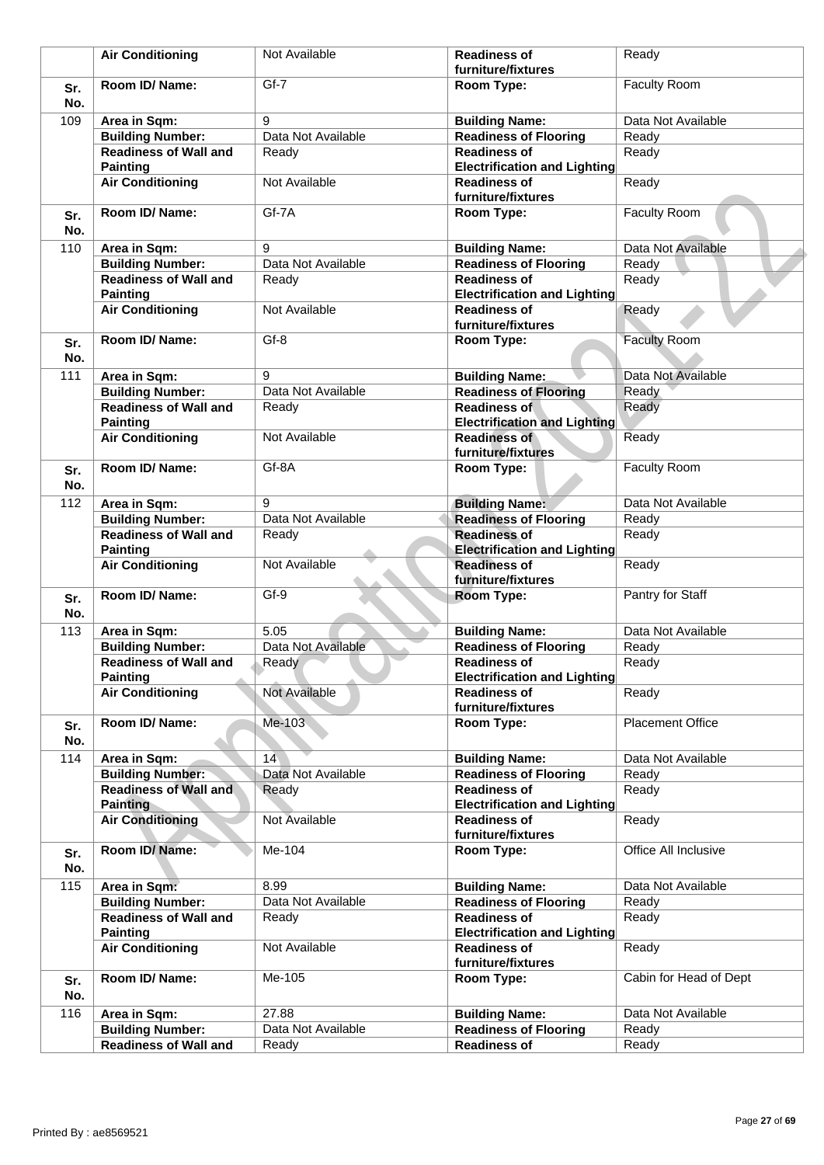|            | <b>Air Conditioning</b>                         | Not Available      | <b>Readiness of</b><br>furniture/fixtures                  | Ready                   |
|------------|-------------------------------------------------|--------------------|------------------------------------------------------------|-------------------------|
|            |                                                 |                    |                                                            |                         |
| Sr.<br>No. | Room ID/Name:                                   | $Gf-7$             | <b>Room Type:</b>                                          | <b>Faculty Room</b>     |
| 109        | Area in Sqm:                                    | 9                  | <b>Building Name:</b>                                      | Data Not Available      |
|            | <b>Building Number:</b>                         | Data Not Available | <b>Readiness of Flooring</b>                               | Ready                   |
|            | <b>Readiness of Wall and</b><br><b>Painting</b> | Ready              | <b>Readiness of</b><br><b>Electrification and Lighting</b> | Ready                   |
|            | <b>Air Conditioning</b>                         | Not Available      | <b>Readiness of</b><br>furniture/fixtures                  | Ready                   |
| Sr.<br>No. | Room ID/Name:                                   | Gf-7A              | Room Type:                                                 | <b>Faculty Room</b>     |
| 110        | Area in Sqm:                                    | 9                  | <b>Building Name:</b>                                      | Data Not Available      |
|            | <b>Building Number:</b>                         | Data Not Available | <b>Readiness of Flooring</b>                               | Ready                   |
|            | <b>Readiness of Wall and</b><br><b>Painting</b> | Ready              | <b>Readiness of</b><br><b>Electrification and Lighting</b> | Ready                   |
|            | <b>Air Conditioning</b>                         | Not Available      | <b>Readiness of</b><br>furniture/fixtures                  | Ready                   |
| Sr.<br>No. | Room ID/ Name:                                  | $Gf-8$             | Room Type:                                                 | <b>Faculty Room</b>     |
| 111        | Area in Sqm:                                    | 9                  | <b>Building Name:</b>                                      | Data Not Available      |
|            | <b>Building Number:</b>                         | Data Not Available | <b>Readiness of Flooring</b>                               | Ready                   |
|            | <b>Readiness of Wall and</b><br><b>Painting</b> | Ready              | <b>Readiness of</b><br><b>Electrification and Lighting</b> | Ready                   |
|            | <b>Air Conditioning</b>                         | Not Available      | <b>Readiness of</b><br>furniture/fixtures                  | Ready                   |
| Sr.<br>No. | Room ID/Name:                                   | Gf-8A              | Room Type:                                                 | <b>Faculty Room</b>     |
| 112        | Area in Sqm:                                    | 9                  | <b>Building Name:</b>                                      | Data Not Available      |
|            | <b>Building Number:</b>                         | Data Not Available | <b>Readiness of Flooring</b>                               | Ready                   |
|            | <b>Readiness of Wall and</b><br><b>Painting</b> | Ready              | <b>Readiness of</b><br><b>Electrification and Lighting</b> | Ready                   |
|            | <b>Air Conditioning</b>                         | Not Available      | <b>Readiness of</b><br>furniture/fixtures                  | Ready                   |
| Sr.<br>No. | Room ID/Name:                                   | Gf-9               | Room Type:                                                 | Pantry for Staff        |
| 113        | Area in Sqm:                                    | 5.05               | <b>Building Name:</b>                                      | Data Not Available      |
|            | <b>Building Number:</b>                         | Data Not Available | <b>Readiness of Flooring</b>                               | Ready                   |
|            | <b>Readiness of Wall and</b><br><b>Painting</b> | Ready              | <b>Readiness of</b><br><b>Electrification and Lighting</b> | Ready                   |
|            | <b>Air Conditioning</b>                         | Not Available      | <b>Readiness of</b><br>furniture/fixtures                  | Ready                   |
| Sr.<br>No. | Room ID/Name:                                   | Me-103             | Room Type:                                                 | <b>Placement Office</b> |
| 114        | Area in Sqm:                                    | 14                 | <b>Building Name:</b>                                      | Data Not Available      |
|            | <b>Building Number:</b>                         | Data Not Available | <b>Readiness of Flooring</b>                               | Ready                   |
|            | <b>Readiness of Wall and</b><br><b>Painting</b> | Ready              | <b>Readiness of</b><br><b>Electrification and Lighting</b> | Ready                   |
|            | <b>Air Conditioning</b>                         | Not Available      | <b>Readiness of</b><br>furniture/fixtures                  | Ready                   |
| Sr.<br>No. | Room ID/Name:                                   | Me-104             | Room Type:                                                 | Office All Inclusive    |
| 115        | Area in Sqm:                                    | 8.99               | <b>Building Name:</b>                                      | Data Not Available      |
|            | <b>Building Number:</b>                         | Data Not Available | <b>Readiness of Flooring</b>                               | Ready                   |
|            | <b>Readiness of Wall and</b>                    | Ready              | <b>Readiness of</b>                                        | Ready                   |
|            | <b>Painting</b>                                 |                    | <b>Electrification and Lighting</b>                        |                         |
|            | <b>Air Conditioning</b>                         | Not Available      | <b>Readiness of</b><br>furniture/fixtures                  | Ready                   |
| Sr.<br>No. | Room ID/ Name:                                  | Me-105             | Room Type:                                                 | Cabin for Head of Dept  |
| 116        | Area in Sqm:                                    | 27.88              | <b>Building Name:</b>                                      | Data Not Available      |
|            | <b>Building Number:</b>                         | Data Not Available | <b>Readiness of Flooring</b>                               | Ready                   |
|            | <b>Readiness of Wall and</b>                    | Ready              | <b>Readiness of</b>                                        | Ready                   |
|            |                                                 |                    |                                                            |                         |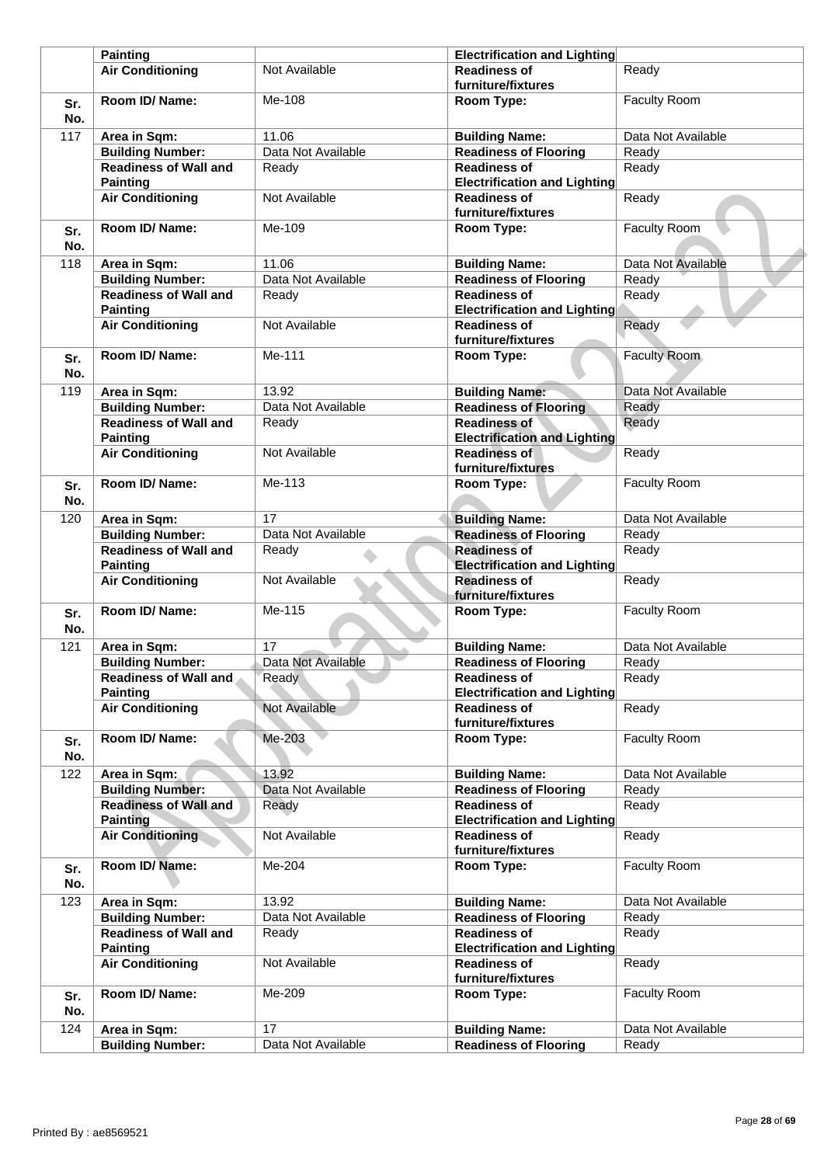|            | <b>Painting</b>                                 |                    | <b>Electrification and Lighting</b>                        |                     |
|------------|-------------------------------------------------|--------------------|------------------------------------------------------------|---------------------|
|            | <b>Air Conditioning</b>                         | Not Available      | <b>Readiness of</b><br>furniture/fixtures                  | Ready               |
| Sr.<br>No. | Room ID/ Name:                                  | Me-108             | Room Type:                                                 | <b>Faculty Room</b> |
| 117        | Area in Sqm:                                    | 11.06              | <b>Building Name:</b>                                      | Data Not Available  |
|            | <b>Building Number:</b>                         | Data Not Available | <b>Readiness of Flooring</b>                               | Ready               |
|            | <b>Readiness of Wall and</b>                    | Ready              | <b>Readiness of</b>                                        | Ready               |
|            | <b>Painting</b>                                 |                    | <b>Electrification and Lighting</b>                        |                     |
|            | <b>Air Conditioning</b>                         | Not Available      | <b>Readiness of</b><br>furniture/fixtures                  | Ready               |
| Sr.<br>No. | Room ID/Name:                                   | Me-109             | Room Type:                                                 | Faculty Room        |
| 118        | Area in Sqm:                                    | 11.06              | <b>Building Name:</b>                                      | Data Not Available  |
|            | <b>Building Number:</b>                         | Data Not Available | <b>Readiness of Flooring</b>                               | Ready               |
|            | <b>Readiness of Wall and</b>                    | Ready              | <b>Readiness of</b>                                        | Ready               |
|            | <b>Painting</b>                                 |                    | Electrification and Lighting                               |                     |
|            | <b>Air Conditioning</b>                         | Not Available      | <b>Readiness of</b><br>furniture/fixtures                  | Ready               |
| Sr.<br>No. | Room ID/ Name:                                  | Me-111             | Room Type:                                                 | <b>Faculty Room</b> |
| 119        | Area in Sqm:                                    | 13.92              | <b>Building Name:</b>                                      | Data Not Available  |
|            | <b>Building Number:</b>                         | Data Not Available | <b>Readiness of Flooring</b>                               | Ready               |
|            | <b>Readiness of Wall and</b><br><b>Painting</b> | Ready              | <b>Readiness of</b><br><b>Electrification and Lighting</b> | Ready               |
|            | <b>Air Conditioning</b>                         | Not Available      | <b>Readiness of</b><br>furniture/fixtures                  | Ready               |
| Sr.<br>No. | Room ID/ Name:                                  | Me-113             | Room Type:                                                 | <b>Faculty Room</b> |
| 120        | Area in Sqm:                                    | 17                 | <b>Building Name:</b>                                      | Data Not Available  |
|            | <b>Building Number:</b>                         | Data Not Available | <b>Readiness of Flooring</b>                               | Ready               |
|            | <b>Readiness of Wall and</b><br><b>Painting</b> | Ready              | <b>Readiness of</b><br><b>Electrification and Lighting</b> | Ready               |
|            | <b>Air Conditioning</b>                         | Not Available      | <b>Readiness of</b><br>furniture/fixtures                  | Ready               |
| Sr.<br>No. | Room ID/Name:                                   | Me-115             | Room Type:                                                 | <b>Faculty Room</b> |
| 121        | Area in Sqm:                                    | 17                 | <b>Building Name:</b>                                      | Data Not Available  |
|            | <b>Building Number:</b>                         | Data Not Available | <b>Readiness of Flooring</b>                               | Ready               |
|            | <b>Readiness of Wall and</b><br><b>Painting</b> | Ready              | <b>Readiness of</b><br><b>Electrification and Lighting</b> | Ready               |
|            | <b>Air Conditioning</b>                         | Not Available      | <b>Readiness of</b>                                        | Ready               |
|            |                                                 |                    | furniture/fixtures                                         |                     |
| Sr.<br>No. | Room ID/ Name:                                  | Me-203             | Room Type:                                                 | Faculty Room        |
| 122        | Area in Sqm:                                    | 13.92              | <b>Building Name:</b>                                      | Data Not Available  |
|            | <b>Building Number:</b>                         | Data Not Available | <b>Readiness of Flooring</b>                               | Ready               |
|            | <b>Readiness of Wall and</b><br><b>Painting</b> | Ready              | <b>Readiness of</b><br><b>Electrification and Lighting</b> | Ready               |
|            | <b>Air Conditioning</b>                         | Not Available      | <b>Readiness of</b><br>furniture/fixtures                  | Ready               |
| Sr.<br>No. | Room ID/Name:                                   | Me-204             | Room Type:                                                 | <b>Faculty Room</b> |
| 123        | Area in Sqm:                                    | 13.92              | <b>Building Name:</b>                                      | Data Not Available  |
|            | <b>Building Number:</b>                         | Data Not Available | <b>Readiness of Flooring</b>                               | Ready               |
|            | <b>Readiness of Wall and</b><br><b>Painting</b> | Ready              | <b>Readiness of</b><br><b>Electrification and Lighting</b> | Ready               |
|            | <b>Air Conditioning</b>                         | Not Available      | <b>Readiness of</b><br>furniture/fixtures                  | Ready               |
| Sr.<br>No. | Room ID/ Name:                                  | Me-209             | Room Type:                                                 | Faculty Room        |
| 124        | Area in Sqm:                                    | 17                 | <b>Building Name:</b>                                      | Data Not Available  |
|            | <b>Building Number:</b>                         | Data Not Available | <b>Readiness of Flooring</b>                               | Ready               |
|            |                                                 |                    |                                                            |                     |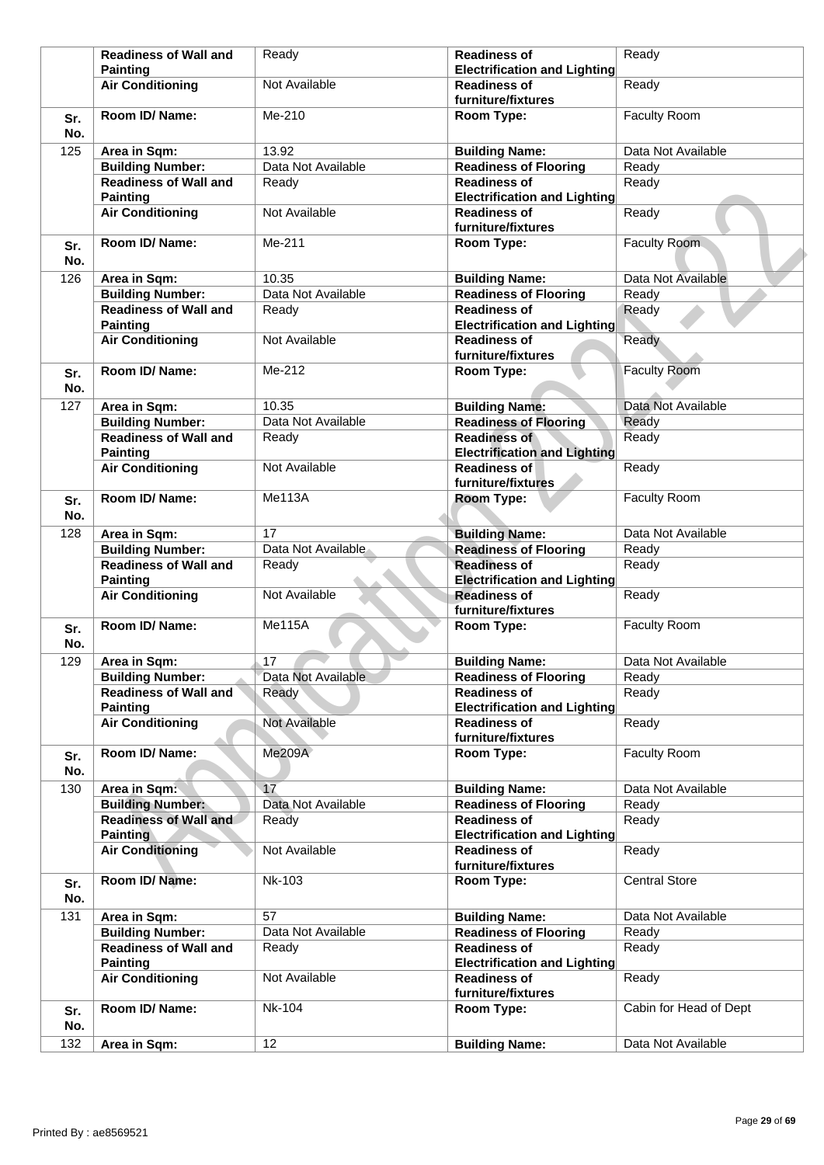|            | <b>Readiness of Wall and</b>                    | Ready              | <b>Readiness of</b>                                        | Ready                  |
|------------|-------------------------------------------------|--------------------|------------------------------------------------------------|------------------------|
|            | <b>Painting</b>                                 |                    | <b>Electrification and Lighting</b>                        |                        |
|            | <b>Air Conditioning</b>                         | Not Available      | <b>Readiness of</b><br>furniture/fixtures                  | Ready                  |
| Sr.<br>No. | Room ID/ Name:                                  | Me-210             | Room Type:                                                 | Faculty Room           |
| 125        | Area in Sqm:                                    | 13.92              | <b>Building Name:</b>                                      | Data Not Available     |
|            | <b>Building Number:</b>                         | Data Not Available | <b>Readiness of Flooring</b>                               | Ready                  |
|            | <b>Readiness of Wall and</b>                    | Ready              | <b>Readiness of</b>                                        | Ready                  |
|            | <b>Painting</b>                                 |                    | <b>Electrification and Lighting</b>                        |                        |
|            | <b>Air Conditioning</b>                         | Not Available      | <b>Readiness of</b><br>furniture/fixtures                  | Ready                  |
| Sr.<br>No. | Room ID/Name:                                   | Me-211             | Room Type:                                                 | Faculty Room           |
| 126        | Area in Sqm:                                    | 10.35              | <b>Building Name:</b>                                      | Data Not Available     |
|            | <b>Building Number:</b>                         | Data Not Available | <b>Readiness of Flooring</b>                               | Ready                  |
|            | <b>Readiness of Wall and</b>                    | Ready              | <b>Readiness of</b>                                        | Ready                  |
|            | <b>Painting</b>                                 |                    | <b>Electrification and Lighting</b>                        |                        |
|            | <b>Air Conditioning</b>                         | Not Available      | <b>Readiness of</b><br>furniture/fixtures                  | Ready                  |
| Sr.<br>No. | Room ID/Name:                                   | Me-212             | Room Type:                                                 | <b>Faculty Room</b>    |
| 127        | Area in Sqm:                                    | 10.35              | <b>Building Name:</b>                                      | Data Not Available     |
|            | <b>Building Number:</b>                         | Data Not Available | <b>Readiness of Flooring</b>                               | Ready                  |
|            | <b>Readiness of Wall and</b>                    | Ready              | <b>Readiness of</b>                                        | Ready                  |
|            | <b>Painting</b>                                 |                    | <b>Electrification and Lighting</b>                        |                        |
|            | <b>Air Conditioning</b>                         | Not Available      | <b>Readiness of</b><br>furniture/fixtures                  | Ready                  |
| Sr.<br>No. | Room ID/Name:                                   | <b>Me113A</b>      | Room Type:                                                 | Faculty Room           |
| 128        | Area in Sqm:                                    | 17                 | <b>Building Name:</b>                                      | Data Not Available     |
|            | <b>Building Number:</b>                         | Data Not Available | <b>Readiness of Flooring</b>                               | Ready                  |
|            | <b>Readiness of Wall and</b>                    | Ready              | <b>Readiness of</b>                                        | Ready                  |
|            | <b>Painting</b>                                 |                    | <b>Electrification and Lighting</b>                        |                        |
|            | <b>Air Conditioning</b>                         | Not Available      | <b>Readiness of</b><br>furniture/fixtures                  | Ready                  |
| Sr.<br>No. | Room ID/Name:                                   | <b>Me115A</b>      | Room Type:                                                 | Faculty Room           |
| 129        | Area in Sqm:                                    | 17                 | <b>Building Name:</b>                                      | Data Not Available     |
|            | <b>Building Number:</b>                         | Data Not Available | <b>Readiness of Flooring</b>                               | Ready                  |
|            | <b>Readiness of Wall and</b>                    | Ready              | <b>Readiness of</b>                                        | Ready                  |
|            | <b>Painting</b>                                 |                    | <b>Electrification and Lighting</b>                        |                        |
|            | <b>Air Conditioning</b>                         | Not Available      | <b>Readiness of</b><br>furniture/fixtures                  | Ready                  |
| Sr.<br>No. | Room ID/Name:                                   | <b>Me209A</b>      | Room Type:                                                 | Faculty Room           |
| 130        | Area in Sqm:                                    | 17                 | <b>Building Name:</b>                                      | Data Not Available     |
|            | <b>Building Number:</b>                         | Data Not Available | <b>Readiness of Flooring</b>                               | Ready                  |
|            | <b>Readiness of Wall and</b><br><b>Painting</b> | Ready              | <b>Readiness of</b><br><b>Electrification and Lighting</b> | Ready                  |
|            | <b>Air Conditioning</b>                         | Not Available      | <b>Readiness of</b><br>furniture/fixtures                  | Ready                  |
| Sr.<br>No. | Room ID/Name:                                   | <b>Nk-103</b>      | Room Type:                                                 | <b>Central Store</b>   |
| 131        | Area in Sqm:                                    | 57                 | <b>Building Name:</b>                                      | Data Not Available     |
|            | <b>Building Number:</b>                         | Data Not Available | <b>Readiness of Flooring</b>                               | Ready                  |
|            | <b>Readiness of Wall and</b><br><b>Painting</b> | Ready              | <b>Readiness of</b><br><b>Electrification and Lighting</b> | Ready                  |
|            | <b>Air Conditioning</b>                         | Not Available      | <b>Readiness of</b><br>furniture/fixtures                  | Ready                  |
| Sr.<br>No. | Room ID/ Name:                                  | <b>Nk-104</b>      | Room Type:                                                 | Cabin for Head of Dept |
| 132        | Area in Sqm:                                    | 12                 | <b>Building Name:</b>                                      | Data Not Available     |
|            |                                                 |                    |                                                            |                        |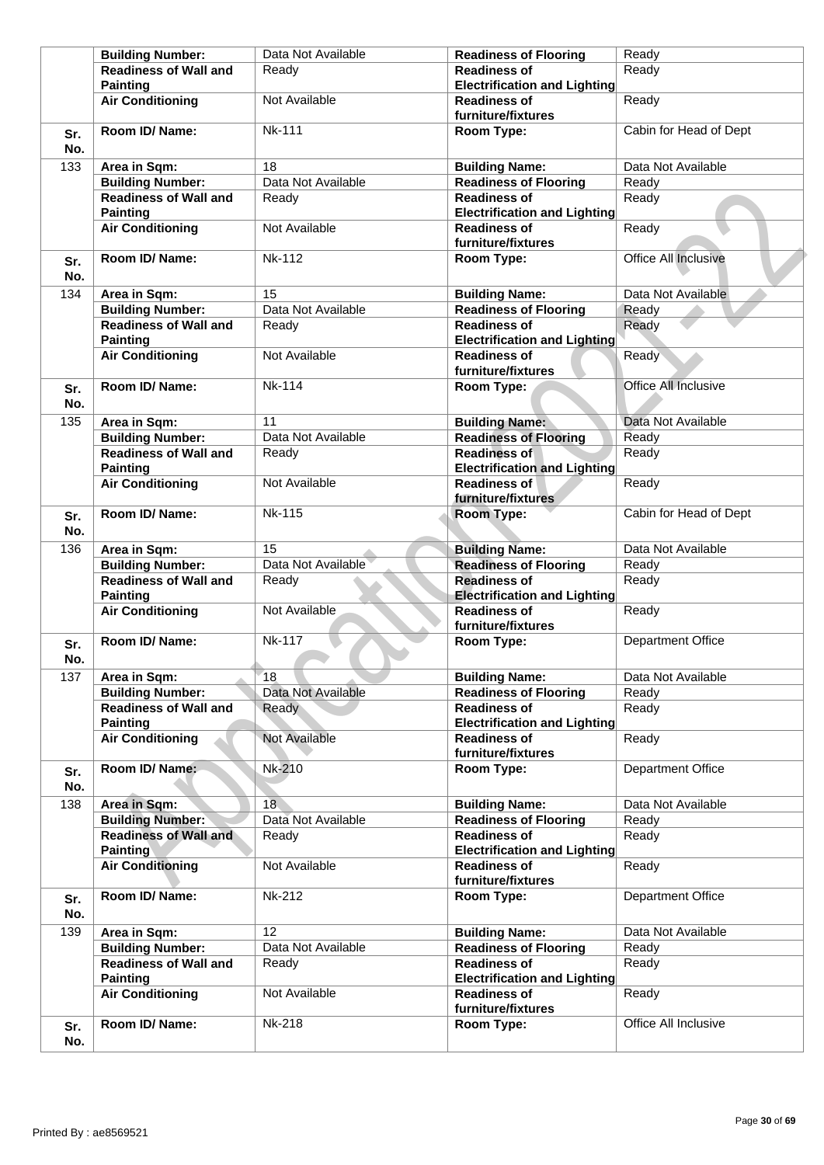|            | <b>Building Number:</b>                         | Data Not Available | <b>Readiness of Flooring</b>                               | Ready                    |
|------------|-------------------------------------------------|--------------------|------------------------------------------------------------|--------------------------|
|            | <b>Readiness of Wall and</b><br><b>Painting</b> | Ready              | <b>Readiness of</b><br><b>Electrification and Lighting</b> | Ready                    |
|            | <b>Air Conditioning</b>                         | Not Available      | <b>Readiness of</b><br>furniture/fixtures                  | Ready                    |
| Sr.<br>No. | Room ID/ Name:                                  | <b>Nk-111</b>      | Room Type:                                                 | Cabin for Head of Dept   |
| 133        | Area in Sqm:                                    | 18                 | <b>Building Name:</b>                                      | Data Not Available       |
|            | <b>Building Number:</b>                         | Data Not Available | <b>Readiness of Flooring</b>                               | Ready                    |
|            | <b>Readiness of Wall and</b><br><b>Painting</b> | Ready              | <b>Readiness of</b><br><b>Electrification and Lighting</b> | Ready                    |
|            | <b>Air Conditioning</b>                         | Not Available      | <b>Readiness of</b><br>furniture/fixtures                  | Ready                    |
| Sr.<br>No. | Room ID/ Name:                                  | <b>Nk-112</b>      | Room Type:                                                 | Office All Inclusive     |
| 134        | Area in Sqm:                                    | 15                 | <b>Building Name:</b>                                      | Data Not Available       |
|            | <b>Building Number:</b>                         | Data Not Available | <b>Readiness of Flooring</b>                               | Ready                    |
|            | <b>Readiness of Wall and</b><br><b>Painting</b> | Ready              | <b>Readiness of</b><br><b>Electrification and Lighting</b> | Ready                    |
|            | <b>Air Conditioning</b>                         | Not Available      | <b>Readiness of</b><br>furniture/fixtures                  | Ready                    |
| Sr.<br>No. | Room ID/ Name:                                  | <b>Nk-114</b>      | Room Type:                                                 | Office All Inclusive     |
| 135        | Area in Sqm:                                    | 11                 | <b>Building Name:</b>                                      | Data Not Available       |
|            | <b>Building Number:</b>                         | Data Not Available | <b>Readiness of Flooring</b>                               | Ready                    |
|            | <b>Readiness of Wall and</b><br><b>Painting</b> | Ready              | <b>Readiness of</b><br><b>Electrification and Lighting</b> | Ready                    |
|            | <b>Air Conditioning</b>                         | Not Available      | <b>Readiness of</b><br>furniture/fixtures                  | Ready                    |
| Sr.<br>No. | Room ID/ Name:                                  | <b>Nk-115</b>      | Room Type:                                                 | Cabin for Head of Dept   |
| 136        | Area in Sqm:                                    | 15                 | <b>Building Name:</b>                                      | Data Not Available       |
|            | <b>Building Number:</b>                         | Data Not Available | <b>Readiness of Flooring</b>                               | Ready                    |
|            | <b>Readiness of Wall and</b>                    | Ready              | <b>Readiness of</b>                                        | Ready                    |
|            | <b>Painting</b>                                 |                    | <b>Electrification and Lighting</b>                        |                          |
|            | <b>Air Conditioning</b>                         | Not Available      | <b>Readiness of</b><br>furniture/fixtures                  | Ready                    |
| Sr.<br>No. | Room ID/ Name:                                  | <b>Nk-117</b>      | Room Type:                                                 | <b>Department Office</b> |
| 137        | Area in Sqm:                                    | 18                 | <b>Building Name:</b>                                      | Data Not Available       |
|            | <b>Building Number:</b>                         | Data Not Available | <b>Readiness of Flooring</b>                               | Ready                    |
|            | <b>Readiness of Wall and</b>                    | Ready              | <b>Readiness of</b>                                        | Ready                    |
|            | <b>Painting</b>                                 |                    | <b>Electrification and Lighting</b>                        |                          |
|            | <b>Air Conditioning</b>                         | Not Available      | <b>Readiness of</b><br>furniture/fixtures                  | Ready                    |
| Sr.<br>No. | Room ID/ Name:                                  | Nk-210             | Room Type:                                                 | Department Office        |
| 138        | Area in Sqm:                                    | 18                 | <b>Building Name:</b>                                      | Data Not Available       |
|            | <b>Building Number:</b>                         | Data Not Available | <b>Readiness of Flooring</b>                               | Ready                    |
|            | <b>Readiness of Wall and</b><br><b>Painting</b> | Ready              | <b>Readiness of</b><br><b>Electrification and Lighting</b> | Ready                    |
|            | <b>Air Conditioning</b>                         | Not Available      | <b>Readiness of</b><br>furniture/fixtures                  | Ready                    |
| Sr.<br>No. | Room ID/ Name:                                  | Nk-212             | Room Type:                                                 | Department Office        |
| 139        | Area in Sqm:                                    | 12                 | <b>Building Name:</b>                                      | Data Not Available       |
|            | <b>Building Number:</b>                         | Data Not Available | <b>Readiness of Flooring</b>                               | Ready                    |
|            | <b>Readiness of Wall and</b>                    | Ready              | <b>Readiness of</b>                                        | Ready                    |
|            | <b>Painting</b><br><b>Air Conditioning</b>      | Not Available      | <b>Electrification and Lighting</b><br><b>Readiness of</b> | Ready                    |
|            |                                                 |                    | furniture/fixtures                                         |                          |
| Sr.<br>No. | Room ID/ Name:                                  | <b>Nk-218</b>      | Room Type:                                                 | Office All Inclusive     |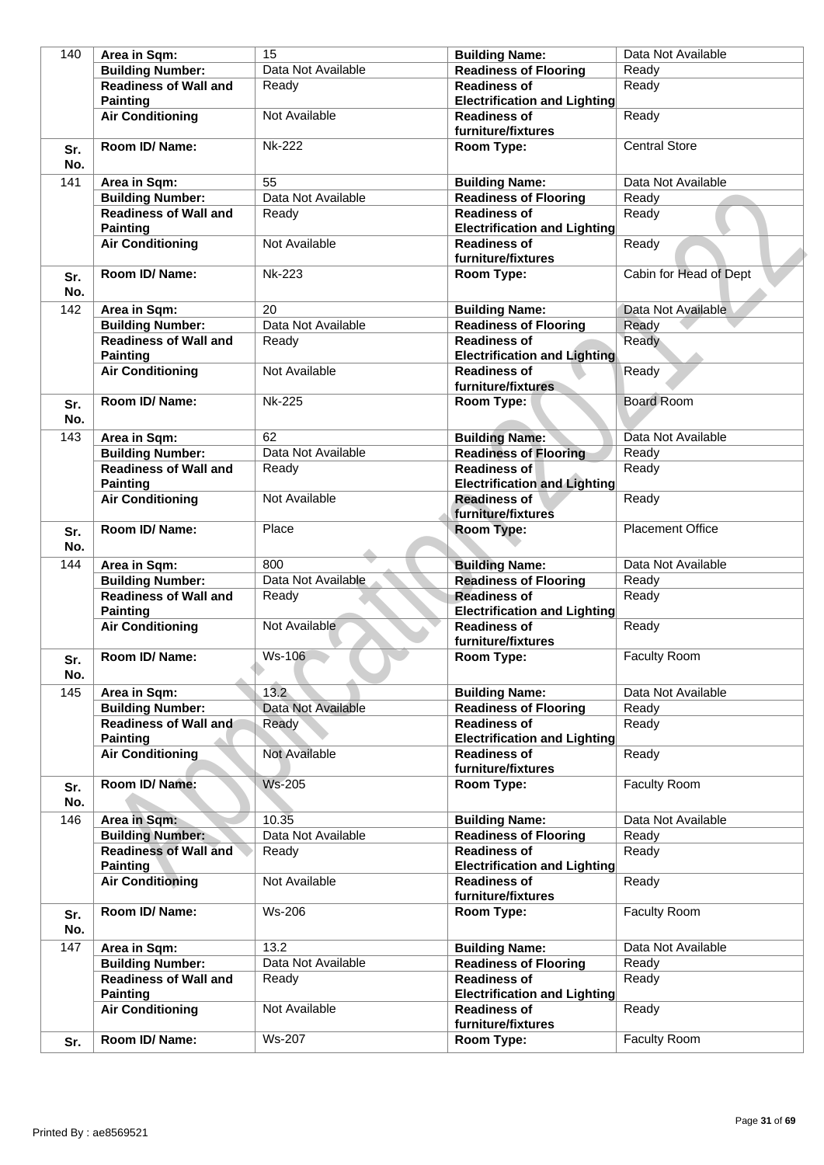| 140        | Area in Sqm:                                    | 15                 | <b>Building Name:</b>                                      | Data Not Available      |
|------------|-------------------------------------------------|--------------------|------------------------------------------------------------|-------------------------|
|            | <b>Building Number:</b>                         | Data Not Available | <b>Readiness of Flooring</b>                               | Ready                   |
|            | <b>Readiness of Wall and</b>                    | Ready              | <b>Readiness of</b>                                        | Ready                   |
|            | <b>Painting</b>                                 |                    | <b>Electrification and Lighting</b>                        |                         |
|            | <b>Air Conditioning</b>                         | Not Available      | <b>Readiness of</b><br>furniture/fixtures                  | Ready                   |
| Sr.<br>No. | Room ID/Name:                                   | <b>Nk-222</b>      | Room Type:                                                 | <b>Central Store</b>    |
| 141        | Area in Sqm:                                    | 55                 | <b>Building Name:</b>                                      | Data Not Available      |
|            | <b>Building Number:</b>                         | Data Not Available | <b>Readiness of Flooring</b>                               | Ready                   |
|            | <b>Readiness of Wall and</b><br><b>Painting</b> | Ready              | <b>Readiness of</b><br><b>Electrification and Lighting</b> | Ready                   |
|            | <b>Air Conditioning</b>                         | Not Available      | <b>Readiness of</b><br>furniture/fixtures                  | Ready                   |
| Sr.<br>No. | Room ID/ Name:                                  | <b>Nk-223</b>      | Room Type:                                                 | Cabin for Head of Dept  |
| 142        | Area in Sqm:                                    | 20                 | <b>Building Name:</b>                                      | Data Not Available      |
|            | <b>Building Number:</b>                         | Data Not Available | <b>Readiness of Flooring</b>                               | Ready                   |
|            | <b>Readiness of Wall and</b><br><b>Painting</b> | Ready              | <b>Readiness of</b><br><b>Electrification and Lighting</b> | Ready                   |
|            | <b>Air Conditioning</b>                         | Not Available      | <b>Readiness of</b>                                        | Ready                   |
|            |                                                 |                    | furniture/fixtures                                         |                         |
| Sr.<br>No. | Room ID/Name:                                   | <b>Nk-225</b>      | Room Type:                                                 | <b>Board Room</b>       |
| 143        | Area in Sqm:                                    | 62                 | <b>Building Name:</b>                                      | Data Not Available      |
|            | <b>Building Number:</b>                         | Data Not Available | <b>Readiness of Flooring</b>                               | Ready                   |
|            | <b>Readiness of Wall and</b><br><b>Painting</b> | Ready              | <b>Readiness of</b><br><b>Electrification and Lighting</b> | Ready                   |
|            | <b>Air Conditioning</b>                         | Not Available      | <b>Readiness of</b><br>furniture/fixtures                  | Ready                   |
| Sr.<br>No. | Room ID/ Name:                                  | Place              | Room Type:                                                 | <b>Placement Office</b> |
| 144        | Area in Sqm:                                    | 800                | <b>Building Name:</b>                                      | Data Not Available      |
|            | <b>Building Number:</b>                         | Data Not Available | <b>Readiness of Flooring</b>                               | Ready                   |
|            | <b>Readiness of Wall and</b><br><b>Painting</b> | Ready              | <b>Readiness of</b><br><b>Electrification and Lighting</b> | Ready                   |
|            | <b>Air Conditioning</b>                         | Not Available      | <b>Readiness of</b><br>furniture/fixtures                  | Ready                   |
| Sr.<br>No. | Room ID/ Name:                                  | Ws-106             | Room Type:                                                 | Faculty Room            |
| 145        | Area in Sqm:                                    | 13.2               | <b>Building Name:</b>                                      | Data Not Available      |
|            | <b>Building Number:</b>                         | Data Not Available | <b>Readiness of Flooring</b>                               | Ready                   |
|            | Readiness of Wall and<br><b>Painting</b>        | Ready              | <b>Readiness of</b><br><b>Electrification and Lighting</b> | Ready                   |
|            | <b>Air Conditioning</b>                         | Not Available      | <b>Readiness of</b><br>furniture/fixtures                  | Ready                   |
| Sr.<br>No. | Room ID/Name:                                   | <b>Ws-205</b>      | Room Type:                                                 | Faculty Room            |
| 146        | Area in Sqm:                                    | 10.35              | <b>Building Name:</b>                                      | Data Not Available      |
|            | <b>Building Number:</b>                         | Data Not Available | <b>Readiness of Flooring</b>                               | Ready                   |
|            | <b>Readiness of Wall and</b><br><b>Painting</b> | Ready              | <b>Readiness of</b><br><b>Electrification and Lighting</b> | Ready                   |
|            | <b>Air Conditioning</b>                         | Not Available      | <b>Readiness of</b><br>furniture/fixtures                  | Ready                   |
| Sr.<br>No. | Room ID/ Name:                                  | <b>Ws-206</b>      | Room Type:                                                 | Faculty Room            |
| 147        | Area in Sqm:                                    | 13.2               | <b>Building Name:</b>                                      | Data Not Available      |
|            | <b>Building Number:</b>                         | Data Not Available | <b>Readiness of Flooring</b>                               | Ready                   |
|            | <b>Readiness of Wall and</b><br><b>Painting</b> | Ready              | <b>Readiness of</b><br><b>Electrification and Lighting</b> | Ready                   |
|            | <b>Air Conditioning</b>                         | Not Available      | <b>Readiness of</b><br>furniture/fixtures                  | Ready                   |
| Sr.        | Room ID/ Name:                                  | <b>Ws-207</b>      | Room Type:                                                 | Faculty Room            |
|            |                                                 |                    |                                                            |                         |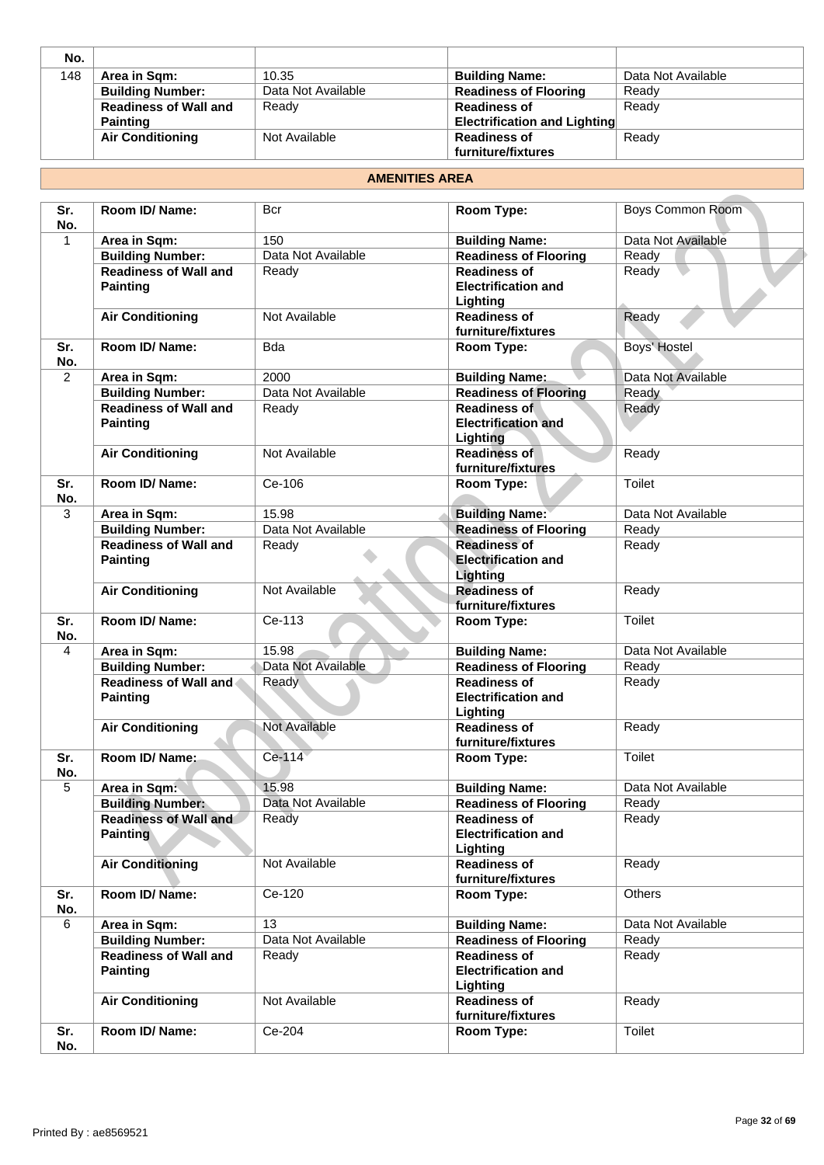| No. |                              |                    |                                     |                    |
|-----|------------------------------|--------------------|-------------------------------------|--------------------|
| 148 | Area in Sqm:                 | 10.35              | <b>Building Name:</b>               | Data Not Available |
|     | <b>Building Number:</b>      | Data Not Available | <b>Readiness of Flooring</b>        | Ready              |
|     | <b>Readiness of Wall and</b> | Ready              | <b>Readiness of</b>                 | Ready              |
|     | <b>Painting</b>              |                    | <b>Electrification and Lighting</b> |                    |
|     | <b>Air Conditioning</b>      | Not Available      | <b>Readiness of</b>                 | Ready              |
|     |                              |                    | furniture/fixtures                  |                    |

#### **AMENITIES AREA**

| Sr.<br>No.     | <b>Room ID/ Name:</b>                           | Bcr                  | Room Type:                                                           | Boys Common Room   |
|----------------|-------------------------------------------------|----------------------|----------------------------------------------------------------------|--------------------|
| $\mathbf{1}$   | Area in Sqm:                                    | 150                  | <b>Building Name:</b>                                                | Data Not Available |
|                | <b>Building Number:</b>                         | Data Not Available   | <b>Readiness of Flooring</b>                                         | Ready              |
|                | <b>Readiness of Wall and</b>                    | Ready                | <b>Readiness of</b>                                                  | Ready              |
|                | <b>Painting</b>                                 |                      | <b>Electrification and</b><br>Lighting                               |                    |
|                | <b>Air Conditioning</b>                         | Not Available        | <b>Readiness of</b><br>furniture/fixtures                            | Ready              |
| Sr.<br>No.     | <b>Room ID/ Name:</b>                           | <b>B</b> da          | Room Type:                                                           | Boys' Hostel       |
| $\overline{2}$ | Area in Sqm:                                    | 2000                 | <b>Building Name:</b>                                                | Data Not Available |
|                | <b>Building Number:</b>                         | Data Not Available   | <b>Readiness of Flooring</b>                                         | Ready              |
|                | <b>Readiness of Wall and</b><br><b>Painting</b> | Ready                | <b>Readiness of</b><br><b>Electrification and</b><br><b>Lighting</b> | Ready              |
|                | <b>Air Conditioning</b>                         | Not Available        | Readiness of<br>furniture/fixtures                                   | Ready              |
| Sr.<br>No.     | Room ID/Name:                                   | Ce-106               | Room Type:                                                           | <b>Toilet</b>      |
| 3              | Area in Sqm:                                    | 15.98                | <b>Building Name:</b>                                                | Data Not Available |
|                | <b>Building Number:</b>                         | Data Not Available   | <b>Readiness of Flooring</b>                                         | Ready              |
|                | <b>Readiness of Wall and</b>                    | Ready                | <b>Readiness of</b>                                                  | Ready              |
|                | <b>Painting</b>                                 |                      | <b>Electrification and</b><br>Lighting                               |                    |
|                | <b>Air Conditioning</b>                         | Not Available        | <b>Readiness of</b><br>furniture/fixtures                            | Ready              |
| Sr.<br>No.     | Room ID/ Name:                                  | Ce-113               | Room Type:                                                           | Toilet             |
| $\overline{4}$ | Area in Sqm:                                    | 15.98                | <b>Building Name:</b>                                                | Data Not Available |
|                | <b>Building Number:</b>                         | Data Not Available   | <b>Readiness of Flooring</b>                                         | Ready              |
|                | Readiness of Wall and<br><b>Painting</b>        | Ready                | <b>Readiness of</b><br><b>Electrification and</b><br>Lighting        | Ready              |
|                | <b>Air Conditioning</b>                         | <b>Not Available</b> | <b>Readiness of</b><br>furniture/fixtures                            | Ready              |
| Sr.<br>No.     | Room ID/ Name:                                  | Ce-114               | Room Type:                                                           | <b>Toilet</b>      |
| 5              | Area in Sqm:                                    | 15.98                | <b>Building Name:</b>                                                | Data Not Available |
|                | <b>Building Number:</b>                         | Data Not Available   | <b>Readiness of Flooring</b>                                         | Ready              |
|                | <b>Readiness of Wall and</b><br><b>Painting</b> | Ready                | <b>Readiness of</b><br><b>Electrification and</b><br>Lighting        | Ready              |
|                | <b>Air Conditioning</b>                         | Not Available        | <b>Readiness of</b><br>furniture/fixtures                            | Ready              |
| Sr.<br>No.     | Room ID/Name:                                   | Ce-120               | Room Type:                                                           | <b>Others</b>      |
| 6              | Area in Sqm:                                    | 13                   | <b>Building Name:</b>                                                | Data Not Available |
|                | <b>Building Number:</b>                         | Data Not Available   | <b>Readiness of Flooring</b>                                         | Ready              |
|                | <b>Readiness of Wall and</b><br><b>Painting</b> | Ready                | <b>Readiness of</b><br><b>Electrification and</b><br>Lighting        | Ready              |
|                | <b>Air Conditioning</b>                         | Not Available        | <b>Readiness of</b><br>furniture/fixtures                            | Ready              |
| Sr.<br>No.     | Room ID/ Name:                                  | Ce-204               | Room Type:                                                           | Toilet             |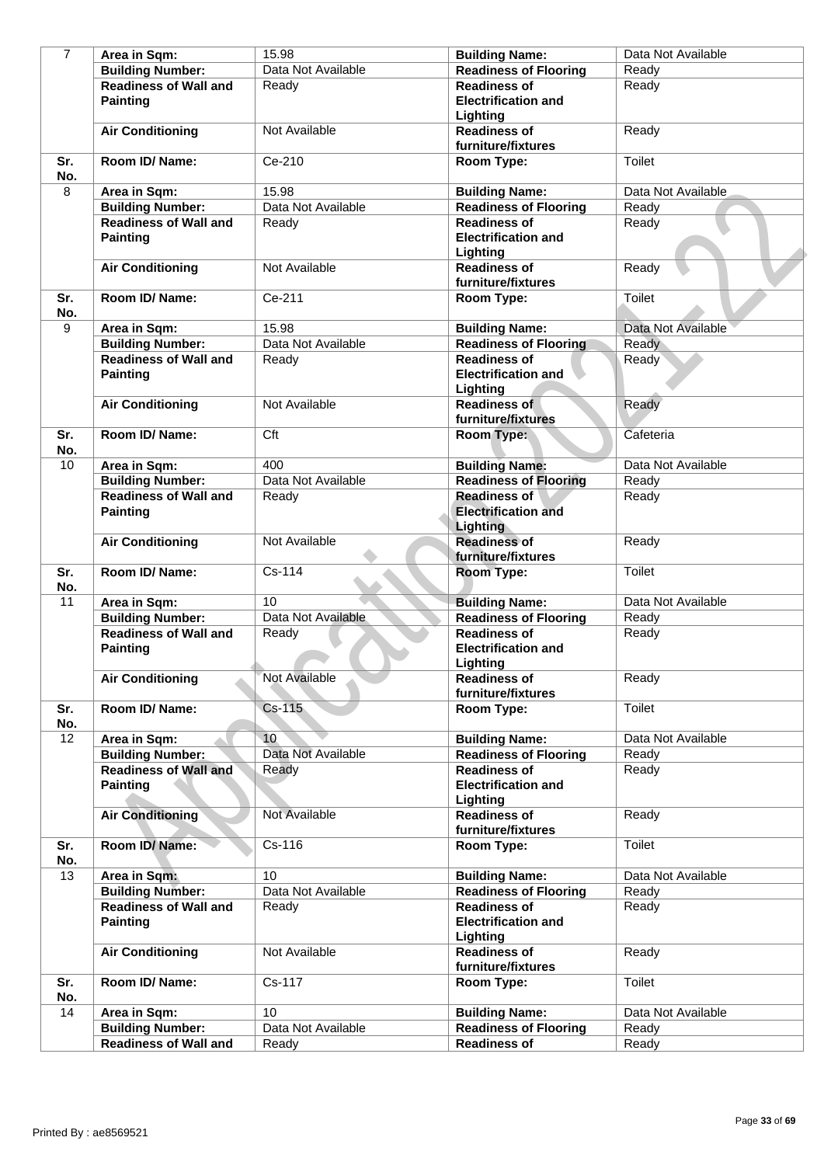| $\overline{7}$ | Area in Sqm:                                    | 15.98              | <b>Building Name:</b>                                                | Data Not Available |
|----------------|-------------------------------------------------|--------------------|----------------------------------------------------------------------|--------------------|
|                | <b>Building Number:</b>                         | Data Not Available | <b>Readiness of Flooring</b>                                         | Ready              |
|                | <b>Readiness of Wall and</b><br><b>Painting</b> | Readv              | <b>Readiness of</b><br><b>Electrification and</b><br>Lighting        | Ready              |
|                | <b>Air Conditioning</b>                         | Not Available      | <b>Readiness of</b><br>furniture/fixtures                            | Ready              |
| Sr.<br>No.     | Room ID/ Name:                                  | Ce-210             | Room Type:                                                           | Toilet             |
| 8              | Area in Sqm:                                    | 15.98              | <b>Building Name:</b>                                                | Data Not Available |
|                | <b>Building Number:</b>                         | Data Not Available | <b>Readiness of Flooring</b>                                         | Ready              |
|                | <b>Readiness of Wall and</b><br><b>Painting</b> | Ready              | <b>Readiness of</b><br><b>Electrification and</b><br>Lighting        | Ready              |
|                | <b>Air Conditioning</b>                         | Not Available      | <b>Readiness of</b><br>furniture/fixtures                            | Ready              |
| Sr.<br>No.     | Room ID/ Name:                                  | Ce-211             | Room Type:                                                           | Toilet             |
| 9              | Area in Sqm:                                    | 15.98              | <b>Building Name:</b>                                                | Data Not Available |
|                | <b>Building Number:</b>                         | Data Not Available | <b>Readiness of Flooring</b>                                         | Ready              |
|                | <b>Readiness of Wall and</b><br><b>Painting</b> | Ready              | <b>Readiness of</b><br><b>Electrification and</b><br>Lighting        | Ready              |
|                | <b>Air Conditioning</b>                         | Not Available      | <b>Readiness of</b><br>furniture/fixtures                            | Ready              |
| Sr.<br>No.     | Room ID/Name:                                   | Cft                | Room Type:                                                           | Cafeteria          |
| 10             | Area in Sqm:                                    | 400                | <b>Building Name:</b>                                                | Data Not Available |
|                | <b>Building Number:</b>                         | Data Not Available | <b>Readiness of Flooring</b>                                         | Ready              |
|                | <b>Readiness of Wall and</b><br><b>Painting</b> | Ready              | <b>Readiness of</b><br><b>Electrification and</b><br><b>Lighting</b> | Ready              |
|                | <b>Air Conditioning</b>                         | Not Available      | <b>Readiness of</b><br>furniture/fixtures                            | Ready              |
| Sr.<br>No.     | Room ID/Name:                                   | Cs-114             | Room Type:                                                           | Toilet             |
| 11             | Area in Sqm:                                    | 10                 | <b>Building Name:</b>                                                | Data Not Available |
|                | <b>Building Number:</b>                         | Data Not Available | <b>Readiness of Flooring</b>                                         | Ready              |
|                | <b>Readiness of Wall and</b><br><b>Painting</b> | Ready              | <b>Readiness of</b><br><b>Electrification and</b><br>Lighting        | Ready              |
|                | <b>Air Conditioning</b>                         | Not Available      | <b>Readiness of</b><br>furniture/fixtures                            | Ready              |
| Sr.<br>No.     | Room ID/ Name:                                  | $Cs-115$           | Room Type:                                                           | <b>Toilet</b>      |
| 12             | Area in Sqm:                                    | 10 <sup>°</sup>    | <b>Building Name:</b>                                                | Data Not Available |
|                | <b>Building Number:</b>                         | Data Not Available | <b>Readiness of Flooring</b>                                         | Ready              |
|                | <b>Readiness of Wall and</b><br><b>Painting</b> | Ready              | <b>Readiness of</b><br><b>Electrification and</b><br>Lighting        | Ready              |
|                | <b>Air Conditioning</b>                         | Not Available      | <b>Readiness of</b><br>furniture/fixtures                            | Ready              |
| Sr.<br>No.     | Room ID/Name:                                   | Cs-116             | Room Type:                                                           | Toilet             |
| 13             | Area in Sqm:                                    | 10                 | <b>Building Name:</b>                                                | Data Not Available |
|                | <b>Building Number:</b>                         | Data Not Available | <b>Readiness of Flooring</b>                                         | Ready              |
|                | <b>Readiness of Wall and</b><br><b>Painting</b> | Ready              | <b>Readiness of</b><br><b>Electrification and</b><br>Lighting        | Ready              |
|                | <b>Air Conditioning</b>                         | Not Available      | <b>Readiness of</b><br>furniture/fixtures                            | Ready              |
| Sr.<br>No.     | Room ID/ Name:                                  | Cs-117             | Room Type:                                                           | Toilet             |
| 14             | Area in Sqm:                                    | 10                 | <b>Building Name:</b>                                                | Data Not Available |
|                | <b>Building Number:</b>                         | Data Not Available | <b>Readiness of Flooring</b>                                         | Ready              |
|                | <b>Readiness of Wall and</b>                    | Ready              | <b>Readiness of</b>                                                  | Ready              |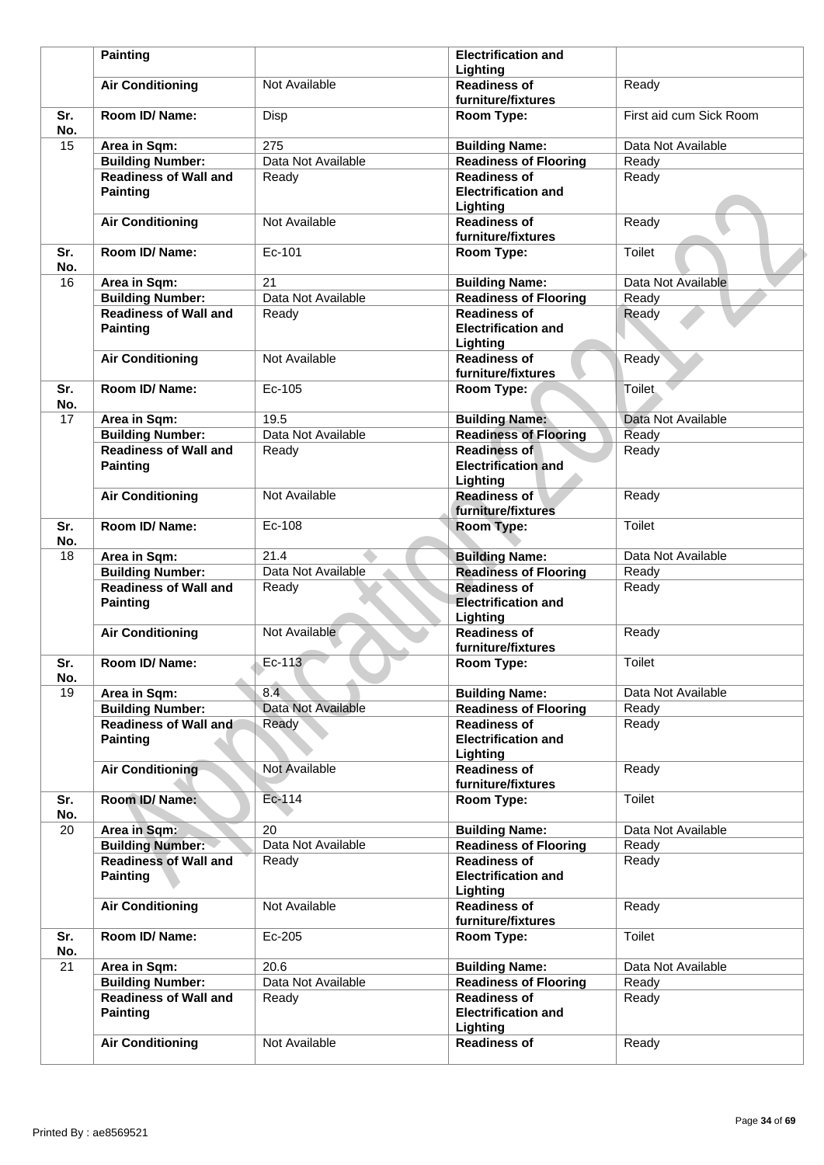|            | <b>Painting</b>                                 |                    | <b>Electrification and</b>                                    |                         |
|------------|-------------------------------------------------|--------------------|---------------------------------------------------------------|-------------------------|
|            |                                                 |                    | Lighting                                                      |                         |
|            | <b>Air Conditioning</b>                         | Not Available      | <b>Readiness of</b><br>furniture/fixtures                     | Ready                   |
| Sr.<br>No. | Room ID/Name:                                   | Disp               | Room Type:                                                    | First aid cum Sick Room |
| 15         | Area in Sqm:                                    | 275                | <b>Building Name:</b>                                         | Data Not Available      |
|            | <b>Building Number:</b>                         | Data Not Available | <b>Readiness of Flooring</b>                                  | Ready                   |
|            | <b>Readiness of Wall and</b>                    | Ready              | <b>Readiness of</b>                                           | Ready                   |
|            | <b>Painting</b>                                 |                    | <b>Electrification and</b><br>Lighting                        |                         |
|            | <b>Air Conditioning</b>                         | Not Available      | <b>Readiness of</b><br>furniture/fixtures                     | Ready                   |
| Sr.<br>No. | Room ID/Name:                                   | Ec-101             | Room Type:                                                    | <b>Toilet</b>           |
| 16         | Area in Sqm:                                    | 21                 | <b>Building Name:</b>                                         | Data Not Available      |
|            | <b>Building Number:</b>                         | Data Not Available | <b>Readiness of Flooring</b>                                  | Ready                   |
|            | <b>Readiness of Wall and</b><br><b>Painting</b> | Ready              | <b>Readiness of</b><br><b>Electrification and</b><br>Lighting | Ready                   |
|            | <b>Air Conditioning</b>                         | Not Available      | <b>Readiness of</b><br>furniture/fixtures                     | Ready                   |
| Sr.<br>No. | Room ID/Name:                                   | Ec-105             | Room Type:                                                    | Toilet.                 |
| 17         | Area in Sqm:                                    | 19.5               | <b>Building Name:</b>                                         | Data Not Available      |
|            | <b>Building Number:</b>                         | Data Not Available | <b>Readiness of Flooring</b>                                  | Ready                   |
|            | <b>Readiness of Wall and</b><br><b>Painting</b> | Ready              | <b>Readiness of</b><br><b>Electrification and</b><br>Lighting | Ready                   |
|            | <b>Air Conditioning</b>                         | Not Available      | <b>Readiness of</b><br>furniture/fixtures                     | Ready                   |
| Sr.<br>No. | Room ID/Name:                                   | Ec-108             | Room Type:                                                    | Toilet                  |
| 18         | Area in Sqm:                                    | 21.4               | <b>Building Name:</b>                                         | Data Not Available      |
|            | <b>Building Number:</b>                         | Data Not Available | <b>Readiness of Flooring</b>                                  | Ready                   |
|            | <b>Readiness of Wall and</b><br><b>Painting</b> | Ready              | <b>Readiness of</b><br><b>Electrification and</b><br>Lighting | Ready                   |
|            | <b>Air Conditioning</b>                         | Not Available      | <b>Readiness of</b><br>furniture/fixtures                     | Ready                   |
| Sr.<br>No. | Room ID/ Name:                                  | Ec-113             | Room Type:                                                    | Toilet                  |
| 19         | Area in Sqm:                                    | $8.\overline{4}$   | <b>Building Name:</b>                                         | Data Not Available      |
|            | <b>Building Number:</b>                         | Data Not Available | <b>Readiness of Flooring</b>                                  | Ready                   |
|            | <b>Readiness of Wall and</b><br><b>Painting</b> | Ready              | <b>Readiness of</b><br><b>Electrification and</b><br>Lighting | Ready                   |
|            | <b>Air Conditioning</b>                         | Not Available      | <b>Readiness of</b><br>furniture/fixtures                     | Ready                   |
| Sr.<br>No. | Room ID/Name:                                   | Ec-114             | Room Type:                                                    | Toilet                  |
| 20         | Area in Sqm:                                    | 20                 | <b>Building Name:</b>                                         | Data Not Available      |
|            | <b>Building Number:</b>                         | Data Not Available | <b>Readiness of Flooring</b>                                  | Ready                   |
|            | <b>Readiness of Wall and</b><br><b>Painting</b> | Ready              | <b>Readiness of</b><br><b>Electrification and</b><br>Lighting | Ready                   |
|            | <b>Air Conditioning</b>                         | Not Available      | <b>Readiness of</b><br>furniture/fixtures                     | Ready                   |
| Sr.<br>No. | Room ID/ Name:                                  | Ec-205             | Room Type:                                                    | Toilet                  |
| 21         | Area in Sqm:                                    | 20.6               | <b>Building Name:</b>                                         | Data Not Available      |
|            | <b>Building Number:</b>                         | Data Not Available | <b>Readiness of Flooring</b>                                  | Ready                   |
|            | <b>Readiness of Wall and</b><br><b>Painting</b> | Ready              | <b>Readiness of</b><br><b>Electrification and</b><br>Lighting | Ready                   |
|            | <b>Air Conditioning</b>                         | Not Available      | <b>Readiness of</b>                                           | Ready                   |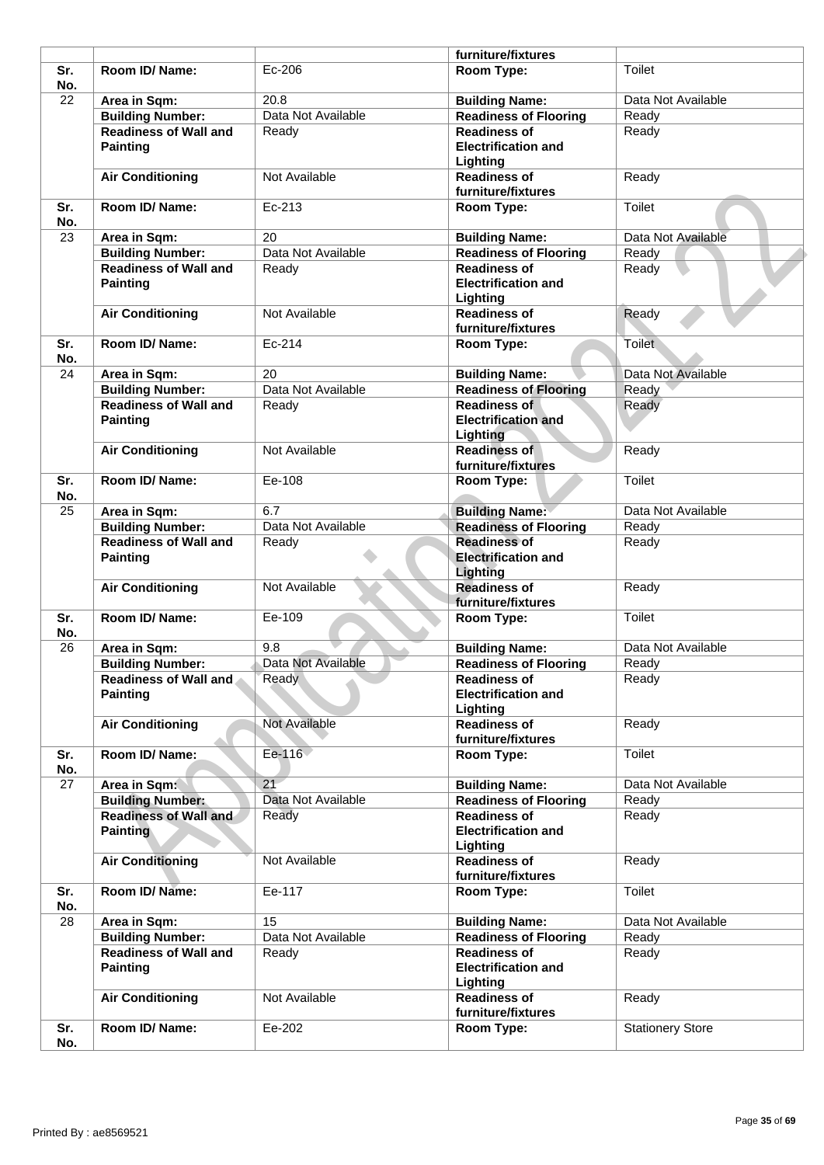|            |                                                 |                    | furniture/fixtures                                            |                         |
|------------|-------------------------------------------------|--------------------|---------------------------------------------------------------|-------------------------|
| Sr.<br>No. | Room ID/ Name:                                  | Ec-206             | Room Type:                                                    | Toilet                  |
| 22         | Area in Sqm:                                    | 20.8               | <b>Building Name:</b>                                         | Data Not Available      |
|            | <b>Building Number:</b>                         | Data Not Available | <b>Readiness of Flooring</b>                                  | Ready                   |
|            | <b>Readiness of Wall and</b><br><b>Painting</b> | Ready              | <b>Readiness of</b><br><b>Electrification and</b><br>Lighting | Ready                   |
|            | <b>Air Conditioning</b>                         | Not Available      | <b>Readiness of</b><br>furniture/fixtures                     | Ready                   |
| Sr.<br>No. | Room ID/ Name:                                  | Ec-213             | Room Type:                                                    | Toilet                  |
| 23         | Area in Sqm:                                    | 20                 | <b>Building Name:</b>                                         | Data Not Available      |
|            | <b>Building Number:</b>                         | Data Not Available | <b>Readiness of Flooring</b>                                  | Ready                   |
|            | <b>Readiness of Wall and</b><br><b>Painting</b> | Ready              | <b>Readiness of</b><br><b>Electrification and</b><br>Lighting | Ready                   |
|            | <b>Air Conditioning</b>                         | Not Available      | <b>Readiness of</b><br>furniture/fixtures                     | Ready                   |
| Sr.<br>No. | Room ID/Name:                                   | Ec-214             | Room Type:                                                    | <b>Toilet</b>           |
| 24         | Area in Sqm:                                    | 20                 | <b>Building Name:</b>                                         | Data Not Available      |
|            | <b>Building Number:</b>                         | Data Not Available | <b>Readiness of Flooring</b>                                  | Ready                   |
|            | <b>Readiness of Wall and</b><br><b>Painting</b> | Ready              | <b>Readiness of</b><br><b>Electrification and</b><br>Lighting | Ready                   |
|            | <b>Air Conditioning</b>                         | Not Available      | <b>Readiness of</b><br>furniture/fixtures                     | Ready                   |
| Sr.<br>No. | Room ID/ Name:                                  | Ee-108             | Room Type:                                                    | Toilet                  |
| 25         | Area in Sqm:                                    | 6.7                | <b>Building Name:</b>                                         | Data Not Available      |
|            | <b>Building Number:</b>                         | Data Not Available | <b>Readiness of Flooring</b>                                  | Ready                   |
|            | <b>Readiness of Wall and</b><br><b>Painting</b> | Ready              | <b>Readiness of</b><br><b>Electrification and</b><br>Lighting | Ready                   |
|            | <b>Air Conditioning</b>                         | Not Available      | <b>Readiness of</b><br>furniture/fixtures                     | Ready                   |
| Sr.<br>No. | Room ID/Name:                                   | Ee-109             | Room Type:                                                    | Toilet                  |
| 26         | Area in Sqm:                                    | 9.8                | <b>Building Name:</b>                                         | Data Not Available      |
|            | <b>Building Number:</b>                         | Data Not Available | <b>Readiness of Flooring</b>                                  | Ready                   |
|            | <b>Readiness of Wall and</b><br><b>Painting</b> | Ready              | <b>Readiness of</b><br><b>Electrification and</b><br>Lighting | Ready                   |
|            | <b>Air Conditioning</b>                         | Not Available      | <b>Readiness of</b><br>furniture/fixtures                     | Ready                   |
| Sr.<br>No. | Room ID/Name:                                   | Ee-116             | Room Type:                                                    | Toilet                  |
| 27         | Area in Sqm:                                    | 21                 | <b>Building Name:</b>                                         | Data Not Available      |
|            | <b>Building Number:</b>                         | Data Not Available | <b>Readiness of Flooring</b>                                  | Ready                   |
|            | <b>Readiness of Wall and</b><br><b>Painting</b> | Ready              | <b>Readiness of</b><br><b>Electrification and</b><br>Lighting | Ready                   |
|            | <b>Air Conditioning</b>                         | Not Available      | <b>Readiness of</b><br>furniture/fixtures                     | Ready                   |
| Sr.<br>No. | Room ID/ Name:                                  | Ee-117             | Room Type:                                                    | <b>Toilet</b>           |
| 28         | Area in Sqm:                                    | 15                 | <b>Building Name:</b>                                         | Data Not Available      |
|            | <b>Building Number:</b>                         | Data Not Available | <b>Readiness of Flooring</b>                                  | Ready                   |
|            | <b>Readiness of Wall and</b><br><b>Painting</b> | Ready              | <b>Readiness of</b><br><b>Electrification and</b><br>Lighting | Ready                   |
|            | <b>Air Conditioning</b>                         | Not Available      | <b>Readiness of</b><br>furniture/fixtures                     | Ready                   |
| Sr.        | Room ID/ Name:                                  | Ee-202             | Room Type:                                                    | <b>Stationery Store</b> |
|            |                                                 |                    |                                                               |                         |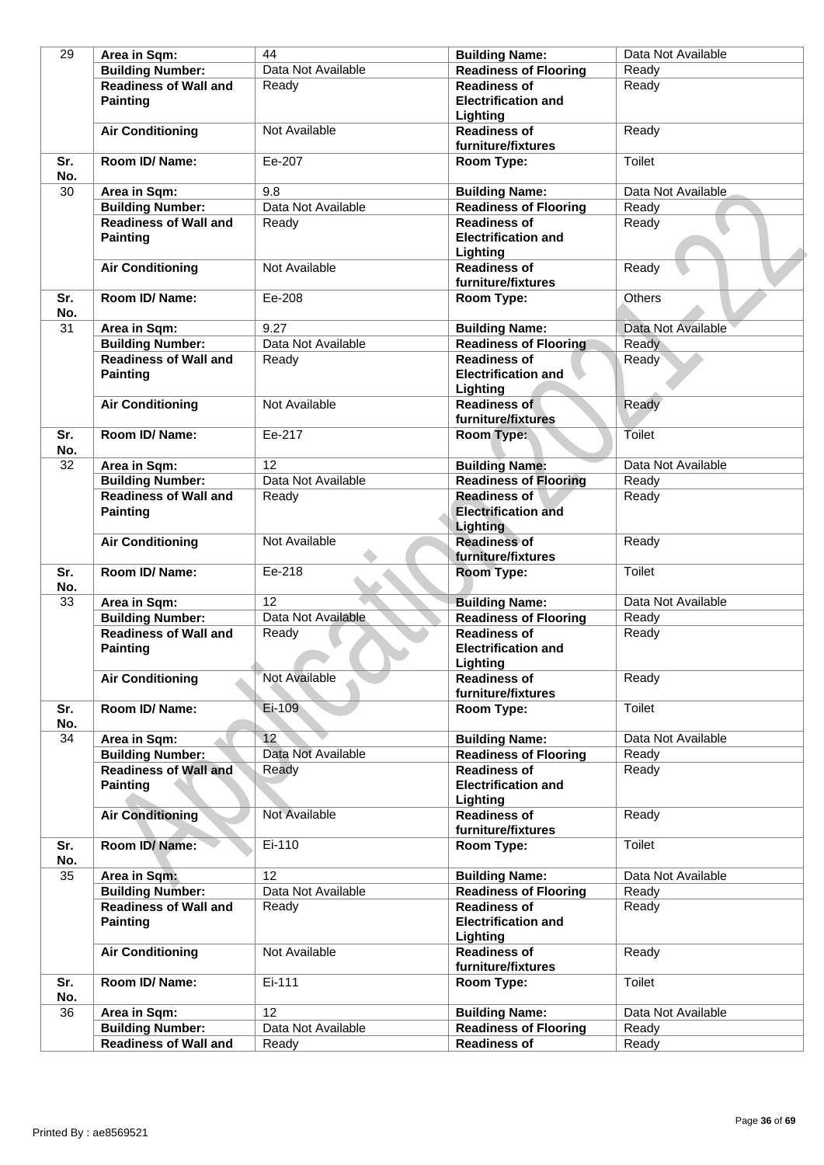| 29         | Area in Sqm:                                    | 44                 | <b>Building Name:</b>                                                | Data Not Available |
|------------|-------------------------------------------------|--------------------|----------------------------------------------------------------------|--------------------|
|            | <b>Building Number:</b>                         | Data Not Available | <b>Readiness of Flooring</b>                                         | Ready              |
|            | <b>Readiness of Wall and</b><br><b>Painting</b> | Ready              | <b>Readiness of</b><br><b>Electrification and</b>                    | Ready              |
|            | <b>Air Conditioning</b>                         | Not Available      | Lighting<br><b>Readiness of</b>                                      | Ready              |
| Sr.        | Room ID/ Name:                                  | Ee-207             | furniture/fixtures<br>Room Type:                                     | Toilet             |
| No.<br>30  | Area in Sqm:                                    | 9.8                | <b>Building Name:</b>                                                | Data Not Available |
|            | <b>Building Number:</b>                         | Data Not Available | <b>Readiness of Flooring</b>                                         | Ready              |
|            | <b>Readiness of Wall and</b><br><b>Painting</b> | Ready              | <b>Readiness of</b><br><b>Electrification and</b><br>Lighting        | Ready              |
|            | <b>Air Conditioning</b>                         | Not Available      | <b>Readiness of</b><br>furniture/fixtures                            | Ready              |
| Sr.<br>No. | Room ID/ Name:                                  | Ee-208             | Room Type:                                                           | <b>Others</b>      |
| 31         | Area in Sqm:                                    | 9.27               | <b>Building Name:</b>                                                | Data Not Available |
|            | <b>Building Number:</b>                         | Data Not Available | <b>Readiness of Flooring</b>                                         | Ready              |
|            | <b>Readiness of Wall and</b><br><b>Painting</b> | Ready              | <b>Readiness of</b><br><b>Electrification and</b><br>Lighting        | Ready              |
|            | <b>Air Conditioning</b>                         | Not Available      | <b>Readiness of</b><br>furniture/fixtures                            | Ready              |
| Sr.<br>No. | Room ID/ Name:                                  | Ee-217             | Room Type:                                                           | Toilet             |
| 32         | Area in Sqm:                                    | 12                 | <b>Building Name:</b>                                                | Data Not Available |
|            | <b>Building Number:</b>                         | Data Not Available | <b>Readiness of Flooring</b>                                         | Ready              |
|            | <b>Readiness of Wall and</b><br><b>Painting</b> | Ready              | <b>Readiness of</b><br><b>Electrification and</b><br><b>Lighting</b> | Ready              |
|            | <b>Air Conditioning</b>                         | Not Available      | <b>Readiness of</b><br>furniture/fixtures                            | Ready              |
| Sr.<br>No. | Room ID/Name:                                   | Ee-218             | Room Type:                                                           | Toilet             |
| 33         | Area in Sqm:                                    | 12                 | <b>Building Name:</b>                                                | Data Not Available |
|            | <b>Building Number:</b>                         | Data Not Available | <b>Readiness of Flooring</b>                                         | Ready              |
|            | <b>Readiness of Wall and</b><br><b>Painting</b> | Ready              | <b>Readiness of</b><br><b>Electrification and</b><br>Lighting        | Ready              |
|            | <b>Air Conditioning</b>                         | Not Available      | <b>Readiness of</b><br>furniture/fixtures                            | Ready              |
| Sr.<br>No. | Room ID/ Name:                                  | $Ei-109$           | Room Type:                                                           | <b>Toilet</b>      |
| 34         | Area in Sqm:                                    | 12                 | <b>Building Name:</b>                                                | Data Not Available |
|            | <b>Building Number:</b>                         | Data Not Available | <b>Readiness of Flooring</b>                                         | Ready              |
|            | <b>Readiness of Wall and</b><br><b>Painting</b> | Ready              | <b>Readiness of</b><br><b>Electrification and</b><br>Lighting        | Ready              |
|            | <b>Air Conditioning</b>                         | Not Available      | <b>Readiness of</b><br>furniture/fixtures                            | Ready              |
| Sr.<br>No. | Room ID/Name:                                   | Ei-110             | Room Type:                                                           | Toilet             |
| 35         | Area in Sqm:                                    | 12                 | <b>Building Name:</b>                                                | Data Not Available |
|            | <b>Building Number:</b>                         | Data Not Available | <b>Readiness of Flooring</b>                                         | Ready              |
|            | <b>Readiness of Wall and</b><br><b>Painting</b> | Ready              | <b>Readiness of</b><br><b>Electrification and</b><br>Lighting        | Ready              |
|            | <b>Air Conditioning</b>                         | Not Available      | <b>Readiness of</b><br>furniture/fixtures                            | Ready              |
| Sr.<br>No. | Room ID/ Name:                                  | Ei-111             | Room Type:                                                           | Toilet             |
| 36         | Area in Sqm:                                    | 12                 | <b>Building Name:</b>                                                | Data Not Available |
|            | <b>Building Number:</b>                         | Data Not Available | <b>Readiness of Flooring</b>                                         | Ready              |
|            | <b>Readiness of Wall and</b>                    | Ready              | <b>Readiness of</b>                                                  | Ready              |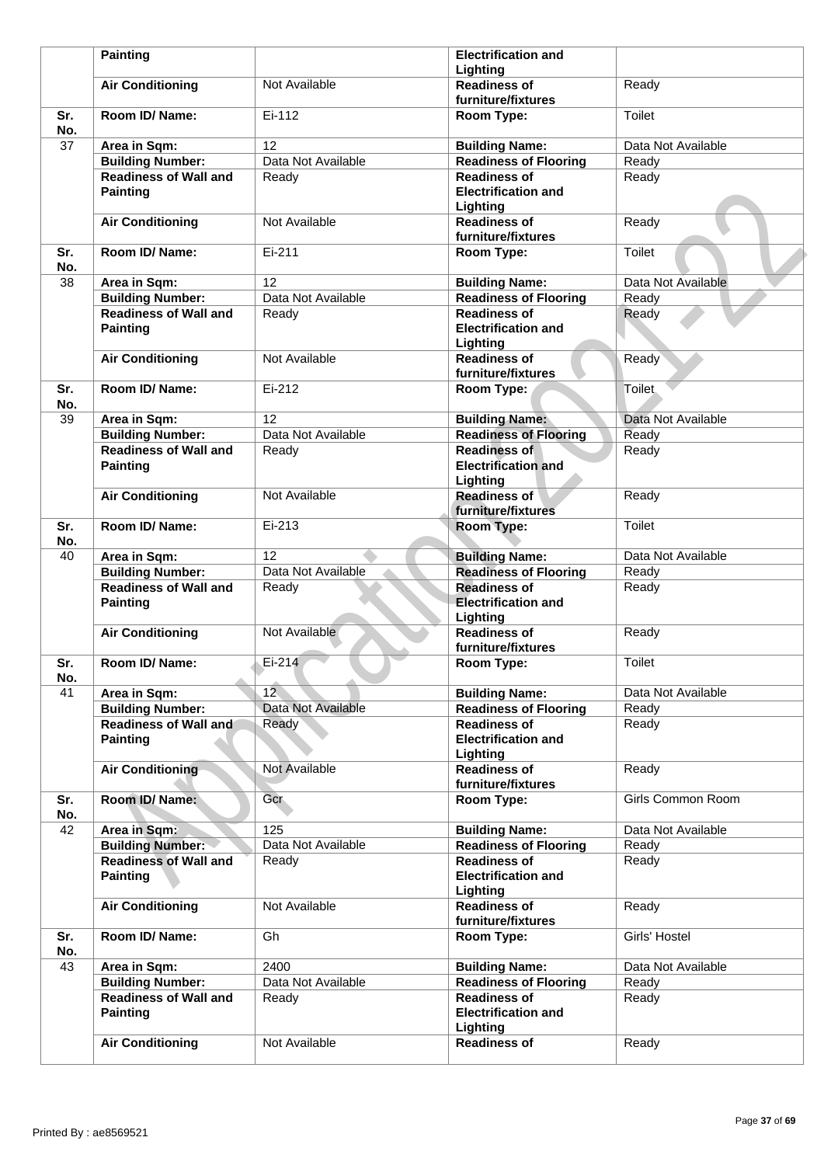|            | <b>Painting</b>                                 |                    | <b>Electrification and</b>                                    |                    |
|------------|-------------------------------------------------|--------------------|---------------------------------------------------------------|--------------------|
|            |                                                 |                    | Lighting                                                      |                    |
|            | <b>Air Conditioning</b>                         | Not Available      | <b>Readiness of</b><br>furniture/fixtures                     | Ready              |
| Sr.<br>No. | Room ID/Name:                                   | Ei-112             | Room Type:                                                    | <b>Toilet</b>      |
| 37         | Area in Sqm:                                    | 12                 | <b>Building Name:</b>                                         | Data Not Available |
|            | <b>Building Number:</b>                         | Data Not Available | <b>Readiness of Flooring</b>                                  | Ready              |
|            | <b>Readiness of Wall and</b><br><b>Painting</b> | Ready              | <b>Readiness of</b><br><b>Electrification and</b><br>Lighting | Ready              |
|            | <b>Air Conditioning</b>                         | Not Available      | <b>Readiness of</b><br>furniture/fixtures                     | Ready              |
| Sr.<br>No. | Room ID/ Name:                                  | Ei-211             | Room Type:                                                    | <b>Toilet</b>      |
| 38         | Area in Sqm:                                    | 12                 | <b>Building Name:</b>                                         | Data Not Available |
|            | <b>Building Number:</b>                         | Data Not Available | <b>Readiness of Flooring</b>                                  | Ready              |
|            | <b>Readiness of Wall and</b><br><b>Painting</b> | Ready              | <b>Readiness of</b><br><b>Electrification and</b><br>Lighting | Ready              |
|            | <b>Air Conditioning</b>                         | Not Available      | <b>Readiness of</b><br>furniture/fixtures                     | Ready              |
| Sr.<br>No. | Room ID/Name:                                   | Ei-212             | Room Type:                                                    | <b>Toilet</b>      |
| 39         | Area in Sqm:                                    | 12                 | <b>Building Name:</b>                                         | Data Not Available |
|            | <b>Building Number:</b>                         | Data Not Available | <b>Readiness of Flooring</b>                                  | Ready              |
|            | <b>Readiness of Wall and</b><br><b>Painting</b> | Ready              | <b>Readiness of</b><br><b>Electrification and</b><br>Lighting | Ready              |
|            | <b>Air Conditioning</b>                         | Not Available      | <b>Readiness of</b><br>furniture/fixtures                     | Ready              |
| Sr.<br>No. | Room ID/ Name:                                  | Ei-213             | Room Type:                                                    | <b>Toilet</b>      |
| 40         | Area in Sqm:                                    | 12                 | <b>Building Name:</b>                                         | Data Not Available |
|            | <b>Building Number:</b>                         | Data Not Available | <b>Readiness of Flooring</b>                                  | Ready              |
|            | <b>Readiness of Wall and</b><br><b>Painting</b> | Ready              | <b>Readiness of</b><br><b>Electrification and</b><br>Lighting | Ready              |
|            | <b>Air Conditioning</b>                         | Not Available      | <b>Readiness of</b><br>furniture/fixtures                     | Ready              |
| Sr.<br>No. | Room ID/ Name:                                  | Ei-214             | Room Type:                                                    | Toilet             |
| 41         | Area in Sqm:                                    | 12 <sup>7</sup>    | <b>Building Name:</b>                                         | Data Not Available |
|            | <b>Building Number:</b>                         | Data Not Available | <b>Readiness of Flooring</b>                                  | Ready              |
|            | Readiness of Wall and<br><b>Painting</b>        | Ready              | <b>Readiness of</b><br><b>Electrification and</b><br>Lighting | Ready              |
|            | <b>Air Conditioning</b>                         | Not Available      | <b>Readiness of</b><br>furniture/fixtures                     | Ready              |
| Sr.<br>No. | Room ID/Name:                                   | <b>Gcr</b>         | Room Type:                                                    | Girls Common Room  |
| 42         | Area in Sqm:                                    | 125                | <b>Building Name:</b>                                         | Data Not Available |
|            | <b>Building Number:</b>                         | Data Not Available | <b>Readiness of Flooring</b>                                  | Ready              |
|            | <b>Readiness of Wall and</b><br><b>Painting</b> | Ready              | <b>Readiness of</b><br><b>Electrification and</b><br>Lighting | Ready              |
|            | <b>Air Conditioning</b>                         | Not Available      | <b>Readiness of</b><br>furniture/fixtures                     | Ready              |
| Sr.<br>No. | Room ID/ Name:                                  | Gh                 | Room Type:                                                    | Girls' Hostel      |
| 43         | Area in Sqm:                                    | 2400               | <b>Building Name:</b>                                         | Data Not Available |
|            | <b>Building Number:</b>                         | Data Not Available | <b>Readiness of Flooring</b>                                  | Ready              |
|            | <b>Readiness of Wall and</b><br><b>Painting</b> | Ready              | <b>Readiness of</b><br><b>Electrification and</b><br>Lighting | Ready              |
|            | <b>Air Conditioning</b>                         | Not Available      | <b>Readiness of</b>                                           | Ready              |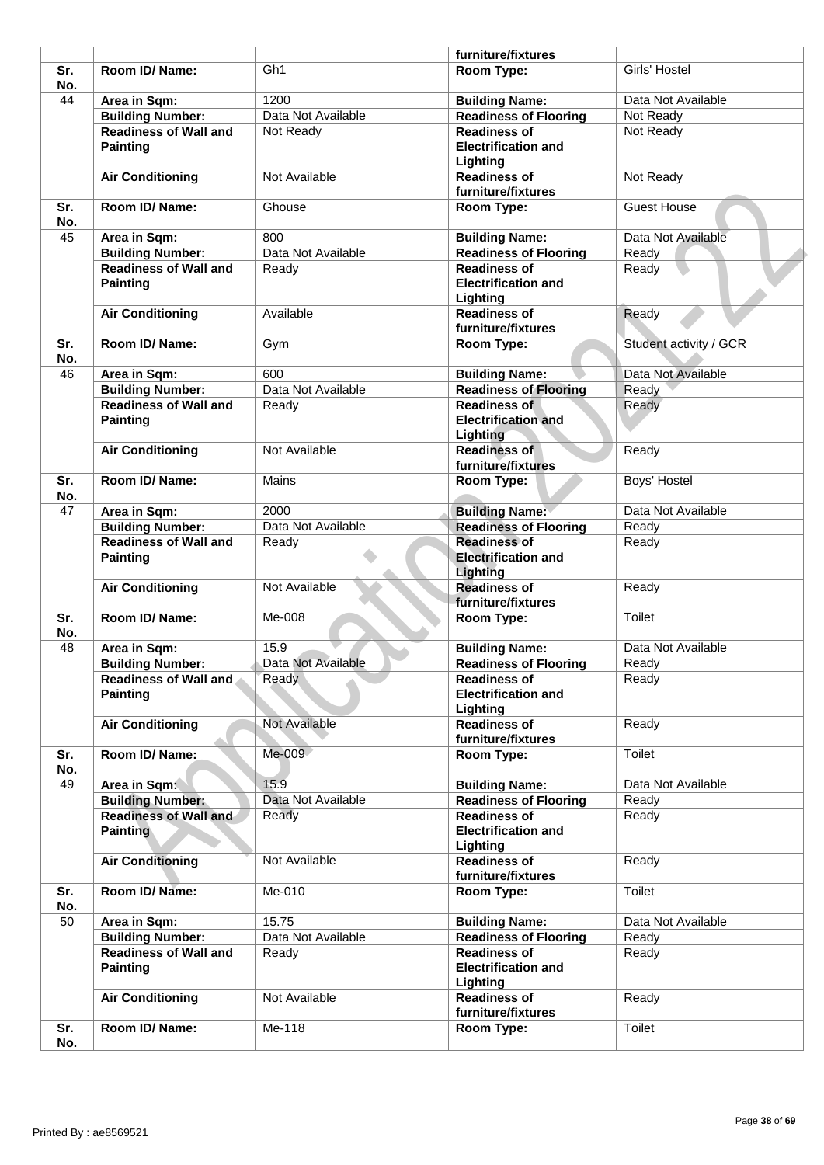|            |                                                 |                    | furniture/fixtures                                            |                        |
|------------|-------------------------------------------------|--------------------|---------------------------------------------------------------|------------------------|
| Sr.<br>No. | Room ID/ Name:                                  | Gh <sub>1</sub>    | Room Type:                                                    | Girls' Hostel          |
| 44         | Area in Sqm:                                    | 1200               | <b>Building Name:</b>                                         | Data Not Available     |
|            | <b>Building Number:</b>                         | Data Not Available | <b>Readiness of Flooring</b>                                  | Not Ready              |
|            | <b>Readiness of Wall and</b><br><b>Painting</b> | Not Ready          | <b>Readiness of</b><br><b>Electrification and</b><br>Lighting | Not Ready              |
|            | <b>Air Conditioning</b>                         | Not Available      | <b>Readiness of</b><br>furniture/fixtures                     | Not Ready              |
| Sr.<br>No. | Room ID/ Name:                                  | Ghouse             | Room Type:                                                    | <b>Guest House</b>     |
| 45         | Area in Sqm:                                    | 800                | <b>Building Name:</b>                                         | Data Not Available     |
|            | <b>Building Number:</b>                         | Data Not Available | <b>Readiness of Flooring</b>                                  | Ready                  |
|            | <b>Readiness of Wall and</b><br><b>Painting</b> | Ready              | <b>Readiness of</b><br><b>Electrification and</b><br>Lighting | Ready                  |
|            | <b>Air Conditioning</b>                         | Available          | <b>Readiness of</b><br>furniture/fixtures                     | Ready                  |
| Sr.<br>No. | Room ID/ Name:                                  | Gym                | Room Type:                                                    | Student activity / GCR |
| 46         | Area in Sqm:                                    | 600                | <b>Building Name:</b>                                         | Data Not Available     |
|            | <b>Building Number:</b>                         | Data Not Available | <b>Readiness of Flooring</b>                                  | Ready                  |
|            | <b>Readiness of Wall and</b>                    | Ready              | <b>Readiness of</b>                                           | Ready                  |
|            | <b>Painting</b>                                 |                    | <b>Electrification and</b><br>Lighting                        |                        |
|            | <b>Air Conditioning</b>                         | Not Available      | <b>Readiness of</b><br>furniture/fixtures                     | Ready                  |
| Sr.<br>No. | Room ID/ Name:                                  | Mains              | Room Type:                                                    | Boys' Hostel           |
| 47         | Area in Sqm:                                    | 2000               | <b>Building Name:</b>                                         | Data Not Available     |
|            | <b>Building Number:</b>                         | Data Not Available | <b>Readiness of Flooring</b>                                  | Ready                  |
|            | <b>Readiness of Wall and</b>                    | Ready              | <b>Readiness of</b>                                           | Ready                  |
|            | <b>Painting</b>                                 |                    | <b>Electrification and</b><br>Lighting                        |                        |
|            | <b>Air Conditioning</b>                         | Not Available      | <b>Readiness of</b><br>furniture/fixtures                     | Ready                  |
| Sr.<br>No. | Room ID/Name:                                   | Me-008             | Room Type:                                                    | Toilet                 |
| 48         | Area in Sqm:                                    | 15.9               | <b>Building Name:</b>                                         | Data Not Available     |
|            | <b>Building Number:</b>                         | Data Not Available | <b>Readiness of Flooring</b>                                  | Ready                  |
|            | <b>Readiness of Wall and</b><br><b>Painting</b> | Ready              | <b>Readiness of</b><br><b>Electrification and</b><br>Lighting | Ready                  |
|            | <b>Air Conditioning</b>                         | Not Available      | <b>Readiness of</b><br>furniture/fixtures                     | Ready                  |
| Sr.<br>No. | Room ID/ Name:                                  | Me-009             | Room Type:                                                    | Toilet                 |
| 49         | Area in Sqm:                                    | 15.9               | <b>Building Name:</b>                                         | Data Not Available     |
|            | <b>Building Number:</b>                         | Data Not Available | <b>Readiness of Flooring</b>                                  | Ready                  |
|            | <b>Readiness of Wall and</b><br><b>Painting</b> | Ready              | <b>Readiness of</b><br><b>Electrification and</b><br>Lighting | Ready                  |
|            | <b>Air Conditioning</b>                         | Not Available      | <b>Readiness of</b><br>furniture/fixtures                     | Ready                  |
| Sr.<br>No. | Room ID/Name:                                   | Me-010             | Room Type:                                                    | Toilet                 |
| 50         | Area in Sqm:                                    | 15.75              | <b>Building Name:</b>                                         | Data Not Available     |
|            | <b>Building Number:</b>                         | Data Not Available | <b>Readiness of Flooring</b>                                  | Ready                  |
|            | <b>Readiness of Wall and</b><br><b>Painting</b> | Ready              | <b>Readiness of</b><br><b>Electrification and</b><br>Lighting | Ready                  |
|            | <b>Air Conditioning</b>                         | Not Available      | <b>Readiness of</b><br>furniture/fixtures                     | Ready                  |
|            |                                                 |                    |                                                               |                        |
| Sr.        | Room ID/Name:                                   | Me-118             | Room Type:                                                    | Toilet                 |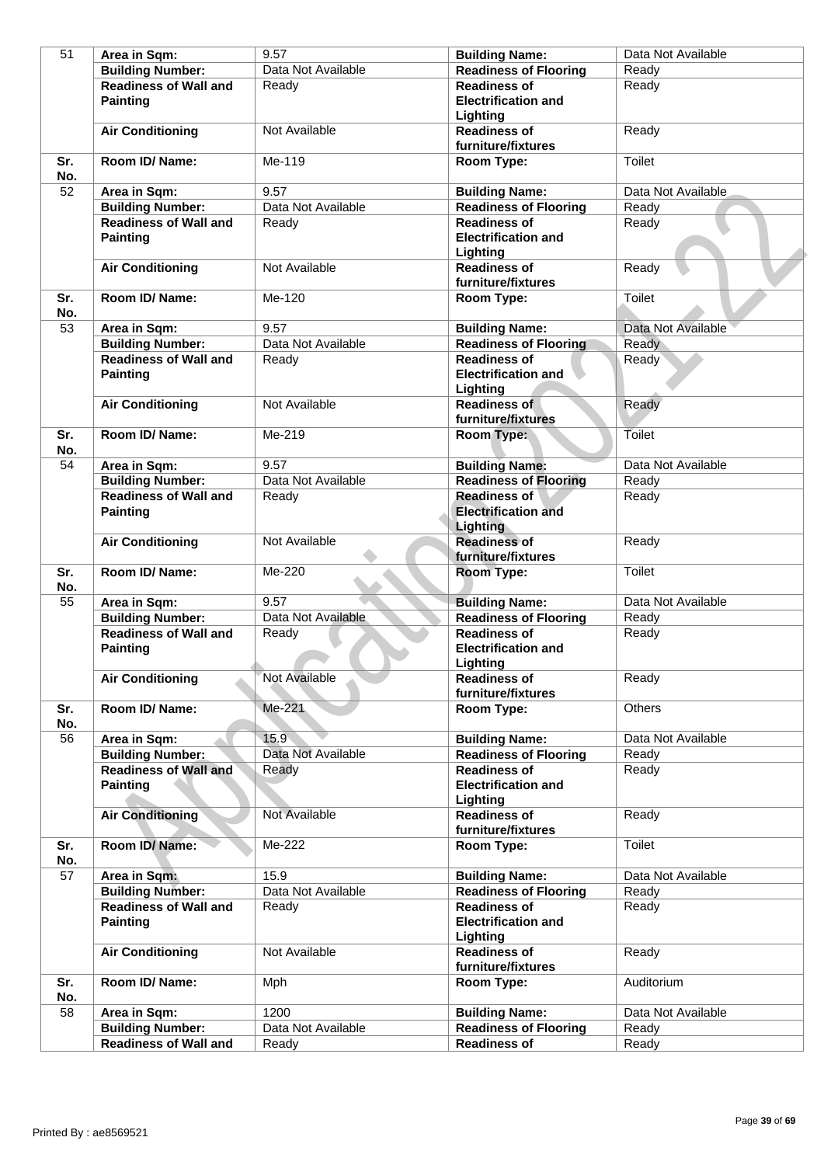| 51         | Area in Sqm:                 | 9.57               | <b>Building Name:</b>                         | Data Not Available |
|------------|------------------------------|--------------------|-----------------------------------------------|--------------------|
|            | <b>Building Number:</b>      | Data Not Available | <b>Readiness of Flooring</b>                  | Ready              |
|            | <b>Readiness of Wall and</b> | Ready              | <b>Readiness of</b>                           | Ready              |
|            | <b>Painting</b>              |                    | <b>Electrification and</b>                    |                    |
|            |                              |                    | Lighting                                      |                    |
|            | <b>Air Conditioning</b>      | Not Available      | <b>Readiness of</b>                           | Ready              |
|            |                              |                    | furniture/fixtures                            |                    |
| Sr.<br>No. | Room ID/Name:                | Me-119             | Room Type:                                    | Toilet             |
| 52         | Area in Sqm:                 | 9.57               | <b>Building Name:</b>                         | Data Not Available |
|            | <b>Building Number:</b>      | Data Not Available | <b>Readiness of Flooring</b>                  | Ready              |
|            | <b>Readiness of Wall and</b> | Ready              | <b>Readiness of</b>                           | Ready              |
|            | <b>Painting</b>              |                    | <b>Electrification and</b><br>Lighting        |                    |
|            | <b>Air Conditioning</b>      | Not Available      | <b>Readiness of</b>                           | Ready              |
|            |                              |                    | furniture/fixtures                            |                    |
| Sr.<br>No. | Room ID/Name:                | Me-120             | Room Type:                                    | Toilet             |
| 53         | Area in Sqm:                 | 9.57               | <b>Building Name:</b>                         | Data Not Available |
|            | <b>Building Number:</b>      | Data Not Available | <b>Readiness of Flooring</b>                  | Ready              |
|            | <b>Readiness of Wall and</b> | Ready              | <b>Readiness of</b>                           | Ready              |
|            | <b>Painting</b>              |                    | <b>Electrification and</b><br>Lighting        |                    |
|            | <b>Air Conditioning</b>      | Not Available      | <b>Readiness of</b>                           | Ready              |
|            |                              |                    | furniture/fixtures                            |                    |
| Sr.<br>No. | Room ID/Name:                | Me-219             | Room Type:                                    | Toilet             |
| 54         | Area in Sqm:                 | 9.57               | <b>Building Name:</b>                         | Data Not Available |
|            | <b>Building Number:</b>      | Data Not Available | <b>Readiness of Flooring</b>                  | Ready              |
|            | <b>Readiness of Wall and</b> | Ready              | <b>Readiness of</b>                           | Ready              |
|            | <b>Painting</b>              |                    | <b>Electrification and</b><br><b>Lighting</b> |                    |
|            | <b>Air Conditioning</b>      | Not Available      | <b>Readiness of</b>                           | Ready              |
|            |                              |                    | furniture/fixtures                            |                    |
| Sr.<br>No. | Room ID/Name:                | Me-220             | Room Type:                                    | Toilet             |
| 55         | Area in Sqm:                 | 9.57               | <b>Building Name:</b>                         | Data Not Available |
|            | <b>Building Number:</b>      | Data Not Available | <b>Readiness of Flooring</b>                  | Ready              |
|            | <b>Readiness of Wall and</b> | Ready              | <b>Readiness of</b>                           | Ready              |
|            | <b>Painting</b>              |                    | <b>Electrification and</b>                    |                    |
|            |                              |                    | Lighting                                      |                    |
|            | <b>Air Conditioning</b>      | Not Available      | <b>Readiness of</b>                           | Ready              |
|            |                              |                    | furniture/fixtures                            |                    |
| Sr.<br>No. | Room ID/Name:                | Me-221             | Room Type:                                    | <b>Others</b>      |
| 56         | Area in Sqm:                 | 15.9               | <b>Building Name:</b>                         | Data Not Available |
|            | <b>Building Number:</b>      | Data Not Available | <b>Readiness of Flooring</b>                  | Ready              |
|            | <b>Readiness of Wall and</b> | Ready              | <b>Readiness of</b>                           | Ready              |
|            | <b>Painting</b>              |                    | <b>Electrification and</b>                    |                    |
|            |                              |                    | Lighting                                      |                    |
|            | <b>Air Conditioning</b>      | Not Available      | <b>Readiness of</b><br>furniture/fixtures     | Ready              |
| Sr.<br>No. | Room ID/Name:                | Me-222             | Room Type:                                    | Toilet             |
| 57         | Area in Sqm:                 | 15.9               | <b>Building Name:</b>                         | Data Not Available |
|            | <b>Building Number:</b>      | Data Not Available | <b>Readiness of Flooring</b>                  | Ready              |
|            | <b>Readiness of Wall and</b> | Ready              | <b>Readiness of</b>                           | Ready              |
|            | <b>Painting</b>              |                    | <b>Electrification and</b>                    |                    |
|            |                              |                    | Lighting                                      |                    |
|            | <b>Air Conditioning</b>      | Not Available      | <b>Readiness of</b><br>furniture/fixtures     | Ready              |
| Sr.        | Room ID/Name:                | Mph                | Room Type:                                    | Auditorium         |
| No.        |                              |                    |                                               |                    |
| 58         | Area in Sqm:                 | 1200               | <b>Building Name:</b>                         | Data Not Available |
|            | <b>Building Number:</b>      | Data Not Available | <b>Readiness of Flooring</b>                  | Ready              |
|            | <b>Readiness of Wall and</b> | Ready              | <b>Readiness of</b>                           | Ready              |
|            |                              |                    |                                               |                    |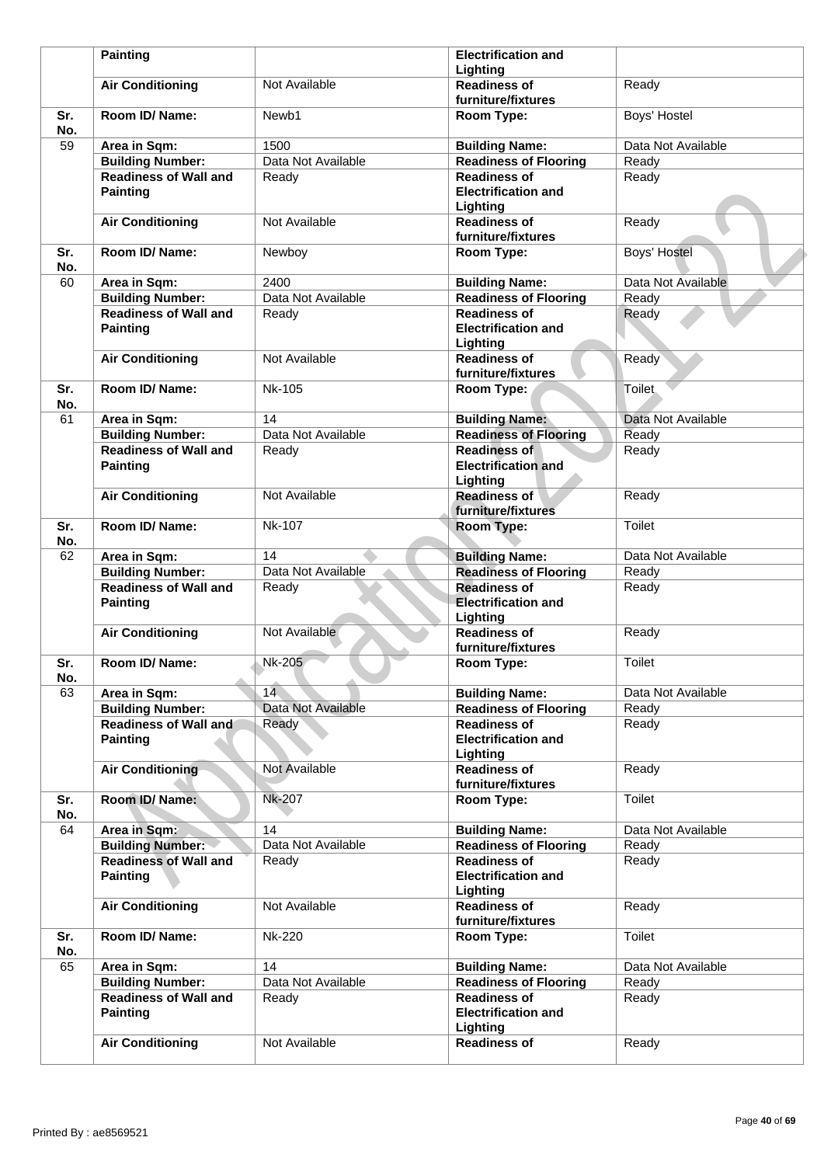|            | <b>Painting</b>                                 |                    | <b>Electrification and</b>                                    |                    |
|------------|-------------------------------------------------|--------------------|---------------------------------------------------------------|--------------------|
|            |                                                 |                    | Lighting                                                      |                    |
|            | <b>Air Conditioning</b>                         | Not Available      | <b>Readiness of</b><br>furniture/fixtures                     | Ready              |
| Sr.<br>No. | Room ID/Name:                                   | Newb1              | Room Type:                                                    | Boys' Hostel       |
| 59         | Area in Sqm:                                    | 1500               | <b>Building Name:</b>                                         | Data Not Available |
|            | <b>Building Number:</b>                         | Data Not Available | <b>Readiness of Flooring</b>                                  | Ready              |
|            | <b>Readiness of Wall and</b><br><b>Painting</b> | Ready              | <b>Readiness of</b><br><b>Electrification and</b>             | Ready              |
|            | <b>Air Conditioning</b>                         | Not Available      | Lighting<br><b>Readiness of</b><br>furniture/fixtures         | Ready              |
| Sr.<br>No. | Room ID/Name:                                   | Newboy             | Room Type:                                                    | Boys' Hostel       |
| 60         | Area in Sqm:                                    | 2400               | <b>Building Name:</b>                                         | Data Not Available |
|            | <b>Building Number:</b>                         | Data Not Available | <b>Readiness of Flooring</b>                                  | Ready              |
|            | <b>Readiness of Wall and</b><br><b>Painting</b> | Ready              | <b>Readiness of</b><br><b>Electrification and</b><br>Lighting | Ready              |
|            | <b>Air Conditioning</b>                         | Not Available      | <b>Readiness of</b><br>furniture/fixtures                     | Ready              |
| Sr.<br>No. | Room ID/Name:                                   | <b>Nk-105</b>      | Room Type:                                                    | <b>Toilet</b>      |
| 61         | Area in Sqm:                                    | 14                 | <b>Building Name:</b>                                         | Data Not Available |
|            | <b>Building Number:</b>                         | Data Not Available | <b>Readiness of Flooring</b>                                  | Ready              |
|            | <b>Readiness of Wall and</b><br><b>Painting</b> | Ready              | <b>Readiness of</b><br><b>Electrification and</b><br>Lighting | Ready              |
|            | <b>Air Conditioning</b>                         | Not Available      | <b>Readiness of</b><br>furniture/fixtures                     | Ready              |
| Sr.<br>No. | Room ID/Name:                                   | <b>Nk-107</b>      | Room Type:                                                    | Toilet             |
| 62         | Area in Sqm:                                    | 14                 | <b>Building Name:</b>                                         | Data Not Available |
|            | <b>Building Number:</b>                         | Data Not Available | <b>Readiness of Flooring</b>                                  | Ready              |
|            | <b>Readiness of Wall and</b><br><b>Painting</b> | Ready              | <b>Readiness of</b><br><b>Electrification and</b><br>Lighting | Ready              |
|            | <b>Air Conditioning</b>                         | Not Available      | <b>Readiness of</b><br>furniture/fixtures                     | Ready              |
| Sr.<br>No. | Room ID/ Name:                                  | Nk-205             | Room Type:                                                    | Toilet             |
| 63         | Area in Sqm:                                    | 14                 | <b>Building Name:</b>                                         | Data Not Available |
|            | <b>Building Number:</b>                         | Data Not Available | <b>Readiness of Flooring</b>                                  | Ready              |
|            | <b>Readiness of Wall and</b><br><b>Painting</b> | Ready              | <b>Readiness of</b><br><b>Electrification and</b><br>Lighting | Ready              |
|            | <b>Air Conditioning</b>                         | Not Available      | <b>Readiness of</b><br>furniture/fixtures                     | Ready              |
| Sr.<br>No. | Room ID/Name:                                   | <b>Nk-207</b>      | Room Type:                                                    | Toilet             |
| 64         | Area in Sqm:                                    | 14                 | <b>Building Name:</b>                                         | Data Not Available |
|            | <b>Building Number:</b>                         | Data Not Available | <b>Readiness of Flooring</b>                                  | Ready              |
|            | <b>Readiness of Wall and</b><br><b>Painting</b> | Ready              | <b>Readiness of</b><br><b>Electrification and</b><br>Lighting | Ready              |
|            | <b>Air Conditioning</b>                         | Not Available      | <b>Readiness of</b><br>furniture/fixtures                     | Ready              |
| Sr.<br>No. | Room ID/ Name:                                  | <b>Nk-220</b>      | Room Type:                                                    | Toilet             |
| 65         | Area in Sqm:                                    | 14                 | <b>Building Name:</b>                                         | Data Not Available |
|            | <b>Building Number:</b>                         | Data Not Available | <b>Readiness of Flooring</b>                                  | Ready              |
|            | <b>Readiness of Wall and</b><br><b>Painting</b> | Ready              | <b>Readiness of</b><br><b>Electrification and</b><br>Lighting | Ready              |
|            | <b>Air Conditioning</b>                         | Not Available      | <b>Readiness of</b>                                           | Ready              |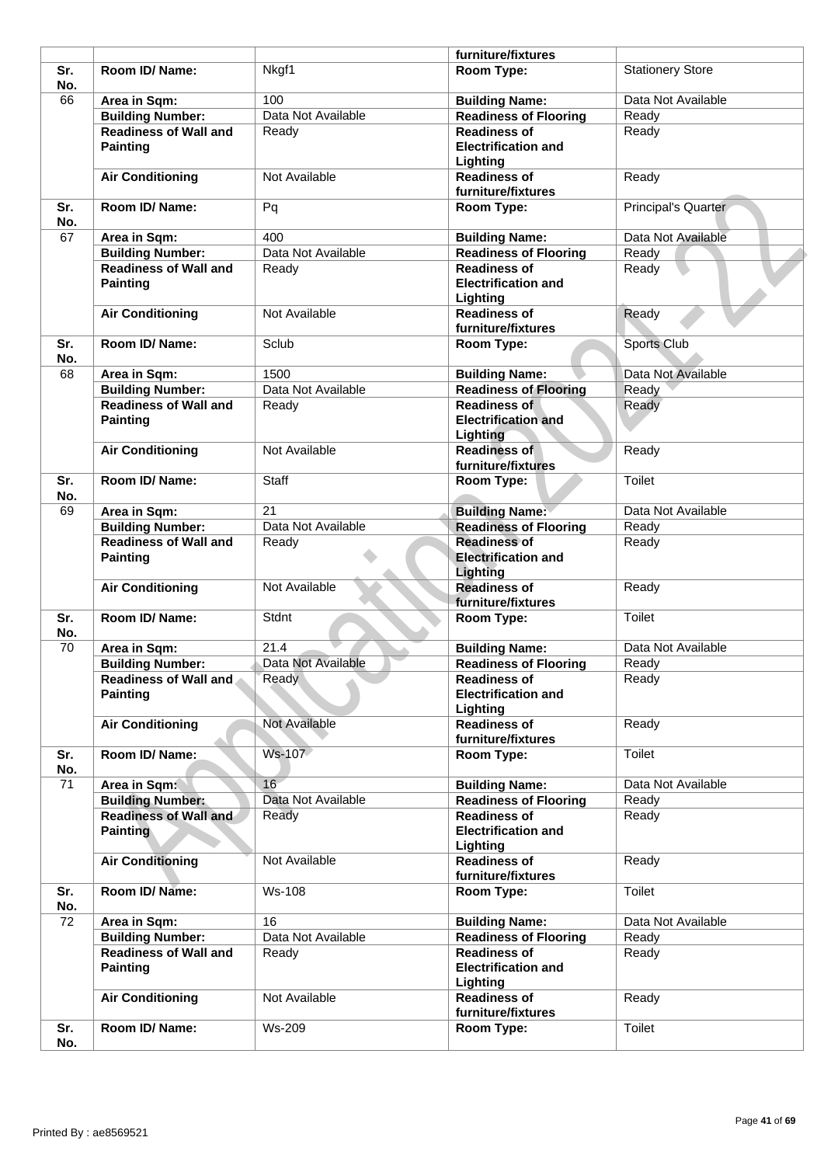|            |                                                 |                    | furniture/fixtures                                            |                         |
|------------|-------------------------------------------------|--------------------|---------------------------------------------------------------|-------------------------|
| Sr.<br>No. | Room ID/ Name:                                  | Nkgf1              | Room Type:                                                    | <b>Stationery Store</b> |
| 66         | Area in Sqm:                                    | 100                | <b>Building Name:</b>                                         | Data Not Available      |
|            | <b>Building Number:</b>                         | Data Not Available | <b>Readiness of Flooring</b>                                  | Ready                   |
|            | <b>Readiness of Wall and</b><br><b>Painting</b> | Ready              | <b>Readiness of</b><br><b>Electrification and</b><br>Lighting | Ready                   |
|            | <b>Air Conditioning</b>                         | Not Available      | <b>Readiness of</b><br>furniture/fixtures                     | Ready                   |
| Sr.<br>No. | Room ID/ Name:                                  | Pq                 | Room Type:                                                    | Principal's Quarter     |
| 67         | Area in Sqm:                                    | 400                | <b>Building Name:</b>                                         | Data Not Available      |
|            | <b>Building Number:</b>                         | Data Not Available | <b>Readiness of Flooring</b>                                  | Ready                   |
|            | <b>Readiness of Wall and</b><br><b>Painting</b> | Ready              | <b>Readiness of</b><br><b>Electrification and</b><br>Lighting | Ready                   |
|            | <b>Air Conditioning</b>                         | Not Available      | <b>Readiness of</b><br>furniture/fixtures                     | Ready                   |
| Sr.<br>No. | Room ID/Name:                                   | Sclub              | Room Type:                                                    | Sports Club             |
| 68         | Area in Sqm:                                    | 1500               | <b>Building Name:</b>                                         | Data Not Available      |
|            | <b>Building Number:</b>                         | Data Not Available | <b>Readiness of Flooring</b>                                  | Ready                   |
|            | <b>Readiness of Wall and</b>                    | Ready              | <b>Readiness of</b>                                           | Ready                   |
|            | <b>Painting</b>                                 |                    | <b>Electrification and</b><br><b>Lighting</b>                 |                         |
|            | <b>Air Conditioning</b>                         | Not Available      | <b>Readiness of</b><br>furniture/fixtures                     | Ready                   |
| Sr.<br>No. | Room ID/Name:                                   | Staff              | Room Type:                                                    | Toilet                  |
| 69         | Area in Sqm:                                    | 21                 | <b>Building Name:</b>                                         | Data Not Available      |
|            | <b>Building Number:</b>                         | Data Not Available | <b>Readiness of Flooring</b>                                  | Ready                   |
|            | <b>Readiness of Wall and</b>                    | Ready              | <b>Readiness of</b>                                           | Ready                   |
|            | <b>Painting</b>                                 |                    | <b>Electrification and</b><br>Lighting                        |                         |
|            | <b>Air Conditioning</b>                         | Not Available      | <b>Readiness of</b><br>furniture/fixtures                     | Ready                   |
| Sr.<br>No. | Room ID/Name:                                   | Stdnt              | Room Type:                                                    | <b>Toilet</b>           |
| 70         | Area in Sqm:                                    | 21.4               | <b>Building Name:</b>                                         | Data Not Available      |
|            | <b>Building Number:</b>                         | Data Not Available | <b>Readiness of Flooring</b>                                  | Ready                   |
|            | <b>Readiness of Wall and</b><br><b>Painting</b> | Ready              | <b>Readiness of</b><br><b>Electrification and</b><br>Lighting | Ready                   |
|            | <b>Air Conditioning</b>                         | Not Available      | <b>Readiness of</b><br>furniture/fixtures                     | Ready                   |
| Sr.<br>No. | Room ID/Name:                                   | Ws-107             | Room Type:                                                    | Toilet                  |
| 71         | Area in Sqm:                                    | 16                 | <b>Building Name:</b>                                         | Data Not Available      |
|            | <b>Building Number:</b>                         | Data Not Available | <b>Readiness of Flooring</b>                                  | Ready                   |
|            | <b>Readiness of Wall and</b><br><b>Painting</b> | Ready              | <b>Readiness of</b><br><b>Electrification and</b><br>Lighting | Ready                   |
|            | <b>Air Conditioning</b>                         | Not Available      | <b>Readiness of</b><br>furniture/fixtures                     | Ready                   |
| Sr.<br>No. | Room ID/Name:                                   | <b>Ws-108</b>      | Room Type:                                                    | Toilet                  |
| 72         | Area in Sqm:                                    | 16                 | <b>Building Name:</b>                                         | Data Not Available      |
|            | <b>Building Number:</b>                         | Data Not Available | <b>Readiness of Flooring</b>                                  | Ready                   |
|            | <b>Readiness of Wall and</b><br><b>Painting</b> | Ready              | <b>Readiness of</b><br><b>Electrification and</b><br>Lighting | Ready                   |
|            | <b>Air Conditioning</b>                         | Not Available      | <b>Readiness of</b><br>furniture/fixtures                     | Ready                   |
|            |                                                 |                    |                                                               |                         |
| Sr.        | Room ID/ Name:                                  | Ws-209             | Room Type:                                                    | Toilet                  |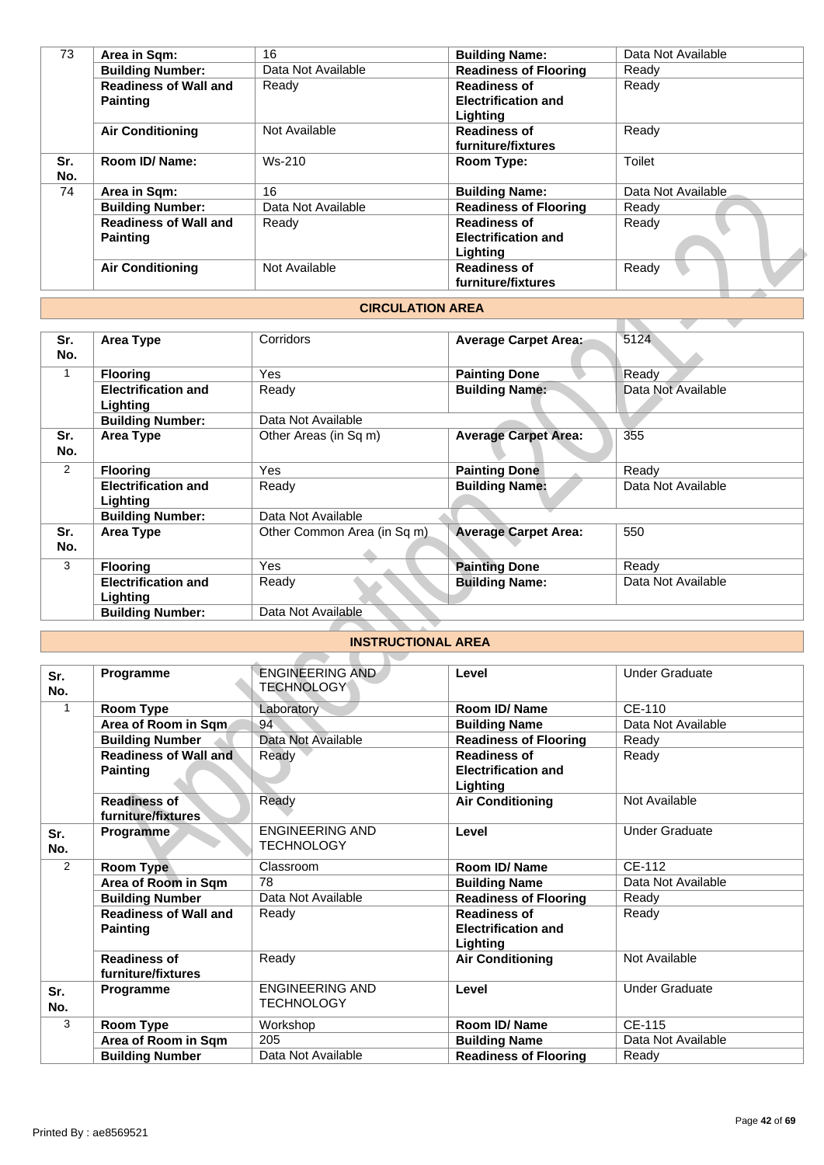| 73         | Area in Sqm:                 | 16                 | <b>Building Name:</b>        | Data Not Available |
|------------|------------------------------|--------------------|------------------------------|--------------------|
|            | <b>Building Number:</b>      | Data Not Available | <b>Readiness of Flooring</b> | Ready              |
|            | <b>Readiness of Wall and</b> | Ready              | <b>Readiness of</b>          | Ready              |
|            | <b>Painting</b>              |                    | <b>Electrification and</b>   |                    |
|            |                              |                    | Lighting                     |                    |
|            | <b>Air Conditioning</b>      | Not Available      | <b>Readiness of</b>          | Ready              |
|            |                              |                    | furniture/fixtures           |                    |
| Sr.<br>No. | Room ID/ Name:               | $Ws-210$           | Room Type:                   | Toilet             |
| 74         | Area in Sqm:                 | 16                 | <b>Building Name:</b>        | Data Not Available |
|            | <b>Building Number:</b>      | Data Not Available | <b>Readiness of Flooring</b> | Ready              |
|            | <b>Readiness of Wall and</b> | Ready              | <b>Readiness of</b>          | Ready              |
|            | <b>Painting</b>              |                    | <b>Electrification and</b>   |                    |
|            |                              |                    | Lighting                     |                    |
|            | <b>Air Conditioning</b>      | Not Available      | <b>Readiness of</b>          | Ready              |
|            |                              |                    | furniture/fixtures           |                    |
|            |                              |                    |                              |                    |

### **CIRCULATION AREA**

| 74             | Area in Sqm:                                    | 16                                          | <b>Building Name:</b>                                         | Data Not Available    |
|----------------|-------------------------------------------------|---------------------------------------------|---------------------------------------------------------------|-----------------------|
|                | <b>Building Number:</b>                         | Data Not Available                          | <b>Readiness of Flooring</b>                                  | Ready                 |
|                | <b>Readiness of Wall and</b>                    | Ready                                       | <b>Readiness of</b>                                           | Ready                 |
|                | <b>Painting</b>                                 |                                             | <b>Electrification and</b>                                    |                       |
|                |                                                 |                                             | Lighting                                                      |                       |
|                | <b>Air Conditioning</b>                         | Not Available                               | <b>Readiness of</b>                                           | Ready                 |
|                |                                                 |                                             | furniture/fixtures                                            |                       |
|                |                                                 | <b>CIRCULATION AREA</b>                     |                                                               |                       |
|                |                                                 |                                             |                                                               |                       |
| Sr.<br>No.     | <b>Area Type</b>                                | Corridors                                   | <b>Average Carpet Area:</b>                                   | 5124                  |
| $\overline{1}$ | <b>Flooring</b>                                 | Yes                                         | <b>Painting Done</b>                                          | Ready                 |
|                | <b>Electrification and</b><br>Lighting          | Ready                                       | <b>Building Name:</b>                                         | Data Not Available    |
|                | <b>Building Number:</b>                         | Data Not Available                          |                                                               |                       |
| Sr.<br>No.     | <b>Area Type</b>                                | Other Areas (in Sq m)                       | <b>Average Carpet Area:</b>                                   | 355                   |
| $\overline{2}$ | <b>Flooring</b>                                 | Yes                                         | <b>Painting Done</b>                                          | Ready                 |
|                | <b>Electrification and</b><br>Lighting          | Ready                                       | <b>Building Name:</b>                                         | Data Not Available    |
|                | <b>Building Number:</b>                         | Data Not Available                          |                                                               |                       |
| Sr.<br>No.     | <b>Area Type</b>                                | Other Common Area (in Sq m)                 | <b>Average Carpet Area:</b>                                   | 550                   |
| 3              | <b>Flooring</b>                                 | Yes                                         | <b>Painting Done</b>                                          | Ready                 |
|                | <b>Electrification and</b><br>Lighting          | Ready                                       | <b>Building Name:</b>                                         | Data Not Available    |
|                | <b>Building Number:</b>                         | Data Not Available                          |                                                               |                       |
|                |                                                 |                                             |                                                               |                       |
|                |                                                 | <b>INSTRUCTIONAL AREA</b>                   |                                                               |                       |
| Sr.<br>No.     | Programme                                       | <b>ENGINEERING AND</b><br><b>TECHNOLOGY</b> | Level                                                         | <b>Under Graduate</b> |
| $\mathbf{1}$   | Room Type                                       | Laboratory                                  | <b>Room ID/ Name</b>                                          | CE-110                |
|                | Area of Room in Sqm                             | 94                                          | <b>Building Name</b>                                          | Data Not Available    |
|                | <b>Building Number</b>                          | Data Not Available                          | <b>Readiness of Flooring</b>                                  | Ready                 |
|                | <b>Readiness of Wall and</b><br><b>Painting</b> | Ready                                       | <b>Readiness of</b><br><b>Electrification and</b><br>Lighting | Ready                 |
|                | <b>Readiness of</b><br>furniture/fixtures       | Ready                                       | <b>Air Conditioning</b>                                       | Not Available         |
| Sr.<br>No.     | Programme                                       | <b>ENGINEERING AND</b><br>TECHNOLOGY        | Level                                                         | <b>Under Graduate</b> |
| 2              | Room Type                                       | Classroom                                   | Room ID/Name                                                  | CE-112                |
|                | Area of Room in Sqm                             | 78                                          | <b>Building Name</b>                                          | Data Not Available    |

# **INSTRUCTIONAL AREA**

| Sr.<br>No. | Programme                                 | <b>ENGINEERING AND</b><br><b>TECHNOLOGY</b> | Level                        | <b>Under Graduate</b> |
|------------|-------------------------------------------|---------------------------------------------|------------------------------|-----------------------|
| 1          | Room Type                                 | Laboratory                                  | Room ID/Name                 | CE-110                |
|            | Area of Room in Sqm.                      | 94                                          | <b>Building Name</b>         | Data Not Available    |
|            | <b>Building Number</b>                    | Data Not Available                          | <b>Readiness of Flooring</b> | Ready                 |
|            | <b>Readiness of Wall and</b>              | Ready                                       | <b>Readiness of</b>          | Ready                 |
|            | <b>Painting</b>                           |                                             | <b>Electrification and</b>   |                       |
|            |                                           |                                             | Lighting                     |                       |
|            | <b>Readiness of</b><br>furniture/fixtures | Ready                                       | <b>Air Conditioning</b>      | Not Available         |
| Sr.<br>No. | <b>Programme</b>                          | <b>ENGINEERING AND</b><br><b>TECHNOLOGY</b> | Level                        | <b>Under Graduate</b> |
| 2          | <b>Room Type</b>                          | Classroom                                   | Room ID/Name                 | CF-112                |
|            | Area of Room in Sqm                       | 78                                          | <b>Building Name</b>         | Data Not Available    |
|            | <b>Building Number</b>                    | Data Not Available                          | <b>Readiness of Flooring</b> | Ready                 |
|            | <b>Readiness of Wall and</b>              | Ready                                       | <b>Readiness of</b>          | Ready                 |
|            | <b>Painting</b>                           |                                             | <b>Electrification and</b>   |                       |
|            |                                           |                                             | Lighting                     |                       |
|            | <b>Readiness of</b>                       | Ready                                       | <b>Air Conditioning</b>      | Not Available         |
|            | furniture/fixtures                        |                                             |                              |                       |
| Sr.        | Programme                                 | <b>ENGINEERING AND</b>                      | Level                        | <b>Under Graduate</b> |
| No.        |                                           | <b>TECHNOLOGY</b>                           |                              |                       |
| 3          | Room Type                                 | Workshop                                    | Room ID/ Name                | CE-115                |
|            | Area of Room in Sqm                       | 205                                         | <b>Building Name</b>         | Data Not Available    |
|            | <b>Building Number</b>                    | Data Not Available                          | <b>Readiness of Flooring</b> | Ready                 |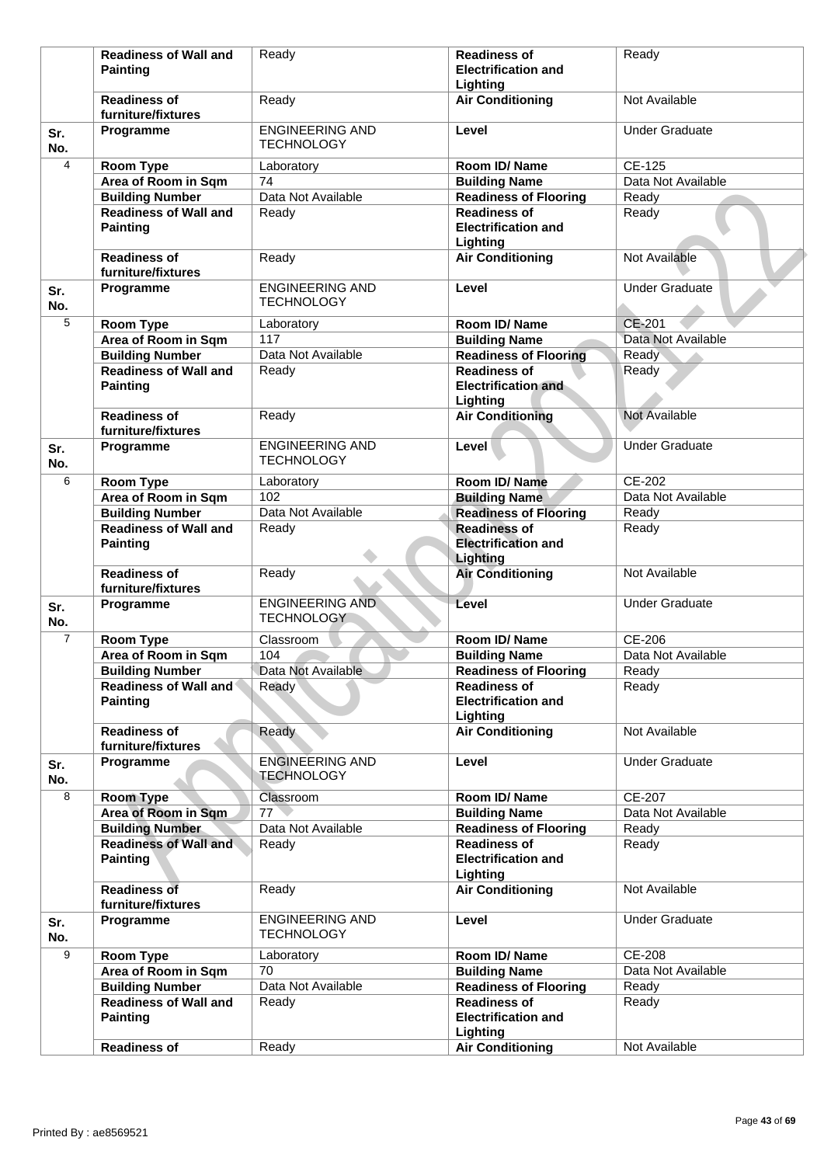|                | <b>Readiness of Wall and</b>                    | Ready                                       | <b>Readiness of</b>                                           | Ready                 |
|----------------|-------------------------------------------------|---------------------------------------------|---------------------------------------------------------------|-----------------------|
|                | <b>Painting</b>                                 |                                             | <b>Electrification and</b>                                    |                       |
|                | <b>Readiness of</b>                             | Ready                                       | Lighting<br><b>Air Conditioning</b>                           | Not Available         |
|                | furniture/fixtures                              |                                             |                                                               |                       |
| Sr.<br>No.     | Programme                                       | <b>ENGINEERING AND</b><br><b>TECHNOLOGY</b> | Level                                                         | <b>Under Graduate</b> |
| 4              | Room Type                                       | Laboratory                                  | Room ID/Name                                                  | CE-125                |
|                | Area of Room in Sqm                             | 74                                          | <b>Building Name</b>                                          | Data Not Available    |
|                | <b>Building Number</b>                          | Data Not Available                          | <b>Readiness of Flooring</b>                                  | Ready                 |
|                | <b>Readiness of Wall and</b><br><b>Painting</b> | Ready                                       | <b>Readiness of</b><br><b>Electrification and</b><br>Lighting | Ready                 |
|                | <b>Readiness of</b><br>furniture/fixtures       | Ready                                       | <b>Air Conditioning</b>                                       | Not Available         |
| Sr.<br>No.     | Programme                                       | <b>ENGINEERING AND</b><br><b>TECHNOLOGY</b> | Level                                                         | <b>Under Graduate</b> |
| 5              | Room Type                                       | Laboratory                                  | Room ID/Name                                                  | <b>CE-201</b>         |
|                | Area of Room in Sqm                             | 117                                         | <b>Building Name</b>                                          | Data Not Available    |
|                | <b>Building Number</b>                          | Data Not Available                          | <b>Readiness of Flooring</b>                                  | Ready                 |
|                | <b>Readiness of Wall and</b>                    | Ready                                       | <b>Readiness of</b>                                           | Ready                 |
|                | <b>Painting</b>                                 |                                             | <b>Electrification and</b><br>Lighting                        |                       |
|                | <b>Readiness of</b><br>furniture/fixtures       | Ready                                       | <b>Air Conditioning</b>                                       | Not Available         |
| Sr.<br>No.     | Programme                                       | <b>ENGINEERING AND</b><br><b>TECHNOLOGY</b> | Level                                                         | <b>Under Graduate</b> |
| 6              | Room Type                                       | Laboratory                                  | Room ID/ Name                                                 | CE-202                |
|                | Area of Room in Sqm                             | 102                                         | <b>Building Name</b>                                          | Data Not Available    |
|                | <b>Building Number</b>                          | Data Not Available                          | <b>Readiness of Flooring</b>                                  | Ready                 |
|                | <b>Readiness of Wall and</b><br><b>Painting</b> | Ready                                       | <b>Readiness of</b><br><b>Electrification and</b><br>Lighting | Ready                 |
|                | <b>Readiness of</b><br>furniture/fixtures       | Ready                                       | <b>Air Conditioning</b>                                       | Not Available         |
| Sr.<br>No.     | Programme                                       | <b>ENGINEERING AND</b><br><b>TECHNOLOGY</b> | Level                                                         | <b>Under Graduate</b> |
| $\overline{7}$ | <b>Room Type</b>                                | Classroom                                   | Room ID/Name                                                  | CE-206                |
|                | Area of Room in Sqm                             | 104                                         | <b>Building Name</b>                                          | Data Not Available    |
|                | <b>Building Number</b>                          | Data Not Available                          | <b>Readiness of Flooring</b>                                  | Ready                 |
|                | <b>Readiness of Wall and</b><br><b>Painting</b> | Ready                                       | <b>Readiness of</b><br><b>Electrification and</b>             | Ready                 |
|                | <b>Readiness of</b><br>furniture/fixtures       | Ready                                       | Lighting<br><b>Air Conditioning</b>                           | Not Available         |
| Sr.<br>No.     | Programme                                       | <b>ENGINEERING AND</b><br>TECHNOLOGY        | Level                                                         | <b>Under Graduate</b> |
| 8              | <b>Room Type</b>                                | Classroom                                   | Room ID/Name                                                  | CE-207                |
|                | Area of Room in Sqm                             | 77                                          | <b>Building Name</b>                                          | Data Not Available    |
|                | <b>Building Number</b>                          | Data Not Available                          | <b>Readiness of Flooring</b>                                  | Ready                 |
|                | <b>Readiness of Wall and</b><br><b>Painting</b> | Ready                                       | <b>Readiness of</b><br><b>Electrification and</b>             | Ready                 |
|                | <b>Readiness of</b><br>furniture/fixtures       | Ready                                       | Lighting<br><b>Air Conditioning</b>                           | Not Available         |
| Sr.<br>No.     | Programme                                       | <b>ENGINEERING AND</b><br><b>TECHNOLOGY</b> | Level                                                         | <b>Under Graduate</b> |
| 9              | Room Type                                       | Laboratory                                  | Room ID/Name                                                  | <b>CE-208</b>         |
|                | Area of Room in Sqm                             | 70                                          | <b>Building Name</b>                                          | Data Not Available    |
|                | <b>Building Number</b>                          | Data Not Available                          | <b>Readiness of Flooring</b>                                  | Ready                 |
|                | <b>Readiness of Wall and</b><br><b>Painting</b> | Ready                                       | <b>Readiness of</b><br><b>Electrification and</b><br>Lighting | Ready                 |
|                | <b>Readiness of</b>                             | Ready                                       | <b>Air Conditioning</b>                                       | Not Available         |
|                |                                                 |                                             |                                                               |                       |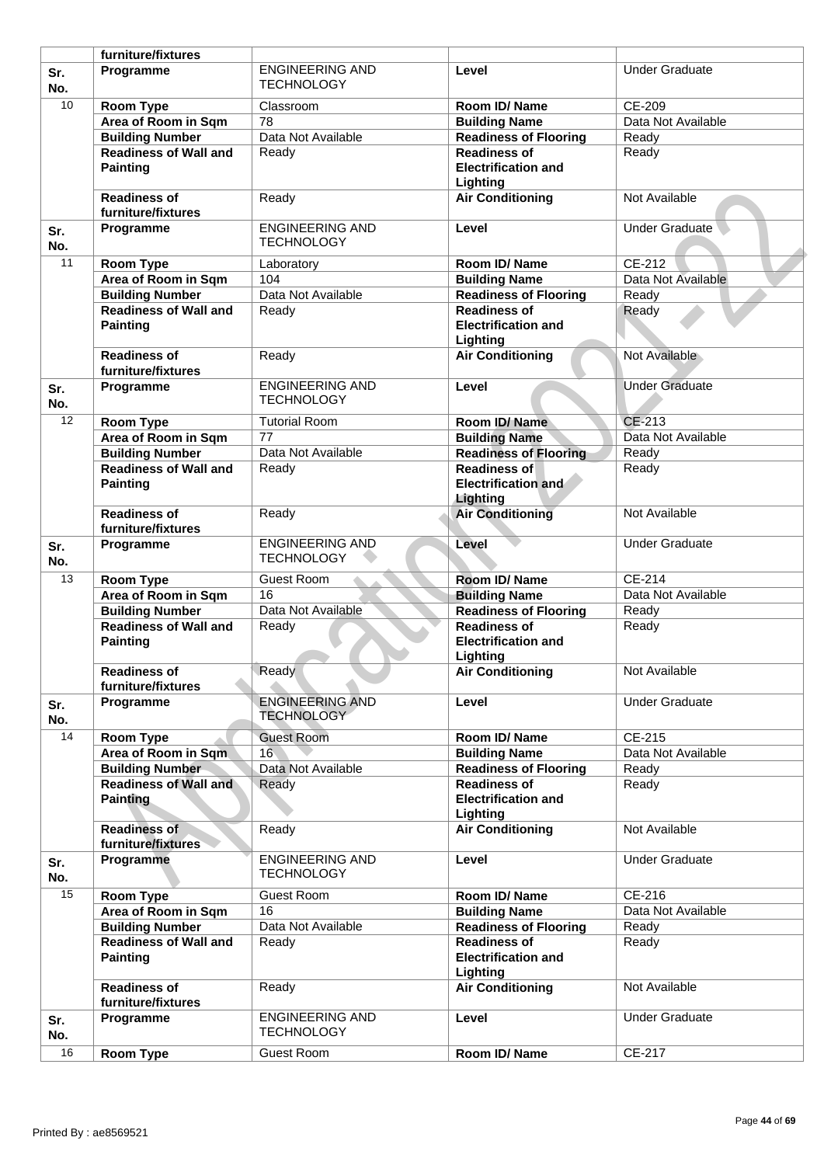|            | furniture/fixtures                              |                                             |                                                               |                       |
|------------|-------------------------------------------------|---------------------------------------------|---------------------------------------------------------------|-----------------------|
| Sr.<br>No. | Programme                                       | <b>ENGINEERING AND</b><br><b>TECHNOLOGY</b> | Level                                                         | <b>Under Graduate</b> |
| 10         | <b>Room Type</b>                                | Classroom                                   | Room ID/Name                                                  | CE-209                |
|            | Area of Room in Sqm                             | 78                                          | <b>Building Name</b>                                          | Data Not Available    |
|            | <b>Building Number</b>                          | Data Not Available                          | <b>Readiness of Flooring</b>                                  | Ready                 |
|            | <b>Readiness of Wall and</b>                    | Ready                                       | <b>Readiness of</b>                                           | Ready                 |
|            | <b>Painting</b>                                 |                                             | <b>Electrification and</b><br>Lighting                        |                       |
|            | <b>Readiness of</b><br>furniture/fixtures       | Ready                                       | <b>Air Conditioning</b>                                       | Not Available         |
| Sr.<br>No. | Programme                                       | <b>ENGINEERING AND</b><br><b>TECHNOLOGY</b> | Level                                                         | Under Graduate        |
| 11         | <b>Room Type</b>                                | Laboratory                                  | Room ID/Name                                                  | CE-212                |
|            | Area of Room in Sqm                             | 104                                         | <b>Building Name</b>                                          | Data Not Available    |
|            | <b>Building Number</b>                          | Data Not Available                          | <b>Readiness of Flooring</b>                                  | Ready                 |
|            | <b>Readiness of Wall and</b>                    | Ready                                       | <b>Readiness of</b>                                           | Ready                 |
|            | <b>Painting</b>                                 |                                             | <b>Electrification and</b><br>Lighting                        |                       |
|            | <b>Readiness of</b><br>furniture/fixtures       | Ready                                       | <b>Air Conditioning</b>                                       | Not Available         |
| Sr.<br>No. | Programme                                       | <b>ENGINEERING AND</b><br><b>TECHNOLOGY</b> | Level                                                         | <b>Under Graduate</b> |
| 12         | <b>Room Type</b>                                | <b>Tutorial Room</b>                        | Room ID/Name                                                  | CE-213                |
|            | Area of Room in Sqm                             | 77                                          | <b>Building Name</b>                                          | Data Not Available    |
|            | <b>Building Number</b>                          | Data Not Available                          | <b>Readiness of Flooring</b>                                  | Ready                 |
|            | <b>Readiness of Wall and</b>                    | Ready                                       | <b>Readiness of</b>                                           | Ready                 |
|            | <b>Painting</b>                                 |                                             | <b>Electrification and</b><br>Lighting                        |                       |
|            | <b>Readiness of</b><br>furniture/fixtures       | Ready                                       | <b>Air Conditioning</b>                                       | Not Available         |
| Sr.<br>No. | Programme                                       | <b>ENGINEERING AND</b><br><b>TECHNOLOGY</b> | Level                                                         | <b>Under Graduate</b> |
| 13         | <b>Room Type</b>                                | <b>Guest Room</b>                           | Room ID/Name                                                  | CE-214                |
|            | Area of Room in Sqm                             | 16                                          | <b>Building Name</b>                                          | Data Not Available    |
|            | <b>Building Number</b>                          | Data Not Available                          | <b>Readiness of Flooring</b>                                  | Ready                 |
|            | <b>Readiness of Wall and</b>                    | Ready                                       | <b>Readiness of</b>                                           | Ready                 |
|            | <b>Painting</b>                                 |                                             | <b>Electrification and</b><br>Lighting                        |                       |
|            | <b>Readiness of</b>                             | Ready                                       | <b>Air Conditioning</b>                                       | Not Available         |
|            | furniture/fixtures                              |                                             |                                                               |                       |
| Sr.<br>No. | Programme                                       | <b>ENGINEERING AND</b><br><b>TECHNOLOGY</b> | Level                                                         | <b>Under Graduate</b> |
| 14         | <b>Room Type</b>                                | <b>Guest Room</b>                           | Room ID/Name                                                  | CE-215                |
|            | Area of Room in Sqm                             | 16                                          | <b>Building Name</b>                                          | Data Not Available    |
|            | <b>Building Number</b>                          | Data Not Available                          | <b>Readiness of Flooring</b>                                  | Ready                 |
|            | <b>Readiness of Wall and</b>                    | Ready                                       | <b>Readiness of</b>                                           | Ready                 |
|            | <b>Painting</b>                                 |                                             | <b>Electrification and</b><br>Lighting                        |                       |
|            | <b>Readiness of</b><br>furniture/fixtures       | Ready                                       | <b>Air Conditioning</b>                                       | Not Available         |
| Sr.<br>No. | Programme                                       | <b>ENGINEERING AND</b><br><b>TECHNOLOGY</b> | Level                                                         | <b>Under Graduate</b> |
| 15         | <b>Room Type</b>                                | <b>Guest Room</b>                           | Room ID/Name                                                  | CE-216                |
|            | Area of Room in Sqm                             | 16                                          | <b>Building Name</b>                                          | Data Not Available    |
|            | <b>Building Number</b>                          | Data Not Available                          | Readiness of Flooring                                         | Ready                 |
|            | <b>Readiness of Wall and</b><br><b>Painting</b> | Ready                                       | <b>Readiness of</b><br><b>Electrification and</b><br>Lighting | Ready                 |
|            | <b>Readiness of</b><br>furniture/fixtures       | Ready                                       | <b>Air Conditioning</b>                                       | Not Available         |
| Sr.<br>No. | Programme                                       | <b>ENGINEERING AND</b><br><b>TECHNOLOGY</b> | Level                                                         | <b>Under Graduate</b> |
| 16         | <b>Room Type</b>                                | Guest Room                                  | Room ID/Name                                                  | CE-217                |
|            |                                                 |                                             |                                                               |                       |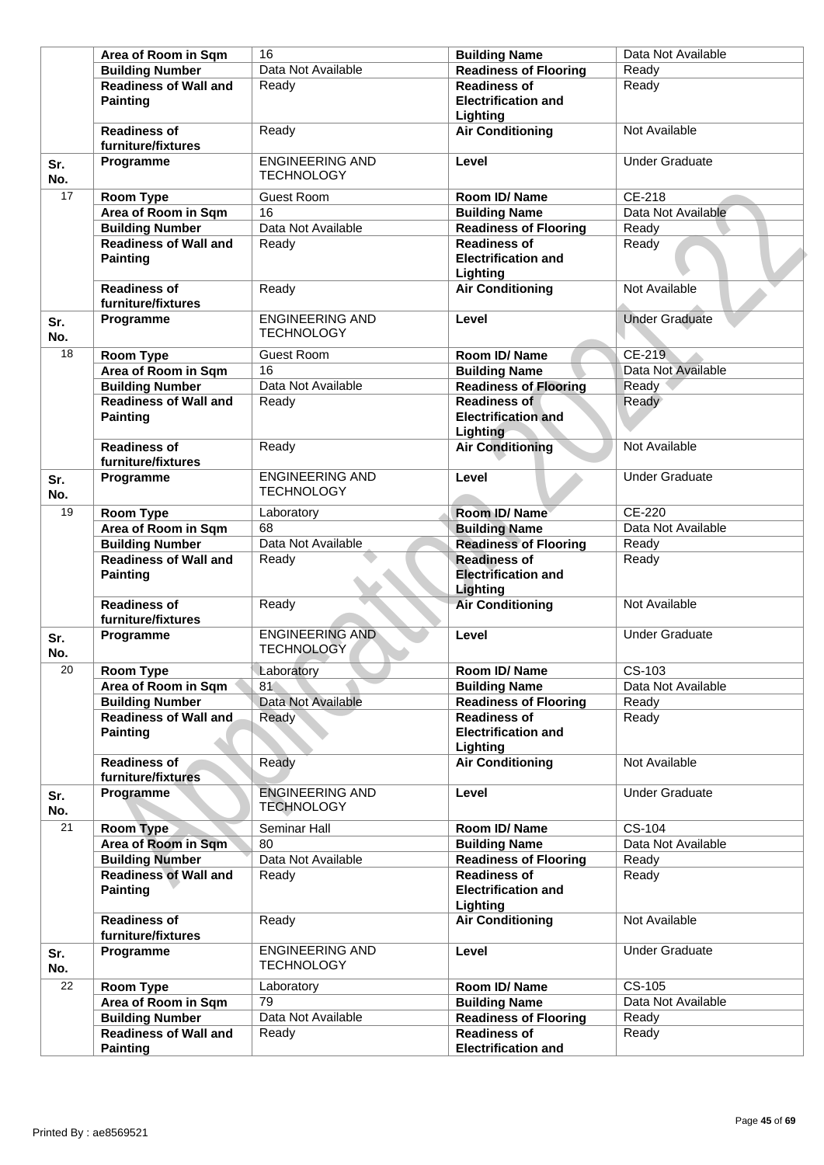| Area of Room in Sqm                             | 16                                          | <b>Building Name</b>                                          | Data Not Available    |
|-------------------------------------------------|---------------------------------------------|---------------------------------------------------------------|-----------------------|
| <b>Building Number</b>                          | Data Not Available                          | <b>Readiness of Flooring</b>                                  | Ready                 |
| <b>Readiness of Wall and</b><br><b>Painting</b> | Readv                                       | <b>Readiness of</b><br><b>Electrification and</b><br>Lighting | Ready                 |
| <b>Readiness of</b><br>furniture/fixtures       | Ready                                       | <b>Air Conditioning</b>                                       | Not Available         |
| Programme<br>Sr.<br>No.                         | <b>ENGINEERING AND</b><br><b>TECHNOLOGY</b> | Level                                                         | <b>Under Graduate</b> |
| 17<br><b>Room Type</b>                          | <b>Guest Room</b>                           | Room ID/Name                                                  | CE-218                |
| Area of Room in Sqm                             | 16                                          | <b>Building Name</b>                                          | Data Not Available    |
| <b>Building Number</b>                          | Data Not Available                          | <b>Readiness of Flooring</b>                                  | Ready                 |
| <b>Readiness of Wall and</b><br><b>Painting</b> | Ready                                       | <b>Readiness of</b><br><b>Electrification and</b><br>Lighting | Ready                 |
| <b>Readiness of</b><br>furniture/fixtures       | Ready                                       | <b>Air Conditioning</b>                                       | Not Available         |
| Programme<br>Sr.<br>No.                         | <b>ENGINEERING AND</b><br><b>TECHNOLOGY</b> | Level                                                         | <b>Under Graduate</b> |
| 18<br>Room Type                                 | <b>Guest Room</b>                           | Room ID/Name                                                  | CE-219                |
| Area of Room in Sqm                             | 16                                          | <b>Building Name</b>                                          | Data Not Available    |
| <b>Building Number</b>                          | Data Not Available                          | <b>Readiness of Flooring</b>                                  | Ready                 |
| <b>Readiness of Wall and</b><br><b>Painting</b> | Ready                                       | <b>Readiness of</b><br><b>Electrification and</b><br>Lighting | Ready                 |
| <b>Readiness of</b><br>furniture/fixtures       | Ready                                       | <b>Air Conditioning</b>                                       | Not Available         |
| Programme<br>Sr.<br>No.                         | <b>ENGINEERING AND</b><br><b>TECHNOLOGY</b> | Level                                                         | <b>Under Graduate</b> |
| 19<br>Room Type                                 | Laboratory                                  | Room ID/Name                                                  | <b>CE-220</b>         |
| Area of Room in Sqm                             | 68                                          | <b>Building Name</b>                                          | Data Not Available    |
| <b>Building Number</b>                          | Data Not Available                          | <b>Readiness of Flooring</b>                                  | Ready                 |
| <b>Readiness of Wall and</b><br><b>Painting</b> | Ready                                       | <b>Readiness of</b><br><b>Electrification and</b><br>Lighting | Ready                 |
| <b>Readiness of</b><br>furniture/fixtures       | Ready                                       | <b>Air Conditioning</b>                                       | Not Available         |
| Programme<br>Sr.<br>No.                         | <b>ENGINEERING AND</b><br><b>TECHNOLOGY</b> | Level                                                         | <b>Under Graduate</b> |
| 20<br>Room Type                                 | Laboratory                                  | Room ID/ Name                                                 | $CS-103$              |
| Area of Room in Sqm                             | 81                                          | <b>Building Name</b>                                          | Data Not Available    |
| <b>Building Number</b>                          | Data Not Available                          | <b>Readiness of Flooring</b>                                  | Ready                 |
| <b>Readiness of Wall and</b><br><b>Painting</b> | Ready                                       | <b>Readiness of</b><br><b>Electrification and</b><br>Lighting | Ready                 |
| Readiness of<br>furniture/fixtures              | Ready                                       | <b>Air Conditioning</b>                                       | Not Available         |
| Programme<br>Sr.<br>No.                         | <b>ENGINEERING AND</b><br><b>TECHNOLOGY</b> | Level                                                         | <b>Under Graduate</b> |
| $\overline{21}$<br>Room Type                    | Seminar Hall                                | Room ID/Name                                                  | CS-104                |
| Area of Room in Sqm                             | 80                                          | <b>Building Name</b>                                          | Data Not Available    |
| <b>Building Number</b>                          | Data Not Available                          | <b>Readiness of Flooring</b>                                  | Ready                 |
| <b>Readiness of Wall and</b><br><b>Painting</b> | Ready                                       | <b>Readiness of</b><br><b>Electrification and</b><br>Lighting | Ready                 |
| <b>Readiness of</b><br>furniture/fixtures       | Ready                                       | <b>Air Conditioning</b>                                       | Not Available         |
| Programme<br>Sr.<br>No.                         | <b>ENGINEERING AND</b><br><b>TECHNOLOGY</b> | Level                                                         | <b>Under Graduate</b> |
| 22<br>Room Type                                 | Laboratory                                  | <b>Room ID/ Name</b>                                          | CS-105                |
|                                                 |                                             |                                                               |                       |
| Area of Room in Sqm                             | 79                                          | <b>Building Name</b>                                          | Data Not Available    |
| <b>Building Number</b>                          | Data Not Available                          | <b>Readiness of Flooring</b>                                  | Ready                 |
| <b>Readiness of Wall and</b><br><b>Painting</b> | Ready                                       | <b>Readiness of</b>                                           | Ready                 |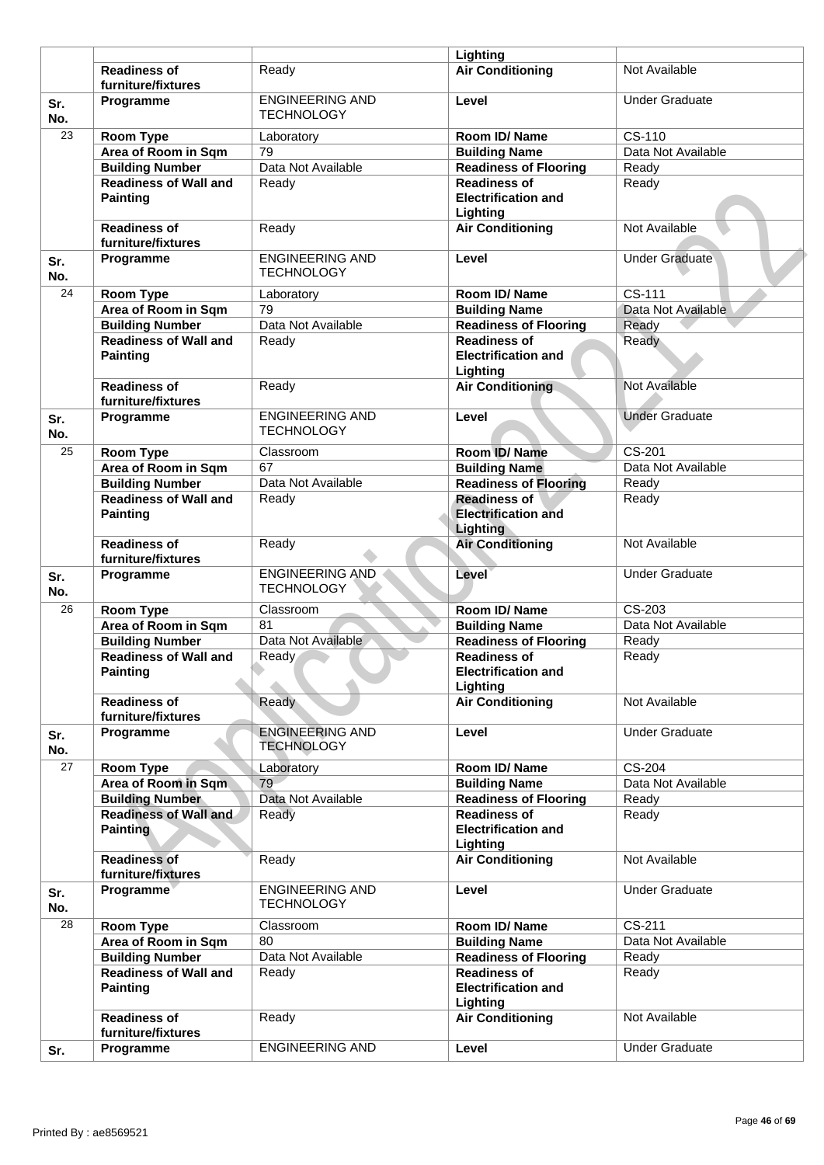|            |                                                 |                                             | Lighting                                                             |                       |
|------------|-------------------------------------------------|---------------------------------------------|----------------------------------------------------------------------|-----------------------|
|            | <b>Readiness of</b><br>furniture/fixtures       | Readv                                       | <b>Air Conditioning</b>                                              | Not Available         |
| Sr.<br>No. | Programme                                       | <b>ENGINEERING AND</b><br><b>TECHNOLOGY</b> | Level                                                                | <b>Under Graduate</b> |
| 23         | <b>Room Type</b>                                | Laboratory                                  | Room ID/Name                                                         | CS-110                |
|            | Area of Room in Sqm                             | 79                                          | <b>Building Name</b>                                                 | Data Not Available    |
|            | <b>Building Number</b>                          | Data Not Available                          | <b>Readiness of Flooring</b>                                         | Ready                 |
|            | <b>Readiness of Wall and</b>                    | Ready                                       | <b>Readiness of</b>                                                  | Ready                 |
|            | <b>Painting</b>                                 |                                             | <b>Electrification and</b><br>Lighting                               |                       |
|            | <b>Readiness of</b><br>furniture/fixtures       | Ready                                       | <b>Air Conditioning</b>                                              | Not Available         |
| Sr.<br>No. | Programme                                       | <b>ENGINEERING AND</b><br><b>TECHNOLOGY</b> | Level                                                                | <b>Under Graduate</b> |
| 24         | <b>Room Type</b>                                | Laboratory                                  | Room ID/Name                                                         | CS-111                |
|            | Area of Room in Sqm                             | 79                                          | <b>Building Name</b>                                                 | Data Not Available    |
|            | <b>Building Number</b>                          | Data Not Available                          | <b>Readiness of Flooring</b>                                         | Ready                 |
|            | <b>Readiness of Wall and</b><br><b>Painting</b> | Ready                                       | <b>Readiness of</b><br><b>Electrification and</b><br>Lighting        | Ready                 |
|            | <b>Readiness of</b><br>furniture/fixtures       | Ready                                       | <b>Air Conditioning</b>                                              | Not Available         |
| Sr.<br>No. | Programme                                       | <b>ENGINEERING AND</b><br><b>TECHNOLOGY</b> | Level                                                                | <b>Under Graduate</b> |
| 25         | <b>Room Type</b>                                | Classroom                                   | Room ID/Name                                                         | CS-201                |
|            | Area of Room in Sqm                             | 67                                          | <b>Building Name</b>                                                 | Data Not Available    |
|            | <b>Building Number</b>                          | Data Not Available                          | <b>Readiness of Flooring</b>                                         | Ready                 |
|            | <b>Readiness of Wall and</b><br><b>Painting</b> | Ready                                       | <b>Readiness of</b><br><b>Electrification and</b><br><b>Lighting</b> | Ready                 |
|            | <b>Readiness of</b><br>furniture/fixtures       | Ready                                       | <b>Air Conditioning</b>                                              | Not Available         |
| Sr.<br>No. | Programme                                       | <b>ENGINEERING AND</b><br><b>TECHNOLOGY</b> | Level                                                                | <b>Under Graduate</b> |
| 26         | <b>Room Type</b>                                | Classroom                                   | Room ID/Name                                                         | CS-203                |
|            | Area of Room in Sqm                             | $\overline{81}$                             | <b>Building Name</b>                                                 | Data Not Available    |
|            | <b>Building Number</b>                          | Data Not Available                          | <b>Readiness of Flooring</b>                                         | Ready                 |
|            | <b>Readiness of Wall and</b><br>Painting        | Ready                                       | <b>Readiness of</b><br><b>Electrification and</b><br>Lighting        | Ready                 |
|            | <b>Readiness of</b><br>furniture/fixtures       | Ready                                       | <b>Air Conditioning</b>                                              | Not Available         |
| Sr.<br>No. | Programme                                       | <b>ENGINEERING AND</b><br><b>TECHNOLOGY</b> | Level                                                                | <b>Under Graduate</b> |
| 27         | Room Type                                       | Laboratory                                  | Room ID/Name                                                         | CS-204                |
|            | Area of Room in Sqm                             | 79                                          | <b>Building Name</b>                                                 | Data Not Available    |
|            | <b>Building Number</b>                          | Data Not Available                          | <b>Readiness of Flooring</b>                                         | Ready                 |
|            | <b>Readiness of Wall and</b><br><b>Painting</b> | Ready                                       | <b>Readiness of</b><br><b>Electrification and</b><br>Lighting        | Ready                 |
|            | <b>Readiness of</b><br>furniture/fixtures       | Ready                                       | <b>Air Conditioning</b>                                              | Not Available         |
| Sr.<br>No. | Programme                                       | <b>ENGINEERING AND</b><br><b>TECHNOLOGY</b> | Level                                                                | <b>Under Graduate</b> |
| 28         | Room Type                                       | Classroom                                   | Room ID/Name                                                         | $CS-211$              |
|            | Area of Room in Sqm                             | 80                                          | <b>Building Name</b>                                                 | Data Not Available    |
|            | <b>Building Number</b>                          | Data Not Available                          | Readiness of Flooring                                                | Ready                 |
|            | <b>Readiness of Wall and</b><br><b>Painting</b> | Ready                                       | <b>Readiness of</b><br><b>Electrification and</b><br>Lighting        | Ready                 |
|            | <b>Readiness of</b><br>furniture/fixtures       | Ready                                       | <b>Air Conditioning</b>                                              | Not Available         |
| Sr.        | Programme                                       | <b>ENGINEERING AND</b>                      | Level                                                                | <b>Under Graduate</b> |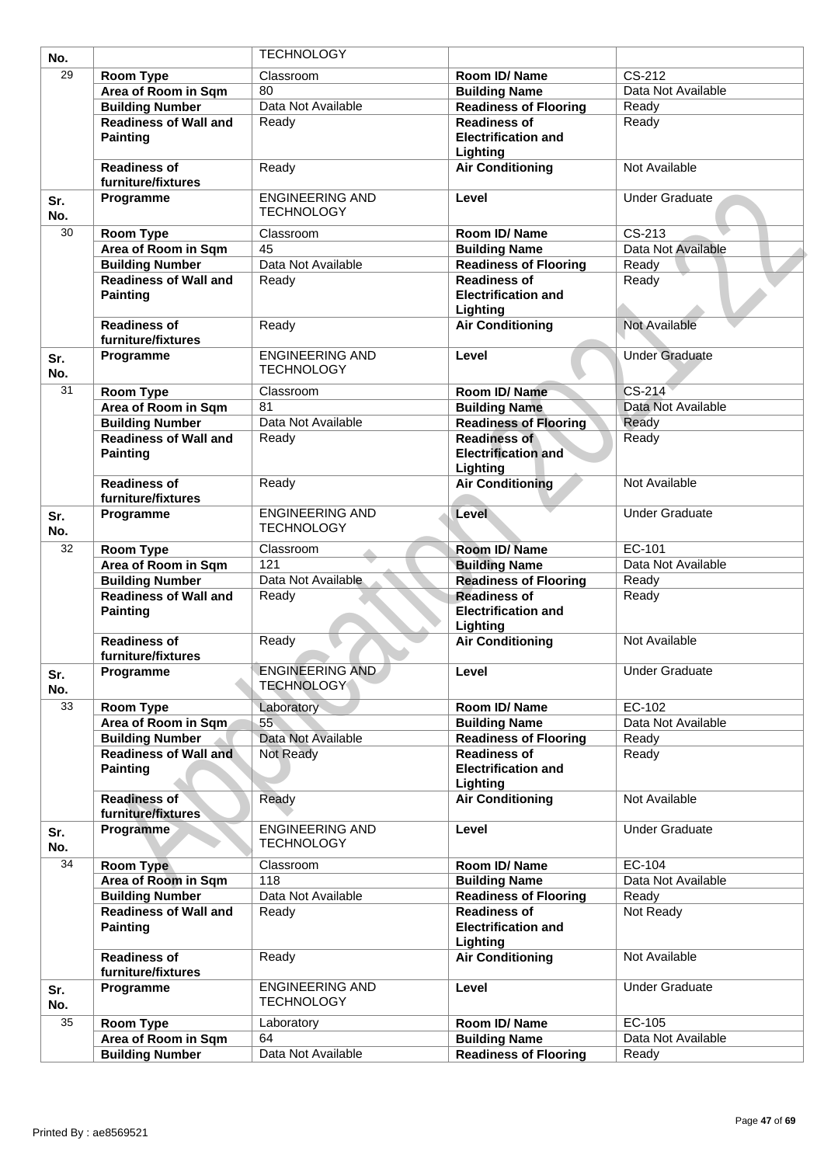| No.        |                                                 | <b>TECHNOLOGY</b>                           |                                                               |                       |
|------------|-------------------------------------------------|---------------------------------------------|---------------------------------------------------------------|-----------------------|
| 29         | Room Type                                       | Classroom                                   | Room ID/Name                                                  | $CS-212$              |
|            | Area of Room in Sqm                             | 80                                          | <b>Building Name</b>                                          | Data Not Available    |
|            | <b>Building Number</b>                          | Data Not Available                          | <b>Readiness of Flooring</b>                                  | Ready                 |
|            | <b>Readiness of Wall and</b>                    | Ready                                       | <b>Readiness of</b>                                           | Ready                 |
|            | <b>Painting</b>                                 |                                             | <b>Electrification and</b><br>Lighting                        |                       |
|            | <b>Readiness of</b><br>furniture/fixtures       | Ready                                       | <b>Air Conditioning</b>                                       | Not Available         |
| Sr.<br>No. | Programme                                       | <b>ENGINEERING AND</b><br><b>TECHNOLOGY</b> | Level                                                         | <b>Under Graduate</b> |
| 30         | Room Type                                       | Classroom                                   | Room ID/Name                                                  | CS-213                |
|            | Area of Room in Sqm                             | 45                                          | <b>Building Name</b>                                          | Data Not Available    |
|            | <b>Building Number</b>                          | Data Not Available                          | <b>Readiness of Flooring</b>                                  | Ready                 |
|            | <b>Readiness of Wall and</b><br><b>Painting</b> | Ready                                       | <b>Readiness of</b><br><b>Electrification and</b><br>Lighting | Ready                 |
|            | <b>Readiness of</b><br>furniture/fixtures       | Ready                                       | <b>Air Conditioning</b>                                       | <b>Not Available</b>  |
| Sr.<br>No. | Programme                                       | <b>ENGINEERING AND</b><br><b>TECHNOLOGY</b> | Level                                                         | <b>Under Graduate</b> |
| 31         | Room Type                                       | Classroom                                   | Room ID/Name                                                  | CS-214                |
|            | Area of Room in Sqm                             | $\overline{81}$                             | <b>Building Name</b>                                          | Data Not Available    |
|            | <b>Building Number</b>                          | Data Not Available                          | <b>Readiness of Flooring</b>                                  | Ready                 |
|            | <b>Readiness of Wall and</b><br><b>Painting</b> | Ready                                       | <b>Readiness of</b><br><b>Electrification and</b><br>Lighting | Ready                 |
|            | <b>Readiness of</b><br>furniture/fixtures       | Ready                                       | <b>Air Conditioning</b>                                       | Not Available         |
| Sr.<br>No. | Programme                                       | <b>ENGINEERING AND</b><br><b>TECHNOLOGY</b> | Level                                                         | <b>Under Graduate</b> |
| 32         | <b>Room Type</b>                                | Classroom                                   | Room ID/Name                                                  | EC-101                |
|            | Area of Room in Sqm                             | 121                                         | <b>Building Name</b>                                          | Data Not Available    |
|            | <b>Building Number</b>                          | Data Not Available                          | <b>Readiness of Flooring</b>                                  | Ready                 |
|            | <b>Readiness of Wall and</b><br><b>Painting</b> | Ready                                       | <b>Readiness of</b><br><b>Electrification and</b><br>Lighting | Ready                 |
|            | <b>Readiness of</b><br>furniture/fixtures       | Ready                                       | <b>Air Conditioning</b>                                       | Not Available         |
| Sr.<br>No. | Programme                                       | <b>ENGINEERING AND</b><br><b>TECHNOLOGY</b> | Level                                                         | <b>Under Graduate</b> |
| 33         | Room Type                                       | Laboratory                                  | Room ID/Name                                                  | EC-102                |
|            | Area of Room in Sqm                             | 55                                          | <b>Building Name</b>                                          | Data Not Available    |
|            | <b>Building Number</b>                          | Data Not Available                          | <b>Readiness of Flooring</b>                                  | Ready                 |
|            | <b>Readiness of Wall and</b><br><b>Painting</b> | Not Ready                                   | <b>Readiness of</b><br><b>Electrification and</b><br>Lighting | Ready                 |
|            | <b>Readiness of</b><br>furniture/fixtures       | Ready                                       | <b>Air Conditioning</b>                                       | Not Available         |
| Sr.<br>No. | Programme                                       | <b>ENGINEERING AND</b><br><b>TECHNOLOGY</b> | Level                                                         | <b>Under Graduate</b> |
| 34         | <b>Room Type</b>                                | Classroom                                   | Room ID/Name                                                  | EC-104                |
|            | Area of Room in Sqm                             | 118                                         | <b>Building Name</b>                                          | Data Not Available    |
|            | <b>Building Number</b>                          | Data Not Available                          | <b>Readiness of Flooring</b>                                  | Ready                 |
|            | <b>Readiness of Wall and</b><br><b>Painting</b> | Ready                                       | <b>Readiness of</b><br><b>Electrification and</b><br>Lighting | Not Ready             |
|            | <b>Readiness of</b><br>furniture/fixtures       | Ready                                       | <b>Air Conditioning</b>                                       | Not Available         |
| Sr.<br>No. | Programme                                       | <b>ENGINEERING AND</b><br><b>TECHNOLOGY</b> | Level                                                         | <b>Under Graduate</b> |
| 35         | Room Type                                       | Laboratory                                  | Room ID/Name                                                  | EC-105                |
|            | Area of Room in Sqm                             | 64                                          | <b>Building Name</b>                                          | Data Not Available    |
|            | <b>Building Number</b>                          | Data Not Available                          | <b>Readiness of Flooring</b>                                  | Ready                 |
|            |                                                 |                                             |                                                               |                       |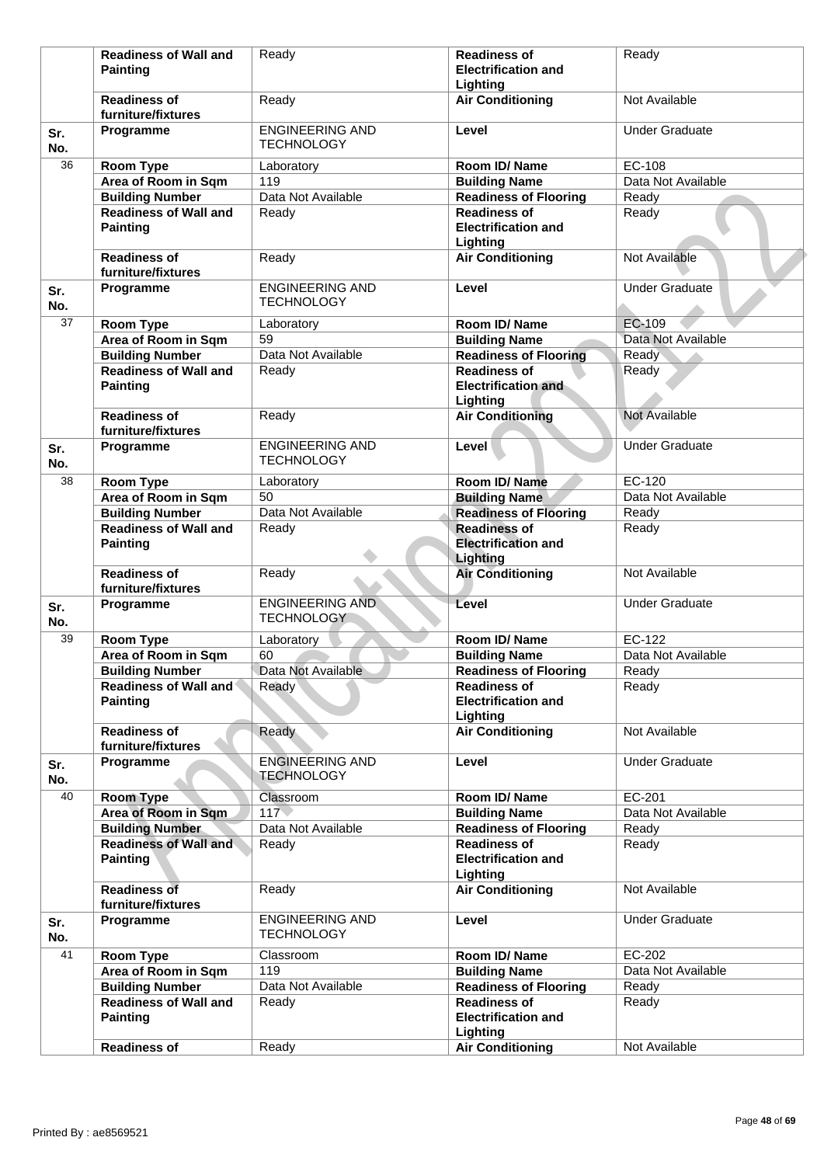|                 | <b>Readiness of Wall and</b>                    | Ready                                       | <b>Readiness of</b>                                           | Ready                 |
|-----------------|-------------------------------------------------|---------------------------------------------|---------------------------------------------------------------|-----------------------|
|                 | <b>Painting</b>                                 |                                             | <b>Electrification and</b>                                    |                       |
|                 |                                                 |                                             | Lighting                                                      |                       |
|                 | <b>Readiness of</b><br>furniture/fixtures       | Ready                                       | <b>Air Conditioning</b>                                       | Not Available         |
| Sr.<br>No.      | Programme                                       | <b>ENGINEERING AND</b><br><b>TECHNOLOGY</b> | Level                                                         | <b>Under Graduate</b> |
| 36              | Room Type                                       | Laboratory                                  | Room ID/Name                                                  | EC-108                |
|                 | Area of Room in Sqm                             | 119                                         | <b>Building Name</b>                                          | Data Not Available    |
|                 | <b>Building Number</b>                          | Data Not Available                          | <b>Readiness of Flooring</b>                                  | Ready                 |
|                 | <b>Readiness of Wall and</b><br><b>Painting</b> | Ready                                       | <b>Readiness of</b><br><b>Electrification and</b><br>Lighting | Ready                 |
|                 | <b>Readiness of</b><br>furniture/fixtures       | Ready                                       | <b>Air Conditioning</b>                                       | Not Available         |
| Sr.<br>No.      | Programme                                       | <b>ENGINEERING AND</b><br><b>TECHNOLOGY</b> | Level                                                         | <b>Under Graduate</b> |
| $\overline{37}$ | Room Type                                       | Laboratory                                  | Room ID/Name                                                  | <b>EC-109</b>         |
|                 | Area of Room in Sqm                             | 59                                          | <b>Building Name</b>                                          | Data Not Available    |
|                 | <b>Building Number</b>                          | Data Not Available                          | <b>Readiness of Flooring</b>                                  | Ready                 |
|                 | <b>Readiness of Wall and</b>                    | Ready                                       | <b>Readiness of</b>                                           | Ready                 |
|                 | <b>Painting</b>                                 |                                             | <b>Electrification and</b><br>Lighting                        |                       |
|                 | <b>Readiness of</b><br>furniture/fixtures       | Ready                                       | <b>Air Conditioning</b>                                       | Not Available         |
| Sr.<br>No.      | Programme                                       | <b>ENGINEERING AND</b><br><b>TECHNOLOGY</b> | Level                                                         | <b>Under Graduate</b> |
| 38              | Room Type                                       | Laboratory                                  | Room ID/Name                                                  | EC-120                |
|                 | Area of Room in Sqm                             | 50                                          | <b>Building Name</b>                                          | Data Not Available    |
|                 | <b>Building Number</b>                          | Data Not Available                          | <b>Readiness of Flooring</b>                                  | Ready                 |
|                 | <b>Readiness of Wall and</b><br><b>Painting</b> | Ready                                       | <b>Readiness of</b><br><b>Electrification and</b><br>Lighting | Ready                 |
|                 | <b>Readiness of</b><br>furniture/fixtures       | Ready                                       | <b>Air Conditioning</b>                                       | Not Available         |
| Sr.<br>No.      | Programme                                       | <b>ENGINEERING AND</b><br><b>TECHNOLOGY</b> | Level                                                         | <b>Under Graduate</b> |
| 39              | <b>Room Type</b>                                | Laboratory                                  | Room ID/Name                                                  | EC-122                |
|                 | Area of Room in Sqm                             | 60                                          | <b>Building Name</b>                                          | Data Not Available    |
|                 | <b>Building Number</b>                          | Data Not Available                          | <b>Readiness of Flooring</b>                                  | Ready                 |
|                 | Readiness of Wall and<br><b>Painting</b>        | Ready                                       | <b>Readiness of</b><br><b>Electrification and</b>             | Ready                 |
|                 |                                                 |                                             | Lighting                                                      |                       |
|                 | <b>Readiness of</b><br>furniture/fixtures       | Ready                                       | <b>Air Conditioning</b>                                       | Not Available         |
| Sr.<br>No.      | Programme                                       | <b>ENGINEERING AND</b><br><b>TECHNOLOGY</b> | Level                                                         | <b>Under Graduate</b> |
| 40              | <b>Room Type</b>                                | Classroom                                   | Room ID/ Name                                                 | EC-201                |
|                 | Area of Room in Sqm                             | 117                                         | <b>Building Name</b>                                          | Data Not Available    |
|                 | <b>Building Number</b>                          | Data Not Available                          | <b>Readiness of Flooring</b>                                  | Ready                 |
|                 | <b>Readiness of Wall and</b><br><b>Painting</b> | Ready                                       | <b>Readiness of</b><br><b>Electrification and</b>             | Ready                 |
|                 | <b>Readiness of</b><br>furniture/fixtures       | Ready                                       | Lighting<br><b>Air Conditioning</b>                           | Not Available         |
| Sr.<br>No.      | Programme                                       | <b>ENGINEERING AND</b><br><b>TECHNOLOGY</b> | Level                                                         | <b>Under Graduate</b> |
| 41              | <b>Room Type</b>                                | Classroom                                   | Room ID/ Name                                                 | EC-202                |
|                 | Area of Room in Sqm                             | 119                                         | <b>Building Name</b>                                          | Data Not Available    |
|                 | <b>Building Number</b>                          | Data Not Available                          | <b>Readiness of Flooring</b>                                  | Ready                 |
|                 | <b>Readiness of Wall and</b><br><b>Painting</b> | Ready                                       | <b>Readiness of</b><br><b>Electrification and</b>             | Ready                 |
|                 |                                                 |                                             | Lighting                                                      |                       |
|                 | <b>Readiness of</b>                             | Ready                                       | <b>Air Conditioning</b>                                       | Not Available         |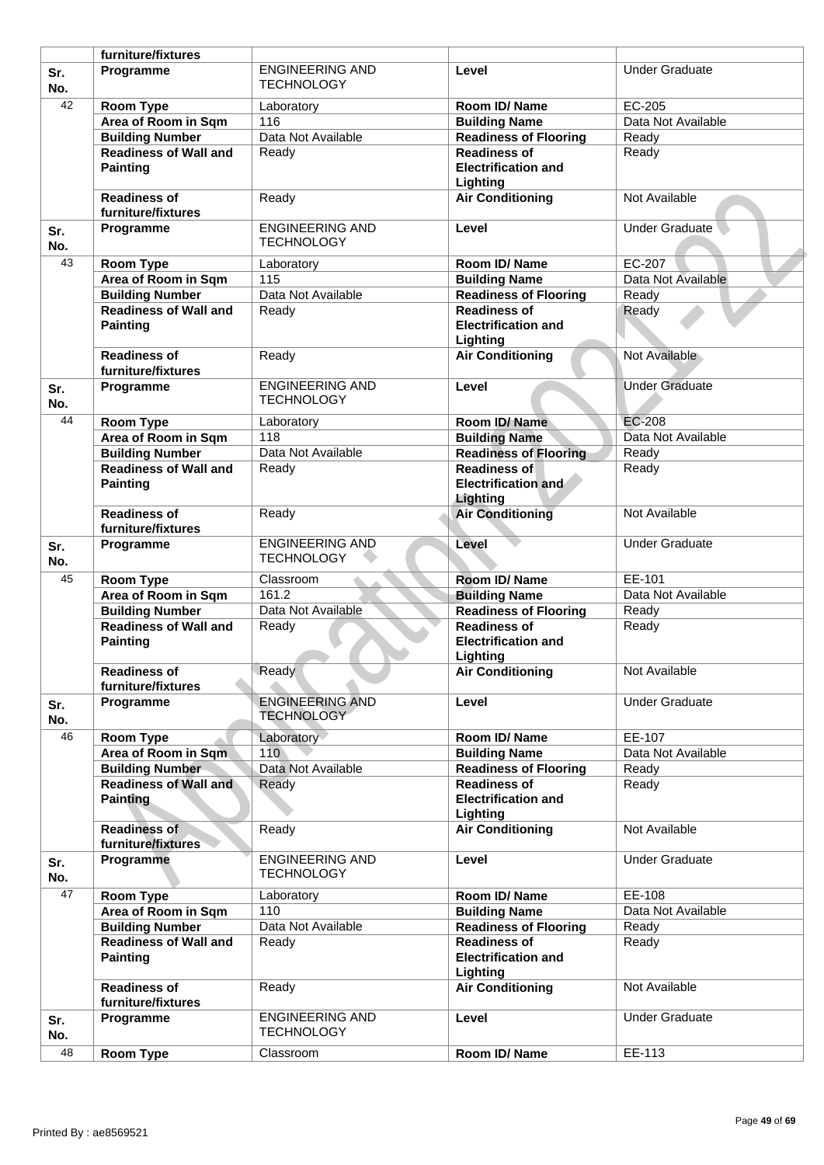|                 | furniture/fixtures                              |                                             |                                                               |                       |
|-----------------|-------------------------------------------------|---------------------------------------------|---------------------------------------------------------------|-----------------------|
| Sr.<br>No.      | Programme                                       | <b>ENGINEERING AND</b><br><b>TECHNOLOGY</b> | Level                                                         | <b>Under Graduate</b> |
| $\overline{42}$ | Room Type                                       | Laboratory                                  | Room ID/Name                                                  | EC-205                |
|                 | Area of Room in Sqm                             | 116                                         | <b>Building Name</b>                                          | Data Not Available    |
|                 | <b>Building Number</b>                          | Data Not Available                          | <b>Readiness of Flooring</b>                                  | Ready                 |
|                 | <b>Readiness of Wall and</b>                    | Ready                                       | <b>Readiness of</b>                                           | Ready                 |
|                 | <b>Painting</b>                                 |                                             | <b>Electrification and</b><br>Lighting                        |                       |
|                 | <b>Readiness of</b><br>furniture/fixtures       | Ready                                       | <b>Air Conditioning</b>                                       | Not Available         |
| Sr.<br>No.      | Programme                                       | <b>ENGINEERING AND</b><br><b>TECHNOLOGY</b> | Level                                                         | Under Graduate        |
| 43              | Room Type                                       | Laboratory                                  | Room ID/Name                                                  | EC-207                |
|                 | Area of Room in Sqm                             | 115                                         | <b>Building Name</b>                                          | Data Not Available    |
|                 | <b>Building Number</b>                          | Data Not Available                          | <b>Readiness of Flooring</b>                                  | Ready                 |
|                 | <b>Readiness of Wall and</b><br><b>Painting</b> | Ready                                       | <b>Readiness of</b><br><b>Electrification and</b>             | Ready                 |
|                 |                                                 |                                             | Lighting                                                      |                       |
|                 | <b>Readiness of</b><br>furniture/fixtures       | Ready                                       | <b>Air Conditioning</b>                                       | Not Available         |
| Sr.<br>No.      | Programme                                       | <b>ENGINEERING AND</b><br><b>TECHNOLOGY</b> | Level                                                         | <b>Under Graduate</b> |
| 44              | Room Type                                       | Laboratory                                  | Room ID/Name                                                  | EC-208                |
|                 | Area of Room in Sqm                             | 118                                         | <b>Building Name</b>                                          | Data Not Available    |
|                 | <b>Building Number</b>                          | Data Not Available                          | <b>Readiness of Flooring</b>                                  | Ready                 |
|                 | <b>Readiness of Wall and</b>                    | Ready                                       | <b>Readiness of</b>                                           | Ready                 |
|                 | <b>Painting</b>                                 |                                             | <b>Electrification and</b><br>Lighting                        |                       |
|                 | <b>Readiness of</b><br>furniture/fixtures       | Ready                                       | <b>Air Conditioning</b>                                       | Not Available         |
| Sr.<br>No.      | Programme                                       | <b>ENGINEERING AND</b><br><b>TECHNOLOGY</b> | Level                                                         | <b>Under Graduate</b> |
| 45              | Room Type                                       | Classroom                                   | Room ID/Name                                                  | EE-101                |
|                 | Area of Room in Sqm                             | 161.2                                       | <b>Building Name</b>                                          | Data Not Available    |
|                 | <b>Building Number</b>                          | Data Not Available                          | <b>Readiness of Flooring</b>                                  | Ready                 |
|                 | <b>Readiness of Wall and</b>                    | Ready                                       | <b>Readiness of</b>                                           | Ready                 |
|                 | <b>Painting</b>                                 |                                             | <b>Electrification and</b><br>Lighting                        |                       |
|                 | <b>Readiness of</b><br>furniture/fixtures       | Ready                                       | <b>Air Conditioning</b>                                       | Not Available         |
| Sr.<br>No.      | Programme                                       | <b>ENGINEERING AND</b><br><b>TECHNOLOGY</b> | Level                                                         | <b>Under Graduate</b> |
| 46              | <b>Room Type</b>                                | Laboratory                                  | Room ID/ Name                                                 | EE-107                |
|                 | Area of Room in Sqm                             | 110                                         | <b>Building Name</b>                                          | Data Not Available    |
|                 | <b>Building Number</b>                          | Data Not Available                          | <b>Readiness of Flooring</b>                                  | Ready                 |
|                 | <b>Readiness of Wall and</b><br><b>Painting</b> | Ready                                       | <b>Readiness of</b><br><b>Electrification and</b>             | Ready                 |
|                 | <b>Readiness of</b><br>furniture/fixtures       | Ready                                       | Lighting<br><b>Air Conditioning</b>                           | Not Available         |
| Sr.<br>No.      | Programme                                       | <b>ENGINEERING AND</b><br><b>TECHNOLOGY</b> | Level                                                         | <b>Under Graduate</b> |
| 47              | Room Type                                       | Laboratory                                  | Room ID/Name                                                  | EE-108                |
|                 | Area of Room in Sqm                             | 110                                         | <b>Building Name</b>                                          | Data Not Available    |
|                 | <b>Building Number</b>                          | Data Not Available                          | Readiness of Flooring                                         | Ready                 |
|                 | <b>Readiness of Wall and</b><br><b>Painting</b> | Ready                                       | <b>Readiness of</b><br><b>Electrification and</b><br>Lighting | Ready                 |
|                 | <b>Readiness of</b><br>furniture/fixtures       | Ready                                       | <b>Air Conditioning</b>                                       | Not Available         |
| Sr.<br>No.      | Programme                                       | <b>ENGINEERING AND</b><br><b>TECHNOLOGY</b> | Level                                                         | <b>Under Graduate</b> |
| 48              | Room Type                                       | Classroom                                   | Room ID/Name                                                  | EE-113                |
|                 |                                                 |                                             |                                                               |                       |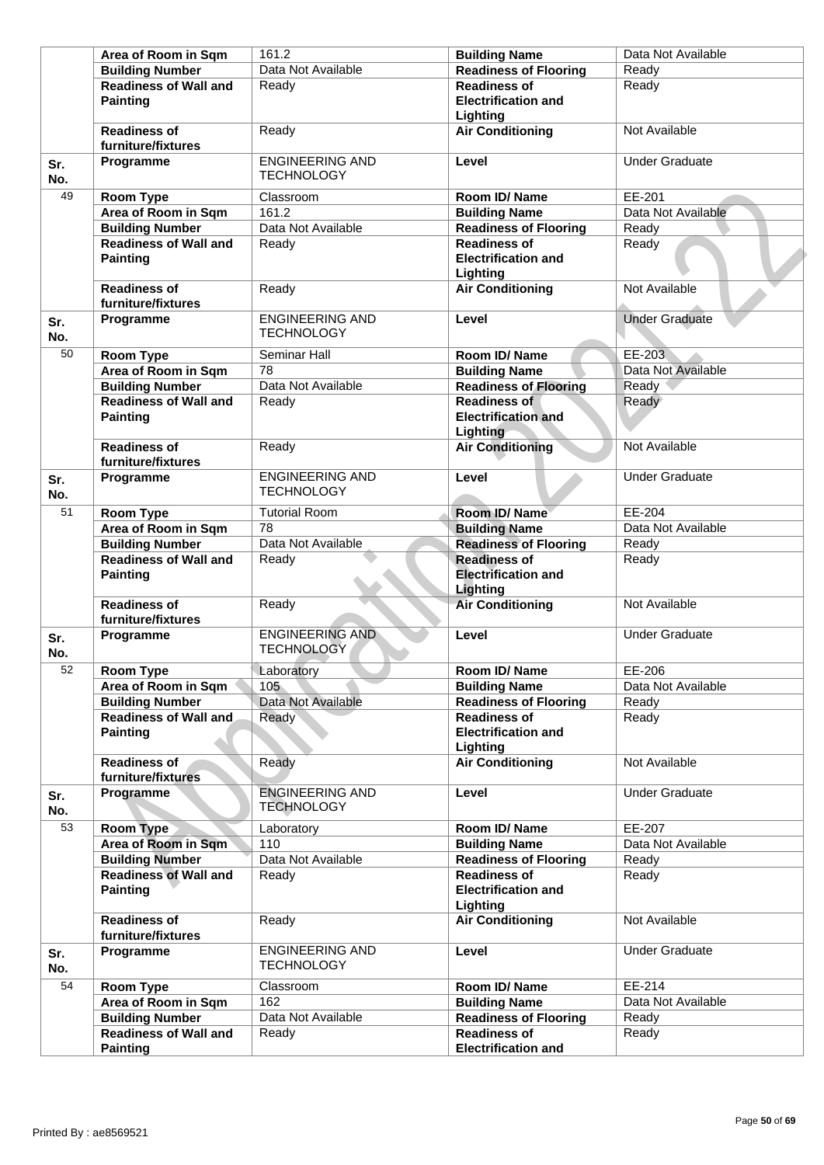| <b>Building Number</b><br>Ready<br><b>Readiness of Wall and</b><br>Ready<br><b>Readiness of</b><br>Ready<br><b>Painting</b><br><b>Electrification and</b><br>Lighting<br><b>Readiness of</b><br><b>Air Conditioning</b><br>Ready<br>Not Available<br>furniture/fixtures<br><b>ENGINEERING AND</b><br>Level<br><b>Under Graduate</b><br>Programme<br><b>TECHNOLOGY</b><br>49<br>EE-201<br>Room Type<br>Classroom<br>Room ID/Name<br>Area of Room in Sqm<br>161.2<br>Data Not Available<br><b>Building Name</b><br><b>Building Number</b><br>Data Not Available<br><b>Readiness of Flooring</b><br>Ready<br><b>Readiness of Wall and</b><br><b>Readiness of</b><br>Ready<br>Ready<br><b>Electrification and</b><br><b>Painting</b><br>Lighting<br><b>Air Conditioning</b><br>Not Available<br><b>Readiness of</b><br>Ready<br>furniture/fixtures<br><b>ENGINEERING AND</b><br><b>Under Graduate</b><br>Programme<br>Level<br><b>TECHNOLOGY</b><br>50<br>Room Type<br>Room ID/Name<br>EE-203<br>Seminar Hall<br>Area of Room in Sqm<br>78<br>Data Not Available<br><b>Building Name</b><br>Data Not Available<br><b>Building Number</b><br><b>Readiness of Flooring</b><br>Ready<br><b>Readiness of Wall and</b><br><b>Readiness of</b><br>Ready<br>Ready<br><b>Painting</b><br><b>Electrification and</b><br>Lighting<br><b>Readiness of</b><br><b>Air Conditioning</b><br>Ready<br>Not Available<br>furniture/fixtures<br><b>ENGINEERING AND</b><br>Level<br><b>Under Graduate</b><br>Programme<br><b>TECHNOLOGY</b><br>$\overline{51}$<br>EE-204<br><b>Tutorial Room</b><br>Room ID/Name<br><b>Room Type</b><br>78<br>Data Not Available<br>Area of Room in Sqm<br><b>Building Name</b><br>Data Not Available<br><b>Building Number</b><br>Ready<br><b>Readiness of Flooring</b><br><b>Readiness of</b><br><b>Readiness of Wall and</b><br>Ready<br>Ready<br><b>Painting</b><br><b>Electrification and</b><br>Lighting<br><b>Readiness of</b><br>Ready<br><b>Air Conditioning</b><br>Not Available<br>furniture/fixtures<br><b>ENGINEERING AND</b><br>Level<br><b>Under Graduate</b><br>Programme<br><b>TECHNOLOGY</b><br>Laboratory<br>52<br>Room Type<br>EE-206<br>Room ID/Name<br>105<br>Data Not Available<br>Area of Room in Sqm<br><b>Building Name</b><br>Data Not Available<br><b>Building Number</b><br><b>Readiness of Flooring</b><br>Ready<br><b>Readiness of Wall and</b><br><b>Readiness of</b><br>Ready<br>Ready<br><b>Painting</b><br><b>Electrification and</b><br>Lighting<br><b>Air Conditioning</b><br>Not Available<br><b>Readiness of</b><br>Ready<br>furniture/fixtures<br><b>ENGINEERING AND</b><br>Level<br><b>Under Graduate</b><br>Programme<br><b>TECHNOLOGY</b><br>53<br>EE-207<br>Room Type<br>Laboratory<br>Room ID/Name<br>Area of Room in Sqm<br>110<br><b>Building Name</b><br>Data Not Available<br><b>Building Number</b><br>Data Not Available<br><b>Readiness of Flooring</b><br>Ready<br><b>Readiness of Wall and</b><br><b>Readiness of</b><br>Ready<br>Ready<br><b>Painting</b><br><b>Electrification and</b><br>Lighting<br><b>Readiness of</b><br><b>Air Conditioning</b><br>Not Available<br>Ready<br>furniture/fixtures<br><b>ENGINEERING AND</b><br><b>Under Graduate</b><br>Programme<br>Level<br><b>TECHNOLOGY</b><br>54<br>EE-214<br>Classroom<br>Room ID/Name<br>Room Type<br>162<br>Area of Room in Sqm<br>Data Not Available<br><b>Building Name</b><br><b>Building Number</b><br>Data Not Available<br><b>Readiness of Flooring</b><br>Ready<br><b>Readiness of Wall and</b><br><b>Readiness of</b><br>Ready<br>Ready<br><b>Painting</b><br><b>Electrification and</b> |            | Area of Room in Sqm | 161.2              | <b>Building Name</b>         | Data Not Available |
|-----------------------------------------------------------------------------------------------------------------------------------------------------------------------------------------------------------------------------------------------------------------------------------------------------------------------------------------------------------------------------------------------------------------------------------------------------------------------------------------------------------------------------------------------------------------------------------------------------------------------------------------------------------------------------------------------------------------------------------------------------------------------------------------------------------------------------------------------------------------------------------------------------------------------------------------------------------------------------------------------------------------------------------------------------------------------------------------------------------------------------------------------------------------------------------------------------------------------------------------------------------------------------------------------------------------------------------------------------------------------------------------------------------------------------------------------------------------------------------------------------------------------------------------------------------------------------------------------------------------------------------------------------------------------------------------------------------------------------------------------------------------------------------------------------------------------------------------------------------------------------------------------------------------------------------------------------------------------------------------------------------------------------------------------------------------------------------------------------------------------------------------------------------------------------------------------------------------------------------------------------------------------------------------------------------------------------------------------------------------------------------------------------------------------------------------------------------------------------------------------------------------------------------------------------------------------------------------------------------------------------------------------------------------------------------------------------------------------------------------------------------------------------------------------------------------------------------------------------------------------------------------------------------------------------------------------------------------------------------------------------------------------------------------------------------------------------------------------------------------------------------------------------------------------------------------------------------------------------------------------------------------------------------------------------------------------------------------------------------------------------------------------------------------------------------------------------------------------------------------------------------------------------------------------------------------------------------------------------------------------------|------------|---------------------|--------------------|------------------------------|--------------------|
|                                                                                                                                                                                                                                                                                                                                                                                                                                                                                                                                                                                                                                                                                                                                                                                                                                                                                                                                                                                                                                                                                                                                                                                                                                                                                                                                                                                                                                                                                                                                                                                                                                                                                                                                                                                                                                                                                                                                                                                                                                                                                                                                                                                                                                                                                                                                                                                                                                                                                                                                                                                                                                                                                                                                                                                                                                                                                                                                                                                                                                                                                                                                                                                                                                                                                                                                                                                                                                                                                                                                                                                                                             |            |                     | Data Not Available | <b>Readiness of Flooring</b> |                    |
|                                                                                                                                                                                                                                                                                                                                                                                                                                                                                                                                                                                                                                                                                                                                                                                                                                                                                                                                                                                                                                                                                                                                                                                                                                                                                                                                                                                                                                                                                                                                                                                                                                                                                                                                                                                                                                                                                                                                                                                                                                                                                                                                                                                                                                                                                                                                                                                                                                                                                                                                                                                                                                                                                                                                                                                                                                                                                                                                                                                                                                                                                                                                                                                                                                                                                                                                                                                                                                                                                                                                                                                                                             |            |                     |                    |                              |                    |
|                                                                                                                                                                                                                                                                                                                                                                                                                                                                                                                                                                                                                                                                                                                                                                                                                                                                                                                                                                                                                                                                                                                                                                                                                                                                                                                                                                                                                                                                                                                                                                                                                                                                                                                                                                                                                                                                                                                                                                                                                                                                                                                                                                                                                                                                                                                                                                                                                                                                                                                                                                                                                                                                                                                                                                                                                                                                                                                                                                                                                                                                                                                                                                                                                                                                                                                                                                                                                                                                                                                                                                                                                             |            |                     |                    |                              |                    |
|                                                                                                                                                                                                                                                                                                                                                                                                                                                                                                                                                                                                                                                                                                                                                                                                                                                                                                                                                                                                                                                                                                                                                                                                                                                                                                                                                                                                                                                                                                                                                                                                                                                                                                                                                                                                                                                                                                                                                                                                                                                                                                                                                                                                                                                                                                                                                                                                                                                                                                                                                                                                                                                                                                                                                                                                                                                                                                                                                                                                                                                                                                                                                                                                                                                                                                                                                                                                                                                                                                                                                                                                                             |            |                     |                    |                              |                    |
|                                                                                                                                                                                                                                                                                                                                                                                                                                                                                                                                                                                                                                                                                                                                                                                                                                                                                                                                                                                                                                                                                                                                                                                                                                                                                                                                                                                                                                                                                                                                                                                                                                                                                                                                                                                                                                                                                                                                                                                                                                                                                                                                                                                                                                                                                                                                                                                                                                                                                                                                                                                                                                                                                                                                                                                                                                                                                                                                                                                                                                                                                                                                                                                                                                                                                                                                                                                                                                                                                                                                                                                                                             |            |                     |                    |                              |                    |
|                                                                                                                                                                                                                                                                                                                                                                                                                                                                                                                                                                                                                                                                                                                                                                                                                                                                                                                                                                                                                                                                                                                                                                                                                                                                                                                                                                                                                                                                                                                                                                                                                                                                                                                                                                                                                                                                                                                                                                                                                                                                                                                                                                                                                                                                                                                                                                                                                                                                                                                                                                                                                                                                                                                                                                                                                                                                                                                                                                                                                                                                                                                                                                                                                                                                                                                                                                                                                                                                                                                                                                                                                             | Sr.<br>No. |                     |                    |                              |                    |
|                                                                                                                                                                                                                                                                                                                                                                                                                                                                                                                                                                                                                                                                                                                                                                                                                                                                                                                                                                                                                                                                                                                                                                                                                                                                                                                                                                                                                                                                                                                                                                                                                                                                                                                                                                                                                                                                                                                                                                                                                                                                                                                                                                                                                                                                                                                                                                                                                                                                                                                                                                                                                                                                                                                                                                                                                                                                                                                                                                                                                                                                                                                                                                                                                                                                                                                                                                                                                                                                                                                                                                                                                             |            |                     |                    |                              |                    |
|                                                                                                                                                                                                                                                                                                                                                                                                                                                                                                                                                                                                                                                                                                                                                                                                                                                                                                                                                                                                                                                                                                                                                                                                                                                                                                                                                                                                                                                                                                                                                                                                                                                                                                                                                                                                                                                                                                                                                                                                                                                                                                                                                                                                                                                                                                                                                                                                                                                                                                                                                                                                                                                                                                                                                                                                                                                                                                                                                                                                                                                                                                                                                                                                                                                                                                                                                                                                                                                                                                                                                                                                                             |            |                     |                    |                              |                    |
|                                                                                                                                                                                                                                                                                                                                                                                                                                                                                                                                                                                                                                                                                                                                                                                                                                                                                                                                                                                                                                                                                                                                                                                                                                                                                                                                                                                                                                                                                                                                                                                                                                                                                                                                                                                                                                                                                                                                                                                                                                                                                                                                                                                                                                                                                                                                                                                                                                                                                                                                                                                                                                                                                                                                                                                                                                                                                                                                                                                                                                                                                                                                                                                                                                                                                                                                                                                                                                                                                                                                                                                                                             |            |                     |                    |                              |                    |
|                                                                                                                                                                                                                                                                                                                                                                                                                                                                                                                                                                                                                                                                                                                                                                                                                                                                                                                                                                                                                                                                                                                                                                                                                                                                                                                                                                                                                                                                                                                                                                                                                                                                                                                                                                                                                                                                                                                                                                                                                                                                                                                                                                                                                                                                                                                                                                                                                                                                                                                                                                                                                                                                                                                                                                                                                                                                                                                                                                                                                                                                                                                                                                                                                                                                                                                                                                                                                                                                                                                                                                                                                             |            |                     |                    |                              |                    |
|                                                                                                                                                                                                                                                                                                                                                                                                                                                                                                                                                                                                                                                                                                                                                                                                                                                                                                                                                                                                                                                                                                                                                                                                                                                                                                                                                                                                                                                                                                                                                                                                                                                                                                                                                                                                                                                                                                                                                                                                                                                                                                                                                                                                                                                                                                                                                                                                                                                                                                                                                                                                                                                                                                                                                                                                                                                                                                                                                                                                                                                                                                                                                                                                                                                                                                                                                                                                                                                                                                                                                                                                                             |            |                     |                    |                              |                    |
|                                                                                                                                                                                                                                                                                                                                                                                                                                                                                                                                                                                                                                                                                                                                                                                                                                                                                                                                                                                                                                                                                                                                                                                                                                                                                                                                                                                                                                                                                                                                                                                                                                                                                                                                                                                                                                                                                                                                                                                                                                                                                                                                                                                                                                                                                                                                                                                                                                                                                                                                                                                                                                                                                                                                                                                                                                                                                                                                                                                                                                                                                                                                                                                                                                                                                                                                                                                                                                                                                                                                                                                                                             | Sr.<br>No. |                     |                    |                              |                    |
|                                                                                                                                                                                                                                                                                                                                                                                                                                                                                                                                                                                                                                                                                                                                                                                                                                                                                                                                                                                                                                                                                                                                                                                                                                                                                                                                                                                                                                                                                                                                                                                                                                                                                                                                                                                                                                                                                                                                                                                                                                                                                                                                                                                                                                                                                                                                                                                                                                                                                                                                                                                                                                                                                                                                                                                                                                                                                                                                                                                                                                                                                                                                                                                                                                                                                                                                                                                                                                                                                                                                                                                                                             |            |                     |                    |                              |                    |
|                                                                                                                                                                                                                                                                                                                                                                                                                                                                                                                                                                                                                                                                                                                                                                                                                                                                                                                                                                                                                                                                                                                                                                                                                                                                                                                                                                                                                                                                                                                                                                                                                                                                                                                                                                                                                                                                                                                                                                                                                                                                                                                                                                                                                                                                                                                                                                                                                                                                                                                                                                                                                                                                                                                                                                                                                                                                                                                                                                                                                                                                                                                                                                                                                                                                                                                                                                                                                                                                                                                                                                                                                             |            |                     |                    |                              |                    |
|                                                                                                                                                                                                                                                                                                                                                                                                                                                                                                                                                                                                                                                                                                                                                                                                                                                                                                                                                                                                                                                                                                                                                                                                                                                                                                                                                                                                                                                                                                                                                                                                                                                                                                                                                                                                                                                                                                                                                                                                                                                                                                                                                                                                                                                                                                                                                                                                                                                                                                                                                                                                                                                                                                                                                                                                                                                                                                                                                                                                                                                                                                                                                                                                                                                                                                                                                                                                                                                                                                                                                                                                                             |            |                     |                    |                              |                    |
|                                                                                                                                                                                                                                                                                                                                                                                                                                                                                                                                                                                                                                                                                                                                                                                                                                                                                                                                                                                                                                                                                                                                                                                                                                                                                                                                                                                                                                                                                                                                                                                                                                                                                                                                                                                                                                                                                                                                                                                                                                                                                                                                                                                                                                                                                                                                                                                                                                                                                                                                                                                                                                                                                                                                                                                                                                                                                                                                                                                                                                                                                                                                                                                                                                                                                                                                                                                                                                                                                                                                                                                                                             |            |                     |                    |                              |                    |
|                                                                                                                                                                                                                                                                                                                                                                                                                                                                                                                                                                                                                                                                                                                                                                                                                                                                                                                                                                                                                                                                                                                                                                                                                                                                                                                                                                                                                                                                                                                                                                                                                                                                                                                                                                                                                                                                                                                                                                                                                                                                                                                                                                                                                                                                                                                                                                                                                                                                                                                                                                                                                                                                                                                                                                                                                                                                                                                                                                                                                                                                                                                                                                                                                                                                                                                                                                                                                                                                                                                                                                                                                             |            |                     |                    |                              |                    |
|                                                                                                                                                                                                                                                                                                                                                                                                                                                                                                                                                                                                                                                                                                                                                                                                                                                                                                                                                                                                                                                                                                                                                                                                                                                                                                                                                                                                                                                                                                                                                                                                                                                                                                                                                                                                                                                                                                                                                                                                                                                                                                                                                                                                                                                                                                                                                                                                                                                                                                                                                                                                                                                                                                                                                                                                                                                                                                                                                                                                                                                                                                                                                                                                                                                                                                                                                                                                                                                                                                                                                                                                                             | Sr.<br>No. |                     |                    |                              |                    |
|                                                                                                                                                                                                                                                                                                                                                                                                                                                                                                                                                                                                                                                                                                                                                                                                                                                                                                                                                                                                                                                                                                                                                                                                                                                                                                                                                                                                                                                                                                                                                                                                                                                                                                                                                                                                                                                                                                                                                                                                                                                                                                                                                                                                                                                                                                                                                                                                                                                                                                                                                                                                                                                                                                                                                                                                                                                                                                                                                                                                                                                                                                                                                                                                                                                                                                                                                                                                                                                                                                                                                                                                                             |            |                     |                    |                              |                    |
|                                                                                                                                                                                                                                                                                                                                                                                                                                                                                                                                                                                                                                                                                                                                                                                                                                                                                                                                                                                                                                                                                                                                                                                                                                                                                                                                                                                                                                                                                                                                                                                                                                                                                                                                                                                                                                                                                                                                                                                                                                                                                                                                                                                                                                                                                                                                                                                                                                                                                                                                                                                                                                                                                                                                                                                                                                                                                                                                                                                                                                                                                                                                                                                                                                                                                                                                                                                                                                                                                                                                                                                                                             |            |                     |                    |                              |                    |
|                                                                                                                                                                                                                                                                                                                                                                                                                                                                                                                                                                                                                                                                                                                                                                                                                                                                                                                                                                                                                                                                                                                                                                                                                                                                                                                                                                                                                                                                                                                                                                                                                                                                                                                                                                                                                                                                                                                                                                                                                                                                                                                                                                                                                                                                                                                                                                                                                                                                                                                                                                                                                                                                                                                                                                                                                                                                                                                                                                                                                                                                                                                                                                                                                                                                                                                                                                                                                                                                                                                                                                                                                             |            |                     |                    |                              |                    |
|                                                                                                                                                                                                                                                                                                                                                                                                                                                                                                                                                                                                                                                                                                                                                                                                                                                                                                                                                                                                                                                                                                                                                                                                                                                                                                                                                                                                                                                                                                                                                                                                                                                                                                                                                                                                                                                                                                                                                                                                                                                                                                                                                                                                                                                                                                                                                                                                                                                                                                                                                                                                                                                                                                                                                                                                                                                                                                                                                                                                                                                                                                                                                                                                                                                                                                                                                                                                                                                                                                                                                                                                                             |            |                     |                    |                              |                    |
|                                                                                                                                                                                                                                                                                                                                                                                                                                                                                                                                                                                                                                                                                                                                                                                                                                                                                                                                                                                                                                                                                                                                                                                                                                                                                                                                                                                                                                                                                                                                                                                                                                                                                                                                                                                                                                                                                                                                                                                                                                                                                                                                                                                                                                                                                                                                                                                                                                                                                                                                                                                                                                                                                                                                                                                                                                                                                                                                                                                                                                                                                                                                                                                                                                                                                                                                                                                                                                                                                                                                                                                                                             |            |                     |                    |                              |                    |
|                                                                                                                                                                                                                                                                                                                                                                                                                                                                                                                                                                                                                                                                                                                                                                                                                                                                                                                                                                                                                                                                                                                                                                                                                                                                                                                                                                                                                                                                                                                                                                                                                                                                                                                                                                                                                                                                                                                                                                                                                                                                                                                                                                                                                                                                                                                                                                                                                                                                                                                                                                                                                                                                                                                                                                                                                                                                                                                                                                                                                                                                                                                                                                                                                                                                                                                                                                                                                                                                                                                                                                                                                             | Sr.<br>No. |                     |                    |                              |                    |
|                                                                                                                                                                                                                                                                                                                                                                                                                                                                                                                                                                                                                                                                                                                                                                                                                                                                                                                                                                                                                                                                                                                                                                                                                                                                                                                                                                                                                                                                                                                                                                                                                                                                                                                                                                                                                                                                                                                                                                                                                                                                                                                                                                                                                                                                                                                                                                                                                                                                                                                                                                                                                                                                                                                                                                                                                                                                                                                                                                                                                                                                                                                                                                                                                                                                                                                                                                                                                                                                                                                                                                                                                             |            |                     |                    |                              |                    |
|                                                                                                                                                                                                                                                                                                                                                                                                                                                                                                                                                                                                                                                                                                                                                                                                                                                                                                                                                                                                                                                                                                                                                                                                                                                                                                                                                                                                                                                                                                                                                                                                                                                                                                                                                                                                                                                                                                                                                                                                                                                                                                                                                                                                                                                                                                                                                                                                                                                                                                                                                                                                                                                                                                                                                                                                                                                                                                                                                                                                                                                                                                                                                                                                                                                                                                                                                                                                                                                                                                                                                                                                                             |            |                     |                    |                              |                    |
|                                                                                                                                                                                                                                                                                                                                                                                                                                                                                                                                                                                                                                                                                                                                                                                                                                                                                                                                                                                                                                                                                                                                                                                                                                                                                                                                                                                                                                                                                                                                                                                                                                                                                                                                                                                                                                                                                                                                                                                                                                                                                                                                                                                                                                                                                                                                                                                                                                                                                                                                                                                                                                                                                                                                                                                                                                                                                                                                                                                                                                                                                                                                                                                                                                                                                                                                                                                                                                                                                                                                                                                                                             |            |                     |                    |                              |                    |
|                                                                                                                                                                                                                                                                                                                                                                                                                                                                                                                                                                                                                                                                                                                                                                                                                                                                                                                                                                                                                                                                                                                                                                                                                                                                                                                                                                                                                                                                                                                                                                                                                                                                                                                                                                                                                                                                                                                                                                                                                                                                                                                                                                                                                                                                                                                                                                                                                                                                                                                                                                                                                                                                                                                                                                                                                                                                                                                                                                                                                                                                                                                                                                                                                                                                                                                                                                                                                                                                                                                                                                                                                             |            |                     |                    |                              |                    |
|                                                                                                                                                                                                                                                                                                                                                                                                                                                                                                                                                                                                                                                                                                                                                                                                                                                                                                                                                                                                                                                                                                                                                                                                                                                                                                                                                                                                                                                                                                                                                                                                                                                                                                                                                                                                                                                                                                                                                                                                                                                                                                                                                                                                                                                                                                                                                                                                                                                                                                                                                                                                                                                                                                                                                                                                                                                                                                                                                                                                                                                                                                                                                                                                                                                                                                                                                                                                                                                                                                                                                                                                                             |            |                     |                    |                              |                    |
|                                                                                                                                                                                                                                                                                                                                                                                                                                                                                                                                                                                                                                                                                                                                                                                                                                                                                                                                                                                                                                                                                                                                                                                                                                                                                                                                                                                                                                                                                                                                                                                                                                                                                                                                                                                                                                                                                                                                                                                                                                                                                                                                                                                                                                                                                                                                                                                                                                                                                                                                                                                                                                                                                                                                                                                                                                                                                                                                                                                                                                                                                                                                                                                                                                                                                                                                                                                                                                                                                                                                                                                                                             | Sr.<br>No. |                     |                    |                              |                    |
|                                                                                                                                                                                                                                                                                                                                                                                                                                                                                                                                                                                                                                                                                                                                                                                                                                                                                                                                                                                                                                                                                                                                                                                                                                                                                                                                                                                                                                                                                                                                                                                                                                                                                                                                                                                                                                                                                                                                                                                                                                                                                                                                                                                                                                                                                                                                                                                                                                                                                                                                                                                                                                                                                                                                                                                                                                                                                                                                                                                                                                                                                                                                                                                                                                                                                                                                                                                                                                                                                                                                                                                                                             |            |                     |                    |                              |                    |
|                                                                                                                                                                                                                                                                                                                                                                                                                                                                                                                                                                                                                                                                                                                                                                                                                                                                                                                                                                                                                                                                                                                                                                                                                                                                                                                                                                                                                                                                                                                                                                                                                                                                                                                                                                                                                                                                                                                                                                                                                                                                                                                                                                                                                                                                                                                                                                                                                                                                                                                                                                                                                                                                                                                                                                                                                                                                                                                                                                                                                                                                                                                                                                                                                                                                                                                                                                                                                                                                                                                                                                                                                             |            |                     |                    |                              |                    |
|                                                                                                                                                                                                                                                                                                                                                                                                                                                                                                                                                                                                                                                                                                                                                                                                                                                                                                                                                                                                                                                                                                                                                                                                                                                                                                                                                                                                                                                                                                                                                                                                                                                                                                                                                                                                                                                                                                                                                                                                                                                                                                                                                                                                                                                                                                                                                                                                                                                                                                                                                                                                                                                                                                                                                                                                                                                                                                                                                                                                                                                                                                                                                                                                                                                                                                                                                                                                                                                                                                                                                                                                                             |            |                     |                    |                              |                    |
|                                                                                                                                                                                                                                                                                                                                                                                                                                                                                                                                                                                                                                                                                                                                                                                                                                                                                                                                                                                                                                                                                                                                                                                                                                                                                                                                                                                                                                                                                                                                                                                                                                                                                                                                                                                                                                                                                                                                                                                                                                                                                                                                                                                                                                                                                                                                                                                                                                                                                                                                                                                                                                                                                                                                                                                                                                                                                                                                                                                                                                                                                                                                                                                                                                                                                                                                                                                                                                                                                                                                                                                                                             |            |                     |                    |                              |                    |
|                                                                                                                                                                                                                                                                                                                                                                                                                                                                                                                                                                                                                                                                                                                                                                                                                                                                                                                                                                                                                                                                                                                                                                                                                                                                                                                                                                                                                                                                                                                                                                                                                                                                                                                                                                                                                                                                                                                                                                                                                                                                                                                                                                                                                                                                                                                                                                                                                                                                                                                                                                                                                                                                                                                                                                                                                                                                                                                                                                                                                                                                                                                                                                                                                                                                                                                                                                                                                                                                                                                                                                                                                             |            |                     |                    |                              |                    |
|                                                                                                                                                                                                                                                                                                                                                                                                                                                                                                                                                                                                                                                                                                                                                                                                                                                                                                                                                                                                                                                                                                                                                                                                                                                                                                                                                                                                                                                                                                                                                                                                                                                                                                                                                                                                                                                                                                                                                                                                                                                                                                                                                                                                                                                                                                                                                                                                                                                                                                                                                                                                                                                                                                                                                                                                                                                                                                                                                                                                                                                                                                                                                                                                                                                                                                                                                                                                                                                                                                                                                                                                                             | Sr.<br>No. |                     |                    |                              |                    |
|                                                                                                                                                                                                                                                                                                                                                                                                                                                                                                                                                                                                                                                                                                                                                                                                                                                                                                                                                                                                                                                                                                                                                                                                                                                                                                                                                                                                                                                                                                                                                                                                                                                                                                                                                                                                                                                                                                                                                                                                                                                                                                                                                                                                                                                                                                                                                                                                                                                                                                                                                                                                                                                                                                                                                                                                                                                                                                                                                                                                                                                                                                                                                                                                                                                                                                                                                                                                                                                                                                                                                                                                                             |            |                     |                    |                              |                    |
|                                                                                                                                                                                                                                                                                                                                                                                                                                                                                                                                                                                                                                                                                                                                                                                                                                                                                                                                                                                                                                                                                                                                                                                                                                                                                                                                                                                                                                                                                                                                                                                                                                                                                                                                                                                                                                                                                                                                                                                                                                                                                                                                                                                                                                                                                                                                                                                                                                                                                                                                                                                                                                                                                                                                                                                                                                                                                                                                                                                                                                                                                                                                                                                                                                                                                                                                                                                                                                                                                                                                                                                                                             |            |                     |                    |                              |                    |
|                                                                                                                                                                                                                                                                                                                                                                                                                                                                                                                                                                                                                                                                                                                                                                                                                                                                                                                                                                                                                                                                                                                                                                                                                                                                                                                                                                                                                                                                                                                                                                                                                                                                                                                                                                                                                                                                                                                                                                                                                                                                                                                                                                                                                                                                                                                                                                                                                                                                                                                                                                                                                                                                                                                                                                                                                                                                                                                                                                                                                                                                                                                                                                                                                                                                                                                                                                                                                                                                                                                                                                                                                             |            |                     |                    |                              |                    |
|                                                                                                                                                                                                                                                                                                                                                                                                                                                                                                                                                                                                                                                                                                                                                                                                                                                                                                                                                                                                                                                                                                                                                                                                                                                                                                                                                                                                                                                                                                                                                                                                                                                                                                                                                                                                                                                                                                                                                                                                                                                                                                                                                                                                                                                                                                                                                                                                                                                                                                                                                                                                                                                                                                                                                                                                                                                                                                                                                                                                                                                                                                                                                                                                                                                                                                                                                                                                                                                                                                                                                                                                                             |            |                     |                    |                              |                    |
|                                                                                                                                                                                                                                                                                                                                                                                                                                                                                                                                                                                                                                                                                                                                                                                                                                                                                                                                                                                                                                                                                                                                                                                                                                                                                                                                                                                                                                                                                                                                                                                                                                                                                                                                                                                                                                                                                                                                                                                                                                                                                                                                                                                                                                                                                                                                                                                                                                                                                                                                                                                                                                                                                                                                                                                                                                                                                                                                                                                                                                                                                                                                                                                                                                                                                                                                                                                                                                                                                                                                                                                                                             |            |                     |                    |                              |                    |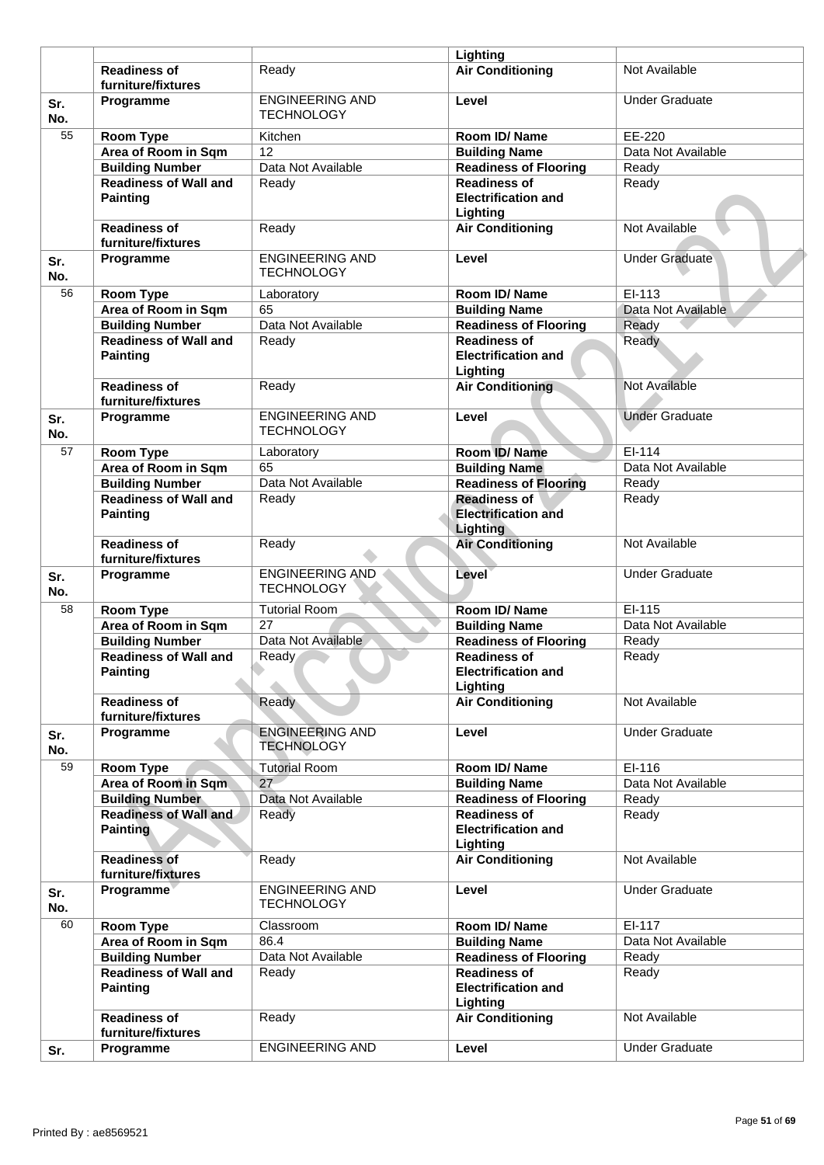|            |                                                 |                                             | Lighting                                                             |                       |
|------------|-------------------------------------------------|---------------------------------------------|----------------------------------------------------------------------|-----------------------|
|            | <b>Readiness of</b><br>furniture/fixtures       | Readv                                       | <b>Air Conditioning</b>                                              | Not Available         |
| Sr.<br>No. | Programme                                       | <b>ENGINEERING AND</b><br><b>TECHNOLOGY</b> | Level                                                                | <b>Under Graduate</b> |
| 55         | <b>Room Type</b>                                | Kitchen                                     | Room ID/Name                                                         | EE-220                |
|            | Area of Room in Sqm                             | 12                                          | <b>Building Name</b>                                                 | Data Not Available    |
|            | <b>Building Number</b>                          | Data Not Available                          | <b>Readiness of Flooring</b>                                         | Ready                 |
|            | <b>Readiness of Wall and</b>                    | Ready                                       | <b>Readiness of</b>                                                  | Ready                 |
|            | <b>Painting</b>                                 |                                             | <b>Electrification and</b><br>Lighting                               |                       |
|            | <b>Readiness of</b><br>furniture/fixtures       | Ready                                       | <b>Air Conditioning</b>                                              | Not Available         |
| Sr.<br>No. | Programme                                       | <b>ENGINEERING AND</b><br><b>TECHNOLOGY</b> | Level                                                                | <b>Under Graduate</b> |
| 56         | <b>Room Type</b>                                | Laboratory                                  | Room ID/Name                                                         | EI-113                |
|            | Area of Room in Sqm                             | 65                                          | <b>Building Name</b>                                                 | Data Not Available    |
|            | <b>Building Number</b>                          | Data Not Available                          | <b>Readiness of Flooring</b>                                         | Ready                 |
|            | <b>Readiness of Wall and</b><br><b>Painting</b> | Ready                                       | <b>Readiness of</b><br><b>Electrification and</b><br>Lighting        | Ready                 |
|            | <b>Readiness of</b><br>furniture/fixtures       | Ready                                       | <b>Air Conditioning</b>                                              | Not Available         |
| Sr.<br>No. | Programme                                       | <b>ENGINEERING AND</b><br><b>TECHNOLOGY</b> | Level                                                                | <b>Under Graduate</b> |
| 57         | <b>Room Type</b>                                | Laboratory                                  | Room ID/Name                                                         | EI-114                |
|            | Area of Room in Sqm                             | 65                                          | <b>Building Name</b>                                                 | Data Not Available    |
|            | <b>Building Number</b>                          | Data Not Available                          | <b>Readiness of Flooring</b>                                         | Ready                 |
|            | <b>Readiness of Wall and</b><br><b>Painting</b> | Ready                                       | <b>Readiness of</b><br><b>Electrification and</b><br><b>Lighting</b> | Ready                 |
|            | <b>Readiness of</b><br>furniture/fixtures       | Ready                                       | <b>Air Conditioning</b>                                              | Not Available         |
| Sr.<br>No. | Programme                                       | <b>ENGINEERING AND</b><br><b>TECHNOLOGY</b> | Level                                                                | <b>Under Graduate</b> |
| 58         | <b>Room Type</b>                                | <b>Tutorial Room</b>                        | Room ID/Name                                                         | EI-115                |
|            | Area of Room in Sqm                             | 27                                          | <b>Building Name</b>                                                 | Data Not Available    |
|            | <b>Building Number</b>                          | Data Not Available                          | <b>Readiness of Flooring</b>                                         | Ready                 |
|            | <b>Readiness of Wall and</b><br>Painting        | Ready                                       | <b>Readiness of</b><br><b>Electrification and</b><br>Lighting        | Ready                 |
|            | <b>Readiness of</b><br>furniture/fixtures       | Ready                                       | <b>Air Conditioning</b>                                              | Not Available         |
| Sr.<br>No. | Programme                                       | <b>ENGINEERING AND</b><br><b>TECHNOLOGY</b> | Level                                                                | <b>Under Graduate</b> |
| 59         | Room Type                                       | <b>Tutorial Room</b>                        | Room ID/Name                                                         | EI-116                |
|            | Area of Room in Sqm                             | 27                                          | <b>Building Name</b>                                                 | Data Not Available    |
|            | <b>Building Number</b>                          | Data Not Available                          | <b>Readiness of Flooring</b>                                         | Ready                 |
|            | <b>Readiness of Wall and</b><br><b>Painting</b> | Ready                                       | <b>Readiness of</b><br><b>Electrification and</b><br>Lighting        | Ready                 |
|            | <b>Readiness of</b><br>furniture/fixtures       | Ready                                       | <b>Air Conditioning</b>                                              | Not Available         |
| Sr.<br>No. | Programme                                       | <b>ENGINEERING AND</b><br><b>TECHNOLOGY</b> | Level                                                                | <b>Under Graduate</b> |
| 60         | Room Type                                       | Classroom                                   | Room ID/Name                                                         | EI-117                |
|            | Area of Room in Sqm                             | 86.4                                        | <b>Building Name</b>                                                 | Data Not Available    |
|            | <b>Building Number</b>                          | Data Not Available                          | Readiness of Flooring                                                | Ready                 |
|            | <b>Readiness of Wall and</b><br><b>Painting</b> | Ready                                       | <b>Readiness of</b><br><b>Electrification and</b><br>Lighting        | Ready                 |
|            | <b>Readiness of</b><br>furniture/fixtures       | Ready                                       | <b>Air Conditioning</b>                                              | Not Available         |
| Sr.        | Programme                                       | <b>ENGINEERING AND</b>                      | Level                                                                | <b>Under Graduate</b> |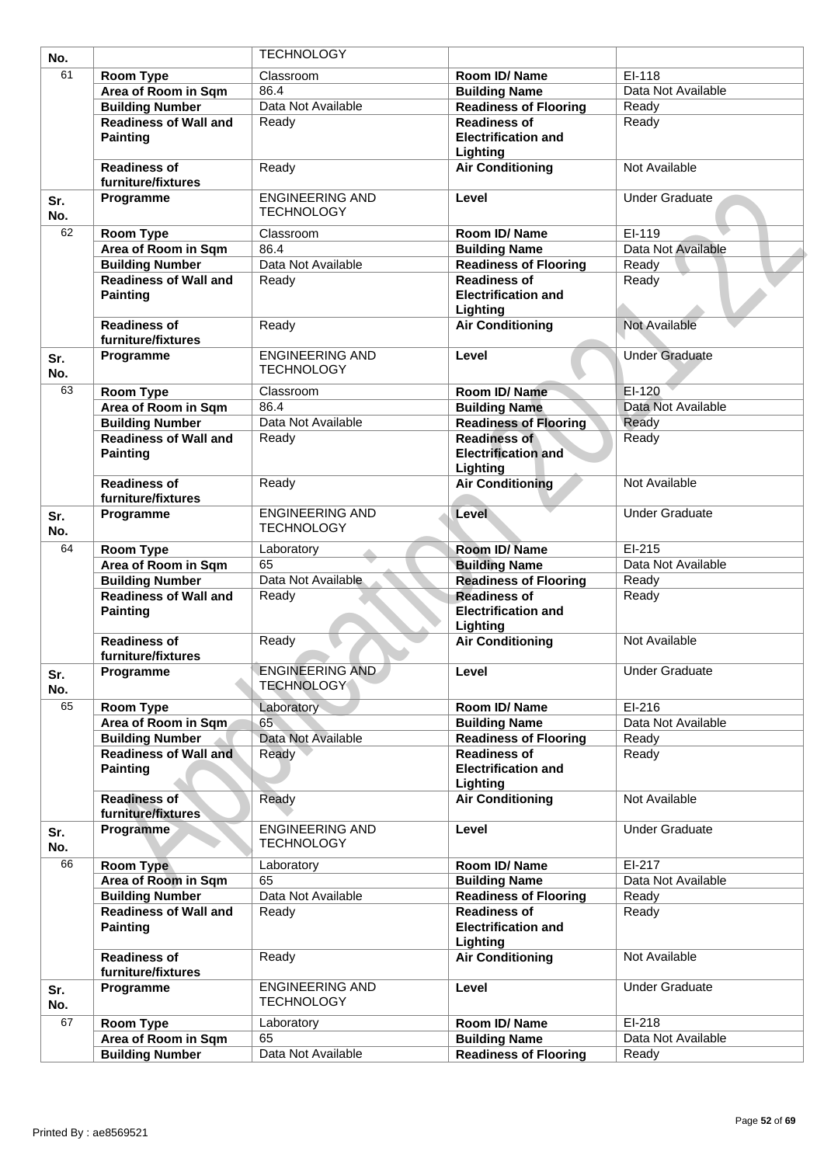| No.        |                                                 | <b>TECHNOLOGY</b>                           |                                                               |                       |
|------------|-------------------------------------------------|---------------------------------------------|---------------------------------------------------------------|-----------------------|
| 61         | <b>Room Type</b>                                | Classroom                                   | Room ID/Name                                                  | EI-118                |
|            | Area of Room in Sqm                             | 86.4                                        | <b>Building Name</b>                                          | Data Not Available    |
|            | <b>Building Number</b>                          | Data Not Available                          | <b>Readiness of Flooring</b>                                  | Ready                 |
|            | <b>Readiness of Wall and</b>                    | Ready                                       | <b>Readiness of</b>                                           | Ready                 |
|            | <b>Painting</b>                                 |                                             | <b>Electrification and</b><br>Lighting                        |                       |
|            | <b>Readiness of</b><br>furniture/fixtures       | Ready                                       | <b>Air Conditioning</b>                                       | Not Available         |
| Sr.<br>No. | Programme                                       | <b>ENGINEERING AND</b><br><b>TECHNOLOGY</b> | Level                                                         | <b>Under Graduate</b> |
| 62         | <b>Room Type</b>                                | Classroom                                   | Room ID/Name                                                  | EI-119                |
|            | Area of Room in Sqm                             | 86.4                                        | <b>Building Name</b>                                          | Data Not Available    |
|            | <b>Building Number</b>                          | Data Not Available                          | <b>Readiness of Flooring</b>                                  | Ready                 |
|            | <b>Readiness of Wall and</b><br><b>Painting</b> | Ready                                       | <b>Readiness of</b><br><b>Electrification and</b><br>Lighting | Ready                 |
|            | <b>Readiness of</b><br>furniture/fixtures       | Ready                                       | <b>Air Conditioning</b>                                       | <b>Not Available</b>  |
| Sr.<br>No. | Programme                                       | <b>ENGINEERING AND</b><br><b>TECHNOLOGY</b> | Level                                                         | <b>Under Graduate</b> |
| 63         | <b>Room Type</b>                                | Classroom                                   | Room ID/Name                                                  | EI-120                |
|            | Area of Room in Sqm                             | 86.4                                        | <b>Building Name</b>                                          | Data Not Available    |
|            | <b>Building Number</b>                          | Data Not Available                          | <b>Readiness of Flooring</b>                                  | Ready                 |
|            | <b>Readiness of Wall and</b><br><b>Painting</b> | Ready                                       | <b>Readiness of</b><br><b>Electrification and</b><br>Lighting | Ready                 |
|            | <b>Readiness of</b><br>furniture/fixtures       | Ready                                       | <b>Air Conditioning</b>                                       | Not Available         |
| Sr.<br>No. | Programme                                       | <b>ENGINEERING AND</b><br><b>TECHNOLOGY</b> | <b>Level</b>                                                  | <b>Under Graduate</b> |
| 64         | <b>Room Type</b>                                | Laboratory                                  | Room ID/Name                                                  | $EI-215$              |
|            | Area of Room in Sqm                             | 65                                          | <b>Building Name</b>                                          | Data Not Available    |
|            | <b>Building Number</b>                          | Data Not Available                          | <b>Readiness of Flooring</b>                                  | Ready                 |
|            | <b>Readiness of Wall and</b><br><b>Painting</b> | Ready                                       | <b>Readiness of</b><br><b>Electrification and</b><br>Lighting | Ready                 |
|            | <b>Readiness of</b><br>furniture/fixtures       | Ready                                       | <b>Air Conditioning</b>                                       | Not Available         |
| Sr.<br>No. | Programme                                       | <b>ENGINEERING AND</b><br><b>TECHNOLOGY</b> | Level                                                         | <b>Under Graduate</b> |
| 65         | Room Type                                       | Laboratory                                  | Room ID/Name                                                  | EI-216                |
|            | Area of Room in Sqm                             | 65                                          | <b>Building Name</b>                                          | Data Not Available    |
|            | <b>Building Number</b>                          | Data Not Available                          | <b>Readiness of Flooring</b>                                  | Ready                 |
|            | <b>Readiness of Wall and</b><br><b>Painting</b> | Ready                                       | <b>Readiness of</b><br><b>Electrification and</b><br>Lighting | Ready                 |
|            | <b>Readiness of</b><br>furniture/fixtures       | Ready                                       | <b>Air Conditioning</b>                                       | Not Available         |
| Sr.<br>No. | Programme                                       | <b>ENGINEERING AND</b><br><b>TECHNOLOGY</b> | Level                                                         | <b>Under Graduate</b> |
| 66         | <b>Room Type</b>                                | Laboratory                                  | Room ID/Name                                                  | EI-217                |
|            | Area of Room in Sqm                             | 65                                          | <b>Building Name</b>                                          | Data Not Available    |
|            | <b>Building Number</b>                          | Data Not Available                          | <b>Readiness of Flooring</b>                                  | Ready                 |
|            | <b>Readiness of Wall and</b><br><b>Painting</b> | Ready                                       | <b>Readiness of</b><br><b>Electrification and</b><br>Lighting | Ready                 |
|            | <b>Readiness of</b><br>furniture/fixtures       | Ready                                       | <b>Air Conditioning</b>                                       | Not Available         |
| Sr.<br>No. | Programme                                       | <b>ENGINEERING AND</b><br><b>TECHNOLOGY</b> | Level                                                         | <b>Under Graduate</b> |
| 67         | Room Type                                       | Laboratory                                  | Room ID/Name                                                  | EI-218                |
|            | Area of Room in Sqm                             | 65                                          | <b>Building Name</b>                                          | Data Not Available    |
|            | <b>Building Number</b>                          | Data Not Available                          | <b>Readiness of Flooring</b>                                  | Ready                 |
|            |                                                 |                                             |                                                               |                       |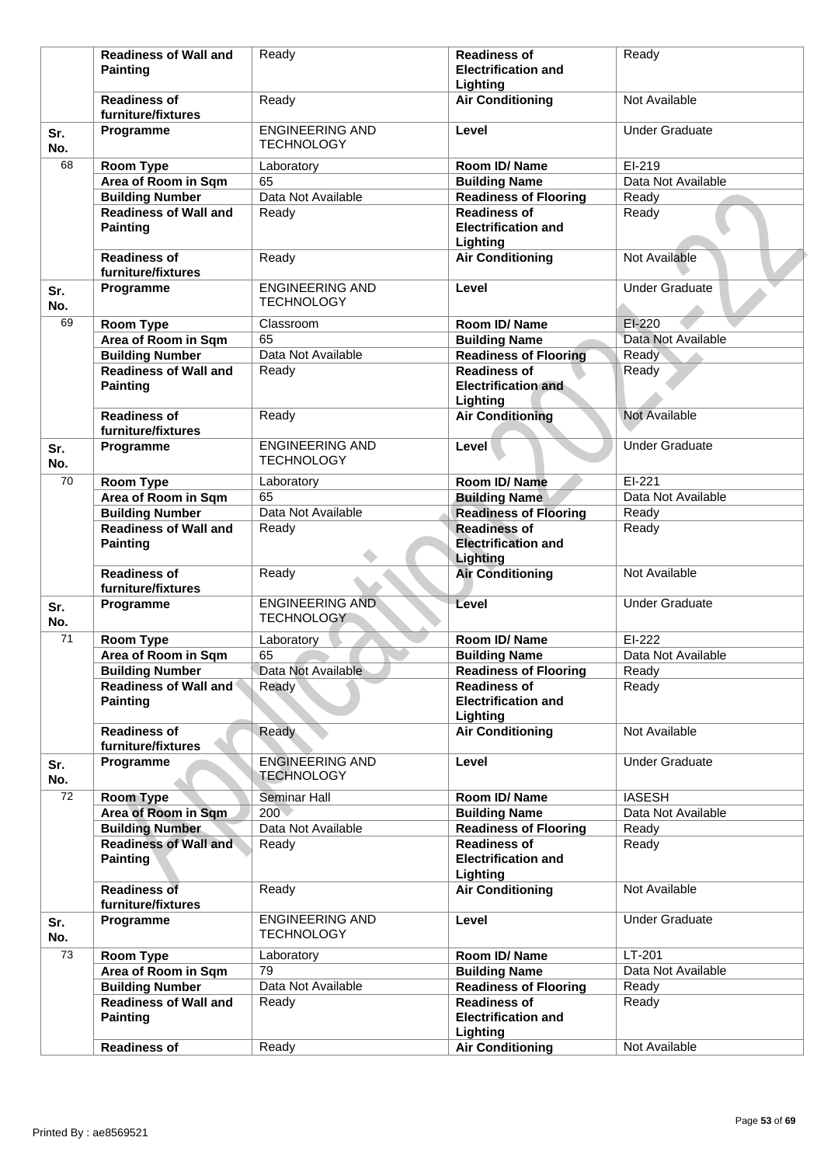|            | <b>Readiness of Wall and</b>                    | Ready                                       | <b>Readiness of</b>                                           | Ready                 |
|------------|-------------------------------------------------|---------------------------------------------|---------------------------------------------------------------|-----------------------|
|            | <b>Painting</b>                                 |                                             | <b>Electrification and</b>                                    |                       |
|            |                                                 |                                             | Lighting                                                      |                       |
|            | <b>Readiness of</b><br>furniture/fixtures       | Ready                                       | <b>Air Conditioning</b>                                       | Not Available         |
| Sr.<br>No. | Programme                                       | <b>ENGINEERING AND</b><br><b>TECHNOLOGY</b> | Level                                                         | <b>Under Graduate</b> |
| 68         | <b>Room Type</b>                                | Laboratory                                  | Room ID/Name                                                  | EI-219                |
|            | Area of Room in Sqm                             | 65                                          | <b>Building Name</b>                                          | Data Not Available    |
|            | <b>Building Number</b>                          | Data Not Available                          | <b>Readiness of Flooring</b>                                  | Ready                 |
|            | <b>Readiness of Wall and</b><br><b>Painting</b> | Ready                                       | <b>Readiness of</b><br><b>Electrification and</b><br>Lighting | Ready                 |
|            | <b>Readiness of</b><br>furniture/fixtures       | Ready                                       | <b>Air Conditioning</b>                                       | Not Available         |
| Sr.<br>No. | Programme                                       | <b>ENGINEERING AND</b><br><b>TECHNOLOGY</b> | Level                                                         | <b>Under Graduate</b> |
| 69         | <b>Room Type</b>                                | Classroom                                   | Room ID/Name                                                  | $EI-220$              |
|            | Area of Room in Sqm                             | 65                                          | <b>Building Name</b>                                          | Data Not Available    |
|            | <b>Building Number</b>                          | Data Not Available                          | <b>Readiness of Flooring</b>                                  | Ready                 |
|            | <b>Readiness of Wall and</b>                    | Ready                                       | <b>Readiness of</b>                                           | Ready                 |
|            | <b>Painting</b>                                 |                                             | <b>Electrification and</b><br>Lighting                        |                       |
|            | <b>Readiness of</b><br>furniture/fixtures       | Ready                                       | <b>Air Conditioning</b>                                       | Not Available         |
| Sr.<br>No. | Programme                                       | <b>ENGINEERING AND</b><br><b>TECHNOLOGY</b> | Level                                                         | <b>Under Graduate</b> |
| 70         | Room Type                                       | Laboratory                                  | Room ID/Name                                                  | $EI-221$              |
|            | Area of Room in Sqm                             | 65                                          | <b>Building Name</b>                                          | Data Not Available    |
|            | <b>Building Number</b>                          | Data Not Available                          | <b>Readiness of Flooring</b>                                  | Ready                 |
|            | <b>Readiness of Wall and</b><br><b>Painting</b> | Ready                                       | <b>Readiness of</b><br><b>Electrification and</b><br>Lighting | Ready                 |
|            | <b>Readiness of</b><br>furniture/fixtures       | Ready                                       | <b>Air Conditioning</b>                                       | Not Available         |
| Sr.<br>No. | Programme                                       | <b>ENGINEERING AND</b><br><b>TECHNOLOGY</b> | Level                                                         | <b>Under Graduate</b> |
| 71         | <b>Room Type</b>                                | Laboratory                                  | Room ID/Name                                                  | EI-222                |
|            | Area of Room in Sqm                             | 65                                          | <b>Building Name</b>                                          | Data Not Available    |
|            | <b>Building Number</b>                          | Data Not Available                          | <b>Readiness of Flooring</b>                                  | Ready                 |
|            | Readiness of Wall and<br><b>Painting</b>        | Ready                                       | <b>Readiness of</b><br><b>Electrification and</b>             | Ready                 |
|            | <b>Readiness of</b>                             | Ready                                       | Lighting<br><b>Air Conditioning</b>                           | Not Available         |
|            | furniture/fixtures                              | <b>ENGINEERING AND</b>                      | Level                                                         | <b>Under Graduate</b> |
| Sr.<br>No. | Programme                                       | <b>TECHNOLOGY</b>                           |                                                               |                       |
| 72         | <b>Room Type</b>                                | <b>Seminar Hall</b>                         | Room ID/ Name                                                 | <b>IASESH</b>         |
|            | Area of Room in Sqm                             | 200<                                        | <b>Building Name</b>                                          | Data Not Available    |
|            | <b>Building Number</b>                          | Data Not Available                          | <b>Readiness of Flooring</b>                                  | Ready                 |
|            | <b>Readiness of Wall and</b><br><b>Painting</b> | Ready                                       | <b>Readiness of</b><br><b>Electrification and</b>             | Ready                 |
|            | <b>Readiness of</b><br>furniture/fixtures       | Ready                                       | Lighting<br><b>Air Conditioning</b>                           | Not Available         |
|            |                                                 | <b>ENGINEERING AND</b>                      |                                                               | <b>Under Graduate</b> |
| Sr.<br>No. | Programme                                       | <b>TECHNOLOGY</b>                           | Level                                                         |                       |
| 73         | <b>Room Type</b>                                | Laboratory                                  | Room ID/Name                                                  | LT-201                |
|            | Area of Room in Sqm                             | 79                                          | <b>Building Name</b>                                          | Data Not Available    |
|            | <b>Building Number</b>                          | Data Not Available                          | <b>Readiness of Flooring</b>                                  | Ready                 |
|            | <b>Readiness of Wall and</b><br><b>Painting</b> | Ready                                       | <b>Readiness of</b><br><b>Electrification and</b><br>Lighting | Ready                 |
|            | <b>Readiness of</b>                             | Ready                                       | <b>Air Conditioning</b>                                       | Not Available         |
|            |                                                 |                                             |                                                               |                       |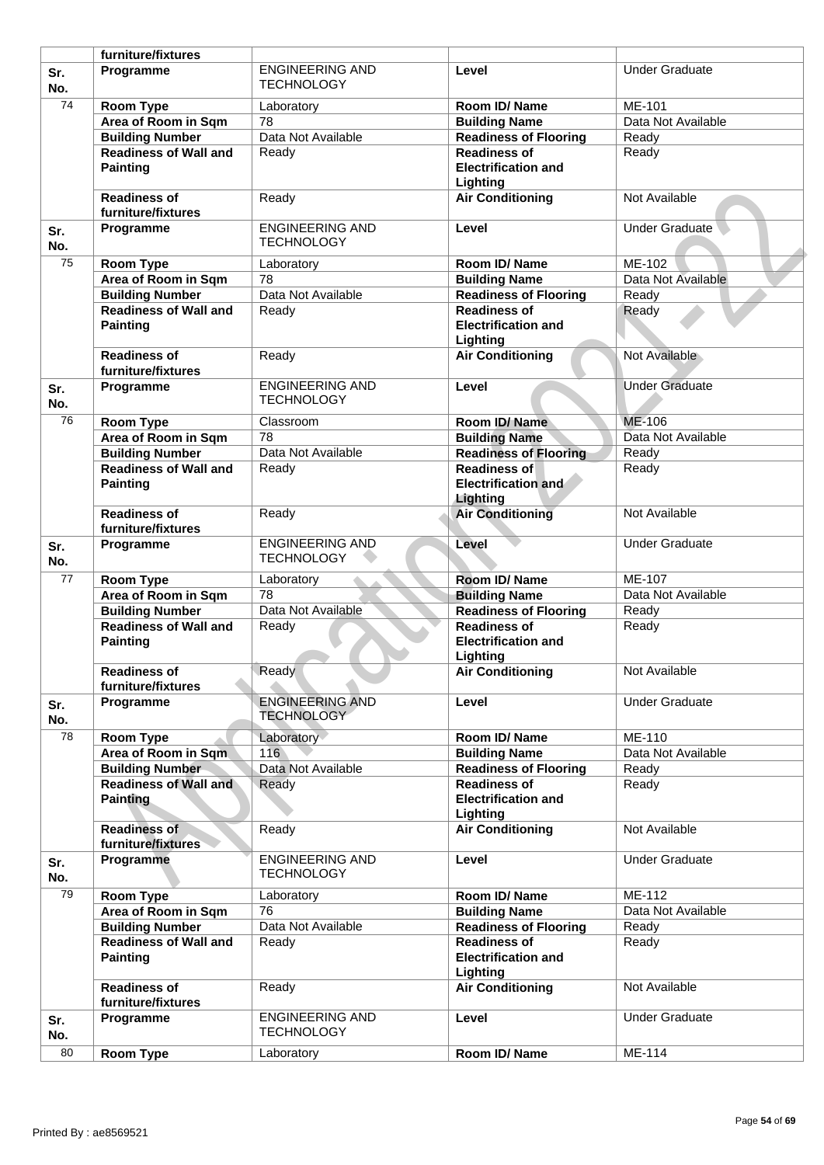|                 | furniture/fixtures                                     |                                             |                                                               |                       |
|-----------------|--------------------------------------------------------|---------------------------------------------|---------------------------------------------------------------|-----------------------|
| Sr.<br>No.      | Programme                                              | <b>ENGINEERING AND</b><br><b>TECHNOLOGY</b> | Level                                                         | <b>Under Graduate</b> |
| $\overline{74}$ | Room Type                                              | Laboratory                                  | Room ID/Name                                                  | ME-101                |
|                 | Area of Room in Sqm                                    | 78                                          | <b>Building Name</b>                                          | Data Not Available    |
|                 | <b>Building Number</b>                                 | Data Not Available                          | <b>Readiness of Flooring</b>                                  | Ready                 |
|                 | <b>Readiness of Wall and</b>                           | Ready                                       | <b>Readiness of</b>                                           | Ready                 |
|                 | <b>Painting</b>                                        |                                             | <b>Electrification and</b><br>Lighting                        |                       |
|                 | <b>Readiness of</b>                                    | Ready                                       | <b>Air Conditioning</b>                                       | Not Available         |
|                 | furniture/fixtures                                     |                                             |                                                               |                       |
| Sr.<br>No.      | Programme                                              | <b>ENGINEERING AND</b><br><b>TECHNOLOGY</b> | Level                                                         | Under Graduate        |
| 75              | <b>Room Type</b>                                       | Laboratory                                  | Room ID/Name                                                  | ME-102                |
|                 | Area of Room in Sqm                                    | 78                                          | <b>Building Name</b>                                          | Data Not Available    |
|                 | <b>Building Number</b>                                 | Data Not Available                          | <b>Readiness of Flooring</b>                                  | Ready                 |
|                 | <b>Readiness of Wall and</b>                           |                                             | <b>Readiness of</b>                                           |                       |
|                 | <b>Painting</b>                                        | Ready                                       | <b>Electrification and</b><br>Lighting                        | Ready                 |
|                 | <b>Readiness of</b><br>furniture/fixtures              | Ready                                       | <b>Air Conditioning</b>                                       | Not Available         |
| Sr.<br>No.      | Programme                                              | <b>ENGINEERING AND</b><br><b>TECHNOLOGY</b> | Level                                                         | <b>Under Graduate</b> |
| 76              | Room Type                                              | Classroom                                   | Room ID/Name                                                  | ME-106                |
|                 | Area of Room in Sqm                                    | 78                                          | <b>Building Name</b>                                          | Data Not Available    |
|                 | <b>Building Number</b>                                 | Data Not Available                          | <b>Readiness of Flooring</b>                                  | Ready                 |
|                 | <b>Readiness of Wall and</b>                           | Ready                                       | <b>Readiness of</b>                                           | Ready                 |
|                 | <b>Painting</b>                                        |                                             | <b>Electrification and</b><br>Lighting                        |                       |
|                 | <b>Readiness of</b><br>furniture/fixtures              | Ready                                       | <b>Air Conditioning</b>                                       | Not Available         |
| Sr.<br>No.      | Programme                                              | <b>ENGINEERING AND</b><br><b>TECHNOLOGY</b> | Level                                                         | <b>Under Graduate</b> |
| 77              | <b>Room Type</b>                                       | Laboratory                                  | Room ID/ Name                                                 | ME-107                |
|                 | Area of Room in Sqm                                    | 78                                          | <b>Building Name</b>                                          | Data Not Available    |
|                 | <b>Building Number</b>                                 | Data Not Available                          | <b>Readiness of Flooring</b>                                  | Ready                 |
|                 | <b>Readiness of Wall and</b><br><b>Painting</b>        | Ready                                       | <b>Readiness of</b><br><b>Electrification and</b><br>Lighting | Ready                 |
|                 | <b>Readiness of</b>                                    | Ready                                       |                                                               | Not Available         |
|                 | furniture/fixtures                                     |                                             | <b>Air Conditioning</b>                                       |                       |
| Sr.<br>No.      | Programme                                              | <b>ENGINEERING AND</b><br><b>TECHNOLOGY</b> | Level                                                         | <b>Under Graduate</b> |
| 78              | <b>Room Type</b>                                       | Laboratory                                  | Room ID/Name                                                  | ME-110                |
|                 | Area of Room in Sqm                                    | 116                                         | <b>Building Name</b>                                          | Data Not Available    |
|                 |                                                        | Data Not Available                          |                                                               |                       |
|                 | <b>Building Number</b><br><b>Readiness of Wall and</b> |                                             | <b>Readiness of Flooring</b>                                  | Ready                 |
|                 | <b>Painting</b>                                        | Ready                                       | <b>Readiness of</b><br><b>Electrification and</b><br>Lighting | Ready                 |
|                 | <b>Readiness of</b><br>furniture/fixtures              | Ready                                       | <b>Air Conditioning</b>                                       | Not Available         |
| Sr.<br>No.      | Programme                                              | <b>ENGINEERING AND</b><br><b>TECHNOLOGY</b> | Level                                                         | <b>Under Graduate</b> |
| 79              | Room Type                                              | Laboratory                                  | Room ID/Name                                                  | ME-112                |
|                 | Area of Room in Sqm                                    | 76                                          | <b>Building Name</b>                                          | Data Not Available    |
|                 | <b>Building Number</b>                                 | Data Not Available                          | Readiness of Flooring                                         | Ready                 |
|                 | <b>Readiness of Wall and</b><br><b>Painting</b>        | Ready                                       | <b>Readiness of</b><br><b>Electrification and</b><br>Lighting | Ready                 |
|                 | <b>Readiness of</b><br>furniture/fixtures              | Ready                                       | <b>Air Conditioning</b>                                       | Not Available         |
| Sr.<br>No.      | Programme                                              | <b>ENGINEERING AND</b><br><b>TECHNOLOGY</b> | Level                                                         | <b>Under Graduate</b> |
| 80              | <b>Room Type</b>                                       | Laboratory                                  | Room ID/Name                                                  | ME-114                |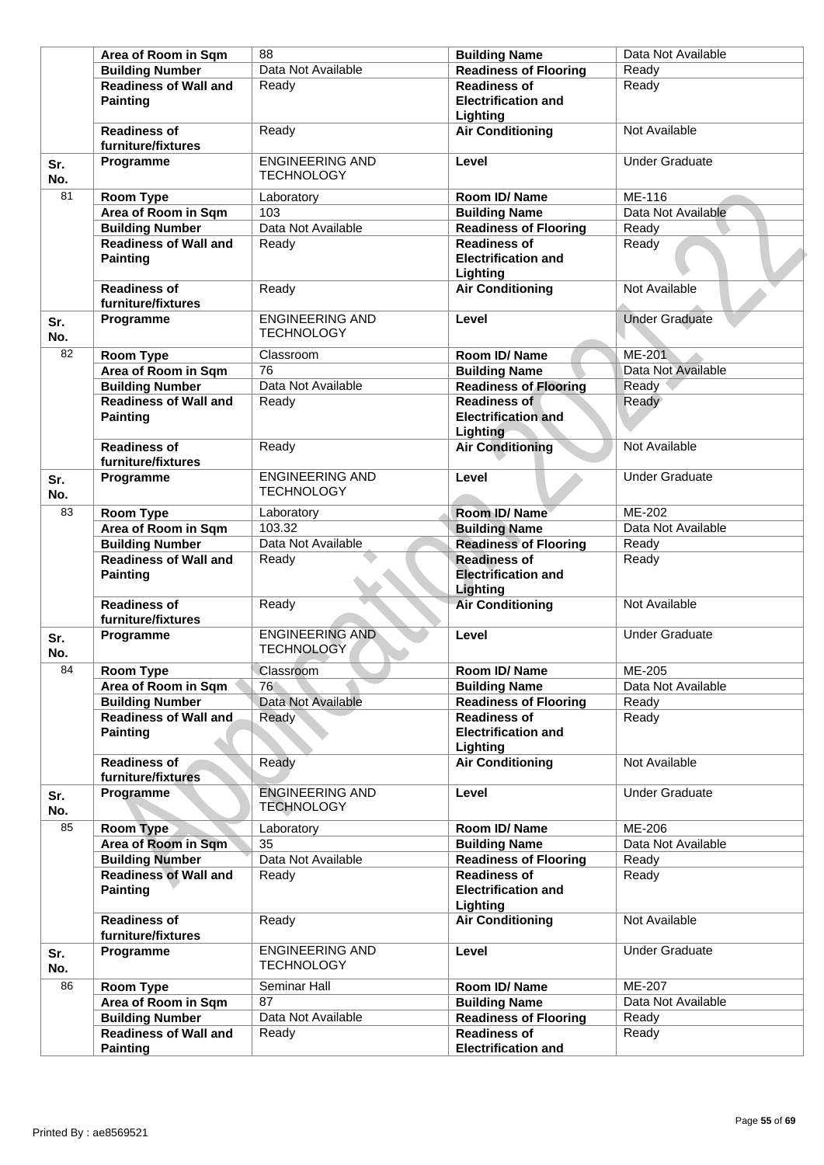| Area of Room in Sqm<br>88                   | <b>Building Name</b>                                                                      | Data Not Available                                                                                                      |
|---------------------------------------------|-------------------------------------------------------------------------------------------|-------------------------------------------------------------------------------------------------------------------------|
| Data Not Available                          | <b>Readiness of Flooring</b>                                                              | Ready                                                                                                                   |
| <b>Readiness of Wall and</b><br>Readv       | <b>Readiness of</b><br><b>Electrification and</b><br>Lighting                             | Ready                                                                                                                   |
| Ready                                       | <b>Air Conditioning</b>                                                                   | Not Available                                                                                                           |
| <b>ENGINEERING AND</b><br><b>TECHNOLOGY</b> | Level                                                                                     | <b>Under Graduate</b>                                                                                                   |
| Laboratory                                  | Room ID/Name                                                                              | ME-116                                                                                                                  |
| 103<br>Area of Room in Sqm                  | <b>Building Name</b>                                                                      | Data Not Available                                                                                                      |
| Data Not Available                          | <b>Readiness of Flooring</b>                                                              | Ready                                                                                                                   |
| <b>Readiness of Wall and</b><br>Ready       | <b>Readiness of</b><br><b>Electrification and</b><br>Lighting                             | Ready                                                                                                                   |
|                                             |                                                                                           | Not Available                                                                                                           |
| <b>TECHNOLOGY</b>                           |                                                                                           | <b>Under Graduate</b>                                                                                                   |
| Classroom                                   | Room ID/Name                                                                              | <b>ME-201</b>                                                                                                           |
| Area of Room in Sqm<br>76                   | <b>Building Name</b>                                                                      | Data Not Available                                                                                                      |
| Data Not Available                          | <b>Readiness of Flooring</b>                                                              | Ready                                                                                                                   |
| Ready                                       | <b>Readiness of</b><br><b>Electrification and</b><br>Lighting                             | Ready                                                                                                                   |
| Ready                                       | <b>Air Conditioning</b>                                                                   | Not Available                                                                                                           |
| <b>TECHNOLOGY</b>                           |                                                                                           | <b>Under Graduate</b>                                                                                                   |
| Laboratory                                  | Room ID/Name                                                                              | ME-202                                                                                                                  |
| Area of Room in Sqm<br>103.32               | <b>Building Name</b>                                                                      | Data Not Available                                                                                                      |
| Data Not Available                          | <b>Readiness of Flooring</b>                                                              | Ready                                                                                                                   |
| <b>Readiness of Wall and</b><br>Ready       | <b>Readiness of</b><br><b>Electrification and</b>                                         | Ready                                                                                                                   |
| Ready                                       | <b>Air Conditioning</b>                                                                   | Not Available                                                                                                           |
| <b>ENGINEERING AND</b><br><b>TECHNOLOGY</b> | Level                                                                                     | <b>Under Graduate</b>                                                                                                   |
| Classroom                                   | Room ID/ Name                                                                             | <b>ME-205</b>                                                                                                           |
| Area of Room in Sqm<br>76                   |                                                                                           | Data Not Available                                                                                                      |
| Data Not Available                          | <b>Readiness of Flooring</b>                                                              | Ready                                                                                                                   |
| <b>Readiness of Wall and</b><br>Ready       | <b>Readiness of</b><br><b>Electrification and</b>                                         | Ready                                                                                                                   |
| Ready                                       | <b>Air Conditioning</b>                                                                   | Not Available                                                                                                           |
| <b>ENGINEERING AND</b><br><b>TECHNOLOGY</b> | Level                                                                                     | <b>Under Graduate</b>                                                                                                   |
| Laboratory                                  | Room ID/Name                                                                              | ME-206                                                                                                                  |
| Area of Room in Sqm<br>35                   | <b>Building Name</b>                                                                      | Data Not Available                                                                                                      |
| Data Not Available                          | <b>Readiness of Flooring</b>                                                              | Ready                                                                                                                   |
| <b>Readiness of Wall and</b><br>Ready       | <b>Readiness of</b>                                                                       | Ready                                                                                                                   |
|                                             |                                                                                           |                                                                                                                         |
| Ready                                       | Lighting<br><b>Air Conditioning</b>                                                       | Not Available                                                                                                           |
| <b>ENGINEERING AND</b><br><b>TECHNOLOGY</b> | Level                                                                                     | <b>Under Graduate</b>                                                                                                   |
| Seminar Hall                                | <b>Room ID/ Name</b>                                                                      | ME-207                                                                                                                  |
| 87<br>Area of Room in Sqm                   | <b>Building Name</b>                                                                      | Data Not Available                                                                                                      |
| Data Not Available                          | <b>Readiness of Flooring</b>                                                              | Ready                                                                                                                   |
| <b>Readiness of Wall and</b><br>Ready       | <b>Readiness of</b>                                                                       | Ready                                                                                                                   |
|                                             | Ready<br><b>ENGINEERING AND</b><br><b>Readiness of Wall and</b><br><b>ENGINEERING AND</b> | <b>Air Conditioning</b><br>Level<br>Level<br>Lighting<br><b>Building Name</b><br>Lighting<br><b>Electrification and</b> |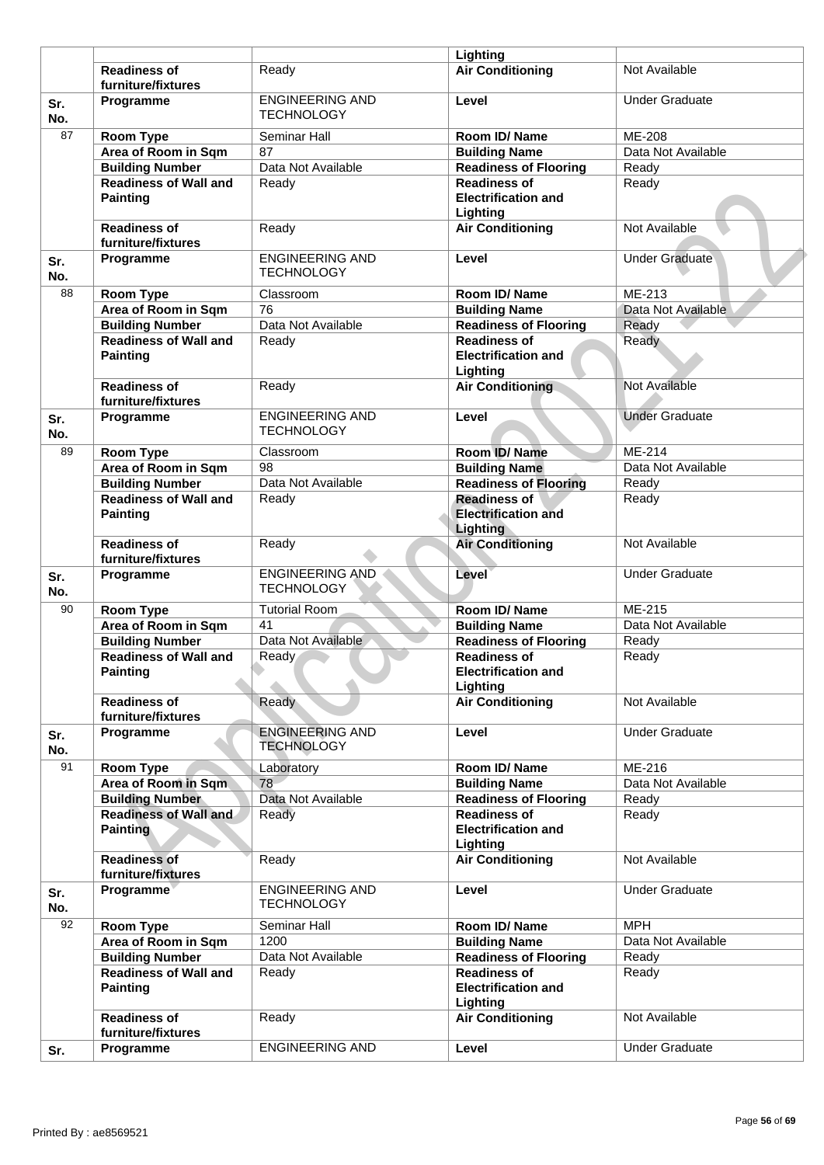|            |                                                 |                                             | Lighting                                                             |                       |
|------------|-------------------------------------------------|---------------------------------------------|----------------------------------------------------------------------|-----------------------|
|            | <b>Readiness of</b><br>furniture/fixtures       | Readv                                       | <b>Air Conditioning</b>                                              | Not Available         |
| Sr.<br>No. | Programme                                       | <b>ENGINEERING AND</b><br><b>TECHNOLOGY</b> | Level                                                                | <b>Under Graduate</b> |
| 87         | <b>Room Type</b>                                | Seminar Hall                                | Room ID/Name                                                         | ME-208                |
|            | Area of Room in Sqm                             | 87                                          | <b>Building Name</b>                                                 | Data Not Available    |
|            | <b>Building Number</b>                          | Data Not Available                          | <b>Readiness of Flooring</b>                                         | Ready                 |
|            | <b>Readiness of Wall and</b>                    | Ready                                       | <b>Readiness of</b>                                                  | Ready                 |
|            | <b>Painting</b>                                 |                                             | <b>Electrification and</b><br>Lighting                               |                       |
|            | <b>Readiness of</b><br>furniture/fixtures       | Ready                                       | <b>Air Conditioning</b>                                              | Not Available         |
| Sr.<br>No. | Programme                                       | <b>ENGINEERING AND</b><br><b>TECHNOLOGY</b> | Level                                                                | <b>Under Graduate</b> |
| 88         | <b>Room Type</b>                                | Classroom                                   | Room ID/Name                                                         | ME-213                |
|            | Area of Room in Sqm                             | 76                                          | <b>Building Name</b>                                                 | Data Not Available    |
|            | <b>Building Number</b>                          | Data Not Available                          | <b>Readiness of Flooring</b>                                         | Ready                 |
|            | <b>Readiness of Wall and</b><br><b>Painting</b> | Ready                                       | <b>Readiness of</b><br><b>Electrification and</b><br>Lighting        | Ready                 |
|            | <b>Readiness of</b><br>furniture/fixtures       | Ready                                       | <b>Air Conditioning</b>                                              | Not Available         |
| Sr.<br>No. | Programme                                       | <b>ENGINEERING AND</b><br><b>TECHNOLOGY</b> | Level                                                                | <b>Under Graduate</b> |
| 89         | <b>Room Type</b>                                | Classroom                                   | Room ID/Name                                                         | ME-214                |
|            | Area of Room in Sqm                             | 98                                          | <b>Building Name</b>                                                 | Data Not Available    |
|            | <b>Building Number</b>                          | Data Not Available                          | <b>Readiness of Flooring</b>                                         | Ready                 |
|            | <b>Readiness of Wall and</b><br><b>Painting</b> | Ready                                       | <b>Readiness of</b><br><b>Electrification and</b><br><b>Lighting</b> | Ready                 |
|            | <b>Readiness of</b><br>furniture/fixtures       | Ready                                       | <b>Air Conditioning</b>                                              | Not Available         |
| Sr.<br>No. | Programme                                       | <b>ENGINEERING AND</b><br><b>TECHNOLOGY</b> | Level                                                                | <b>Under Graduate</b> |
| 90         | <b>Room Type</b>                                | <b>Tutorial Room</b>                        | Room ID/Name                                                         | ME-215                |
|            | Area of Room in Sqm                             | 41                                          | <b>Building Name</b>                                                 | Data Not Available    |
|            | <b>Building Number</b>                          | Data Not Available                          | <b>Readiness of Flooring</b>                                         | Ready                 |
|            | <b>Readiness of Wall and</b><br>Painting        | Ready                                       | <b>Readiness of</b><br><b>Electrification and</b><br>Lighting        | Ready                 |
|            | <b>Readiness of</b><br>furniture/fixtures       | Ready                                       | <b>Air Conditioning</b>                                              | Not Available         |
| Sr.<br>No. | Programme                                       | <b>ENGINEERING AND</b><br><b>TECHNOLOGY</b> | Level                                                                | <b>Under Graduate</b> |
| 91         | Room Type                                       | Laboratory                                  | Room ID/Name                                                         | ME-216                |
|            | Area of Room in Sqm                             | 78                                          | <b>Building Name</b>                                                 | Data Not Available    |
|            | <b>Building Number</b>                          | Data Not Available                          | <b>Readiness of Flooring</b>                                         | Ready                 |
|            | <b>Readiness of Wall and</b><br><b>Painting</b> | Ready                                       | <b>Readiness of</b><br><b>Electrification and</b><br>Lighting        | Ready                 |
|            | <b>Readiness of</b><br>furniture/fixtures       | Ready                                       | <b>Air Conditioning</b>                                              | Not Available         |
| Sr.<br>No. | Programme                                       | <b>ENGINEERING AND</b><br><b>TECHNOLOGY</b> | Level                                                                | <b>Under Graduate</b> |
| 92         | Room Type                                       | Seminar Hall                                | Room ID/Name                                                         | <b>MPH</b>            |
|            | Area of Room in Sqm                             | 1200                                        | <b>Building Name</b>                                                 | Data Not Available    |
|            | <b>Building Number</b>                          | Data Not Available                          | Readiness of Flooring                                                | Ready                 |
|            | <b>Readiness of Wall and</b><br><b>Painting</b> | Ready                                       | <b>Readiness of</b><br><b>Electrification and</b><br>Lighting        | Ready                 |
|            | <b>Readiness of</b><br>furniture/fixtures       | Ready                                       | <b>Air Conditioning</b>                                              | Not Available         |
| Sr.        | Programme                                       | <b>ENGINEERING AND</b>                      | Level                                                                | <b>Under Graduate</b> |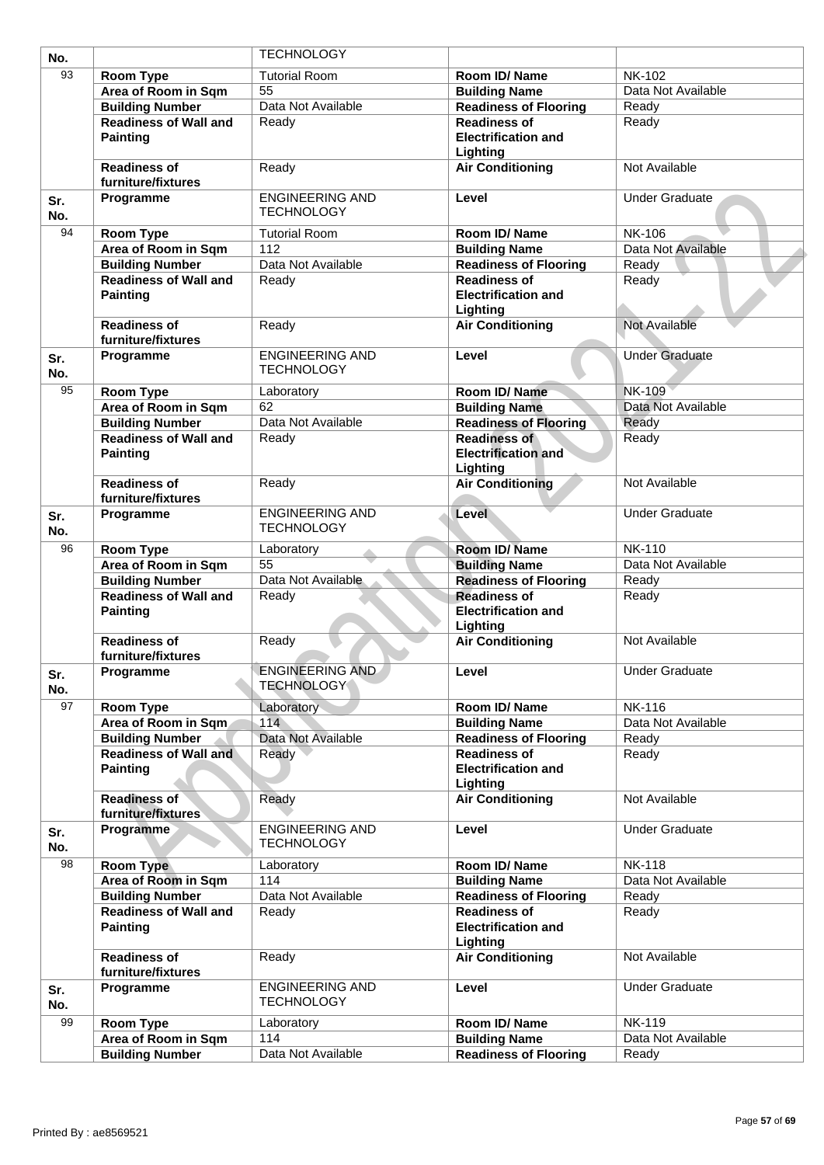| No.        |                                                 | <b>TECHNOLOGY</b>                           |                                                               |                       |
|------------|-------------------------------------------------|---------------------------------------------|---------------------------------------------------------------|-----------------------|
| 93         | <b>Room Type</b>                                | <b>Tutorial Room</b>                        | Room ID/Name                                                  | <b>NK-102</b>         |
|            | Area of Room in Sqm                             | 55                                          | <b>Building Name</b>                                          | Data Not Available    |
|            | <b>Building Number</b>                          | Data Not Available                          | <b>Readiness of Flooring</b>                                  | Ready                 |
|            | <b>Readiness of Wall and</b>                    | Ready                                       | <b>Readiness of</b>                                           | Ready                 |
|            | <b>Painting</b>                                 |                                             | <b>Electrification and</b><br>Lighting                        |                       |
|            | <b>Readiness of</b><br>furniture/fixtures       | Ready                                       | <b>Air Conditioning</b>                                       | Not Available         |
| Sr.<br>No. | Programme                                       | <b>ENGINEERING AND</b><br><b>TECHNOLOGY</b> | Level                                                         | <b>Under Graduate</b> |
| 94         | <b>Room Type</b>                                | <b>Tutorial Room</b>                        | Room ID/Name                                                  | <b>NK-106</b>         |
|            | Area of Room in Sqm                             | 112                                         | <b>Building Name</b>                                          | Data Not Available    |
|            | <b>Building Number</b>                          | Data Not Available                          | <b>Readiness of Flooring</b>                                  | Ready                 |
|            | <b>Readiness of Wall and</b><br><b>Painting</b> | Ready                                       | <b>Readiness of</b><br><b>Electrification and</b><br>Lighting | Ready                 |
|            | <b>Readiness of</b><br>furniture/fixtures       | Ready                                       | <b>Air Conditioning</b>                                       | <b>Not Available</b>  |
| Sr.<br>No. | Programme                                       | <b>ENGINEERING AND</b><br><b>TECHNOLOGY</b> | Level                                                         | <b>Under Graduate</b> |
| 95         | <b>Room Type</b>                                | Laboratory                                  | Room ID/Name                                                  | <b>NK-109</b>         |
|            | Area of Room in Sqm                             | 62                                          | <b>Building Name</b>                                          | Data Not Available    |
|            | <b>Building Number</b>                          | Data Not Available                          | <b>Readiness of Flooring</b>                                  | Ready                 |
|            | <b>Readiness of Wall and</b><br><b>Painting</b> | Ready                                       | <b>Readiness of</b><br><b>Electrification and</b><br>Lighting | Ready                 |
|            | <b>Readiness of</b><br>furniture/fixtures       | Ready                                       | <b>Air Conditioning</b>                                       | Not Available         |
| Sr.<br>No. | Programme                                       | <b>ENGINEERING AND</b><br><b>TECHNOLOGY</b> | Level                                                         | <b>Under Graduate</b> |
| 96         | <b>Room Type</b>                                | Laboratory                                  | Room ID/Name                                                  | <b>NK-110</b>         |
|            | Area of Room in Sqm                             | 55                                          | <b>Building Name</b>                                          | Data Not Available    |
|            | <b>Building Number</b>                          | Data Not Available                          | <b>Readiness of Flooring</b>                                  | Ready                 |
|            | <b>Readiness of Wall and</b><br><b>Painting</b> | Ready                                       | <b>Readiness of</b><br><b>Electrification and</b><br>Lighting | Ready                 |
|            | <b>Readiness of</b><br>furniture/fixtures       | Ready                                       | <b>Air Conditioning</b>                                       | Not Available         |
| Sr.<br>No. | Programme                                       | <b>ENGINEERING AND</b><br><b>TECHNOLOGY</b> | Level                                                         | <b>Under Graduate</b> |
| 97         | <b>Room Type</b>                                | Laboratory                                  | Room ID/Name                                                  | <b>NK-116</b>         |
|            | Area of Room in Sqm                             | 114                                         | <b>Building Name</b>                                          | Data Not Available    |
|            | <b>Building Number</b>                          | Data Not Available                          | <b>Readiness of Flooring</b>                                  | Ready                 |
|            | <b>Readiness of Wall and</b><br><b>Painting</b> | Ready                                       | <b>Readiness of</b><br><b>Electrification and</b><br>Lighting | Ready                 |
|            | <b>Readiness of</b><br>furniture/fixtures       | Ready                                       | <b>Air Conditioning</b>                                       | Not Available         |
| Sr.<br>No. | Programme                                       | <b>ENGINEERING AND</b><br><b>TECHNOLOGY</b> | Level                                                         | <b>Under Graduate</b> |
| 98         | <b>Room Type</b>                                | Laboratory                                  | Room ID/Name                                                  | <b>NK-118</b>         |
|            | Area of Room in Sqm                             | 114                                         | <b>Building Name</b>                                          | Data Not Available    |
|            | <b>Building Number</b>                          | Data Not Available                          | <b>Readiness of Flooring</b>                                  | Ready                 |
|            | <b>Readiness of Wall and</b><br><b>Painting</b> | Ready                                       | <b>Readiness of</b><br><b>Electrification and</b><br>Lighting | Ready                 |
|            | <b>Readiness of</b><br>furniture/fixtures       | Ready                                       | <b>Air Conditioning</b>                                       | Not Available         |
| Sr.<br>No. | Programme                                       | <b>ENGINEERING AND</b><br><b>TECHNOLOGY</b> | Level                                                         | <b>Under Graduate</b> |
| 99         | <b>Room Type</b>                                | Laboratory                                  | Room ID/Name                                                  | <b>NK-119</b>         |
|            | Area of Room in Sqm                             | 114                                         | <b>Building Name</b>                                          | Data Not Available    |
|            | <b>Building Number</b>                          | Data Not Available                          | <b>Readiness of Flooring</b>                                  | Ready                 |
|            |                                                 |                                             |                                                               |                       |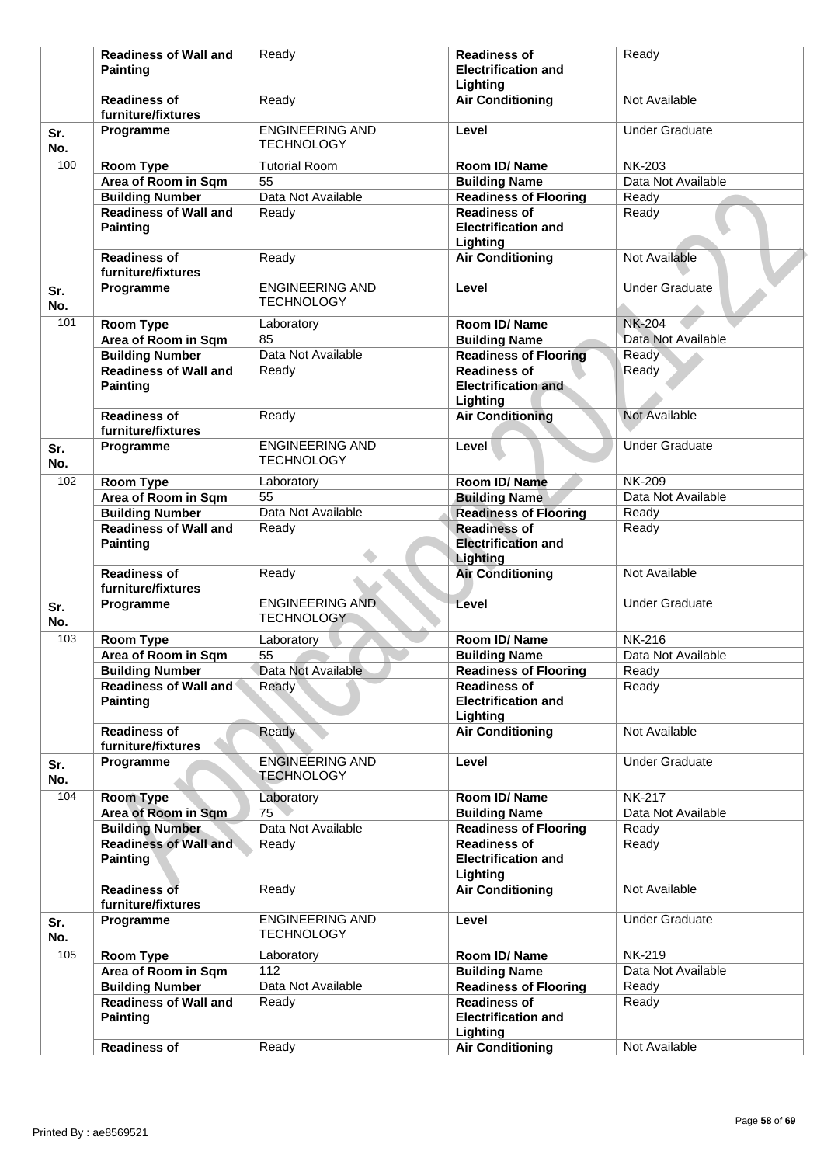|            | <b>Readiness of Wall and</b>                                              | Ready                                       | <b>Readiness of</b>                                           | Ready                 |
|------------|---------------------------------------------------------------------------|---------------------------------------------|---------------------------------------------------------------|-----------------------|
|            | Painting                                                                  |                                             | <b>Electrification and</b><br>Lighting                        |                       |
|            | <b>Readiness of</b><br>furniture/fixtures                                 | Ready                                       | <b>Air Conditioning</b>                                       | Not Available         |
| Sr.<br>No. | Programme                                                                 | <b>ENGINEERING AND</b><br><b>TECHNOLOGY</b> | Level                                                         | <b>Under Graduate</b> |
| 100        | <b>Room Type</b>                                                          | <b>Tutorial Room</b>                        | Room ID/Name                                                  | <b>NK-203</b>         |
|            | Area of Room in Sqm                                                       | $\overline{55}$                             | <b>Building Name</b>                                          | Data Not Available    |
|            | <b>Building Number</b>                                                    | Data Not Available                          | <b>Readiness of Flooring</b>                                  | Ready                 |
|            | <b>Readiness of Wall and</b><br><b>Painting</b>                           | Ready                                       | <b>Readiness of</b><br><b>Electrification and</b><br>Lighting | Ready                 |
|            | <b>Readiness of</b><br>furniture/fixtures                                 | Ready                                       | <b>Air Conditioning</b>                                       | Not Available         |
| Sr.<br>No. | Programme                                                                 | <b>ENGINEERING AND</b><br><b>TECHNOLOGY</b> | Level                                                         | <b>Under Graduate</b> |
| 101        | <b>Room Type</b>                                                          | Laboratory                                  | Room ID/Name                                                  | <b>NK-204</b>         |
|            | Area of Room in Sqm                                                       | 85                                          | <b>Building Name</b>                                          | Data Not Available    |
|            | <b>Building Number</b>                                                    | Data Not Available                          | <b>Readiness of Flooring</b>                                  | Ready                 |
|            | <b>Readiness of Wall and</b>                                              | Ready                                       | <b>Readiness of</b>                                           | Ready                 |
|            | <b>Painting</b>                                                           |                                             | <b>Electrification and</b><br>Lighting                        |                       |
|            | <b>Readiness of</b><br>furniture/fixtures                                 | Ready                                       | <b>Air Conditioning</b>                                       | Not Available         |
| Sr.<br>No. | Programme                                                                 | <b>ENGINEERING AND</b><br><b>TECHNOLOGY</b> | Level                                                         | <b>Under Graduate</b> |
| 102        | <b>Room Type</b>                                                          | Laboratory                                  | Room ID/ Name                                                 | <b>NK-209</b>         |
|            | Area of Room in Sqm                                                       | 55                                          | <b>Building Name</b>                                          | Data Not Available    |
|            | <b>Building Number</b>                                                    | Data Not Available                          | <b>Readiness of Flooring</b>                                  | Ready                 |
|            | <b>Readiness of Wall and</b><br><b>Painting</b>                           | Ready                                       | <b>Readiness of</b><br><b>Electrification and</b><br>Lighting | Ready                 |
|            | <b>Readiness of</b><br>furniture/fixtures                                 | Ready                                       | <b>Air Conditioning</b>                                       | Not Available         |
| Sr.<br>No. | Programme                                                                 | <b>ENGINEERING AND</b><br><b>TECHNOLOGY</b> | Level                                                         | <b>Under Graduate</b> |
| 103        | <b>Room Type</b>                                                          | Laboratory                                  | Room ID/Name                                                  | <b>NK-216</b>         |
|            | Area of Room in Sqm                                                       | 55                                          | <b>Building Name</b>                                          | Data Not Available    |
|            | <b>Building Number</b>                                                    | Data Not Available                          | <b>Readiness of Flooring</b>                                  | Ready                 |
|            | <b>Readiness of Wall and</b><br><b>Painting</b>                           | Ready                                       | <b>Readiness of</b><br><b>Electrification and</b><br>Lighting | Ready                 |
|            | <b>Readiness of</b><br>furniture/fixtures                                 | Ready                                       | <b>Air Conditioning</b>                                       | Not Available         |
| Sr.<br>No. | Programme                                                                 | <b>ENGINEERING AND</b><br><b>TECHNOLOGY</b> | Level                                                         | <b>Under Graduate</b> |
| 104        | <b>Room Type</b>                                                          | Laboratory                                  | Room ID/Name                                                  | <b>NK-217</b>         |
|            | Area of Room in Sqm                                                       | 75                                          | <b>Building Name</b>                                          | Data Not Available    |
|            | <b>Building Number</b>                                                    | Data Not Available                          | <b>Readiness of Flooring</b>                                  | Ready                 |
|            | <b>Readiness of Wall and</b><br><b>Painting</b>                           | Ready                                       | <b>Readiness of</b><br><b>Electrification and</b>             | Ready                 |
|            | <b>Readiness of</b>                                                       | Ready                                       | Lighting<br><b>Air Conditioning</b>                           | Not Available         |
| Sr.<br>No. | furniture/fixtures<br>Programme                                           | <b>ENGINEERING AND</b><br><b>TECHNOLOGY</b> | Level                                                         | <b>Under Graduate</b> |
| 105        |                                                                           |                                             | Room ID/Name                                                  | <b>NK-219</b>         |
|            | <b>Room Type</b>                                                          | Laboratory<br>112                           |                                                               | Data Not Available    |
|            | Area of Room in Sqm                                                       | Data Not Available                          | <b>Building Name</b><br><b>Readiness of Flooring</b>          | Ready                 |
|            | <b>Building Number</b><br><b>Readiness of Wall and</b><br><b>Painting</b> | Ready                                       | <b>Readiness of</b><br><b>Electrification and</b>             | Ready                 |
|            |                                                                           |                                             | Lighting                                                      |                       |
|            | <b>Readiness of</b>                                                       | Ready                                       | <b>Air Conditioning</b>                                       | Not Available         |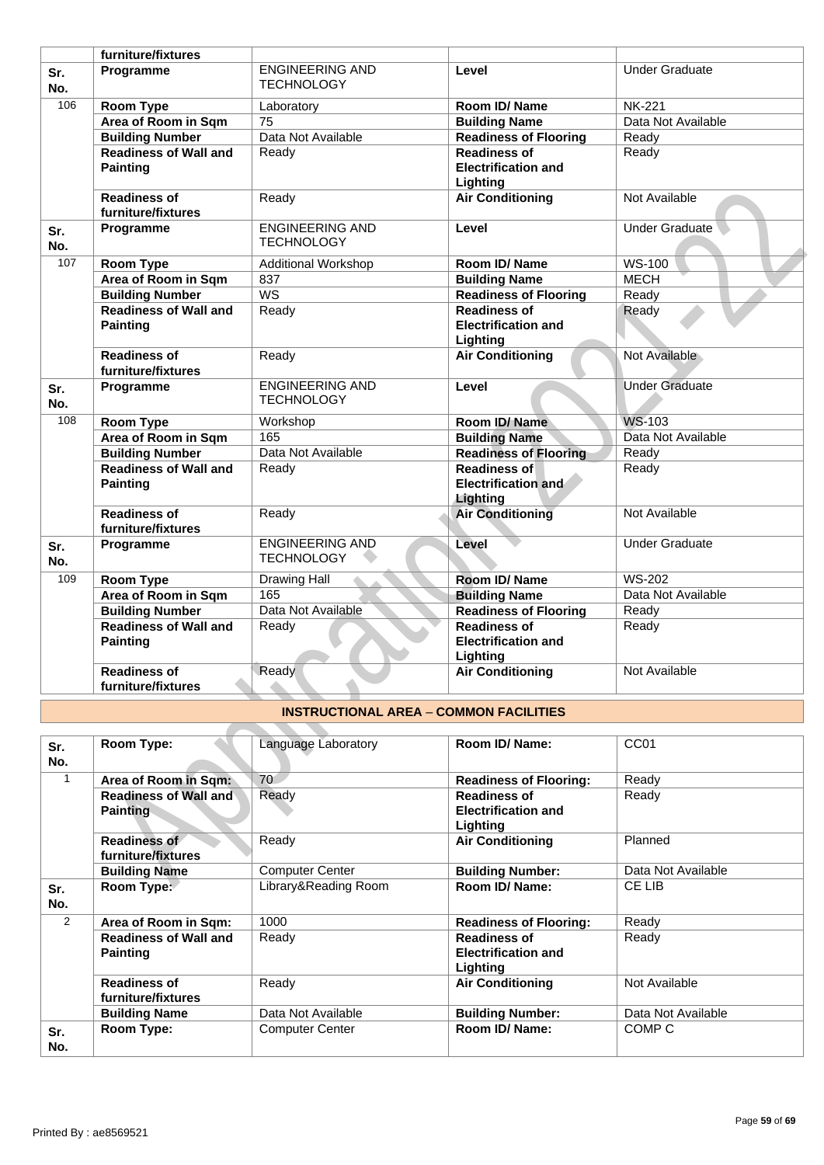|              | furniture/fixtures                              |                                               |                                                               |                       |
|--------------|-------------------------------------------------|-----------------------------------------------|---------------------------------------------------------------|-----------------------|
| Sr.<br>No.   | Programme                                       | <b>ENGINEERING AND</b><br><b>TECHNOLOGY</b>   | Level                                                         | <b>Under Graduate</b> |
| 106          | Room Type                                       | Laboratory                                    | <b>Room ID/ Name</b>                                          | <b>NK-221</b>         |
|              | Area of Room in Sqm                             | 75                                            | <b>Building Name</b>                                          | Data Not Available    |
|              | <b>Building Number</b>                          | Data Not Available                            | <b>Readiness of Flooring</b>                                  | Ready                 |
|              | <b>Readiness of Wall and</b>                    | Ready                                         | <b>Readiness of</b>                                           | Ready                 |
|              | <b>Painting</b>                                 |                                               | <b>Electrification and</b><br>Lighting                        |                       |
|              | <b>Readiness of</b><br>furniture/fixtures       | Ready                                         | <b>Air Conditioning</b>                                       | Not Available         |
| Sr.<br>No.   | Programme                                       | <b>ENGINEERING AND</b><br><b>TECHNOLOGY</b>   | Level                                                         | Under Graduate        |
| 107          | Room Type                                       | <b>Additional Workshop</b>                    | Room ID/Name                                                  | <b>WS-100</b>         |
|              | Area of Room in Sqm                             | 837                                           | <b>Building Name</b>                                          | <b>MECH</b>           |
|              | <b>Building Number</b>                          | $\overline{\text{WS}}$                        | <b>Readiness of Flooring</b>                                  | Ready                 |
|              | <b>Readiness of Wall and</b><br><b>Painting</b> | Ready                                         | <b>Readiness of</b><br><b>Electrification and</b><br>Lighting | Ready                 |
|              | <b>Readiness of</b><br>furniture/fixtures       | Ready                                         | <b>Air Conditioning</b>                                       | Not Available         |
| Sr.<br>No.   | Programme                                       | <b>ENGINEERING AND</b><br><b>TECHNOLOGY</b>   | Level                                                         | <b>Under Graduate</b> |
| 108          | Room Type                                       | Workshop                                      | Room ID/Name                                                  | <b>WS-103</b>         |
|              | Area of Room in Sqm                             | 165                                           | <b>Building Name</b>                                          | Data Not Available    |
|              | <b>Building Number</b>                          | Data Not Available                            | <b>Readiness of Flooring</b>                                  | Ready                 |
|              | <b>Readiness of Wall and</b><br><b>Painting</b> | Ready                                         | <b>Readiness of</b><br><b>Electrification and</b><br>Lighting | Ready                 |
|              | <b>Readiness of</b><br>furniture/fixtures       | Ready                                         | <b>Air Conditioning</b>                                       | Not Available         |
| Sr.<br>No.   | Programme                                       | <b>ENGINEERING AND</b><br><b>TECHNOLOGY</b>   | Level                                                         | <b>Under Graduate</b> |
| 109          | <b>Room Type</b>                                | <b>Drawing Hall</b>                           | Room ID/ Name                                                 | <b>WS-202</b>         |
|              | Area of Room in Sqm                             | 165                                           | <b>Building Name</b>                                          | Data Not Available    |
|              | <b>Building Number</b>                          | Data Not Available                            | <b>Readiness of Flooring</b>                                  | Ready                 |
|              | <b>Readiness of Wall and</b><br><b>Painting</b> | Ready                                         | <b>Readiness of</b><br><b>Electrification and</b><br>Lighting | Ready                 |
|              | <b>Readiness of</b><br>furniture/fixtures       | Ready                                         | <b>Air Conditioning</b>                                       | Not Available         |
|              |                                                 | <b>INSTRUCTIONAL AREA - COMMON FACILITIES</b> |                                                               |                       |
|              |                                                 |                                               |                                                               |                       |
| Sr.<br>No.   | Room Type:                                      | Language Laboratory                           | Room ID/ Name:                                                | CC01                  |
| $\mathbf{1}$ | Area of Room in Sqm:                            | 70                                            | <b>Readiness of Flooring:</b>                                 | Ready                 |
|              | <b>Readiness of Wall and</b><br><b>Painting</b> | Ready                                         | <b>Readiness of</b><br><b>Electrification and</b><br>Lighting | Ready                 |
|              | <b>Readiness of</b><br>furniture/fixtures       | Ready                                         | <b>Air Conditioning</b>                                       | Planned               |
|              | <b>Building Name</b>                            | <b>Computer Center</b>                        | <b>Building Number:</b>                                       | Data Not Available    |
|              | Room Tyne:                                      | Library&Reading Room                          | Room ID/ Name:                                                | $C$ FIIR              |

## **INSTRUCTIONAL AREA** – **COMMON FACILITIES**

| Sr.<br>No. | Room Type:                                      | Language Laboratory    | Room ID/ Name:                                                | CC <sub>01</sub>   |
|------------|-------------------------------------------------|------------------------|---------------------------------------------------------------|--------------------|
| 1          | Area of Room in Sqm:                            | 70                     | <b>Readiness of Flooring:</b>                                 | Ready              |
|            | <b>Readiness of Wall and</b><br><b>Painting</b> | Ready                  | <b>Readiness of</b><br><b>Electrification and</b><br>Lighting | Ready              |
|            | Readiness of<br>furniture/fixtures              | Ready                  | <b>Air Conditioning</b>                                       | Planned            |
|            | <b>Building Name</b>                            | <b>Computer Center</b> | <b>Building Number:</b>                                       | Data Not Available |
| Sr.<br>No. | Room Type:                                      | Library&Reading Room   | Room ID/Name:                                                 | CE LIB             |
| 2          | Area of Room in Sqm:                            | 1000                   | <b>Readiness of Flooring:</b>                                 | Ready              |
|            | <b>Readiness of Wall and</b><br><b>Painting</b> | Ready                  | <b>Readiness of</b><br><b>Electrification and</b><br>Lighting | Ready              |
|            | <b>Readiness of</b><br>furniture/fixtures       | Ready                  | <b>Air Conditioning</b>                                       | Not Available      |
|            | <b>Building Name</b>                            | Data Not Available     | <b>Building Number:</b>                                       | Data Not Available |
| Sr.<br>No. | Room Type:                                      | <b>Computer Center</b> | Room ID/ Name:                                                | COMP C             |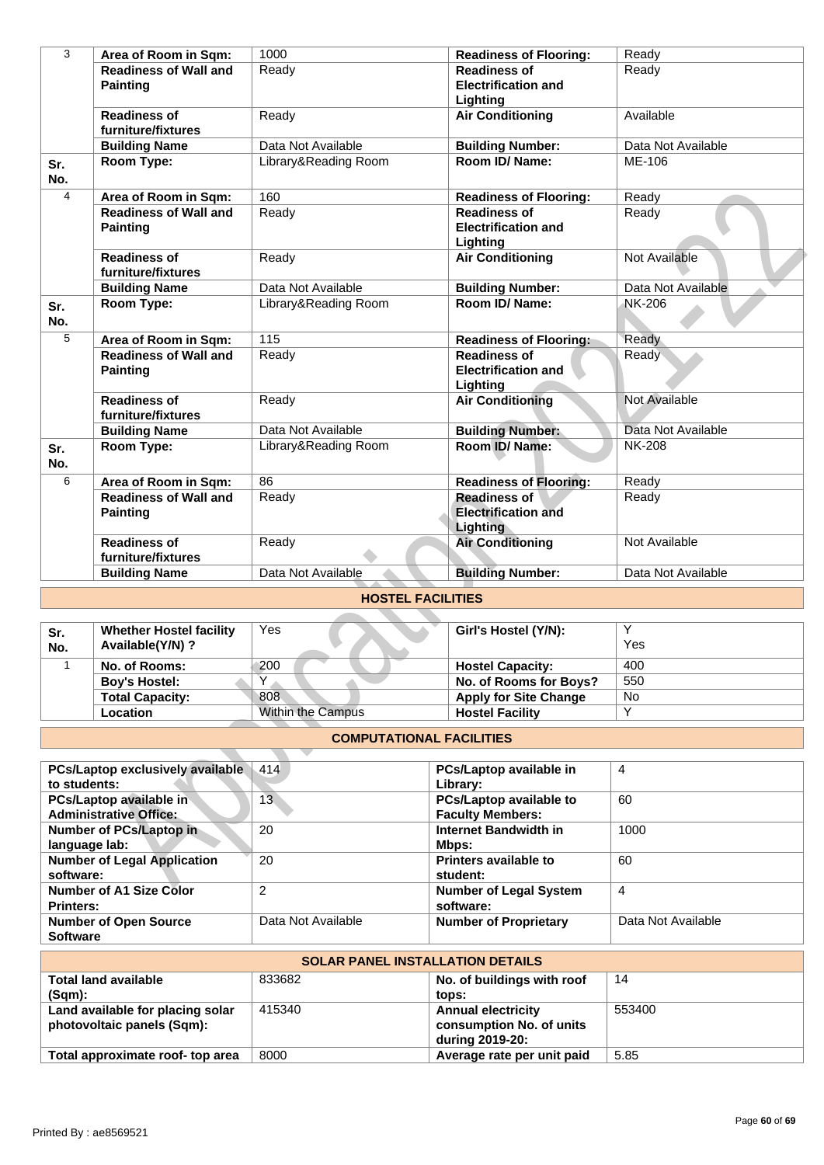| 3             | Area of Room in Sqm:                                     | 1000                            | <b>Readiness of Flooring:</b>                                        | Ready              |
|---------------|----------------------------------------------------------|---------------------------------|----------------------------------------------------------------------|--------------------|
|               | <b>Readiness of Wall and</b>                             | Ready                           | <b>Readiness of</b>                                                  | Ready              |
|               | <b>Painting</b>                                          |                                 | <b>Electrification and</b>                                           |                    |
|               |                                                          |                                 | Lighting                                                             |                    |
|               | <b>Readiness of</b><br>furniture/fixtures                | Ready                           | <b>Air Conditioning</b>                                              | Available          |
|               | <b>Building Name</b>                                     | Data Not Available              | <b>Building Number:</b>                                              | Data Not Available |
| Sr.<br>No.    | Room Type:                                               | Library&Reading Room            | Room ID/ Name:                                                       | ME-106             |
| 4             | Area of Room in Sqm:                                     | 160                             | <b>Readiness of Flooring:</b>                                        | Ready              |
|               | <b>Readiness of Wall and</b>                             | Ready                           | <b>Readiness of</b>                                                  | Ready              |
|               | <b>Painting</b>                                          |                                 | <b>Electrification and</b><br>Lighting                               |                    |
|               | <b>Readiness of</b><br>furniture/fixtures                | Ready                           | <b>Air Conditioning</b>                                              | Not Available      |
|               | <b>Building Name</b>                                     | Data Not Available              | <b>Building Number:</b>                                              | Data Not Available |
| Sr.<br>No.    | Room Type:                                               | Library&Reading Room            | Room ID/ Name:                                                       | <b>NK-206</b>      |
| 5             | Area of Room in Sqm:                                     | 115                             | <b>Readiness of Flooring:</b>                                        | Ready              |
|               | <b>Readiness of Wall and</b><br><b>Painting</b>          | Ready                           | <b>Readiness of</b><br><b>Electrification and</b><br>Lighting        | Ready              |
|               | <b>Readiness of</b><br>furniture/fixtures                | Ready                           | <b>Air Conditioning</b>                                              | Not Available      |
|               | <b>Building Name</b>                                     | Data Not Available              | <b>Building Number:</b>                                              | Data Not Available |
| Sr.<br>No.    | Room Type:                                               | Library&Reading Room            | Room ID/Name:                                                        | <b>NK-208</b>      |
| 6             | Area of Room in Sqm:                                     | 86                              | <b>Readiness of Flooring:</b>                                        | Ready              |
|               | <b>Readiness of Wall and</b><br><b>Painting</b>          | Ready                           | <b>Readiness of</b><br><b>Electrification and</b><br><b>Lighting</b> | Ready              |
|               | <b>Readiness of</b><br>furniture/fixtures                | Ready                           | <b>Air Conditioning</b>                                              | Not Available      |
|               | <b>Building Name</b>                                     | Data Not Available              | <b>Building Number:</b>                                              | Data Not Available |
|               |                                                          | <b>HOSTEL FACILITIES</b>        |                                                                      |                    |
| Sr.<br>No.    | <b>Whether Hostel facility</b><br>Available(Y/N) ?       | Yes                             | Girl's Hostel (Y/N):                                                 | Υ<br>Yes           |
| 1             | No. of Rooms:                                            | 200                             | <b>Hostel Capacity:</b>                                              | 400                |
|               | <b>Boy's Hostel:</b>                                     | $\overline{\mathsf{Y}}$         | No. of Rooms for Boys?                                               | 550                |
|               | <b>Total Capacity:</b>                                   | 808                             | <b>Apply for Site Change</b>                                         | No                 |
|               | Location                                                 | Within the Campus               | <b>Hostel Facility</b>                                               | Y                  |
|               |                                                          | <b>COMPUTATIONAL FACILITIES</b> |                                                                      |                    |
|               | PCs/Laptop exclusively available                         | 414                             | PCs/Laptop available in                                              | $\overline{4}$     |
| to students:  | PCs/Laptop available in<br><b>Administrative Office:</b> | 13 <sup>°</sup>                 | Library:<br>PCs/Laptop available to<br><b>Faculty Members:</b>       | 60                 |
| language lab: | Number of PCs/Laptop in                                  | 20                              | Internet Bandwidth in<br>Mbps:                                       | 1000               |
| software:     | <b>Number of Legal Application</b>                       | 20                              | Printers available to<br>student:                                    | 60                 |
|               |                                                          |                                 |                                                                      |                    |

## **HOSTEL FACILITIES**

| Sr.<br>No. | <b>Whether Hostel facility</b><br>Available(Y/N)? | Yes               | Girl's Hostel (Y/N):         | Yes |
|------------|---------------------------------------------------|-------------------|------------------------------|-----|
|            | No. of Rooms:                                     | 200               | <b>Hostel Capacity:</b>      | 400 |
|            | <b>Boy's Hostel:</b>                              |                   | No. of Rooms for Boys?       | 550 |
|            | <b>Total Capacity:</b>                            | 808               | <b>Apply for Site Change</b> | No  |
|            | Location                                          | Within the Campus | <b>Hostel Facility</b>       |     |

### **COMPUTATIONAL FACILITIES**

| <b>PCs/Laptop exclusively available</b> | 414                | PCs/Laptop available in       | 4                  |
|-----------------------------------------|--------------------|-------------------------------|--------------------|
| to students:                            |                    | Library:                      |                    |
| PCs/Laptop available in                 | 13                 | PCs/Laptop available to       | 60                 |
| <b>Administrative Office:</b>           |                    | <b>Faculty Members:</b>       |                    |
| Number of PCs/Laptop in                 | 20                 | Internet Bandwidth in         | 1000               |
| language lab:                           |                    | Mbps:                         |                    |
| <b>Number of Legal Application</b>      | 20                 | Printers available to         | 60                 |
| software:                               |                    | student:                      |                    |
| Number of A1 Size Color                 | 2                  | <b>Number of Legal System</b> | 4                  |
| <b>Printers:</b>                        |                    | software:                     |                    |
| <b>Number of Open Source</b>            | Data Not Available | <b>Number of Proprietary</b>  | Data Not Available |
| <b>Software</b>                         |                    |                               |                    |

| <b>SOLAR PANEL INSTALLATION DETAILS</b>                        |        |                                                                          |        |  |
|----------------------------------------------------------------|--------|--------------------------------------------------------------------------|--------|--|
| <b>Total land available</b>                                    | 833682 | No. of buildings with roof                                               | 14     |  |
| $(Sqm)$ :                                                      |        | tops:                                                                    |        |  |
| Land available for placing solar<br>photovoltaic panels (Sqm): | 415340 | <b>Annual electricity</b><br>consumption No. of units<br>during 2019-20: | 553400 |  |
| Total approximate roof- top area                               | 8000   | Average rate per unit paid                                               | 5.85   |  |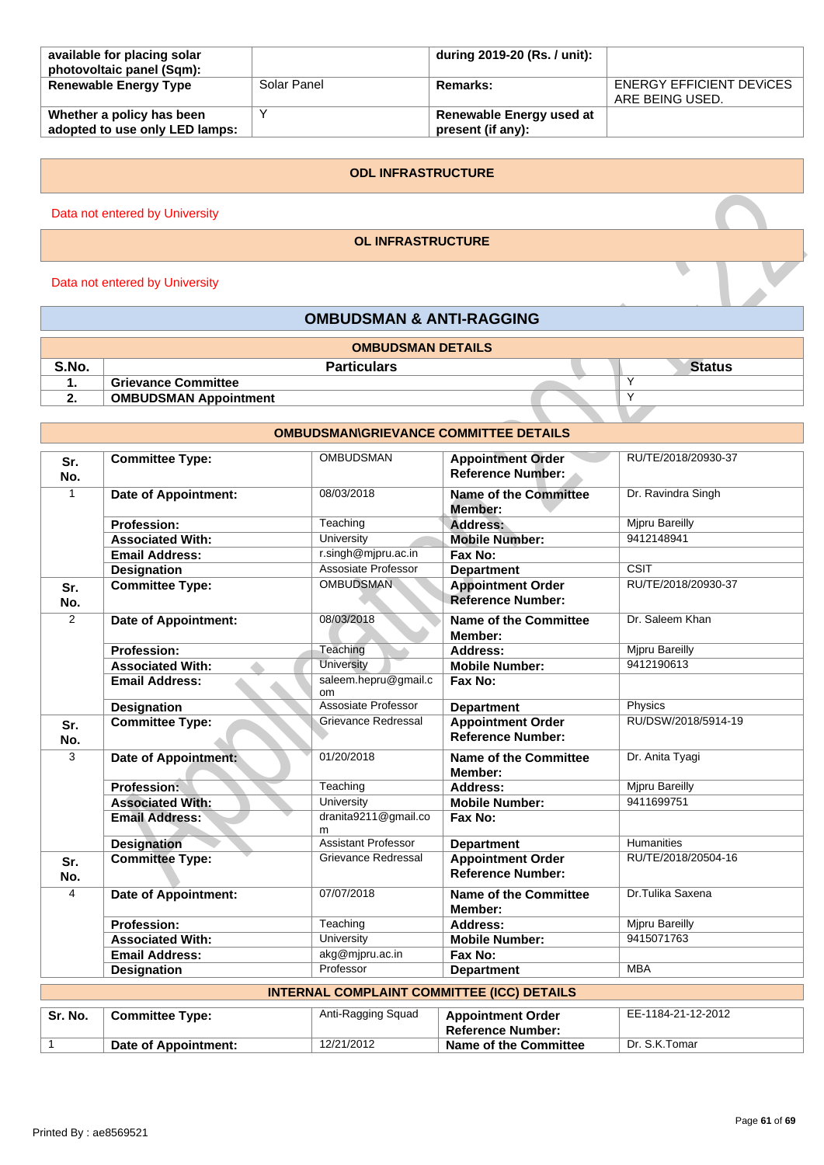| available for placing solar<br>photovoltaic panel (Sqm):    |             | during 2019-20 (Rs. / unit):                  |                                                    |
|-------------------------------------------------------------|-------------|-----------------------------------------------|----------------------------------------------------|
| <b>Renewable Energy Type</b>                                | Solar Panel | Remarks:                                      | <b>ENERGY EFFICIENT DEVICES</b><br>ARE BEING USED. |
| Whether a policy has been<br>adopted to use only LED lamps: |             | Renewable Energy used at<br>present (if any): |                                                    |

#### **ODL INFRASTRUCTURE**

Data not entered by University

#### **OL INFRASTRUCTURE**

Data not entered by University

## **OMBUDSMAN & ANTI-RAGGING**

|       | <b>OMBUDSMAN DETAILS</b>     |               |
|-------|------------------------------|---------------|
| S.No. | <b>Particulars</b>           | <b>Status</b> |
|       | <b>Grievance Committee</b>   | $\checkmark$  |
| . .   | <b>OMBUDSMAN Appointment</b> | $\checkmark$  |

#### enter and Marine Communities<br>
Conservance Communities<br>
Conservance Communities<br>
Conservance Communities<br>
Conservance Communities<br>
Conservance Communities<br>
Conservance Communities<br>
Conservance Communities<br>
Conservance of Ap **OMBUDSMAN\GRIEVANCE COMMITTEE DETAILS Sr. No. Committee Type: Committee Type: COMBUDSMAN Appointment Order Reference Number:** RU/TE/2018/20930-37 1 **Date of Appointment:** 08/03/2018 **Name of the Committee Member:** Dr. Ravindra Singh **Profession:** Teaching **Address:** Mipru Bareilly **Associated With:** University **Mobile Number:** 9412148941 **Email Address:** r.singh@mjpru.ac.in **Fax No: Designation**<br> **CSIT**<br> **Committee Type:** COMBUDSMAN Appointment Order RU/T **Sr. No. Appointment Order Reference Number:** RU/TE/2018/20930-37 2 **Date of Appointment:** 08/03/2018 **Name of the Committee Member:** Dr. Saleem Khan **Profession:** Teaching **Address:** Mipru Bareilly **Associated With:** University **Microsoft Contract Multimeter** Mobile **Number:** 9412190613 **Associated With:** University **Mobile Number:** 9412190613 **Email Address:** saleem.hepru@gmail.c om **Fax No: Designation**<br> **Committee Type:**<br> **Committee Type:**<br> **Committee Type:**<br> **Committee Type:**<br> **Committee Type:**<br> **Committee Type:**<br> **Committee Type: Sr. No. Committee Type:** Grievance Redressal **Appointment Order Reference Number:** RU/DSW/2018/5914-19 3 **Date of Appointment:** 01/20/2018 **Name of the Committee Member:** Dr. Anita Tyagi **Profession:** Teaching **Address:** Mjpru Bareilly Microsoft Microsoft Microsoft Microsoft Microsoft Microsoft Microsoft Microsoft Microsoft Microsoft Microsoft Microsoft Microsoft Microsoft Microsoft Microsoft Microsoft Mic **Associated With:** University **Mobile Number: Email Address:** dranita9211@gmail.co m<br>Assistant Professor **Fax No: Designation**<br> **Committee Type:** Committee Type: Grievance Redressal **Appointment Order** RU/TE/2018 **Sr. No. Appointment Order Reference Number:** RU/TE/2018/20504-16 4 **Date of Appointment:** 07/07/2018 **Name of the Committee Member:** Dr.Tulika Saxena **Profession:** Teaching **Address:** Mjpru Bareilly **Associated With:** University **Mobile Number:** 9415071763 **Email Address:** akg@mjpru.ac.in **Fax No:**<br> **Designation** Professor **Department Designation** Professor **Department** MBA **INTERNAL COMPLAINT COMMITTEE (ICC) DETAILS**

| Sr. No. | <b>Committee Type:</b> | Anti-Ragging Squad | <b>Appointment Order</b><br><b>Reference Number:</b> | EE-1184-21-12-2012 |
|---------|------------------------|--------------------|------------------------------------------------------|--------------------|
|         | Date of Appointment:   | 12/21/2012         | Name of the Committee                                | Dr. S.K.Tomar      |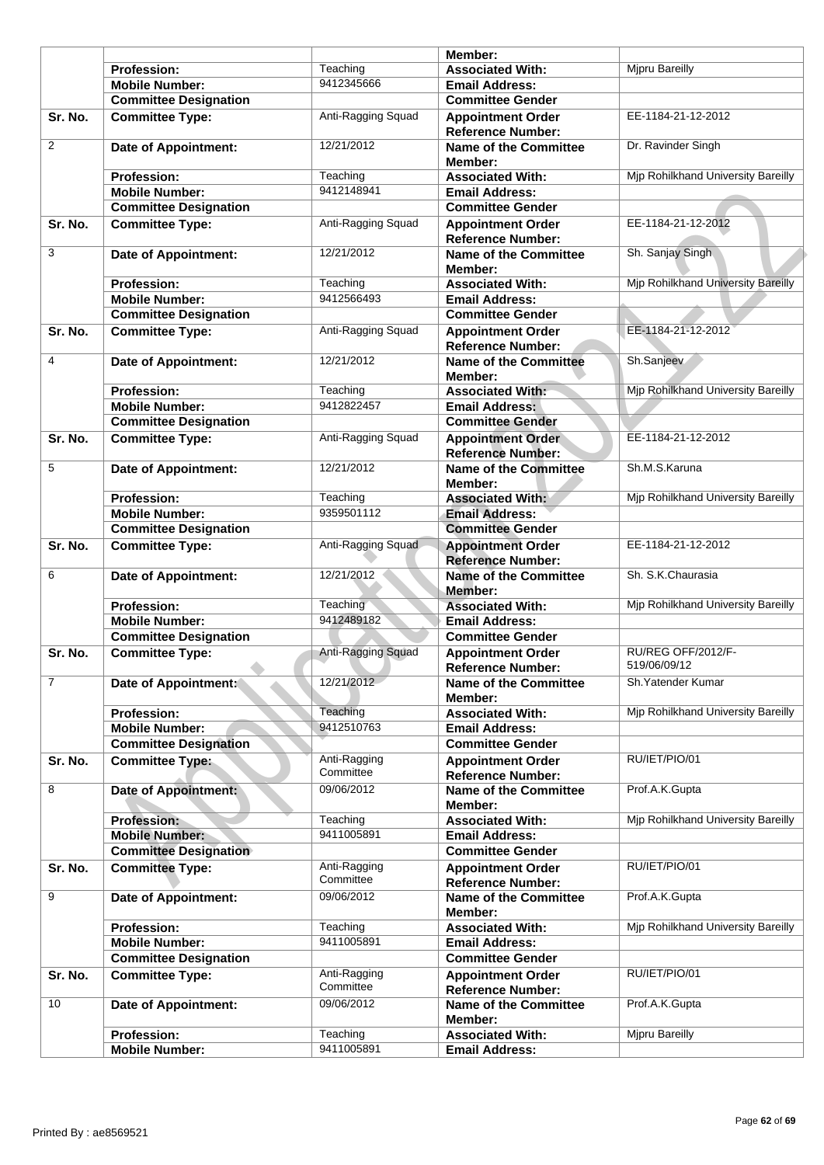|                |                                                        |                           | Member:                                                  |                                    |
|----------------|--------------------------------------------------------|---------------------------|----------------------------------------------------------|------------------------------------|
|                | <b>Profession:</b>                                     | Teaching                  | <b>Associated With:</b>                                  | <b>Mipru Bareilly</b>              |
|                | <b>Mobile Number:</b>                                  | 9412345666                | <b>Email Address:</b>                                    |                                    |
|                | <b>Committee Designation</b>                           |                           | <b>Committee Gender</b>                                  |                                    |
| Sr. No.        | <b>Committee Type:</b>                                 | Anti-Ragging Squad        | <b>Appointment Order</b><br><b>Reference Number:</b>     | EE-1184-21-12-2012                 |
| 2              | <b>Date of Appointment:</b>                            | 12/21/2012                | <b>Name of the Committee</b><br>Member:                  | Dr. Ravinder Singh                 |
|                | <b>Profession:</b>                                     | Teaching                  | <b>Associated With:</b>                                  | Mjp Rohilkhand University Bareilly |
|                | <b>Mobile Number:</b>                                  | 9412148941                | <b>Email Address:</b>                                    |                                    |
|                | <b>Committee Designation</b>                           |                           | <b>Committee Gender</b>                                  |                                    |
| Sr. No.        | <b>Committee Type:</b>                                 | Anti-Ragging Squad        | <b>Appointment Order</b><br><b>Reference Number:</b>     | EE-1184-21-12-2012                 |
| 3              | <b>Date of Appointment:</b>                            | 12/21/2012                | Name of the Committee<br>Member:                         | Sh. Sanjay Singh                   |
|                | <b>Profession:</b>                                     | Teaching                  | <b>Associated With:</b>                                  | Mjp Rohilkhand University Bareilly |
|                | <b>Mobile Number:</b>                                  | 9412566493                | <b>Email Address:</b>                                    |                                    |
|                | <b>Committee Designation</b>                           |                           | <b>Committee Gender</b>                                  |                                    |
| Sr. No.        | <b>Committee Type:</b>                                 | Anti-Ragging Squad        | <b>Appointment Order</b><br><b>Reference Number:</b>     | EE-1184-21-12-2012                 |
| 4              | <b>Date of Appointment:</b>                            | 12/21/2012                | <b>Name of the Committee</b><br>Member:                  | Sh.Sanjeev                         |
|                | <b>Profession:</b>                                     | Teaching                  | <b>Associated With:</b>                                  | Mjp Rohilkhand University Bareilly |
|                | <b>Mobile Number:</b>                                  | 9412822457                | <b>Email Address:</b>                                    |                                    |
|                | <b>Committee Designation</b>                           |                           | <b>Committee Gender</b>                                  |                                    |
| Sr. No.        | <b>Committee Type:</b>                                 | Anti-Ragging Squad        | <b>Appointment Order</b><br><b>Reference Number:</b>     | EE-1184-21-12-2012                 |
| 5              | <b>Date of Appointment:</b>                            | 12/21/2012                | <b>Name of the Committee</b><br>Member:                  | Sh.M.S.Karuna                      |
|                | <b>Profession:</b><br><b>Mobile Number:</b>            | Teaching<br>9359501112    | <b>Associated With:</b><br><b>Email Address:</b>         | Mjp Rohilkhand University Bareilly |
|                | <b>Committee Designation</b>                           |                           | <b>Committee Gender</b>                                  |                                    |
| Sr. No.        | <b>Committee Type:</b>                                 | Anti-Ragging Squad        | <b>Appointment Order</b>                                 | EE-1184-21-12-2012                 |
| 6              | <b>Date of Appointment:</b>                            | 12/21/2012                | <b>Reference Number:</b><br><b>Name of the Committee</b> | Sh. S.K.Chaurasia                  |
|                | <b>Profession:</b>                                     | Teaching                  | Member:<br><b>Associated With:</b>                       | Mjp Rohilkhand University Bareilly |
|                | <b>Mobile Number:</b>                                  | 9412489182                | <b>Email Address:</b>                                    |                                    |
|                | <b>Committee Designation</b>                           |                           | <b>Committee Gender</b>                                  |                                    |
| Sr. No.        | <b>Committee Type:</b>                                 | Anti-Ragging Squad        | <b>Appointment Order</b><br><b>Reference Number:</b>     | RU/REG OFF/2012/F-<br>519/06/09/12 |
| $\overline{7}$ | Date of Appointment:                                   | 12/21/2012                | <b>Name of the Committee</b><br>Member:                  | Sh. Yatender Kumar                 |
|                | Profession:                                            | Teaching                  | <b>Associated With:</b>                                  | Mjp Rohilkhand University Bareilly |
|                | <b>Mobile Number:</b>                                  | 9412510763                | <b>Email Address:</b>                                    |                                    |
|                | <b>Committee Designation</b>                           |                           | <b>Committee Gender</b>                                  |                                    |
| Sr. No.        | <b>Committee Type:</b>                                 | Anti-Ragging<br>Committee | <b>Appointment Order</b><br><b>Reference Number:</b>     | RU/IET/PIO/01                      |
| 8              | <b>Date of Appointment:</b>                            | 09/06/2012                | <b>Name of the Committee</b><br>Member:                  | Prof.A.K.Gupta                     |
|                | <b>Profession:</b>                                     | Teaching                  | <b>Associated With:</b>                                  | Mjp Rohilkhand University Bareilly |
|                | <b>Mobile Number:</b>                                  | 9411005891                | <b>Email Address:</b>                                    |                                    |
| Sr. No.        | <b>Committee Designation</b><br><b>Committee Type:</b> | Anti-Ragging<br>Committee | <b>Committee Gender</b><br><b>Appointment Order</b>      | RU/IET/PIO/01                      |
| 9              | <b>Date of Appointment:</b>                            | 09/06/2012                | <b>Reference Number:</b><br><b>Name of the Committee</b> | Prof.A.K.Gupta                     |
|                |                                                        | Teaching                  | Member:                                                  | Mjp Rohilkhand University Bareilly |
|                | <b>Profession:</b>                                     | 9411005891                | <b>Associated With:</b>                                  |                                    |
|                | <b>Mobile Number:</b>                                  |                           | <b>Email Address:</b>                                    |                                    |
|                | <b>Committee Designation</b>                           |                           | <b>Committee Gender</b>                                  |                                    |
| Sr. No.        | <b>Committee Type:</b>                                 | Anti-Ragging<br>Committee | <b>Appointment Order</b>                                 | RU/IET/PIO/01                      |
| 10             | <b>Date of Appointment:</b>                            | 09/06/2012                | <b>Reference Number:</b><br><b>Name of the Committee</b> | Prof.A.K.Gupta                     |
|                | Profession:                                            | Teaching                  | Member:<br><b>Associated With:</b>                       | Mjpru Bareilly                     |
|                | <b>Mobile Number:</b>                                  | 9411005891                | <b>Email Address:</b>                                    |                                    |
|                |                                                        |                           |                                                          |                                    |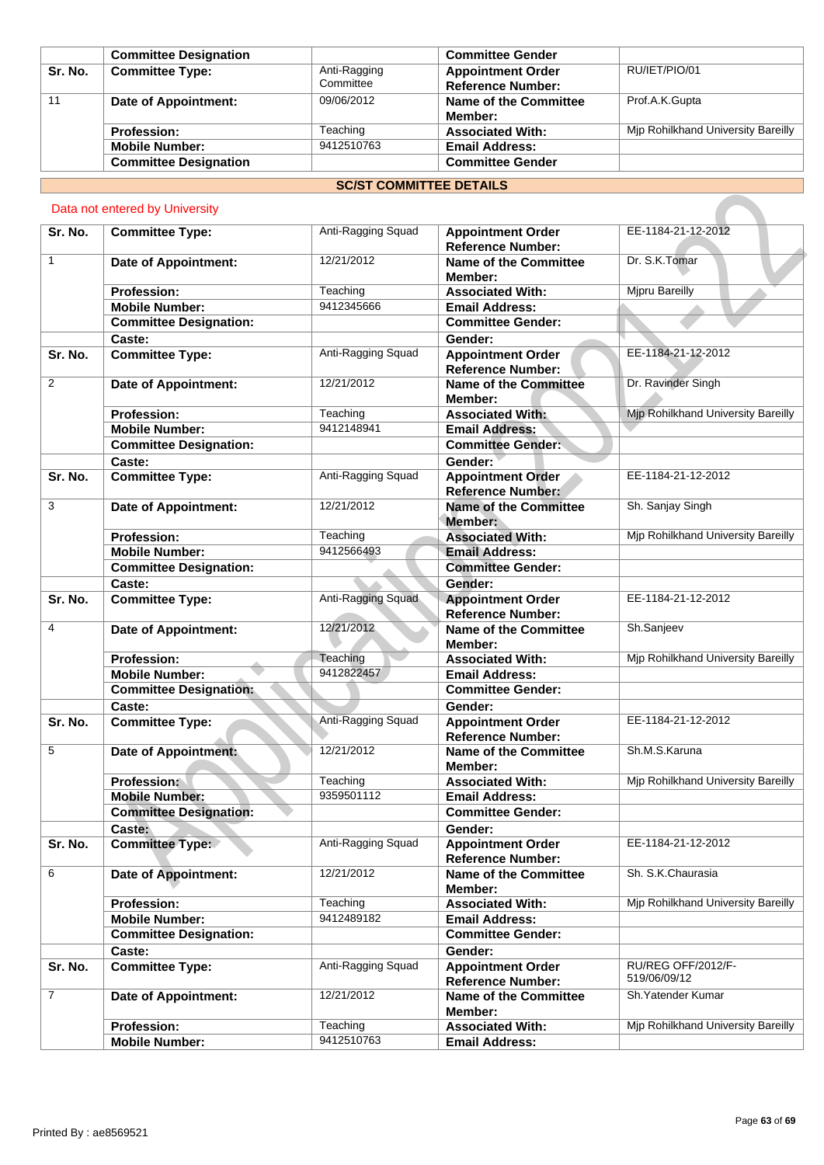|         | <b>Committee Designation</b> |                           | <b>Committee Gender</b>                              |                                    |
|---------|------------------------------|---------------------------|------------------------------------------------------|------------------------------------|
| Sr. No. | <b>Committee Type:</b>       | Anti-Ragging<br>Committee | <b>Appointment Order</b><br><b>Reference Number:</b> | RU/IET/PIO/01                      |
| 11      | Date of Appointment:         | 09/06/2012                | Name of the Committee<br>Member:                     | Prof.A.K.Gupta                     |
|         | <b>Profession:</b>           | Teaching                  | <b>Associated With:</b>                              | Mip Rohilkhand University Bareilly |
|         | <b>Mobile Number:</b>        | 9412510763                | <b>Email Address:</b>                                |                                    |
|         | <b>Committee Designation</b> |                           | <b>Committee Gender</b>                              |                                    |

# **SC/ST COMMITTEE DETAILS**

# Data not entered by University

|                | Data not entered by University                         |                        |                                                                 |                                    |
|----------------|--------------------------------------------------------|------------------------|-----------------------------------------------------------------|------------------------------------|
| Sr. No.        | <b>Committee Type:</b>                                 | Anti-Ragging Squad     | <b>Appointment Order</b>                                        | EE-1184-21-12-2012                 |
| $\mathbf{1}$   | <b>Date of Appointment:</b>                            | 12/21/2012             | <b>Reference Number:</b><br><b>Name of the Committee</b>        | Dr. S.K.Tomar                      |
|                | <b>Profession:</b>                                     | Teaching               | Member:<br><b>Associated With:</b>                              | <b>Mjpru Bareilly</b>              |
|                | <b>Mobile Number:</b>                                  | 9412345666             | <b>Email Address:</b>                                           |                                    |
|                | <b>Committee Designation:</b>                          |                        | <b>Committee Gender:</b>                                        |                                    |
|                | Caste:                                                 |                        | Gender:                                                         |                                    |
| Sr. No.        | <b>Committee Type:</b>                                 | Anti-Ragging Squad     | <b>Appointment Order</b><br><b>Reference Number:</b>            | EE-1184-21-12-2012                 |
| $\overline{2}$ | <b>Date of Appointment:</b>                            | 12/21/2012             | <b>Name of the Committee</b><br>Member:                         | Dr. Ravinder Singh                 |
|                | <b>Profession:</b>                                     | Teaching               | <b>Associated With:</b>                                         | Mjp Rohilkhand University Bareilly |
|                | <b>Mobile Number:</b>                                  | 9412148941             | <b>Email Address:</b>                                           |                                    |
|                | <b>Committee Designation:</b>                          |                        | <b>Committee Gender:</b>                                        |                                    |
|                | Caste:                                                 |                        | Gender:                                                         |                                    |
| Sr. No.        | <b>Committee Type:</b>                                 | Anti-Ragging Squad     | <b>Appointment Order</b><br><b>Reference Number:</b>            | EE-1184-21-12-2012                 |
| 3              | <b>Date of Appointment:</b>                            | 12/21/2012             | Name of the Committee<br>Member:                                | Sh. Sanjay Singh                   |
|                | <b>Profession:</b>                                     | Teaching               | <b>Associated With:</b>                                         | Mjp Rohilkhand University Bareilly |
|                | <b>Mobile Number:</b><br><b>Committee Designation:</b> | 9412566493             | <b>Email Address:</b><br><b>Committee Gender:</b>               |                                    |
|                | Caste:                                                 |                        | Gender:                                                         |                                    |
| Sr. No.        | <b>Committee Type:</b>                                 | Anti-Ragging Squad     | <b>Appointment Order</b><br><b>Reference Number:</b>            | EE-1184-21-12-2012                 |
| 4              | <b>Date of Appointment:</b>                            | 12/21/2012             | <b>Name of the Committee</b><br>Member:                         | Sh.Sanjeev                         |
|                | <b>Profession:</b><br><b>Mobile Number:</b>            | Teaching<br>9412822457 | <b>Associated With:</b><br><b>Email Address:</b>                | Mjp Rohilkhand University Bareilly |
|                | <b>Committee Designation:</b>                          |                        | <b>Committee Gender:</b>                                        |                                    |
|                | Caste:                                                 |                        | Gender:                                                         |                                    |
| Sr. No.        | <b>Committee Type:</b>                                 | Anti-Ragging Squad     | <b>Appointment Order</b><br><b>Reference Number:</b>            | EE-1184-21-12-2012                 |
| 5              | <b>Date of Appointment:</b>                            | 12/21/2012             | <b>Name of the Committee</b><br>Member:                         | Sh.M.S.Karuna                      |
|                | Profession:                                            | Teaching               | <b>Associated With:</b>                                         | Mjp Rohilkhand University Bareilly |
|                | <b>Mobile Number:</b>                                  | 9359501112             | <b>Email Address:</b>                                           |                                    |
|                | <b>Committee Designation:</b>                          |                        | <b>Committee Gender:</b>                                        |                                    |
| Sr. No.        | Caste:<br><b>Committee Type:</b>                       | Anti-Ragging Squad     | Gender:<br><b>Appointment Order</b><br><b>Reference Number:</b> | EE-1184-21-12-2012                 |
| 6              | <b>Date of Appointment:</b>                            | 12/21/2012             | <b>Name of the Committee</b><br>Member:                         | Sh. S.K.Chaurasia                  |
|                | <b>Profession:</b>                                     | Teaching               | <b>Associated With:</b>                                         | Mip Rohilkhand University Bareilly |
|                | <b>Mobile Number:</b>                                  | 9412489182             | <b>Email Address:</b>                                           |                                    |
|                | <b>Committee Designation:</b>                          |                        | <b>Committee Gender:</b>                                        |                                    |
|                | Caste:                                                 |                        | Gender:                                                         |                                    |
| Sr. No.        | <b>Committee Type:</b>                                 | Anti-Ragging Squad     | <b>Appointment Order</b><br><b>Reference Number:</b>            | RU/REG OFF/2012/F-<br>519/06/09/12 |
| $\overline{7}$ | <b>Date of Appointment:</b>                            | 12/21/2012             | <b>Name of the Committee</b><br>Member:                         | Sh. Yatender Kumar                 |
|                | <b>Profession:</b>                                     | Teaching               | <b>Associated With:</b>                                         | Mjp Rohilkhand University Bareilly |
|                | <b>Mobile Number:</b>                                  | 9412510763             | <b>Email Address:</b>                                           |                                    |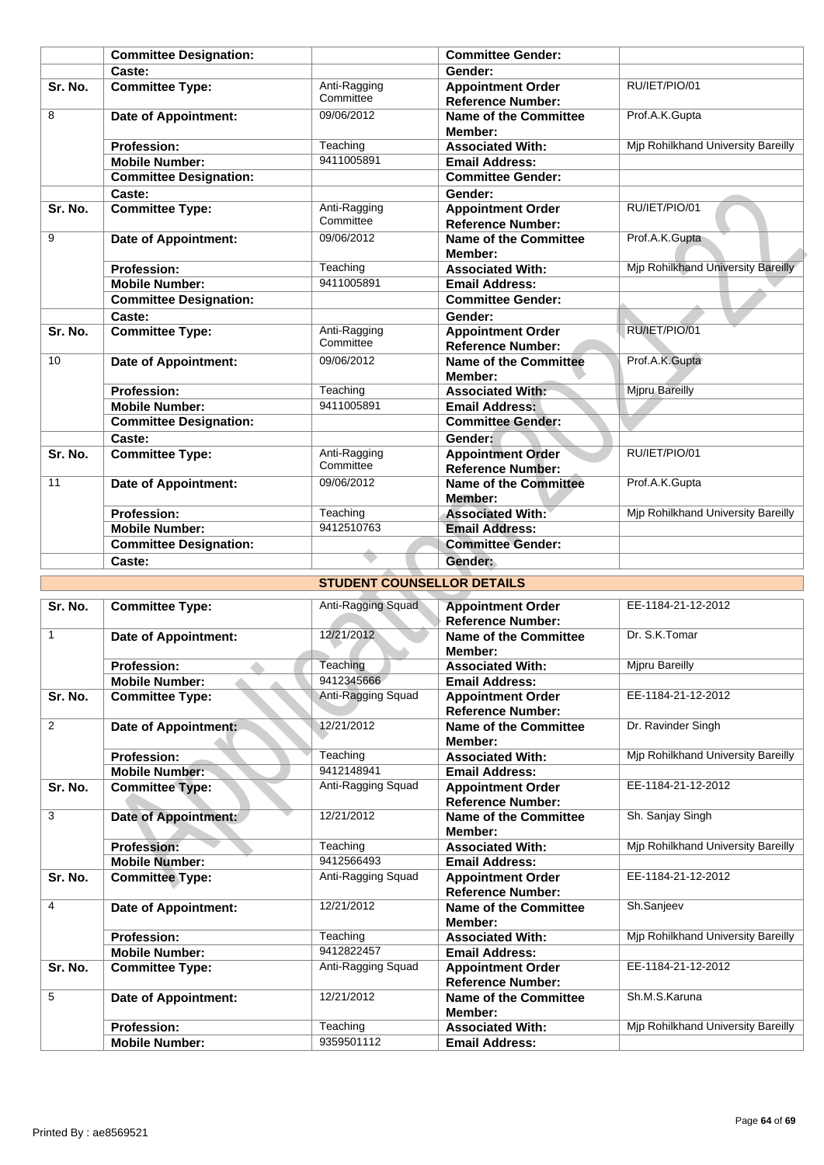|                | <b>Committee Designation:</b>                   |                                   | <b>Committee Gender:</b>                                                      |                                    |
|----------------|-------------------------------------------------|-----------------------------------|-------------------------------------------------------------------------------|------------------------------------|
|                | Caste:                                          |                                   | Gender:                                                                       |                                    |
| Sr. No.        | <b>Committee Type:</b>                          | Anti-Ragging<br>Committee         | <b>Appointment Order</b><br><b>Reference Number:</b>                          | RU/IET/PIO/01                      |
| 8              | <b>Date of Appointment:</b>                     | 09/06/2012                        | <b>Name of the Committee</b><br>Member:                                       | Prof.A.K.Gupta                     |
|                | <b>Profession:</b>                              | Teaching                          | <b>Associated With:</b>                                                       | Mjp Rohilkhand University Bareilly |
|                | <b>Mobile Number:</b>                           | 9411005891                        | <b>Email Address:</b>                                                         |                                    |
|                | <b>Committee Designation:</b>                   |                                   | <b>Committee Gender:</b>                                                      |                                    |
|                | Caste:                                          |                                   | Gender:                                                                       |                                    |
| Sr. No.        | <b>Committee Type:</b>                          | Anti-Ragging<br>Committee         | <b>Appointment Order</b><br><b>Reference Number:</b>                          | RU/IET/PIO/01                      |
| 9              | <b>Date of Appointment:</b>                     | 09/06/2012                        | <b>Name of the Committee</b><br>Member:                                       | Prof.A.K.Gupta                     |
|                | <b>Profession:</b>                              | Teaching                          | <b>Associated With:</b>                                                       | Mjp Rohilkhand University Bareilly |
|                | <b>Mobile Number:</b>                           | 9411005891                        | <b>Email Address:</b>                                                         |                                    |
|                | <b>Committee Designation:</b>                   |                                   | <b>Committee Gender:</b>                                                      |                                    |
|                | Caste:                                          |                                   | Gender:                                                                       |                                    |
| Sr. No.        | <b>Committee Type:</b>                          | Anti-Ragging<br>Committee         | <b>Appointment Order</b><br><b>Reference Number:</b>                          | RU/IET/PIO/01                      |
| 10             | <b>Date of Appointment:</b>                     | 09/06/2012                        | <b>Name of the Committee</b><br>Member:                                       | Prof.A.K.Gupta                     |
|                | <b>Profession:</b>                              | Teaching                          | <b>Associated With:</b>                                                       | <b>Mipru Bareilly</b>              |
|                | <b>Mobile Number:</b>                           | 9411005891                        | <b>Email Address:</b>                                                         |                                    |
|                | <b>Committee Designation:</b>                   |                                   | <b>Committee Gender:</b>                                                      |                                    |
|                | Caste:                                          |                                   | Gender:                                                                       |                                    |
| Sr. No.        | <b>Committee Type:</b>                          | Anti-Ragging<br>Committee         | <b>Appointment Order</b><br><b>Reference Number:</b>                          | RU/IET/PIO/01                      |
| 11             | <b>Date of Appointment:</b>                     | 09/06/2012                        | <b>Name of the Committee</b><br>Member:                                       | Prof.A.K.Gupta                     |
|                | <b>Profession:</b>                              | Teaching                          | <b>Associated With:</b>                                                       | Mjp Rohilkhand University Bareilly |
|                | <b>Mobile Number:</b>                           | 9412510763                        | <b>Email Address:</b>                                                         |                                    |
|                | <b>Committee Designation:</b>                   |                                   | <b>Committee Gender:</b>                                                      |                                    |
|                | Caste:                                          |                                   | Gender:                                                                       |                                    |
|                |                                                 | <b>STUDENT COUNSELLOR DETAILS</b> |                                                                               |                                    |
|                |                                                 |                                   |                                                                               |                                    |
| Sr. No.        | <b>Committee Type:</b>                          | Anti-Ragging Squad                | <b>Appointment Order</b><br><b>Reference Number:</b>                          | EE-1184-21-12-2012                 |
| 1              | <b>Date of Appointment:</b>                     | 12/21/2012                        | <b>Name of the Committee</b><br>Member:                                       | Dr. S.K.Tomar                      |
|                | <b>Profession:</b>                              | Teaching                          | <b>Associated With:</b>                                                       | Mjpru Bareilly                     |
| Sr. No.        | <b>Mobile Number:</b><br><b>Committee Type:</b> | 9412345666<br>Anti-Ragging Squad  | <b>Email Address:</b><br><b>Appointment Order</b><br><b>Reference Number:</b> | EE-1184-21-12-2012                 |
| $\overline{2}$ | <b>Date of Appointment:</b>                     | 12/21/2012                        | <b>Name of the Committee</b><br>Member:                                       | Dr. Ravinder Singh                 |
|                | Profession:                                     | Teaching                          | <b>Associated With:</b>                                                       | Mjp Rohilkhand University Bareilly |
|                | <b>Mobile Number:</b>                           | 9412148941                        | <b>Email Address:</b>                                                         |                                    |
| Sr. No.        | <b>Committee Type:</b>                          | Anti-Ragging Squad                | <b>Appointment Order</b><br><b>Reference Number:</b>                          | EE-1184-21-12-2012                 |
| 3              | Date of Appointment:                            | 12/21/2012                        | <b>Name of the Committee</b><br>Member:                                       | Sh. Sanjay Singh                   |
|                | <b>Profession:</b>                              | Teaching                          | <b>Associated With:</b>                                                       | Mjp Rohilkhand University Bareilly |
|                | <b>Mobile Number:</b>                           | 9412566493                        | <b>Email Address:</b>                                                         |                                    |
| Sr. No.        | <b>Committee Type:</b>                          | Anti-Ragging Squad                | <b>Appointment Order</b>                                                      | EE-1184-21-12-2012                 |

| Sr. No.        | <b>Committee Type:</b>      | Anti-Ragging Squad | <b>Appointment Order</b><br><b>Reference Number:</b> | EE-1184-21-12-2012                 |
|----------------|-----------------------------|--------------------|------------------------------------------------------|------------------------------------|
| 1              | <b>Date of Appointment:</b> | 12/21/2012         | <b>Name of the Committee</b><br>Member:              | Dr. S.K.Tomar                      |
|                | <b>Profession:</b>          | Teaching           | <b>Associated With:</b>                              | Mipru Bareilly                     |
|                | <b>Mobile Number:</b>       | 9412345666         | <b>Email Address:</b>                                |                                    |
| Sr. No.        | <b>Committee Type:</b>      | Anti-Ragging Squad | <b>Appointment Order</b><br><b>Reference Number:</b> | EE-1184-21-12-2012                 |
| $\overline{2}$ | Date of Appointment:        | 12/21/2012         | Name of the Committee<br>Member:                     | Dr. Ravinder Singh                 |
|                | <b>Profession:</b>          | Teaching           | <b>Associated With:</b>                              | Mip Rohilkhand University Bareilly |
|                | <b>Mobile Number:</b>       | 9412148941         | <b>Email Address:</b>                                |                                    |
| Sr. No.        | <b>Committee Type:</b>      | Anti-Ragging Squad | <b>Appointment Order</b><br><b>Reference Number:</b> | EE-1184-21-12-2012                 |
| 3              | <b>Date of Appointment:</b> | 12/21/2012         | Name of the Committee<br>Member:                     | Sh. Sanjay Singh                   |
|                | <b>Profession:</b>          | Teaching           | <b>Associated With:</b>                              | Mip Rohilkhand University Bareilly |
|                | <b>Mobile Number:</b>       | 9412566493         | <b>Email Address:</b>                                |                                    |
| Sr. No.        | <b>Committee Type:</b>      | Anti-Ragging Squad | <b>Appointment Order</b><br><b>Reference Number:</b> | EE-1184-21-12-2012                 |
| 4              | Date of Appointment:        | 12/21/2012         | Name of the Committee<br>Member:                     | Sh.Sanjeev                         |
|                | <b>Profession:</b>          | Teaching           | <b>Associated With:</b>                              | Mjp Rohilkhand University Bareilly |
|                | <b>Mobile Number:</b>       | 9412822457         | <b>Email Address:</b>                                |                                    |
| Sr. No.        | <b>Committee Type:</b>      | Anti-Ragging Squad | <b>Appointment Order</b><br><b>Reference Number:</b> | EE-1184-21-12-2012                 |
| 5              | Date of Appointment:        | 12/21/2012         | Name of the Committee<br>Member:                     | Sh.M.S.Karuna                      |
|                | <b>Profession:</b>          | Teaching           | <b>Associated With:</b>                              | Mip Rohilkhand University Bareilly |
|                | <b>Mobile Number:</b>       | 9359501112         | <b>Email Address:</b>                                |                                    |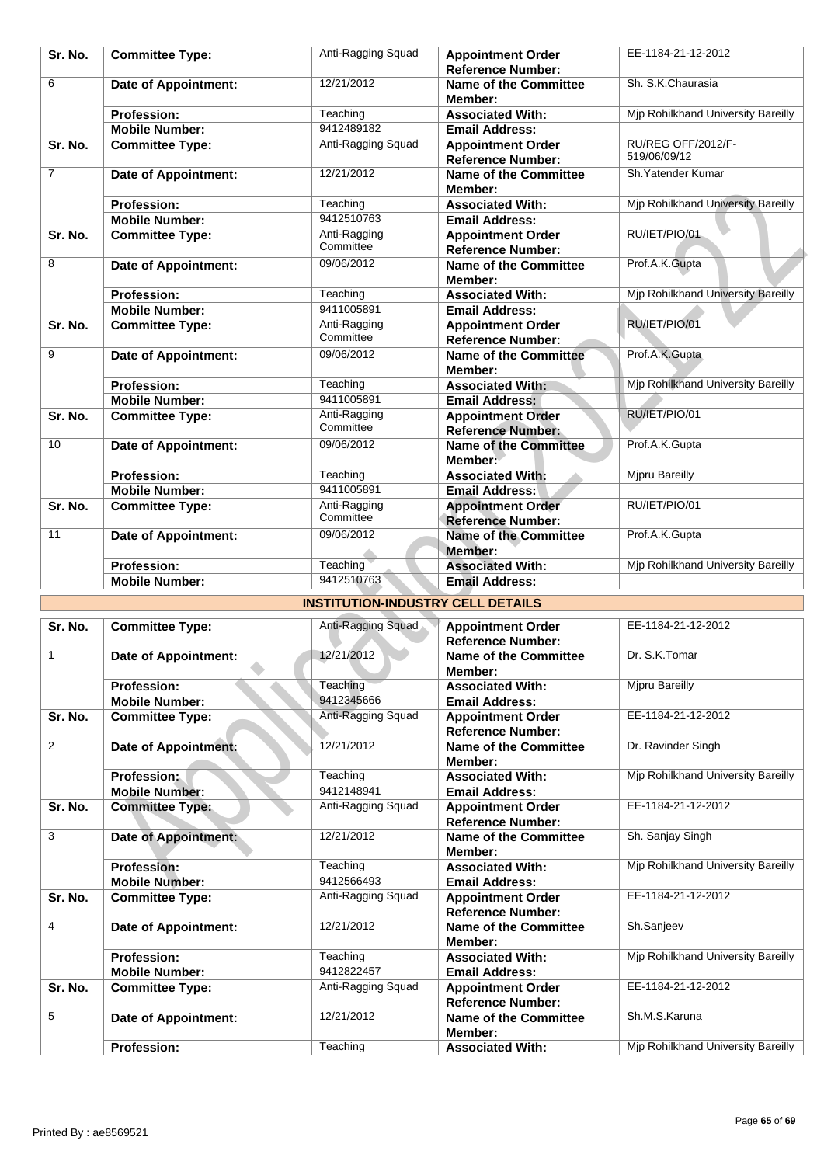| Sr. No.        | <b>Committee Type:</b>      | Anti-Ragging Squad                       | <b>Appointment Order</b><br><b>Reference Number:</b> | EE-1184-21-12-2012                 |
|----------------|-----------------------------|------------------------------------------|------------------------------------------------------|------------------------------------|
| 6              | <b>Date of Appointment:</b> | 12/21/2012                               | <b>Name of the Committee</b><br>Member:              | Sh. S.K.Chaurasia                  |
|                | <b>Profession:</b>          | Teaching                                 | <b>Associated With:</b>                              | Mjp Rohilkhand University Bareilly |
|                | <b>Mobile Number:</b>       | 9412489182                               | <b>Email Address:</b>                                |                                    |
| Sr. No.        | <b>Committee Type:</b>      | Anti-Ragging Squad                       | <b>Appointment Order</b><br><b>Reference Number:</b> | RU/REG OFF/2012/F-<br>519/06/09/12 |
| $\overline{7}$ | <b>Date of Appointment:</b> | 12/21/2012                               | <b>Name of the Committee</b><br>Member:              | Sh. Yatender Kumar                 |
|                | <b>Profession:</b>          | Teaching                                 | <b>Associated With:</b>                              | Mjp Rohilkhand University Bareilly |
|                | <b>Mobile Number:</b>       | 9412510763                               | <b>Email Address:</b>                                |                                    |
| Sr. No.        | <b>Committee Type:</b>      | Anti-Ragging<br>Committee                | <b>Appointment Order</b><br><b>Reference Number:</b> | RU/IET/PIO/01                      |
| 8              | <b>Date of Appointment:</b> | 09/06/2012                               | Name of the Committee<br>Member:                     | Prof.A.K.Gupta                     |
|                | <b>Profession:</b>          | Teaching                                 | <b>Associated With:</b>                              | Mjp Rohilkhand University Bareilly |
|                | <b>Mobile Number:</b>       | 9411005891                               | <b>Email Address:</b>                                |                                    |
| Sr. No.        | <b>Committee Type:</b>      | Anti-Ragging<br>Committee                | <b>Appointment Order</b><br><b>Reference Number:</b> | RU/IET/PIO/01                      |
| 9              | <b>Date of Appointment:</b> | 09/06/2012                               | <b>Name of the Committee</b><br>Member:              | Prof.A.K.Gupta                     |
|                | <b>Profession:</b>          | Teaching                                 | <b>Associated With:</b>                              | Mjp Rohilkhand University Bareilly |
|                | <b>Mobile Number:</b>       | 9411005891                               | <b>Email Address:</b>                                |                                    |
| Sr. No.        | <b>Committee Type:</b>      | Anti-Ragging<br>Committee                | <b>Appointment Order</b><br><b>Reference Number:</b> | RU/IET/PIO/01                      |
| 10             | <b>Date of Appointment:</b> | 09/06/2012                               | <b>Name of the Committee</b><br>Member:              | Prof.A.K.Gupta                     |
|                | <b>Profession:</b>          | Teaching                                 | <b>Associated With:</b>                              | Mjpru Bareilly                     |
|                | <b>Mobile Number:</b>       | 9411005891                               | <b>Email Address:</b>                                |                                    |
| Sr. No.        | <b>Committee Type:</b>      | Anti-Ragging<br>Committee                | <b>Appointment Order</b><br><b>Reference Number:</b> | RU/IET/PIO/01                      |
| 11             | <b>Date of Appointment:</b> | 09/06/2012                               | <b>Name of the Committee</b><br>Member:              | Prof.A.K.Gupta                     |
|                | <b>Profession:</b>          | Teaching                                 | <b>Associated With:</b>                              | Mjp Rohilkhand University Bareilly |
|                | <b>Mobile Number:</b>       | 9412510763                               | <b>Email Address:</b>                                |                                    |
|                |                             | <b>INSTITUTION-INDUSTRY CELL DETAILS</b> |                                                      |                                    |
| Sr. No.        | <b>Committee Type:</b>      | Anti-Ragging Squad                       | <b>Appointment Order</b><br><b>Reference Number:</b> | EE-1184-21-12-2012                 |
| 1              | <b>Date of Appointment:</b> | 12/21/2012                               | <b>Name of the Committee</b><br>Member:              | Dr. S.K.Tomar                      |
|                | <b>Profession:</b>          | Teaching                                 | <b>Associated With:</b>                              | <b>Mipru Bareilly</b>              |
|                | <b>Mobile Number:</b>       | 9412345666                               | <b>Email Address:</b>                                |                                    |
| Sr. No.        | <b>Committee Type:</b>      | Anti-Ragging Squad                       | <b>Appointment Order</b><br><b>Reference Number:</b> | EE-1184-21-12-2012                 |
| $\overline{2}$ | <b>Date of Appointment:</b> | 12/21/2012                               | Name of the Committee<br>Member:                     | Dr. Ravinder Singh                 |
|                | Profession:                 | Teaching                                 | <b>Associated With:</b>                              | Mjp Rohilkhand University Bareilly |
|                | <b>Mobile Number:</b>       | 9412148941                               | <b>Email Address:</b>                                |                                    |
| Sr. No.        | <b>Committee Type:</b>      | Anti-Ragging Squad                       | <b>Appointment Order</b><br><b>Reference Number:</b> | EE-1184-21-12-2012                 |
| 3              | Date of Appointment:        | 12/21/2012                               | Name of the Committee<br>Member:                     | Sh. Sanjay Singh                   |
|                | <b>Profession:</b>          | Teaching                                 | <b>Associated With:</b>                              | Mjp Rohilkhand University Bareilly |
|                | <b>Mobile Number:</b>       | 9412566493                               | <b>Email Address:</b>                                |                                    |

## **INSTITUTION-INDUSTRY CELL DETAILS**

| Sr. No.        | <b>Committee Type:</b>      | Anti-Ragging Squad | <b>Appointment Order</b><br><b>Reference Number:</b> | EE-1184-21-12-2012                 |
|----------------|-----------------------------|--------------------|------------------------------------------------------|------------------------------------|
| 1              | <b>Date of Appointment:</b> | 12/21/2012         | Name of the Committee<br>Member:                     | Dr. S.K.Tomar                      |
|                | <b>Profession:</b>          | Teaching           | <b>Associated With:</b>                              | Mipru Bareilly                     |
|                | <b>Mobile Number:</b>       | 9412345666         | <b>Email Address:</b>                                |                                    |
| Sr. No.        | <b>Committee Type:</b>      | Anti-Ragging Squad | <b>Appointment Order</b><br><b>Reference Number:</b> | EE-1184-21-12-2012                 |
| 2              | <b>Date of Appointment:</b> | 12/21/2012         | Name of the Committee<br>Member:                     | Dr. Ravinder Singh                 |
|                | <b>Profession:</b>          | Teaching           | <b>Associated With:</b>                              | Mjp Rohilkhand University Bareilly |
|                | <b>Mobile Number:</b>       | 9412148941         | <b>Email Address:</b>                                |                                    |
| Sr. No.        | <b>Committee Type:</b>      | Anti-Ragging Squad | <b>Appointment Order</b><br><b>Reference Number:</b> | EE-1184-21-12-2012                 |
| 3              | Date of Appointment:        | 12/21/2012         | <b>Name of the Committee</b><br>Member:              | Sh. Sanjay Singh                   |
|                | <b>Profession:</b>          | Teaching           | <b>Associated With:</b>                              | Mip Rohilkhand University Bareilly |
|                | <b>Mobile Number:</b>       | 9412566493         | <b>Email Address:</b>                                |                                    |
| Sr. No.        | <b>Committee Type:</b>      | Anti-Ragging Squad | <b>Appointment Order</b><br><b>Reference Number:</b> | EE-1184-21-12-2012                 |
| $\overline{4}$ | Date of Appointment:        | 12/21/2012         | <b>Name of the Committee</b><br>Member:              | Sh.Sanjeev                         |
|                | <b>Profession:</b>          | Teaching           | <b>Associated With:</b>                              | Mjp Rohilkhand University Bareilly |
|                | <b>Mobile Number:</b>       | 9412822457         | <b>Email Address:</b>                                |                                    |
| Sr. No.        | <b>Committee Type:</b>      | Anti-Ragging Squad | <b>Appointment Order</b><br><b>Reference Number:</b> | EE-1184-21-12-2012                 |
| 5              | <b>Date of Appointment:</b> | 12/21/2012         | Name of the Committee<br>Member:                     | Sh.M.S.Karuna                      |
|                | <b>Profession:</b>          | Teaching           | <b>Associated With:</b>                              | Mip Rohilkhand University Bareilly |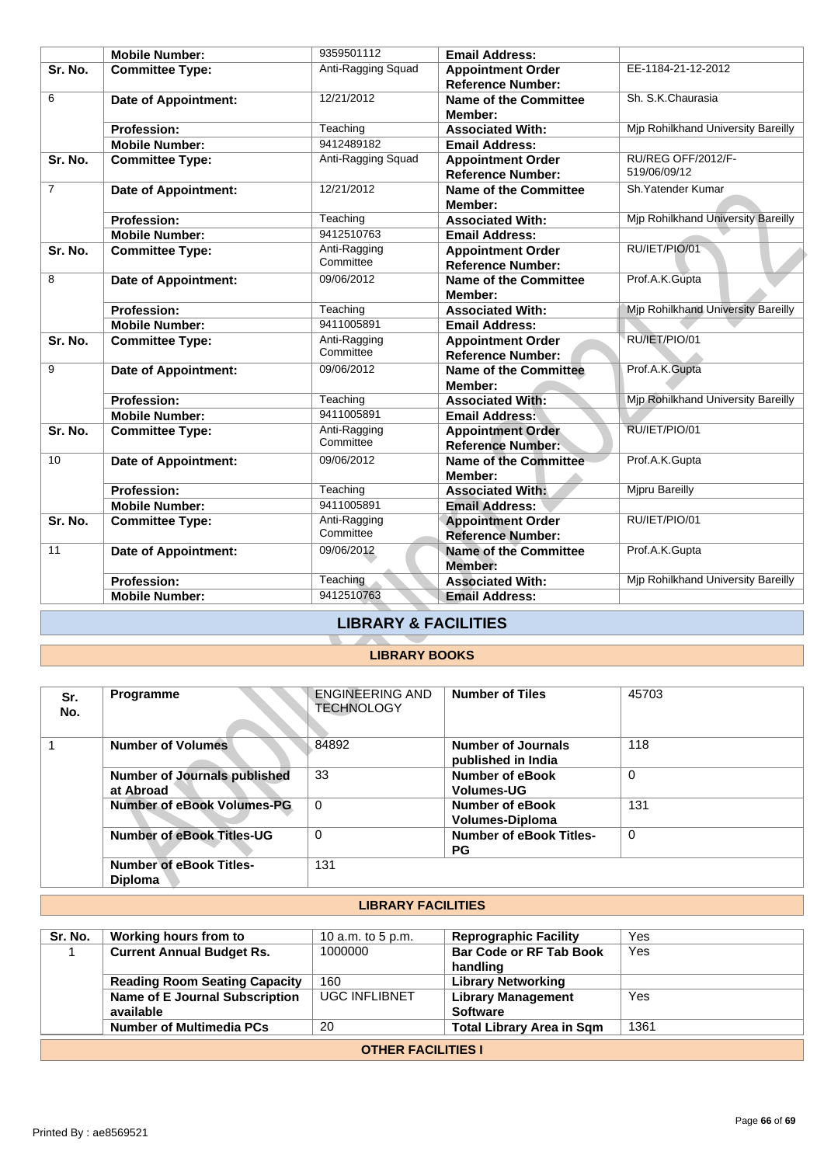|                | <b>Mobile Number:</b>                            | 9359501112                                  | <b>Email Address:</b>                                |                                           |
|----------------|--------------------------------------------------|---------------------------------------------|------------------------------------------------------|-------------------------------------------|
| Sr. No.        | <b>Committee Type:</b>                           | Anti-Ragging Squad                          | <b>Appointment Order</b><br><b>Reference Number:</b> | EE-1184-21-12-2012                        |
| 6              | <b>Date of Appointment:</b>                      | 12/21/2012                                  | Name of the Committee<br>Member:                     | Sh. S.K.Chaurasia                         |
|                | <b>Profession:</b>                               | Teaching                                    | <b>Associated With:</b>                              | Mip Rohilkhand University Bareilly        |
|                | <b>Mobile Number:</b>                            | 9412489182                                  | <b>Email Address:</b>                                |                                           |
| Sr. No.        | <b>Committee Type:</b>                           | Anti-Ragging Squad                          | <b>Appointment Order</b><br><b>Reference Number:</b> | RU/REG OFF/2012/F-<br>519/06/09/12        |
| $\overline{7}$ | <b>Date of Appointment:</b>                      | 12/21/2012                                  | <b>Name of the Committee</b><br>Member:              | Sh. Yatender Kumar                        |
|                | <b>Profession:</b>                               | Teaching                                    | <b>Associated With:</b>                              | <b>Mjp Rohilkhand University Bareilly</b> |
|                | <b>Mobile Number:</b>                            | 9412510763                                  | <b>Email Address:</b>                                |                                           |
| Sr. No.        | <b>Committee Type:</b>                           | Anti-Ragging<br>Committee                   | <b>Appointment Order</b><br><b>Reference Number:</b> | RU/IET/PIO/01                             |
| 8              | <b>Date of Appointment:</b>                      | 09/06/2012                                  | <b>Name of the Committee</b><br>Member:              | Prof.A.K.Gupta                            |
|                | <b>Profession:</b>                               | Teaching                                    | <b>Associated With:</b>                              | Mjp Rohilkhand University Bareilly        |
|                | <b>Mobile Number:</b>                            | 9411005891                                  | <b>Email Address:</b>                                |                                           |
| Sr. No.        | <b>Committee Type:</b>                           | Anti-Ragging<br>Committee                   | <b>Appointment Order</b><br><b>Reference Number:</b> | RU/IET/PIO/01                             |
| 9              | <b>Date of Appointment:</b>                      | 09/06/2012                                  | <b>Name of the Committee</b><br>Member:              | Prof.A.K.Gupta                            |
|                | <b>Profession:</b><br><b>Mobile Number:</b>      | Teaching<br>9411005891                      | <b>Associated With:</b><br><b>Email Address:</b>     | Mjp Rohilkhand University Bareilly        |
| Sr. No.        | <b>Committee Type:</b>                           | Anti-Ragging<br>Committee                   | <b>Appointment Order</b><br><b>Reference Number:</b> | RU/IET/PIO/01                             |
| 10             | <b>Date of Appointment:</b>                      | 09/06/2012                                  | <b>Name of the Committee</b><br>Member:              | Prof.A.K.Gupta                            |
|                | <b>Profession:</b><br><b>Mobile Number:</b>      | Teaching<br>9411005891                      | <b>Associated With:</b><br><b>Email Address:</b>     | Mjpru Bareilly                            |
| Sr. No.        | <b>Committee Type:</b>                           | Anti-Ragging<br>Committee                   | <b>Appointment Order</b><br><b>Reference Number:</b> | RU/IET/PIO/01                             |
| 11             | <b>Date of Appointment:</b>                      | 09/06/2012                                  | <b>Name of the Committee</b><br>Member:              | Prof.A.K.Gupta                            |
|                | <b>Profession:</b>                               | Teaching                                    | <b>Associated With:</b>                              | Mip Rohilkhand University Bareilly        |
|                | <b>Mobile Number:</b>                            | 9412510763                                  | <b>Email Address:</b>                                |                                           |
|                |                                                  | <b>LIBRARY &amp; FACILITIES</b>             |                                                      |                                           |
|                |                                                  | <b>LIBRARY BOOKS</b>                        |                                                      |                                           |
|                |                                                  |                                             |                                                      |                                           |
| Sr.<br>No.     | Programme                                        | <b>ENGINEERING AND</b><br><b>TECHNOLOGY</b> | <b>Number of Tiles</b>                               | 45703                                     |
| 1              | <b>Number of Volumes</b>                         | 84892                                       | <b>Number of Journals</b><br>published in India      | 118                                       |
|                | <b>Number of Journals published</b><br>at Abroad | 33                                          | <b>Number of eBook</b><br><b>Volumes-UG</b>          | $\mathbf 0$                               |
|                | <b>Number of eBook Volumes-PG</b>                | $\mathbf 0$                                 | <b>Number of eBook</b><br><b>Volumes-Diploma</b>     | 131                                       |
|                | <b>Number of eBook Titles-UG</b>                 | 0                                           | <b>Number of eBook Titles-</b><br><b>PG</b>          | $\mathbf 0$                               |
|                | <b>Number of eBook Titles-</b><br><b>Diploma</b> | 131                                         |                                                      |                                           |

# **LIBRARY & FACILITIES**

## **LIBRARY BOOKS**

| Sr.<br>No. | Programme                                        | <b>ENGINEERING AND</b><br><b>TECHNOLOGY</b> | <b>Number of Tiles</b>                      | 45703    |
|------------|--------------------------------------------------|---------------------------------------------|---------------------------------------------|----------|
|            | <b>Number of Volumes</b>                         | 84892                                       | Number of Journals<br>published in India    | 118      |
|            | <b>Number of Journals published</b><br>at Abroad | 33                                          | <b>Number of eBook</b><br><b>Volumes-UG</b> | $\Omega$ |
|            | <b>Number of eBook Volumes-PG</b>                | $\Omega$                                    | Number of eBook<br>Volumes-Diploma          | 131      |
|            | <b>Number of eBook Titles-UG</b>                 | $\Omega$                                    | <b>Number of eBook Titles-</b><br><b>PG</b> | 0        |
|            | <b>Number of eBook Titles-</b><br><b>Diploma</b> | 131                                         |                                             |          |

# **LIBRARY FACILITIES**

| Sr. No.                   | Working hours from to                 | 10 a.m. to 5 p.m.    | <b>Reprographic Facility</b>     | Yes  |
|---------------------------|---------------------------------------|----------------------|----------------------------------|------|
|                           | <b>Current Annual Budget Rs.</b>      | 1000000              | Bar Code or RF Tab Book          | Yes  |
|                           |                                       |                      | handling                         |      |
|                           | <b>Reading Room Seating Capacity</b>  | 160                  | <b>Library Networking</b>        |      |
|                           | <b>Name of E Journal Subscription</b> | <b>UGC INFLIBNET</b> | <b>Library Management</b>        | Yes  |
|                           | available                             |                      | <b>Software</b>                  |      |
|                           | Number of Multimedia PCs              | 20                   | <b>Total Library Area in Sqm</b> | 1361 |
|                           |                                       |                      |                                  |      |
| <b>OTHER FACILITIES I</b> |                                       |                      |                                  |      |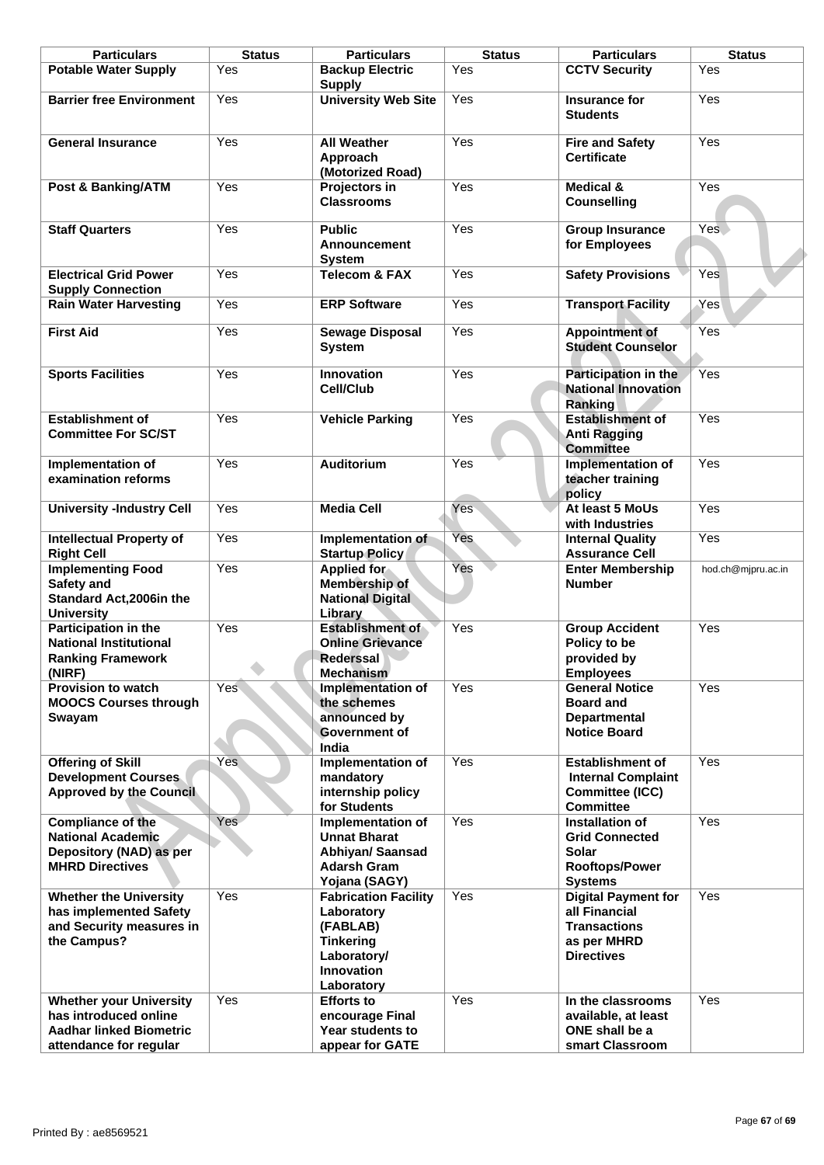| <b>Particulars</b>                                                                                                  | <b>Status</b> | <b>Particulars</b>                                                                                                                           | <b>Status</b>    | <b>Particulars</b>                                                                                                       | <b>Status</b>      |
|---------------------------------------------------------------------------------------------------------------------|---------------|----------------------------------------------------------------------------------------------------------------------------------------------|------------------|--------------------------------------------------------------------------------------------------------------------------|--------------------|
| <b>Potable Water Supply</b>                                                                                         | Yes           | <b>Backup Electric</b><br><b>Supply</b>                                                                                                      | Yes              | <b>CCTV Security</b>                                                                                                     | Yes                |
| <b>Barrier free Environment</b>                                                                                     | Yes           | <b>University Web Site</b>                                                                                                                   | Yes              | Insurance for<br><b>Students</b>                                                                                         | Yes                |
| <b>General Insurance</b>                                                                                            | Yes           | <b>All Weather</b><br>Approach<br>(Motorized Road)                                                                                           | Yes              | <b>Fire and Safety</b><br><b>Certificate</b>                                                                             | Yes                |
| Post & Banking/ATM                                                                                                  | Yes           | Projectors in<br><b>Classrooms</b>                                                                                                           | Yes              | <b>Medical &amp;</b><br><b>Counselling</b>                                                                               | Yes                |
| <b>Staff Quarters</b>                                                                                               | Yes           | <b>Public</b><br><b>Announcement</b><br><b>System</b>                                                                                        | Yes              | <b>Group Insurance</b><br>for Employees                                                                                  | Yes                |
| <b>Electrical Grid Power</b><br><b>Supply Connection</b><br><b>Rain Water Harvesting</b>                            | Yes<br>Yes    | <b>Telecom &amp; FAX</b><br><b>ERP Software</b>                                                                                              | Yes<br>Yes       | <b>Safety Provisions</b><br><b>Transport Facility</b>                                                                    | Yes<br>Yes         |
| <b>First Aid</b>                                                                                                    | Yes           | <b>Sewage Disposal</b>                                                                                                                       | Yes              | <b>Appointment of</b><br><b>Student Counselor</b>                                                                        | Yes                |
| <b>Sports Facilities</b>                                                                                            | Yes           | System<br><b>Innovation</b>                                                                                                                  | Yes              | Participation in the                                                                                                     | Yes                |
|                                                                                                                     |               | <b>Cell/Club</b>                                                                                                                             |                  | <b>National Innovation</b><br>Ranking                                                                                    |                    |
| <b>Establishment of</b><br><b>Committee For SC/ST</b>                                                               | Yes           | <b>Vehicle Parking</b>                                                                                                                       | Yes              | <b>Establishment of</b><br><b>Anti Ragging</b><br><b>Committee</b>                                                       | Yes                |
| Implementation of<br>examination reforms                                                                            | Yes           | Auditorium                                                                                                                                   | Yes              | Implementation of<br>teacher training<br>policy                                                                          | Yes                |
| <b>University -Industry Cell</b>                                                                                    | Yes           | <b>Media Cell</b>                                                                                                                            | Yes <sup>-</sup> | At least 5 MoUs<br>with Industries                                                                                       | Yes                |
| <b>Intellectual Property of</b><br><b>Right Cell</b>                                                                | Yes           | Implementation of<br><b>Startup Policy</b>                                                                                                   | Yes              | <b>Internal Quality</b><br><b>Assurance Cell</b>                                                                         | Yes                |
| <b>Implementing Food</b><br>Safety and<br>Standard Act, 2006in the<br><b>University</b>                             | Yes           | <b>Applied for</b><br><b>Membership of</b><br><b>National Digital</b><br>Library                                                             | Yes              | <b>Enter Membership</b><br><b>Number</b>                                                                                 | hod.ch@mjpru.ac.in |
| Participation in the<br><b>National Institutional</b><br><b>Ranking Framework</b><br>(NIRF)                         | Yes           | <b>Establishment of</b><br><b>Online Grievance</b><br><b>Rederssal</b><br><b>Mechanism</b>                                                   | Yes              | <b>Group Accident</b><br>Policy to be<br>provided by<br><b>Employees</b>                                                 | Yes                |
| <b>Provision to watch</b><br><b>MOOCS Courses through</b><br>Swayam                                                 | Yes           | Implementation of<br>the schemes<br>announced by<br><b>Government of</b><br>India                                                            | Yes              | <b>General Notice</b><br><b>Board and</b><br><b>Departmental</b><br><b>Notice Board</b>                                  | Yes                |
| <b>Offering of Skill</b><br><b>Development Courses</b><br><b>Approved by the Council</b>                            | Yes           | Implementation of<br>mandatory<br>internship policy<br>for Students                                                                          | Yes              | <b>Establishment of</b><br><b>Internal Complaint</b><br><b>Committee (ICC)</b><br><b>Committee</b>                       | Yes                |
| <b>Compliance of the</b><br><b>National Academic</b><br>Depository (NAD) as per<br><b>MHRD Directives</b>           | Yes           | <b>Implementation of</b><br><b>Unnat Bharat</b><br>Abhiyan/ Saansad<br><b>Adarsh Gram</b>                                                    | Yes              | Installation of<br><b>Grid Connected</b><br><b>Solar</b><br>Rooftops/Power                                               | Yes                |
| <b>Whether the University</b><br>has implemented Safety<br>and Security measures in<br>the Campus?                  | Yes           | Yojana (SAGY)<br><b>Fabrication Facility</b><br>Laboratory<br>(FABLAB)<br><b>Tinkering</b><br>Laboratory/<br><b>Innovation</b><br>Laboratory | Yes              | <b>Systems</b><br><b>Digital Payment for</b><br>all Financial<br><b>Transactions</b><br>as per MHRD<br><b>Directives</b> | Yes                |
| <b>Whether your University</b><br>has introduced online<br><b>Aadhar linked Biometric</b><br>attendance for regular | Yes           | <b>Efforts to</b><br>encourage Final<br>Year students to<br>appear for GATE                                                                  | Yes              | In the classrooms<br>available, at least<br>ONE shall be a<br>smart Classroom                                            | Yes                |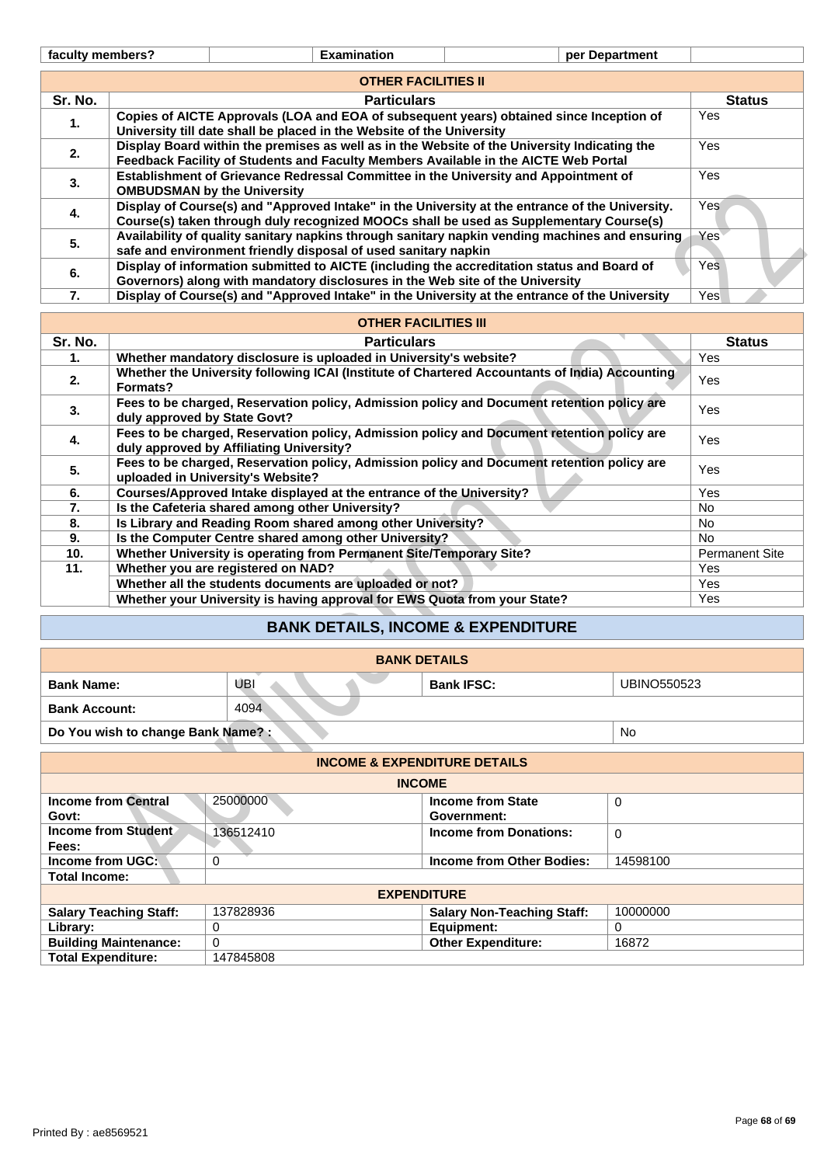Printed By : ae8569521

|         | <b>OTHER FACILITIES II</b>                                                                      |               |
|---------|-------------------------------------------------------------------------------------------------|---------------|
|         |                                                                                                 |               |
| Sr. No. | <b>Particulars</b>                                                                              | <b>Status</b> |
|         | Copies of AICTE Approvals (LOA and EOA of subsequent years) obtained since Inception of         | Yes           |
| 1.      | University till date shall be placed in the Website of the University                           |               |
| 2.      | Display Board within the premises as well as in the Website of the University Indicating the    | Yes           |
|         | Feedback Facility of Students and Faculty Members Available in the AICTE Web Portal             |               |
|         | Establishment of Grievance Redressal Committee in the University and Appointment of             | Yes.          |
| 3.      | <b>OMBUDSMAN by the University</b>                                                              |               |
|         | Display of Course(s) and "Approved Intake" in the University at the entrance of the University. | Yes           |
| 4.      | Course(s) taken through duly recognized MOOCs shall be used as Supplementary Course(s)          |               |
|         | Availability of quality sanitary napkins through sanitary napkin vending machines and ensuring  | Yes           |
| 5.      | safe and environment friendly disposal of used sanitary napkin                                  |               |
|         | Display of information submitted to AICTE (including the accreditation status and Board of      | Yes           |
| 6.      | Governors) along with mandatory disclosures in the Web site of the University                   |               |
| 7.      | Display of Course(s) and "Approved Intake" in the University at the entrance of the University  | Yes           |

|                                                                                                        | <b>OMBUDSMAN by the University</b>                                                                                              |                                                                                                                                                                                          |                                                                                                |                    |                       |  |
|--------------------------------------------------------------------------------------------------------|---------------------------------------------------------------------------------------------------------------------------------|------------------------------------------------------------------------------------------------------------------------------------------------------------------------------------------|------------------------------------------------------------------------------------------------|--------------------|-----------------------|--|
| 4.                                                                                                     |                                                                                                                                 | Display of Course(s) and "Approved Intake" in the University at the entrance of the University.                                                                                          |                                                                                                |                    |                       |  |
|                                                                                                        |                                                                                                                                 | Course(s) taken through duly recognized MOOCs shall be used as Supplementary Course(s)<br>Availability of quality sanitary napkins through sanitary napkin vending machines and ensuring |                                                                                                |                    |                       |  |
| 5.                                                                                                     |                                                                                                                                 | safe and environment friendly disposal of used sanitary napkin                                                                                                                           |                                                                                                |                    | Yes                   |  |
|                                                                                                        |                                                                                                                                 |                                                                                                                                                                                          | Display of information submitted to AICTE (including the accreditation status and Board of     |                    | Yes                   |  |
| 6.                                                                                                     | Governors) along with mandatory disclosures in the Web site of the University                                                   |                                                                                                                                                                                          |                                                                                                |                    |                       |  |
| 7.                                                                                                     |                                                                                                                                 |                                                                                                                                                                                          | Display of Course(s) and "Approved Intake" in the University at the entrance of the University |                    | Yes                   |  |
|                                                                                                        |                                                                                                                                 |                                                                                                                                                                                          | <b>OTHER FACILITIES III</b>                                                                    |                    |                       |  |
| Sr. No.                                                                                                |                                                                                                                                 |                                                                                                                                                                                          | <b>Particulars</b>                                                                             |                    | <b>Status</b>         |  |
| 1.                                                                                                     |                                                                                                                                 | Whether mandatory disclosure is uploaded in University's website?                                                                                                                        |                                                                                                |                    | Yes                   |  |
| 2.                                                                                                     | Formats?                                                                                                                        |                                                                                                                                                                                          | Whether the University following ICAI (Institute of Chartered Accountants of India) Accounting |                    | Yes                   |  |
| 3.                                                                                                     | duly approved by State Govt?                                                                                                    |                                                                                                                                                                                          | Fees to be charged, Reservation policy, Admission policy and Document retention policy are     |                    | Yes                   |  |
| 4.                                                                                                     |                                                                                                                                 | duly approved by Affiliating University?                                                                                                                                                 | Fees to be charged, Reservation policy, Admission policy and Document retention policy are     |                    | Yes                   |  |
| 5.                                                                                                     | Fees to be charged, Reservation policy, Admission policy and Document retention policy are<br>uploaded in University's Website? |                                                                                                                                                                                          | Yes                                                                                            |                    |                       |  |
| 6.                                                                                                     | Courses/Approved Intake displayed at the entrance of the University?                                                            |                                                                                                                                                                                          |                                                                                                |                    | Yes                   |  |
| 7.                                                                                                     | Is the Cafeteria shared among other University?                                                                                 |                                                                                                                                                                                          |                                                                                                |                    | No.                   |  |
| 8.                                                                                                     | Is Library and Reading Room shared among other University?                                                                      |                                                                                                                                                                                          |                                                                                                |                    | No                    |  |
| 9.                                                                                                     | Is the Computer Centre shared among other University?                                                                           |                                                                                                                                                                                          |                                                                                                |                    | No.                   |  |
| 10.                                                                                                    | Whether University is operating from Permanent Site/Temporary Site?                                                             |                                                                                                                                                                                          |                                                                                                |                    | <b>Permanent Site</b> |  |
| 11.                                                                                                    | Whether you are registered on NAD?                                                                                              |                                                                                                                                                                                          |                                                                                                |                    | Yes                   |  |
|                                                                                                        | Whether all the students documents are uploaded or not?                                                                         |                                                                                                                                                                                          |                                                                                                |                    | Yes                   |  |
| Whether your University is having approval for EWS Quota from your State?                              |                                                                                                                                 |                                                                                                                                                                                          |                                                                                                | Yes                |                       |  |
|                                                                                                        |                                                                                                                                 |                                                                                                                                                                                          | <b>BANK DETAILS, INCOME &amp; EXPENDITURE</b>                                                  |                    |                       |  |
|                                                                                                        |                                                                                                                                 |                                                                                                                                                                                          | <b>BANK DETAILS</b>                                                                            |                    |                       |  |
| <b>Bank Name:</b>                                                                                      |                                                                                                                                 | UBI                                                                                                                                                                                      | <b>Bank IFSC:</b>                                                                              | <b>UBINO550523</b> |                       |  |
| <b>Bank Account:</b>                                                                                   |                                                                                                                                 | 4094                                                                                                                                                                                     |                                                                                                |                    |                       |  |
| Do You wish to change Bank Name?:<br>No                                                                |                                                                                                                                 |                                                                                                                                                                                          |                                                                                                |                    |                       |  |
|                                                                                                        |                                                                                                                                 |                                                                                                                                                                                          | <b>INCOME &amp; EXPENDITURE DETAILS</b>                                                        |                    |                       |  |
|                                                                                                        |                                                                                                                                 |                                                                                                                                                                                          | <b>INCOME</b>                                                                                  |                    |                       |  |
| 25000000<br><b>Income from Central</b><br><b>Income from State</b><br>$\Omega$<br>Govt:<br>Government: |                                                                                                                                 |                                                                                                                                                                                          |                                                                                                |                    |                       |  |
| Fees:                                                                                                  | <b>Income from Student</b>                                                                                                      | 136512410                                                                                                                                                                                | <b>Income from Donations:</b>                                                                  | $\Omega$           |                       |  |
|                                                                                                        |                                                                                                                                 |                                                                                                                                                                                          |                                                                                                |                    |                       |  |
| Income from UGC:                                                                                       | 0                                                                                                                               |                                                                                                                                                                                          | Income from Other Bodies:                                                                      | 14598100           |                       |  |

# **BANK DETAILS, INCOME & EXPENDITURE**

| <b>BANK DETAILS</b>               |      |                   |                    |  |
|-----------------------------------|------|-------------------|--------------------|--|
| <b>Bank Name:</b>                 | UBI  | <b>Bank IFSC:</b> | <b>UBINO550523</b> |  |
| <b>Bank Account:</b>              | 4094 |                   |                    |  |
| Do You wish to change Bank Name?: | No   |                   |                    |  |

| <b>INCOME &amp; EXPENDITURE DETAILS</b> |           |                                   |             |  |
|-----------------------------------------|-----------|-----------------------------------|-------------|--|
|                                         |           | <b>INCOME</b>                     |             |  |
| <b>Income from Central</b>              | 25000000  | Income from State                 | 0           |  |
| Govt:                                   |           | Government:                       |             |  |
| <b>Income from Student</b>              | 136512410 | <b>Income from Donations:</b>     | $\mathbf 0$ |  |
| Fees:                                   |           |                                   |             |  |
| Income from UGC:                        | 0         | Income from Other Bodies:         | 14598100    |  |
| <b>Total Income:</b>                    |           |                                   |             |  |
|                                         |           | <b>EXPENDITURE</b>                |             |  |
| <b>Salary Teaching Staff:</b>           | 137828936 | <b>Salary Non-Teaching Staff:</b> | 10000000    |  |
| Library:                                | 0         | Equipment:                        | 0           |  |
| <b>Building Maintenance:</b>            | $\Omega$  | <b>Other Expenditure:</b>         | 16872       |  |
| <b>Total Expenditure:</b>               | 147845808 |                                   |             |  |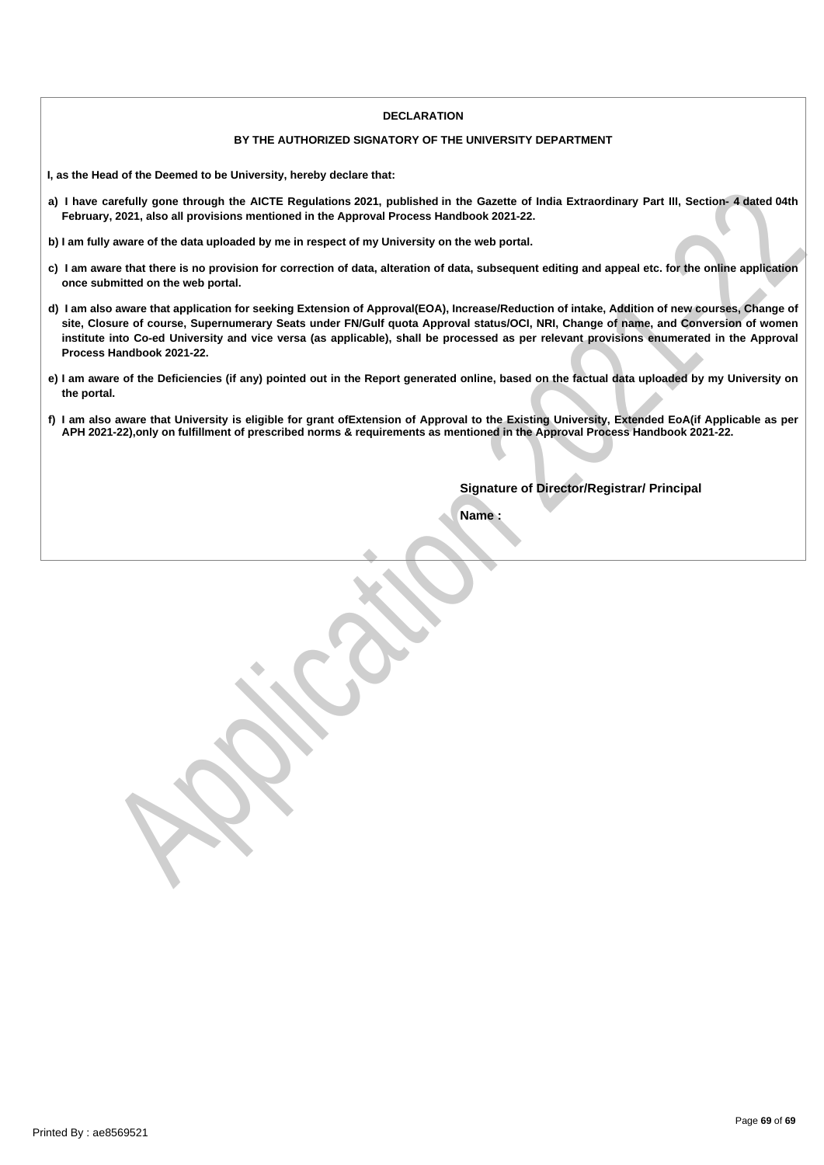#### **DECLARATION**

#### **BY THE AUTHORIZED SIGNATORY OF THE UNIVERSITY DEPARTMENT**

**I, as the Head of the Deemed to be University, hereby declare that:**

- a) I have carefully gone through the AICTE Regulations 2021, published in the Gazette of India Extraordinary Part III, Section- 4 dated 04th **February, 2021, also all provisions mentioned in the Approval Process Handbook 2021-22.**
- b) I am fully aware of the data uploaded by me in respect of my University on the web portal.
- c) I am aware that there is no provision for correction of data, alteration of data, subsequent editing and appeal etc. for the online application **once submitted on the web portal.**
- exertainty gone through the AICE Regulations 2021, published in the Gazeter of the Gazeter of the Capital Extraordinary Part III, Section-4 dated OHP<br>y aware of the data uploaded by me in nepect of my University on the web d) I am also aware that application for seeking Extension of Approval(EOA), Increase/Reduction of intake, Addition of new courses, Change of site, Closure of course, Supernumerary Seats under FN/Gulf quota Approval status/OCI, NRI, Change of name, and Conversion of women institute into Co-ed University and vice versa (as applicable), shall be processed as per relevant provisions enumerated in the Approval **Process Handbook 2021-22.**
- e) I am aware of the Deficiencies (if any) pointed out in the Report generated online, based on the factual data uploaded by my University on **the portal.**
- f) I am also aware that University is eligible for grant ofExtension of Approval to the Existing University, Extended EoA(if Applicable as per APH 2021-22), only on fulfillment of prescribed norms & requirements as mentioned in the Approval Process Handbook 2021-22.

**Signature of Director/Registrar/ Principal**

**Name :**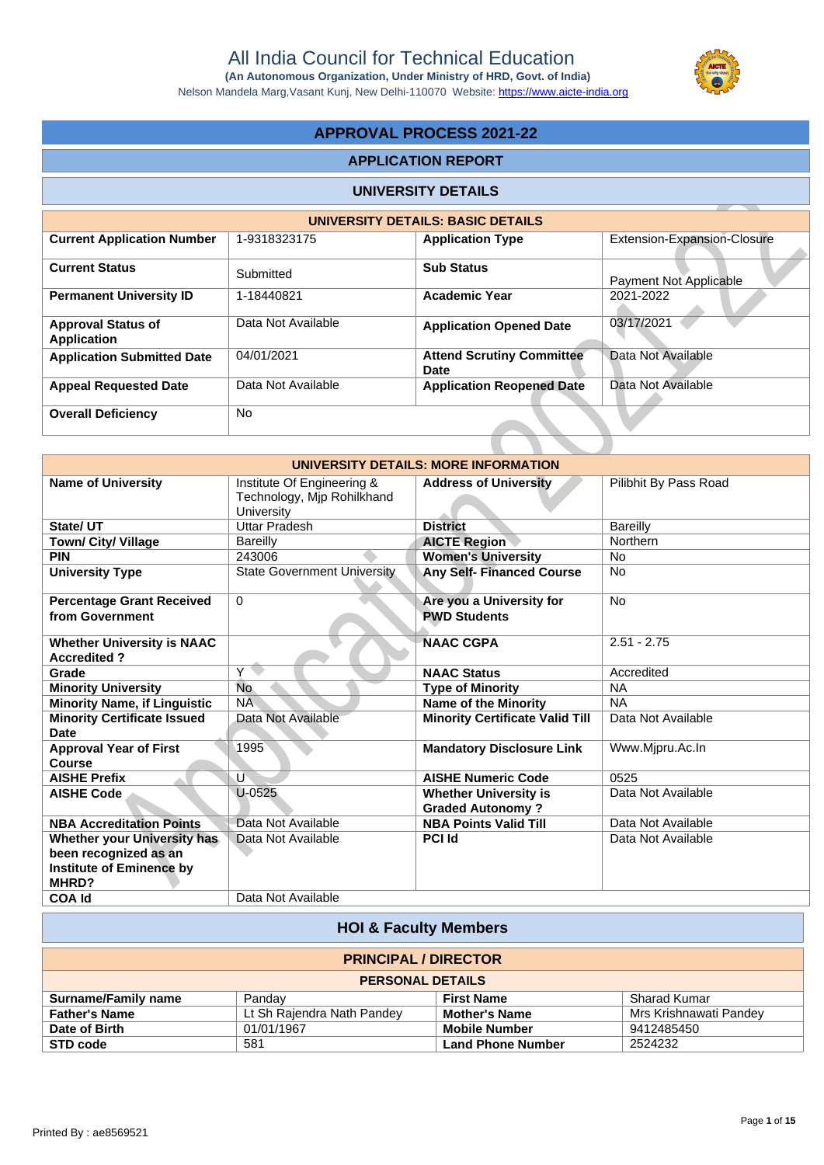Nelson Mandela Marg,Vasant Kunj, New Delhi-110070 Website: https://www.aicte-india.org



# **APPROVAL PROCESS 2021-22**

## **APPLICATION REPORT**

#### **UNIVERSITY DETAILS**

|                                                 |                    | UNIVERSITY DETAILS: BASIC DETAILS               |                             |
|-------------------------------------------------|--------------------|-------------------------------------------------|-----------------------------|
| <b>Current Application Number</b>               | 1-9318323175       | <b>Application Type</b>                         | Extension-Expansion-Closure |
| <b>Current Status</b>                           | Submitted          | <b>Sub Status</b>                               | Payment Not Applicable      |
| <b>Permanent University ID</b>                  | 1-18440821         | <b>Academic Year</b>                            | 2021-2022                   |
| <b>Approval Status of</b><br><b>Application</b> | Data Not Available | <b>Application Opened Date</b>                  | 03/17/2021                  |
| <b>Application Submitted Date</b>               | 04/01/2021         | <b>Attend Scrutiny Committee</b><br><b>Date</b> | Data Not Available          |
| <b>Appeal Requested Date</b>                    | Data Not Available | <b>Application Reopened Date</b>                | Data Not Available          |
| <b>Overall Deficiency</b>                       | <b>No</b>          |                                                 |                             |

|                                                                   |                                                                               | <b>UNIVERSITY DETAILS</b>                               |                             |
|-------------------------------------------------------------------|-------------------------------------------------------------------------------|---------------------------------------------------------|-----------------------------|
|                                                                   |                                                                               | UNIVERSITY DETAILS: BASIC DETAILS                       |                             |
| <b>Current Application Number</b>                                 | 1-9318323175                                                                  | <b>Application Type</b>                                 | Extension-Expansion-Closure |
| <b>Current Status</b>                                             | Submitted                                                                     | <b>Sub Status</b>                                       | Payment Not Applicable      |
| <b>Permanent University ID</b>                                    | 1-18440821                                                                    | <b>Academic Year</b>                                    | 2021-2022                   |
| <b>Approval Status of</b><br><b>Application</b>                   | Data Not Available                                                            | <b>Application Opened Date</b>                          | 03/17/2021                  |
| <b>Application Submitted Date</b>                                 | 04/01/2021                                                                    | <b>Attend Scrutiny Committee</b><br><b>Date</b>         | Data Not Available          |
| <b>Appeal Requested Date</b>                                      | Data Not Available                                                            | <b>Application Reopened Date</b>                        | Data Not Available          |
| <b>Overall Deficiency</b>                                         | <b>No</b>                                                                     |                                                         |                             |
|                                                                   |                                                                               |                                                         |                             |
|                                                                   |                                                                               | UNIVERSITY DETAILS: MORE INFORMATION                    |                             |
| <b>Name of University</b>                                         | Institute Of Engineering &<br>Technology, Mjp Rohilkhand<br><b>University</b> | <b>Address of University</b>                            | Pilibhit By Pass Road       |
| State/ UT                                                         | <b>Uttar Pradesh</b>                                                          | <b>District</b>                                         | <b>Bareilly</b>             |
| Town/ City/ Village                                               | <b>Bareilly</b>                                                               | <b>AICTE Region</b>                                     | Northern                    |
| <b>PIN</b>                                                        | 243006                                                                        | <b>Women's University</b>                               | No                          |
| <b>University Type</b>                                            | <b>State Government University</b>                                            | <b>Any Self- Financed Course</b>                        | <b>No</b>                   |
| <b>Percentage Grant Received</b><br>from Government               | $\mathbf 0$                                                                   | Are you a University for<br><b>PWD Students</b>         | No.                         |
| <b>Whether University is NAAC</b><br><b>Accredited?</b>           |                                                                               | <b>NAAC CGPA</b>                                        | $2.51 - 2.75$               |
| Grade                                                             | $\overline{Y}$                                                                | <b>NAAC Status</b>                                      | Accredited                  |
| <b>Minority University</b>                                        | <b>No</b>                                                                     | <b>Type of Minority</b>                                 | <b>NA</b>                   |
| <b>Minority Name, if Linguistic</b>                               | <b>NA</b>                                                                     | <b>Name of the Minority</b>                             | <b>NA</b>                   |
| <b>Minority Certificate Issued</b><br><b>Date</b>                 | Data Not Available                                                            | <b>Minority Certificate Valid Till</b>                  | Data Not Available          |
| <b>Approval Year of First</b>                                     | 1995                                                                          | <b>Mandatory Disclosure Link</b>                        | Www.Mjpru.Ac.In             |
| <b>Course</b>                                                     |                                                                               |                                                         |                             |
| <b>AISHE Prefix</b>                                               | Ù                                                                             | <b>AISHE Numeric Code</b>                               | 0525                        |
| <b>AISHE Code</b>                                                 | $U-0525$                                                                      | <b>Whether University is</b><br><b>Graded Autonomy?</b> | Data Not Available          |
| <b>NBA Accreditation Points</b>                                   | Data Not Available                                                            | <b>NBA Points Valid Till</b>                            | Data Not Available          |
| Whether your University has                                       | Data Not Available                                                            | <b>PCI Id</b>                                           | Data Not Available          |
| been recognized as an<br><b>Institute of Eminence by</b><br>MHRD? |                                                                               |                                                         |                             |
| <b>COA Id</b>                                                     | Data Not Available                                                            |                                                         |                             |

|                            | <b>HOI &amp; Faculty Members</b> |                          |                        |
|----------------------------|----------------------------------|--------------------------|------------------------|
|                            | <b>PRINCIPAL / DIRECTOR</b>      |                          |                        |
|                            | <b>PERSONAL DETAILS</b>          |                          |                        |
| <b>Surname/Family name</b> | Panday                           | <b>First Name</b>        | <b>Sharad Kumar</b>    |
| <b>Father's Name</b>       | Lt Sh Rajendra Nath Pandey       | <b>Mother's Name</b>     | Mrs Krishnawati Pandey |
| Date of Birth              | 01/01/1967                       | <b>Mobile Number</b>     | 9412485450             |
| STD code                   | 581                              | <b>Land Phone Number</b> | 2524232                |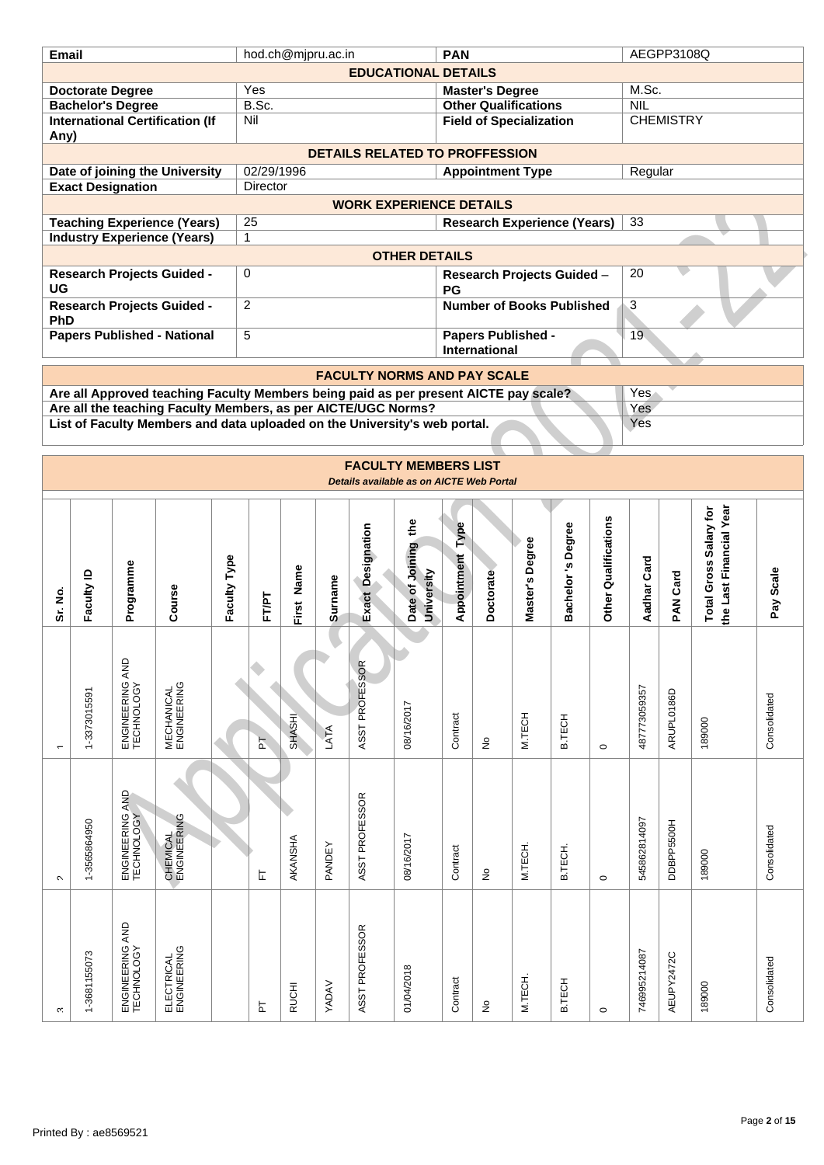| hod.ch@mjpru.ac.in<br><b>PAN</b><br><b>Email</b><br><b>EDUCATIONAL DETAILS</b><br>Yes<br><b>Doctorate Degree</b><br><b>Master's Degree</b><br>B.Sc.<br><b>Bachelor's Degree</b><br><b>Other Qualifications</b><br>Nil<br><b>International Certification (If</b><br><b>Field of Specialization</b><br>Any)<br><b>DETAILS RELATED TO PROFFESSION</b><br>02/29/1996<br>Date of joining the University<br><b>Appointment Type</b><br><b>Exact Designation</b><br>Director<br><b>WORK EXPERIENCE DETAILS</b> | M.Sc.<br><b>NIL</b><br>Regular | AEGPP3108Q<br><b>CHEMISTRY</b> |                                                          |              |
|---------------------------------------------------------------------------------------------------------------------------------------------------------------------------------------------------------------------------------------------------------------------------------------------------------------------------------------------------------------------------------------------------------------------------------------------------------------------------------------------------------|--------------------------------|--------------------------------|----------------------------------------------------------|--------------|
|                                                                                                                                                                                                                                                                                                                                                                                                                                                                                                         |                                |                                |                                                          |              |
|                                                                                                                                                                                                                                                                                                                                                                                                                                                                                                         |                                |                                |                                                          |              |
|                                                                                                                                                                                                                                                                                                                                                                                                                                                                                                         |                                |                                |                                                          |              |
|                                                                                                                                                                                                                                                                                                                                                                                                                                                                                                         |                                |                                |                                                          |              |
|                                                                                                                                                                                                                                                                                                                                                                                                                                                                                                         |                                |                                |                                                          |              |
|                                                                                                                                                                                                                                                                                                                                                                                                                                                                                                         |                                |                                |                                                          |              |
|                                                                                                                                                                                                                                                                                                                                                                                                                                                                                                         |                                |                                |                                                          |              |
|                                                                                                                                                                                                                                                                                                                                                                                                                                                                                                         |                                |                                |                                                          |              |
|                                                                                                                                                                                                                                                                                                                                                                                                                                                                                                         |                                |                                |                                                          |              |
|                                                                                                                                                                                                                                                                                                                                                                                                                                                                                                         |                                |                                |                                                          |              |
| 25<br><b>Teaching Experience (Years)</b><br><b>Research Experience (Years)</b>                                                                                                                                                                                                                                                                                                                                                                                                                          | 33                             |                                |                                                          |              |
| <b>Industry Experience (Years)</b><br>$\mathbf{1}$                                                                                                                                                                                                                                                                                                                                                                                                                                                      |                                |                                |                                                          |              |
| <b>OTHER DETAILS</b>                                                                                                                                                                                                                                                                                                                                                                                                                                                                                    |                                |                                |                                                          |              |
| <b>Research Projects Guided -</b><br>0<br>Research Projects Guided -                                                                                                                                                                                                                                                                                                                                                                                                                                    | 20                             |                                |                                                          |              |
| UG<br>PG                                                                                                                                                                                                                                                                                                                                                                                                                                                                                                |                                |                                |                                                          |              |
| $\overline{c}$<br><b>Number of Books Published</b><br><b>Research Projects Guided -</b>                                                                                                                                                                                                                                                                                                                                                                                                                 | $\overline{3}$                 |                                |                                                          |              |
| PhD                                                                                                                                                                                                                                                                                                                                                                                                                                                                                                     |                                |                                |                                                          |              |
| <b>Papers Published - National</b><br>5<br><b>Papers Published -</b>                                                                                                                                                                                                                                                                                                                                                                                                                                    | 19 <sup>°</sup>                |                                |                                                          |              |
| International                                                                                                                                                                                                                                                                                                                                                                                                                                                                                           |                                |                                |                                                          |              |
| <b>FACULTY NORMS AND PAY SCALE</b>                                                                                                                                                                                                                                                                                                                                                                                                                                                                      |                                |                                |                                                          |              |
| Are all Approved teaching Faculty Members being paid as per present AICTE pay scale?                                                                                                                                                                                                                                                                                                                                                                                                                    | Yes                            |                                |                                                          |              |
| Are all the teaching Faculty Members, as per AICTE/UGC Norms?                                                                                                                                                                                                                                                                                                                                                                                                                                           | Yes                            |                                |                                                          |              |
| List of Faculty Members and data uploaded on the University's web portal.                                                                                                                                                                                                                                                                                                                                                                                                                               | Yes                            |                                |                                                          |              |
|                                                                                                                                                                                                                                                                                                                                                                                                                                                                                                         |                                |                                |                                                          |              |
|                                                                                                                                                                                                                                                                                                                                                                                                                                                                                                         |                                |                                |                                                          |              |
| <b>FACULTY MEMBERS LIST</b>                                                                                                                                                                                                                                                                                                                                                                                                                                                                             |                                |                                |                                                          |              |
| Details available as on AICTE Web Portal                                                                                                                                                                                                                                                                                                                                                                                                                                                                |                                |                                |                                                          |              |
|                                                                                                                                                                                                                                                                                                                                                                                                                                                                                                         |                                |                                |                                                          |              |
|                                                                                                                                                                                                                                                                                                                                                                                                                                                                                                         |                                |                                |                                                          |              |
| s Degree<br>Type                                                                                                                                                                                                                                                                                                                                                                                                                                                                                        |                                |                                |                                                          |              |
|                                                                                                                                                                                                                                                                                                                                                                                                                                                                                                         |                                |                                |                                                          |              |
|                                                                                                                                                                                                                                                                                                                                                                                                                                                                                                         |                                |                                |                                                          |              |
|                                                                                                                                                                                                                                                                                                                                                                                                                                                                                                         |                                |                                |                                                          |              |
|                                                                                                                                                                                                                                                                                                                                                                                                                                                                                                         |                                |                                |                                                          |              |
|                                                                                                                                                                                                                                                                                                                                                                                                                                                                                                         |                                |                                |                                                          |              |
|                                                                                                                                                                                                                                                                                                                                                                                                                                                                                                         |                                |                                |                                                          | Pay Scale    |
| Other Qualifications<br>Date of Joining the<br>Exact Designation<br>Master's Degree<br>Appointment<br>Faculty Type<br>Programme<br>First Name<br>University<br>Faculty ID<br>Doctorate<br><b>Surname</b><br><b>Bachelor</b><br>Course<br>Sr. No.<br>FT/PT                                                                                                                                                                                                                                               | Aadhar Card                    | PAN Card                       | the Last Financial Year<br><b>Total Gross Salary for</b> |              |
|                                                                                                                                                                                                                                                                                                                                                                                                                                                                                                         |                                |                                |                                                          |              |
|                                                                                                                                                                                                                                                                                                                                                                                                                                                                                                         |                                |                                |                                                          |              |
|                                                                                                                                                                                                                                                                                                                                                                                                                                                                                                         |                                |                                |                                                          |              |
|                                                                                                                                                                                                                                                                                                                                                                                                                                                                                                         |                                |                                |                                                          |              |
|                                                                                                                                                                                                                                                                                                                                                                                                                                                                                                         |                                |                                |                                                          |              |
|                                                                                                                                                                                                                                                                                                                                                                                                                                                                                                         |                                |                                |                                                          |              |
|                                                                                                                                                                                                                                                                                                                                                                                                                                                                                                         |                                |                                |                                                          |              |
| ENGINEERING AND<br>TECHNOLOGY<br>ASST PROFESSOR<br><b>MECHANICAL</b><br>ENGINEERING<br>1-3373015591<br>08/16/2017<br>M.TECH<br>SHASHI<br>Contract<br>B.TECH<br>LATA<br>F<br>ş<br>$\circ$<br>٠                                                                                                                                                                                                                                                                                                           | 487773059357                   | ARUPL0186D                     | 189000                                                   | Consolidated |
|                                                                                                                                                                                                                                                                                                                                                                                                                                                                                                         |                                |                                |                                                          |              |
|                                                                                                                                                                                                                                                                                                                                                                                                                                                                                                         |                                |                                |                                                          |              |
|                                                                                                                                                                                                                                                                                                                                                                                                                                                                                                         |                                |                                |                                                          |              |
|                                                                                                                                                                                                                                                                                                                                                                                                                                                                                                         |                                |                                |                                                          |              |
|                                                                                                                                                                                                                                                                                                                                                                                                                                                                                                         |                                |                                |                                                          |              |
|                                                                                                                                                                                                                                                                                                                                                                                                                                                                                                         |                                |                                |                                                          |              |
|                                                                                                                                                                                                                                                                                                                                                                                                                                                                                                         |                                |                                |                                                          |              |
| ENGINEERING AND<br>TECHNOLOGY<br>ASST PROFESSOR<br>CHEMICAL<br>ENGINEERING<br>1-3565864950<br>08/16/2017<br>AKANSHA<br>PANDEY<br>M.TECH.<br>Contract<br><b>B.TECH</b><br>ş<br>ᄂ<br>$\circ$<br>$\sim$                                                                                                                                                                                                                                                                                                    | 545862814097                   | DDBPP5500H                     | 189000                                                   | Consolidated |
|                                                                                                                                                                                                                                                                                                                                                                                                                                                                                                         |                                |                                |                                                          |              |
|                                                                                                                                                                                                                                                                                                                                                                                                                                                                                                         |                                |                                |                                                          |              |
|                                                                                                                                                                                                                                                                                                                                                                                                                                                                                                         |                                |                                |                                                          |              |
|                                                                                                                                                                                                                                                                                                                                                                                                                                                                                                         |                                |                                |                                                          |              |
|                                                                                                                                                                                                                                                                                                                                                                                                                                                                                                         |                                |                                |                                                          |              |
|                                                                                                                                                                                                                                                                                                                                                                                                                                                                                                         |                                |                                |                                                          |              |
| ENGINEERING AND<br>TECHNOLOGY<br>ASST PROFESSOR<br>ELECTRICAL<br>ENGINEERING<br>1-3681155073<br>01/04/2018<br>M.TECH.<br>Contract<br>B.TECH<br>YADAV<br><b>RUCHI</b>                                                                                                                                                                                                                                                                                                                                    | 746995214087                   | AEUPY2472C                     | 189000                                                   | Consolidated |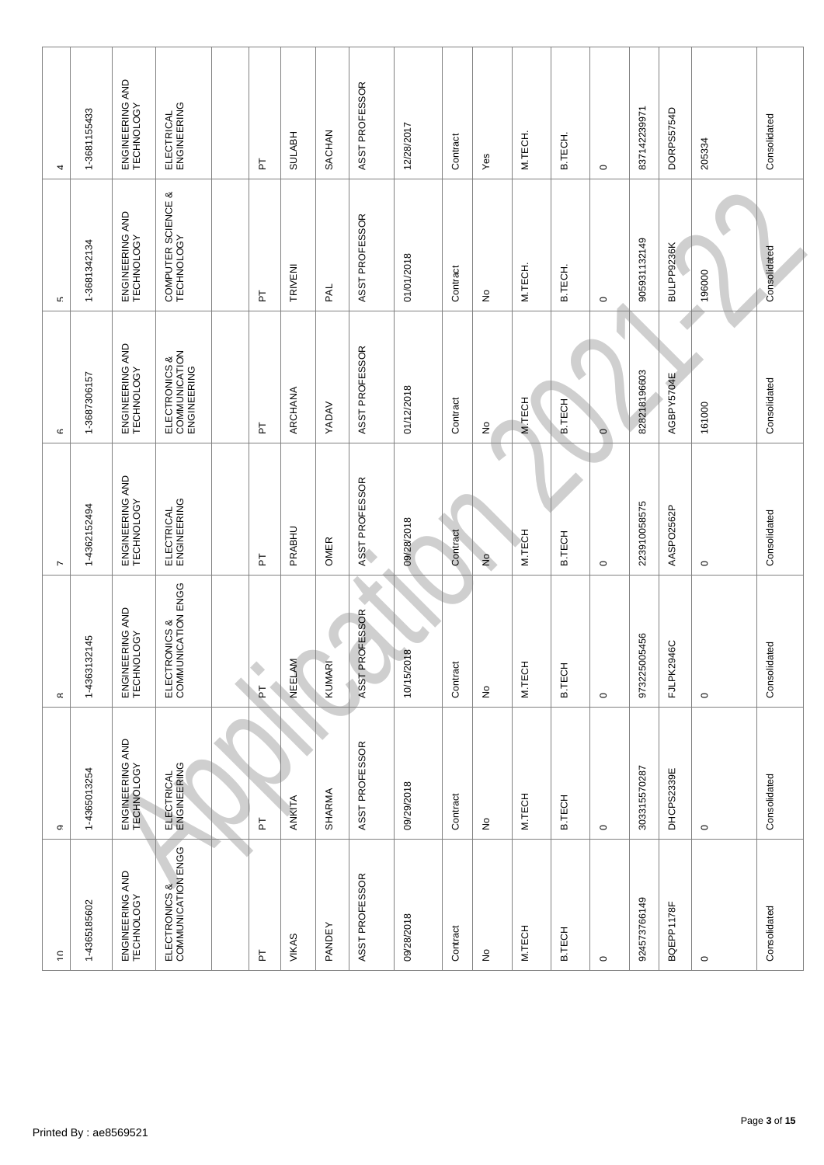| $\mathrel{\mathop{\mathsf{c}}\nolimits}$ | σ.                            | $\propto$                           | $\overline{ }$                | C                                             | LC.                                 | 4                             |
|------------------------------------------|-------------------------------|-------------------------------------|-------------------------------|-----------------------------------------------|-------------------------------------|-------------------------------|
| 1-4365185602                             | 1-4365013254                  | 1-4363132145                        | 1-4362152494                  | 1-3687306157                                  | 1-3681342134                        | 1-3681155433                  |
| ENGINEERING AND<br>TECHNOLOGY            | ENGINEERING AND<br>TECHNOLOGY | ENGINEERING AND<br>TECHNOLOGY       | ENGINEERING AND<br>TECHNOLOGY | ENGINEERING AND<br>TECHNOLOGY                 | ENGINEERING AND<br>TECHNOLOGY       | ENGINEERING AND<br>TECHNOLOGY |
| ELECTRONICS &<br>COMMUNICATION ENGG      | ELECTRICAL<br>ENGINEERING     | ELECTRONICS &<br>COMMUNICATION ENGG | ELECTRICAL<br>ENGINEERING     | ELECTRONICS &<br>COMMUNICATION<br>ENGINEERING | య<br>COMPUTER SCIENCE<br>TECHNOLOGY | ELECTRICAL<br>ENGINEERING     |
|                                          | Â                             |                                     |                               |                                               |                                     |                               |
| 눈                                        | F                             | ۰<br>$\overline{a}$                 | 눕                             | 눕                                             | 눕                                   | 눕                             |
| VIKAS                                    | ANKITA                        | NEELAM                              | PRABHU                        | ARCHANA                                       | TRIVENI                             | <b>SULABH</b>                 |
| PANDEY                                   | SHARMA                        | KUMAR                               | OMER                          | YADAV                                         | <b>RAL</b>                          | SACHAN                        |
| ASST PROFESSOR                           | ASST PROFESSOR                | ASST PROFESSOR                      | ASST PROFESSOR                | ASST PROFESSOR                                | ASST PROFESSOR                      | ASST PROFESSOR                |
| 09/28/2018                               | 09/29/2018                    | 10/15/2018                          | 09/28/2018                    | 01/12/2018                                    | 01/01/2018                          | 12/28/2017                    |
| Contract                                 | Contract                      | Contract                            | Contract                      | Contract                                      | Contract                            | Contract                      |
| ş                                        | $\stackrel{\circ}{\simeq}$    | ş                                   | $\frac{1}{2}$                 | $\frac{1}{2}$                                 | ş                                   | Yes                           |
| M.TECH                                   | M.TECH                        | M.TECH                              | M.TECH                        | <b>M.TECH</b>                                 | M.TECH.                             | M.TECH.                       |
| B.TECH                                   | <b>B.TECH</b>                 | <b>B.TECH</b>                       | <b>B.TECH</b>                 | <b>B.TECH</b>                                 | B.TECH.                             | B.TECH.                       |
| $\circ$                                  | $\circ$                       | $\circ$                             | $\circ$                       | $\circ$                                       | $\circ$                             | $\circ$                       |
| 924573766149                             | 303315570287                  | 973225005456                        | 223910058575                  | 828218196603                                  | 905931132149                        | 837142239971                  |
| BQEPP1178F                               | DHCPS2339E                    | FJLPK2946C                          | AASPO2562P                    | AGBPY5704E                                    | BULPP9236K                          | DORPS5754D                    |
| $\circ$                                  | $\circ$                       | $\circ$                             | $\circ$                       | 161000                                        | 196000                              | 205334                        |
| Consolidated                             | Consolidated                  | Consolidated                        | Consolidated                  | Consolidated                                  | Consolidated                        | Consolidated                  |
|                                          |                               |                                     |                               |                                               |                                     |                               |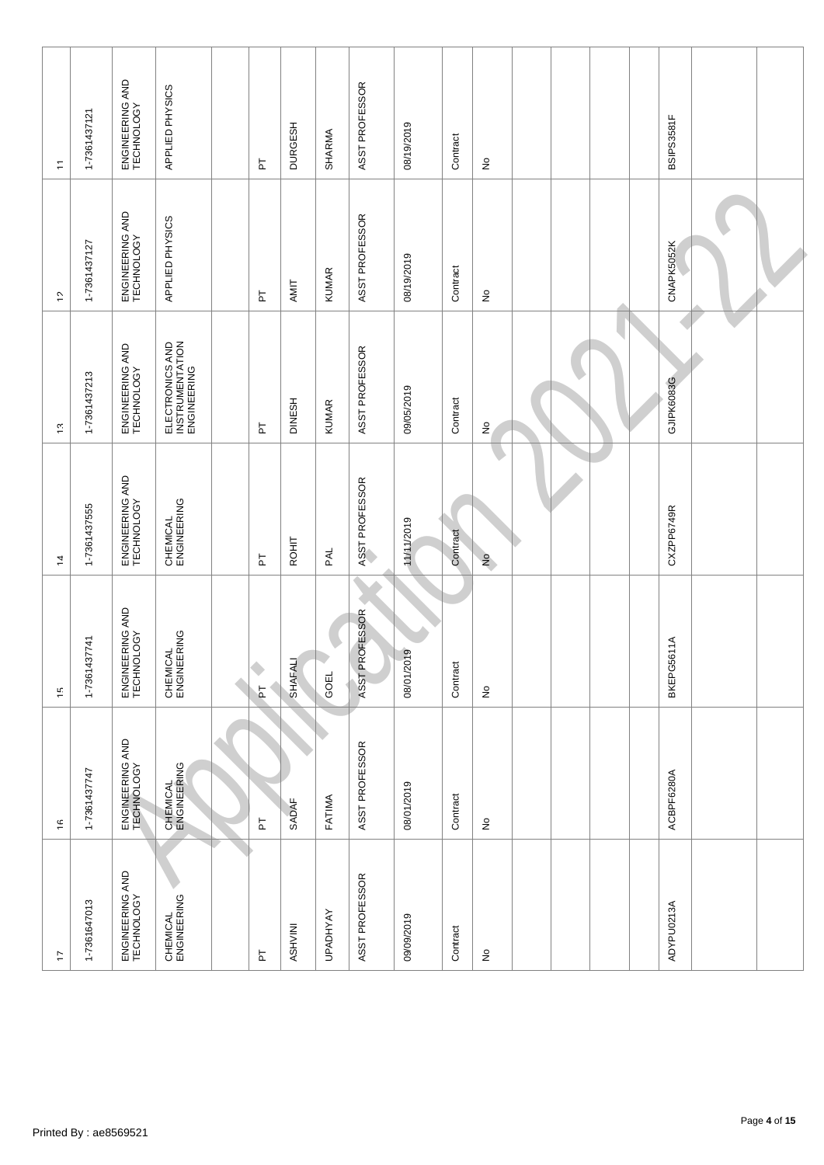| 47                            | $\frac{\varsigma}{\varsigma}$ | ίċ                            | $\overline{4}$                | $\tilde{\mathcal{L}}$                             | ć,                            | $\overline{\mathbb{L}}$       |  |
|-------------------------------|-------------------------------|-------------------------------|-------------------------------|---------------------------------------------------|-------------------------------|-------------------------------|--|
| 1-7361647013                  | 1-7361437747                  | 1-7361437741                  | 1-7361437555                  | 1-7361437213                                      | 1-7361437127                  | 1-7361437121                  |  |
| ENGINEERING AND<br>TECHNOLOGY | ENGINEERING AND<br>TECHNOLOGY | ENGINEERING AND<br>TECHNOLOGY | ENGINEERING AND<br>TECHNOLOGY | ENGINEERING AND<br>TECHNOLOGY                     | ENGINEERING AND<br>TECHNOLOGY | ENGINEERING AND<br>TECHNOLOGY |  |
| CHEMICAL<br>ENGINEERING       | CHEMICAL<br>ENGINEERING       | CHEMICAL<br>ENGINEERING       | CHEMICAL<br>ENGINEERING       | ELECTRONICS AND<br>INSTRUMENTATION<br>ENGINEERING | APPLIED PHYSICS               | APPLIED PHYSICS               |  |
|                               |                               |                               |                               |                                                   |                               |                               |  |
| h                             | $\overline{\mathsf{r}}$       | ۰<br>$\overline{a}$           | $\overline{\mathtt{h}}$       | F                                                 | 占                             | F                             |  |
| NININSA                       | SADAF                         | <b>SHAFALI</b>                | ROHIT                         | <b>DINESH</b>                                     | AMIT                          | <b>DURGESH</b>                |  |
| <b>UPADHYAY</b>               | FATIMA                        | GOEL                          | PAL                           | <b>KUMAR</b>                                      | <b>KUMAR</b>                  | SHARMA                        |  |
| ASST PROFESSOR                | ASST PROFESSOR                | ASST PROFESSOR                | ASST PROFESSOR                | ASST PROFESSOR                                    | ASST PROFESSOR                | ASST PROFESSOR                |  |
| 09/09/2019                    | 08/01/2019                    | 08/01/2019                    | 11/11/2019                    | 09/05/2019                                        | 08/19/2019                    | 08/19/2019                    |  |
| Contract                      | Contract                      | Contract                      | Contract                      | Contract                                          | Contract                      | Contract                      |  |
| $\frac{\circ}{2}$             | $\stackrel{\circ}{\simeq}$    | $\hat{\mathsf{z}}$            | $\frac{1}{2}$                 | $\frac{1}{2}$                                     | $\hat{\mathsf{z}}$            | $\stackrel{\circ}{\succeq}$   |  |
|                               |                               |                               |                               |                                                   |                               |                               |  |
|                               |                               |                               |                               |                                                   |                               |                               |  |
|                               |                               |                               |                               |                                                   |                               |                               |  |
|                               |                               |                               |                               |                                                   |                               |                               |  |
| ADYPU0213A                    | ACBPF6280A                    | BKEPG5611A                    | CXZPP6749R                    | GJIPK6083G                                        | CNAPK5052K                    | BSIPS3581F                    |  |
|                               |                               |                               |                               |                                                   |                               |                               |  |
|                               |                               |                               |                               |                                                   |                               |                               |  |
|                               |                               |                               |                               |                                                   |                               |                               |  |
|                               |                               |                               |                               |                                                   |                               |                               |  |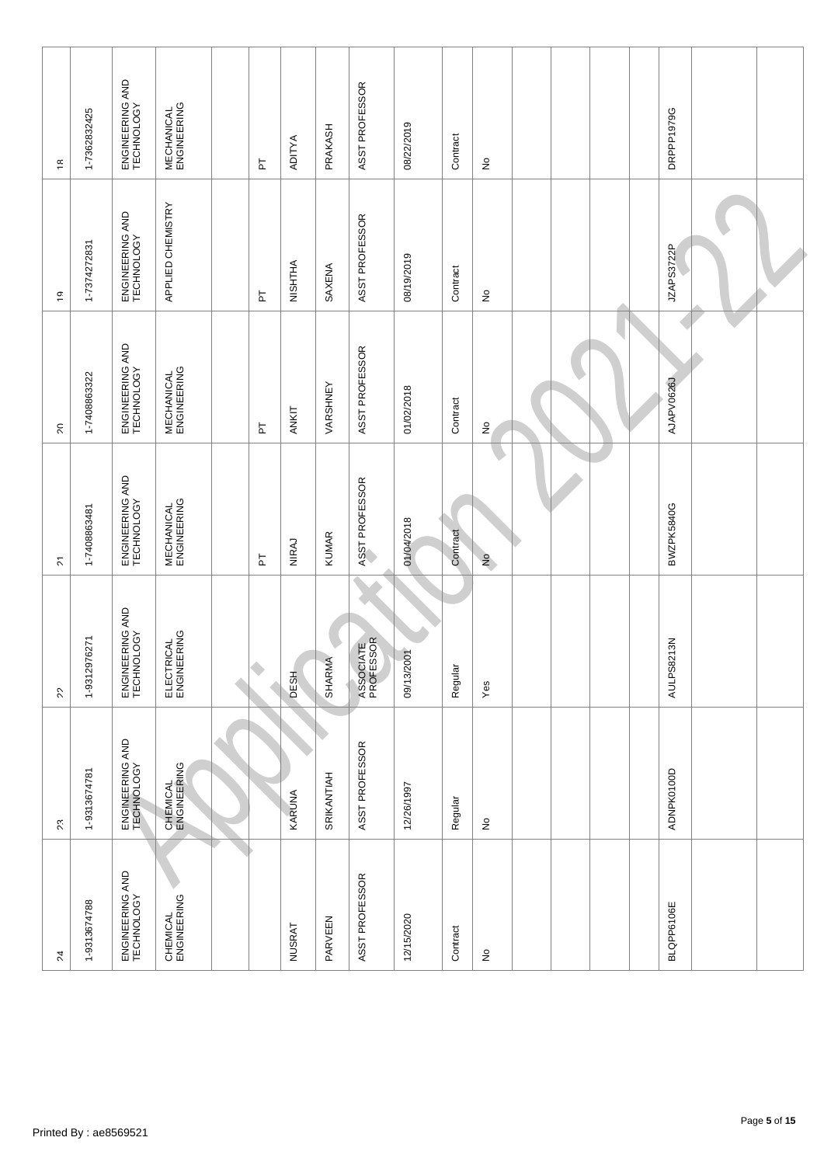| $\lambda$                     | 23                            | $\mathcal{L}$                 |                                                |                                  |                               |                                  |
|-------------------------------|-------------------------------|-------------------------------|------------------------------------------------|----------------------------------|-------------------------------|----------------------------------|
|                               |                               |                               | $\stackrel{\scriptstyle >}{\scriptstyle \sim}$ | $\sim$                           | Ć,                            | $\frac{\alpha}{\tau}$            |
| 1-9313674788                  | 1-9313674781                  | 1-9312976271                  | 1-7408863481                                   | 1-7408863322                     | 1-7374272831                  | 1-7362832425                     |
| ENGINEERING AND<br>TECHNOLOGY | ENGINEERING AND<br>TECHNOLOGY | ENGINEERING AND<br>TECHNOLOGY | ENGINEERING AND<br>TECHNOLOGY                  | ENGINEERING AND<br>TECHNOLOGY    | ENGINEERING AND<br>TECHNOLOGY | ENGINEERING AND<br>TECHNOLOGY    |
| CHEMICAL<br>ENGINEERING       | CHEMICAL<br>ENGINEERING       | ELECTRICAL<br>ENGINEERING     | <b>MECHANICAL</b><br>ENGINEERING               | <b>MECHANICAL</b><br>ENGINEERING | APPLIED CHEMISTRY             | <b>MECHANICAL</b><br>ENGINEERING |
|                               |                               |                               |                                                |                                  |                               |                                  |
|                               |                               | ٠                             | F                                              | $\overline{\mathtt{h}}$          | $\overline{a}$                | 눕                                |
| <b>NUSRAT</b>                 | KARUNA                        | <b>DESH</b>                   | NIRAJ                                          | ANKIT                            | NISHTHA                       | ADITYA                           |
| PARVEEN                       | SRIKANTIAH                    | SHARMA                        | <b>KUMAR</b>                                   | VARSHNEY                         | SAXENA                        | PRAKASH                          |
| ASST PROFESSOR                | ASST PROFESSOR                | ASSOCIATE<br>PROFESSOR        | ASST PROFESSOR                                 | ASST PROFESSOR                   | ASST PROFESSOR                | ASST PROFESSOR                   |
| 12/15/2020                    | 12/26/1997                    | 09/13/2001                    | 01/04/2018                                     | 01/02/2018                       | 08/19/2019                    | 08/22/2019                       |
| Contract                      | Regular                       | Regular                       | Contract                                       | Contract                         | Contract                      | Contract                         |
| $\hat{\mathsf{z}}$            | $\stackrel{\circ}{\simeq}$    | Yes                           | $\frac{1}{2}$                                  | $\stackrel{\circ}{z}$            | $\hat{\mathsf{z}}$            | $\stackrel{\circ}{\succeq}$      |
|                               |                               |                               |                                                |                                  |                               |                                  |
|                               |                               |                               |                                                |                                  |                               |                                  |
|                               |                               |                               |                                                |                                  |                               |                                  |
|                               |                               |                               |                                                |                                  |                               |                                  |
| BLQPP6106E                    | ADNPK0100D                    | AULPS8213N                    | BWZPK5840G                                     | AJAPV0626J                       | JZAPS3722P                    | DRPPP1979G                       |
|                               |                               |                               |                                                |                                  |                               |                                  |
|                               |                               |                               |                                                |                                  |                               |                                  |
|                               |                               |                               |                                                |                                  |                               |                                  |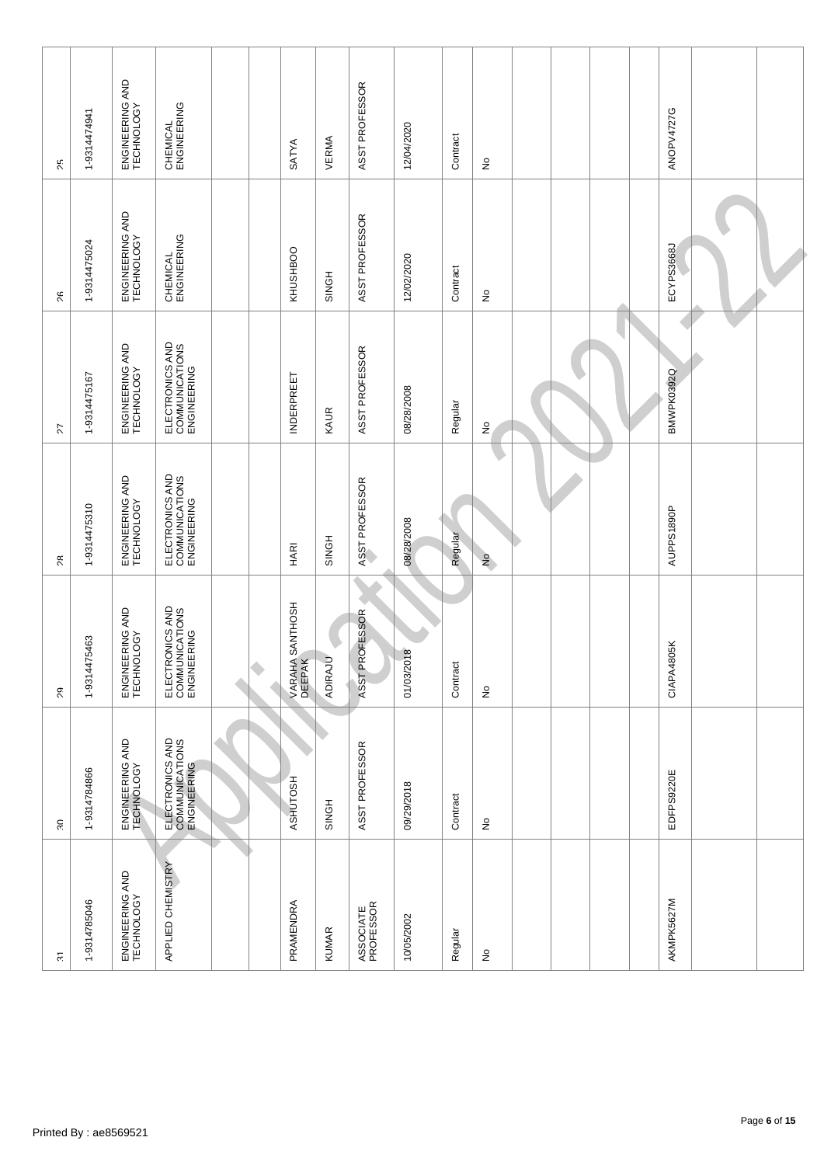| $\overline{\mathfrak{S}}$     | $30^{\circ}$                                     | $\delta$                                         | $\approx$                                        | 77                                               | $\%$                          | 25                            |  |
|-------------------------------|--------------------------------------------------|--------------------------------------------------|--------------------------------------------------|--------------------------------------------------|-------------------------------|-------------------------------|--|
| 1-9314785046                  | 1-9314784866                                     | 1-9314475463                                     | 1-9314475310                                     | 1-9314475167                                     | 1-9314475024                  | 1-9314474941                  |  |
| ENGINEERING AND<br>TECHNOLOGY | ENGINEERING AND<br>TECHNOLOGY                    | ENGINEERING AND<br>TECHNOLOGY                    | ENGINEERING AND<br>TECHNOLOGY                    | ENGINEERING AND<br>TECHNOLOGY                    | ENGINEERING AND<br>TECHNOLOGY | ENGINEERING AND<br>TECHNOLOGY |  |
| APPLIED CHEMISTRY             | ELECTRONICS AND<br>COMMUNICATIONS<br>ENGINEERING | ELECTRONICS AND<br>COMMUNICATIONS<br>ENGINEERING | ELECTRONICS AND<br>COMMUNICATIONS<br>ENGINEERING | ELECTRONICS AND<br>COMMUNICATIONS<br>ENGINEERING | CHEMICAL<br>ENGINEERING       | CHEMICAL<br>ENGINEERING       |  |
|                               |                                                  |                                                  |                                                  |                                                  |                               |                               |  |
|                               |                                                  | ۰                                                |                                                  |                                                  |                               |                               |  |
| PRAMENDRA                     | ASHUTOSH                                         | VARAHA SANTHOSH<br>DEEPAK                        | HARI                                             | <b>INDERPREET</b>                                | <b>KHUSHBOO</b>               | <b>SATYA</b>                  |  |
| <b>KUMAR</b>                  | SINGH                                            | <b>ADIRAJU</b>                                   | <b>SINGH</b>                                     | KAUR                                             | <b>SINGH</b>                  | VERMA                         |  |
| ASSOCIATE<br>PROFESSOR        | ASST PROFESSOR                                   | ASST PROFESSOR                                   | ASST PROFESSOR                                   | ASST PROFESSOR                                   | ASST PROFESSOR                | ASST PROFESSOR                |  |
| 10/05/2002                    | 09/29/2018                                       | 01/03/2018                                       | 08/28/2008                                       | 08/28/2008                                       | 12/02/2020                    | 12/04/2020                    |  |
| Regular                       | Contract                                         | Contrac                                          | Regular                                          | Regular                                          | Contract                      | Contract                      |  |
| ş                             | ş                                                | ş                                                | $\frac{1}{2}$                                    | $\frac{1}{2}$                                    | ş                             | ş                             |  |
|                               |                                                  |                                                  |                                                  |                                                  |                               |                               |  |
|                               |                                                  |                                                  |                                                  |                                                  |                               |                               |  |
|                               |                                                  |                                                  |                                                  |                                                  |                               |                               |  |
|                               |                                                  |                                                  |                                                  |                                                  |                               |                               |  |
| AKMPK5627M                    | EDFPS9220E                                       | CIAPA4805K                                       | AUPPS1890P                                       | BMWPK0392Q                                       | ECYPS3668J                    | ANOPV4727G                    |  |
|                               |                                                  |                                                  |                                                  |                                                  |                               |                               |  |
|                               |                                                  |                                                  |                                                  |                                                  |                               |                               |  |
|                               |                                                  |                                                  |                                                  |                                                  |                               |                               |  |
|                               |                                                  |                                                  |                                                  |                                                  |                               |                               |  |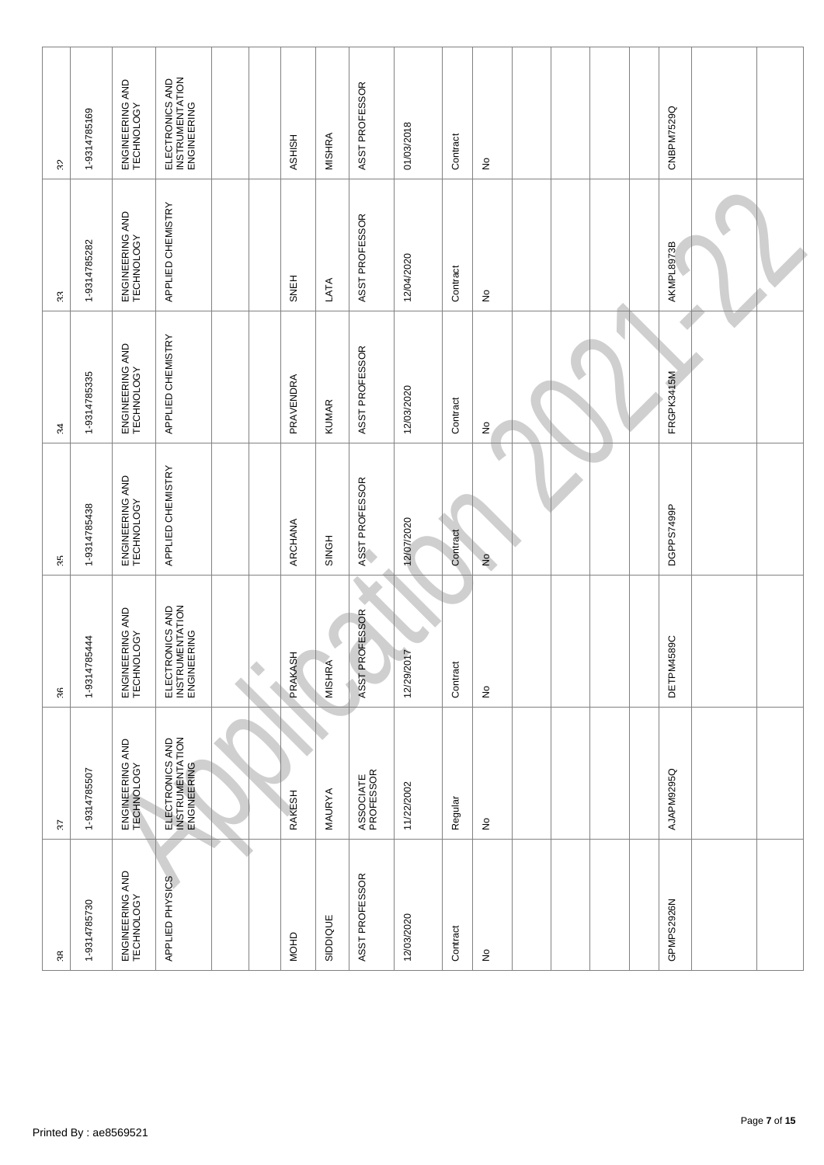| CNBPM7529Q<br>1-9314785169<br>01/03/2018<br><b>MISHRA</b><br>Contract<br>HSHISH<br>$\frac{1}{2}$<br>GS.<br>APPLIED CHEMISTRY<br>ENGINEERING AND<br>TECHNOLOGY<br>ASST PROFESSOR<br>1-9314785282<br>AKMPL8973B<br>12/04/2020<br>Contract<br><b>SNEH</b><br>LATA<br>£<br>s.<br>APPLIED CHEMISTRY<br>ENGINEERING AND<br>TECHNOLOGY<br>ASST PROFESSOR<br>FRGPK3415M<br>1-9314785335<br>PRAVENDRA<br>12/03/2020<br>Contract<br><b>KUMAR</b><br>$\stackrel{\circ}{z}$<br>54<br>APPLIED CHEMISTRY<br>ENGINEERING AND<br>TECHNOLOGY<br>ASST PROFESSOR<br>1-9314785438<br>DGPPS7499P<br>12/07/2020<br>ARCHANA<br>Contract<br><b>SINGH</b><br>$\frac{1}{2}$<br>Ś.<br>ELECTRONICS AND<br>INSTRUMENTATION<br>ENGINEERING<br>ENGINEERING AND<br>TECHNOLOGY<br>ASST PROFESSOR<br>1-9314785444<br>DETPM4589C<br>12/29/2017<br>PRAKASH<br><b>MISHRA</b><br>٠<br>Contract<br>$\hat{\mathsf{z}}$<br>\$<br>ELECTRONICS AND<br>INSTRUMENTATION<br>ENGINEERING<br>ENGINEERING AND<br>TECHNOLOGY<br>1-9314785507<br>AJAPM9295Q<br>ASSOCIATE<br>PROFESSOR<br>11/22/2002<br>MAURYA<br>RAKESH<br>Regular<br>$\stackrel{\circ}{\simeq}$<br>72<br>ENGINEERING AND<br>TECHNOLOGY<br>ASST PROFESSOR<br>APPLIED PHYSICS<br>GPMPS2926N<br>1-9314785730<br>12/03/2020<br>SIDDIQUE<br>Contract<br><b>MOHD</b><br>$\hat{\mathsf{z}}$<br>άč |  |  |  |                                                   |
|----------------------------------------------------------------------------------------------------------------------------------------------------------------------------------------------------------------------------------------------------------------------------------------------------------------------------------------------------------------------------------------------------------------------------------------------------------------------------------------------------------------------------------------------------------------------------------------------------------------------------------------------------------------------------------------------------------------------------------------------------------------------------------------------------------------------------------------------------------------------------------------------------------------------------------------------------------------------------------------------------------------------------------------------------------------------------------------------------------------------------------------------------------------------------------------------------------------------------------------------------------------------------------------------------------|--|--|--|---------------------------------------------------|
|                                                                                                                                                                                                                                                                                                                                                                                                                                                                                                                                                                                                                                                                                                                                                                                                                                                                                                                                                                                                                                                                                                                                                                                                                                                                                                          |  |  |  |                                                   |
|                                                                                                                                                                                                                                                                                                                                                                                                                                                                                                                                                                                                                                                                                                                                                                                                                                                                                                                                                                                                                                                                                                                                                                                                                                                                                                          |  |  |  |                                                   |
|                                                                                                                                                                                                                                                                                                                                                                                                                                                                                                                                                                                                                                                                                                                                                                                                                                                                                                                                                                                                                                                                                                                                                                                                                                                                                                          |  |  |  | ENGINEERING AND<br>TECHNOLOGY                     |
|                                                                                                                                                                                                                                                                                                                                                                                                                                                                                                                                                                                                                                                                                                                                                                                                                                                                                                                                                                                                                                                                                                                                                                                                                                                                                                          |  |  |  | ELECTRONICS AND<br>INSTRUMENTATION<br>ENGINEERING |
|                                                                                                                                                                                                                                                                                                                                                                                                                                                                                                                                                                                                                                                                                                                                                                                                                                                                                                                                                                                                                                                                                                                                                                                                                                                                                                          |  |  |  |                                                   |
|                                                                                                                                                                                                                                                                                                                                                                                                                                                                                                                                                                                                                                                                                                                                                                                                                                                                                                                                                                                                                                                                                                                                                                                                                                                                                                          |  |  |  |                                                   |
|                                                                                                                                                                                                                                                                                                                                                                                                                                                                                                                                                                                                                                                                                                                                                                                                                                                                                                                                                                                                                                                                                                                                                                                                                                                                                                          |  |  |  |                                                   |
|                                                                                                                                                                                                                                                                                                                                                                                                                                                                                                                                                                                                                                                                                                                                                                                                                                                                                                                                                                                                                                                                                                                                                                                                                                                                                                          |  |  |  | ASST PROFESSOR                                    |
|                                                                                                                                                                                                                                                                                                                                                                                                                                                                                                                                                                                                                                                                                                                                                                                                                                                                                                                                                                                                                                                                                                                                                                                                                                                                                                          |  |  |  |                                                   |
|                                                                                                                                                                                                                                                                                                                                                                                                                                                                                                                                                                                                                                                                                                                                                                                                                                                                                                                                                                                                                                                                                                                                                                                                                                                                                                          |  |  |  |                                                   |
|                                                                                                                                                                                                                                                                                                                                                                                                                                                                                                                                                                                                                                                                                                                                                                                                                                                                                                                                                                                                                                                                                                                                                                                                                                                                                                          |  |  |  |                                                   |
|                                                                                                                                                                                                                                                                                                                                                                                                                                                                                                                                                                                                                                                                                                                                                                                                                                                                                                                                                                                                                                                                                                                                                                                                                                                                                                          |  |  |  |                                                   |
|                                                                                                                                                                                                                                                                                                                                                                                                                                                                                                                                                                                                                                                                                                                                                                                                                                                                                                                                                                                                                                                                                                                                                                                                                                                                                                          |  |  |  |                                                   |
|                                                                                                                                                                                                                                                                                                                                                                                                                                                                                                                                                                                                                                                                                                                                                                                                                                                                                                                                                                                                                                                                                                                                                                                                                                                                                                          |  |  |  |                                                   |
|                                                                                                                                                                                                                                                                                                                                                                                                                                                                                                                                                                                                                                                                                                                                                                                                                                                                                                                                                                                                                                                                                                                                                                                                                                                                                                          |  |  |  |                                                   |
|                                                                                                                                                                                                                                                                                                                                                                                                                                                                                                                                                                                                                                                                                                                                                                                                                                                                                                                                                                                                                                                                                                                                                                                                                                                                                                          |  |  |  |                                                   |
|                                                                                                                                                                                                                                                                                                                                                                                                                                                                                                                                                                                                                                                                                                                                                                                                                                                                                                                                                                                                                                                                                                                                                                                                                                                                                                          |  |  |  |                                                   |
|                                                                                                                                                                                                                                                                                                                                                                                                                                                                                                                                                                                                                                                                                                                                                                                                                                                                                                                                                                                                                                                                                                                                                                                                                                                                                                          |  |  |  |                                                   |
|                                                                                                                                                                                                                                                                                                                                                                                                                                                                                                                                                                                                                                                                                                                                                                                                                                                                                                                                                                                                                                                                                                                                                                                                                                                                                                          |  |  |  |                                                   |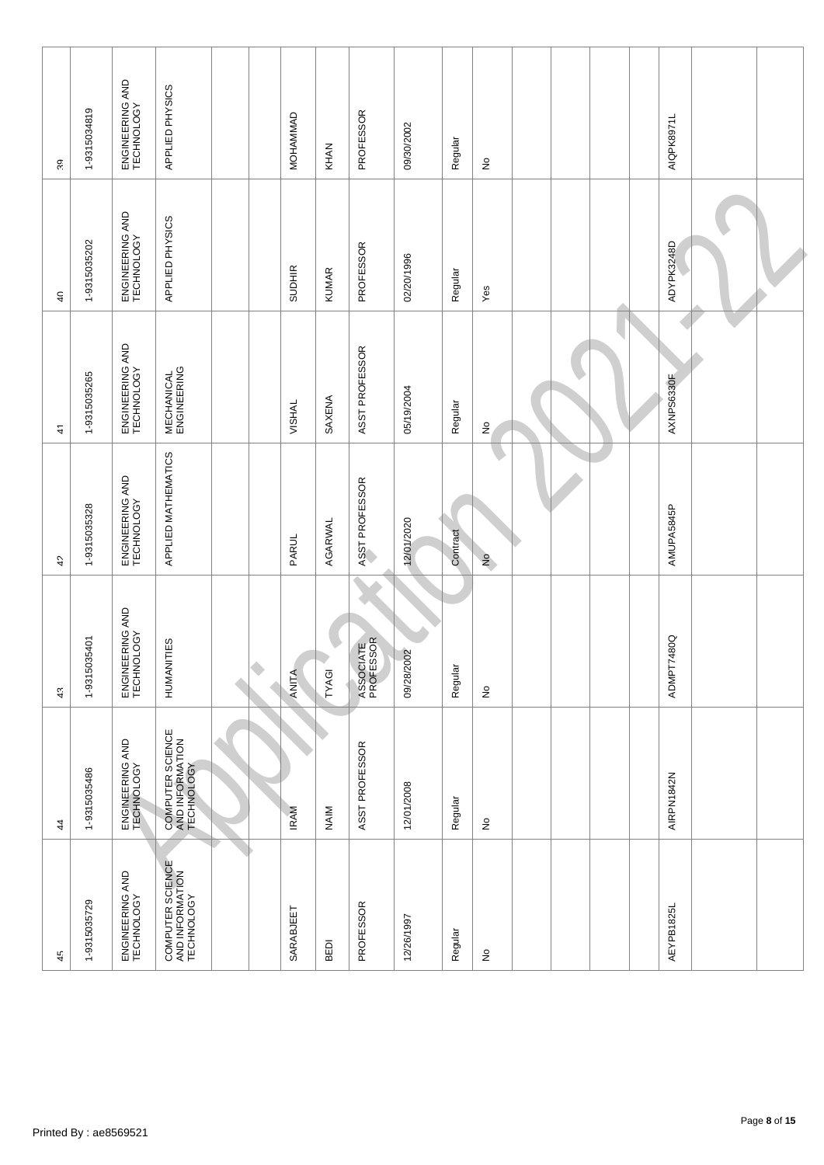| 45                                                | 44                                                | $43\,$                        | 42                            | $\frac{4}{1}$                    | $\sqrt{4}$                    | 39                            |  |
|---------------------------------------------------|---------------------------------------------------|-------------------------------|-------------------------------|----------------------------------|-------------------------------|-------------------------------|--|
| 1-9315035729                                      | 1-9315035486                                      | 1-9315035401                  | 1-9315035328                  | 1-9315035265                     | 1-9315035202                  | 1-9315034819                  |  |
| ENGINEERING AND<br>TECHNOLOGY                     | ENGINEERING AND<br>TECHNOLOGY                     | ENGINEERING AND<br>TECHNOLOGY | ENGINEERING AND<br>TECHNOLOGY | ENGINEERING AND<br>TECHNOLOGY    | ENGINEERING AND<br>TECHNOLOGY | ENGINEERING AND<br>TECHNOLOGY |  |
| COMPUTER SCIENCE<br>AND INFORMATION<br>TECHNOLOGY | COMPUTER SCIENCE<br>AND INFORMATION<br>TECHNOLOGY | HUMANITIES                    | APPLIED MATHEMATICS           | <b>MECHANICAL</b><br>ENGINEERING | APPLIED PHYSICS               | APPLIED PHYSICS               |  |
|                                                   |                                                   |                               |                               |                                  |                               |                               |  |
|                                                   |                                                   | ۰                             |                               |                                  |                               |                               |  |
| SARABJEET                                         | <b>IRAM</b>                                       | ANITA                         | <b>PARUL</b>                  | <b>VISHAL</b>                    | <b>SUDHIR</b>                 | MOHAMMAD                      |  |
| BEDI                                              | <b>NAIM</b>                                       | TYAGI                         | AGARWAL                       | SAXENA                           | <b>KUMAR</b>                  | KHAN                          |  |
| PROFESSOR                                         | ASST PROFESSOR                                    | ASSOCIATE<br>PROFESSOR        | ASST PROFESSOR                | ASST PROFESSOR                   | PROFESSOR                     | PROFESSOR                     |  |
| 12/26/1997                                        | 12/01/2008                                        | 09/28/2002                    | 12/01/2020                    | 05/19/2004                       | 02/20/1996                    | 09/30/2002                    |  |
| Regular                                           | Regular                                           | Regular                       | Contract                      | Regular                          | Regular                       | Regular                       |  |
| $\frac{\circ}{2}$                                 | $\stackrel{\circ}{\succeq}$                       | $\hat{\mathsf{z}}$            | $\frac{1}{2}$                 | $\frac{1}{2}$                    | Yes                           | $\stackrel{\mathtt{o}}{z}$    |  |
|                                                   |                                                   |                               |                               |                                  |                               |                               |  |
|                                                   |                                                   |                               |                               |                                  |                               |                               |  |
|                                                   |                                                   |                               |                               |                                  |                               |                               |  |
|                                                   |                                                   |                               |                               |                                  |                               |                               |  |
| AEYPB1825L                                        | AIRPN1842N                                        | <b>7480Q</b><br><b>THNOY</b>  | AMUPA5845P                    | AXNPS6330F                       | ADYPK3248D                    | AIQPK8971L                    |  |
|                                                   |                                                   |                               |                               |                                  |                               |                               |  |
|                                                   |                                                   |                               |                               |                                  |                               |                               |  |
|                                                   |                                                   |                               |                               |                                  |                               |                               |  |
|                                                   |                                                   |                               |                               |                                  |                               |                               |  |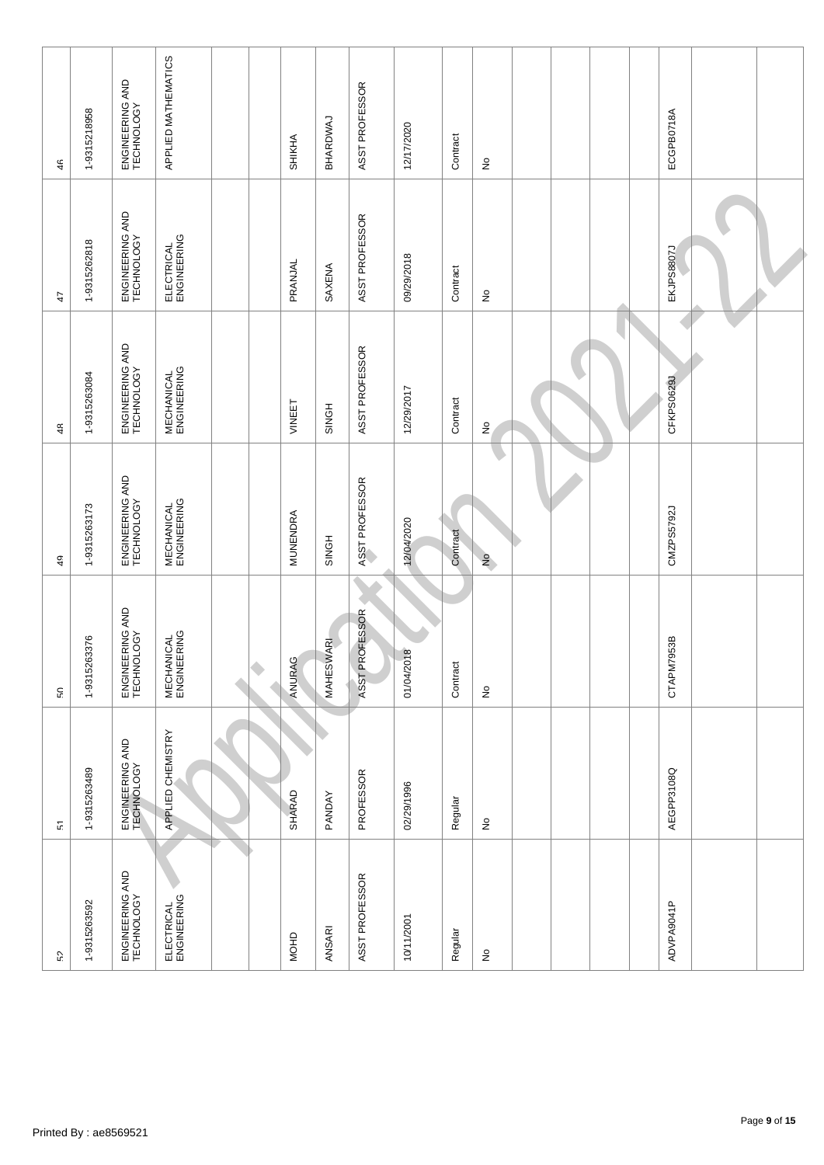| ŗ,                            | $\overline{\mathfrak{c}}$     | £.                               | $\overline{4}$                   | $48$                             | $47$                          | 46                            |  |
|-------------------------------|-------------------------------|----------------------------------|----------------------------------|----------------------------------|-------------------------------|-------------------------------|--|
| 1-9315263592                  | 1-9315263489                  | 1-9315263376                     | 1-9315263173                     | 1-9315263084                     | 1-9315262818                  | 1-9315218958                  |  |
| ENGINEERING AND<br>TECHNOLOGY | ENGINEERING AND<br>TECHNOLOGY | ENGINEERING AND<br>TECHNOLOGY    | ENGINEERING AND<br>TECHNOLOGY    | ENGINEERING AND<br>TECHNOLOGY    | ENGINEERING AND<br>TECHNOLOGY | ENGINEERING AND<br>TECHNOLOGY |  |
| ELECTRICAL<br>ENGINEERING     | APPLIED CHEMISTRY             | <b>MECHANICAL</b><br>ENGINEERING | <b>MECHANICAL</b><br>ENGINEERING | <b>MECHANICAL</b><br>ENGINEERING | ELECTRICAL<br>ENGINEERING     | APPLIED MATHEMATICS           |  |
|                               |                               | ۰                                |                                  |                                  |                               |                               |  |
| MOHD                          | <b>SHARAD</b>                 | ANURAG                           | MUNENDRA                         | VINEET                           | PRANJAL                       | SHIKHA                        |  |
| ANSARI                        | PANDAY                        | <b>MAHESWARI</b>                 | <b>SINGH</b>                     | <b>SINGH</b>                     | SAXENA                        | BHARDWAJ                      |  |
| ASST PROFESSOR                | PROFESSOR                     | ASST PROFESSOR                   | ASST PROFESSOR                   | ASST PROFESSOR                   | ASST PROFESSOR                | ASST PROFESSOR                |  |
| 10/11/2001                    | 02/29/1996                    | 01/04/2018                       | 12/04/2020                       | 12/29/2017                       | 09/29/2018                    | 12/17/2020                    |  |
| Regular                       | Regular                       | Contract                         | Contract                         | Contract                         | Contract                      | Contract                      |  |
| ş                             | ş                             | $\hat{z}$                        | $\frac{1}{2}$                    | $\frac{1}{2}$                    | ş                             | ş                             |  |
|                               |                               |                                  |                                  |                                  |                               |                               |  |
|                               |                               |                                  |                                  |                                  |                               |                               |  |
|                               |                               |                                  |                                  |                                  |                               |                               |  |
|                               |                               |                                  |                                  |                                  |                               |                               |  |
| ADVPA9041P                    | AEGPP3108Q                    | CTAPM7953B                       | CMZPS5792J                       | CFKPS0629J                       | EKJPS8807J                    | ECGPB0718A                    |  |
|                               |                               |                                  |                                  |                                  |                               |                               |  |
|                               |                               |                                  |                                  |                                  |                               |                               |  |
|                               |                               |                                  |                                  |                                  |                               |                               |  |
|                               |                               |                                  |                                  |                                  |                               |                               |  |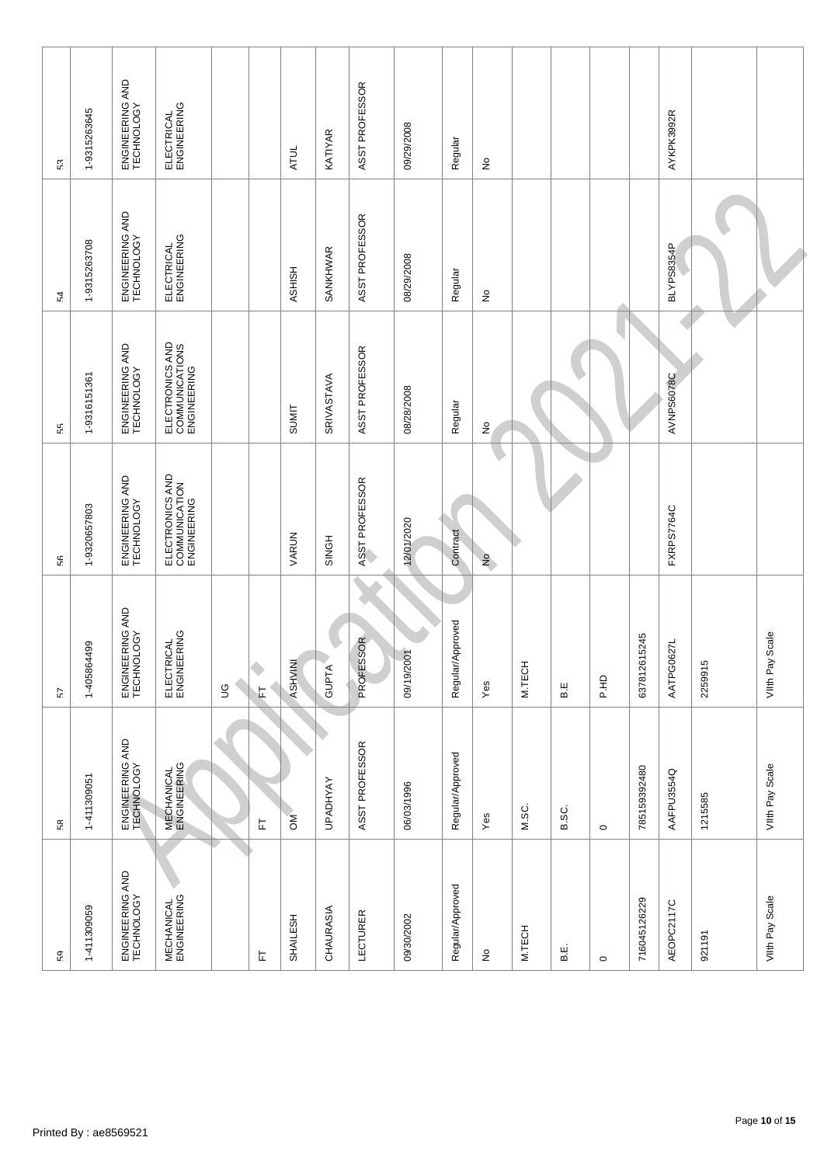| Ŗ,                               | ξŘ.                              | 57                            | 56                                              | 55                                               | 54                            | 53                            |  |
|----------------------------------|----------------------------------|-------------------------------|-------------------------------------------------|--------------------------------------------------|-------------------------------|-------------------------------|--|
| 1-411309059                      | 1-411309051                      | 1-405864499                   | 1-9320657803                                    | 1-9316151361                                     | 1-9315263708                  | 1-9315263645                  |  |
| ENGINEERING AND<br>TECHNOLOGY    | ENGINEERING AND<br>TECHNOLOGY    | ENGINEERING AND<br>TECHNOLOGY | ENGINEERING AND<br>TECHNOLOGY                   | ENGINEERING AND<br>TECHNOLOGY                    | ENGINEERING AND<br>TECHNOLOGY | ENGINEERING AND<br>TECHNOLOGY |  |
| <b>MECHANICAL</b><br>ENGINEERING | <b>MECHANICAL</b><br>ENGINEERING | ELECTRICAL<br>ENGINEERING     | ELECTRONICS AND<br>COMMUNICATION<br>ENGINEERING | ELECTRONICS AND<br>COMMUNICATIONS<br>ENGINEERING | ELECTRICAL<br>ENGINEERING     | ELECTRICAL<br>ENGINEERING     |  |
|                                  |                                  | $\mathbb S$                   |                                                 |                                                  |                               |                               |  |
| Ŀ                                | に                                | ۰<br>に                        |                                                 |                                                  |                               |                               |  |
| SHAILESH                         | ŠΜ                               | <b>ASHVINI</b>                | VARUN                                           | <b>SUMIT</b>                                     | HSHISH                        | <b>ATUL</b>                   |  |
| CHAURASIA                        | <b>UPADHYAY</b>                  | <b>GUPTA</b>                  | <b>SINGH</b>                                    | SRIVASTAVA                                       | SANKHWAR                      | KATIYAR                       |  |
| LECTURER                         | ASST PROFESSOR                   | PROFESSOR                     | ASST PROFESSOR                                  | ASST PROFESSOR                                   | ASST PROFESSOR                | ASST PROFESSOR                |  |
| 09/30/2002                       | 06/03/1996                       | 09/19/2001                    | 12/01/2020                                      | 08/28/2008                                       | 08/29/2008                    | 09/29/2008                    |  |
| Regular/Approved                 | Regular/Approved                 | Regular/Approved              | Contract                                        | Regular                                          | Regular                       | Regular                       |  |
| $\frac{\circ}{2}$                | Yes                              | Yes                           | $\frac{1}{2}$                                   | $\frac{1}{2}$                                    | $\hat{\mathsf{z}}$            | $\frac{1}{2}$                 |  |
| M.TECH                           | M.SC.                            | M.TECH                        |                                                 |                                                  |                               |                               |  |
| نه<br>ه                          | B.SC.                            | B.E                           |                                                 |                                                  |                               |                               |  |
| $\circ$                          | $\circ$                          | 오.HQ                          |                                                 |                                                  |                               |                               |  |
| 716045126229                     | 785159392480                     | 637812615245                  |                                                 |                                                  |                               |                               |  |
| AEOPC2117C                       | AAFPU3554Q                       | AATPG0627L                    | FXRPS7764C                                      | AVNPS6078C                                       | BLYPS8354P                    | AYKPK3992R                    |  |
| 921191                           | 1215585                          | 2259915                       |                                                 |                                                  |                               |                               |  |
| VIIth Pay Scale                  | VIIth Pay Scale                  | VIIth Pay Scale               |                                                 |                                                  |                               |                               |  |
|                                  |                                  |                               |                                                 |                                                  |                               |                               |  |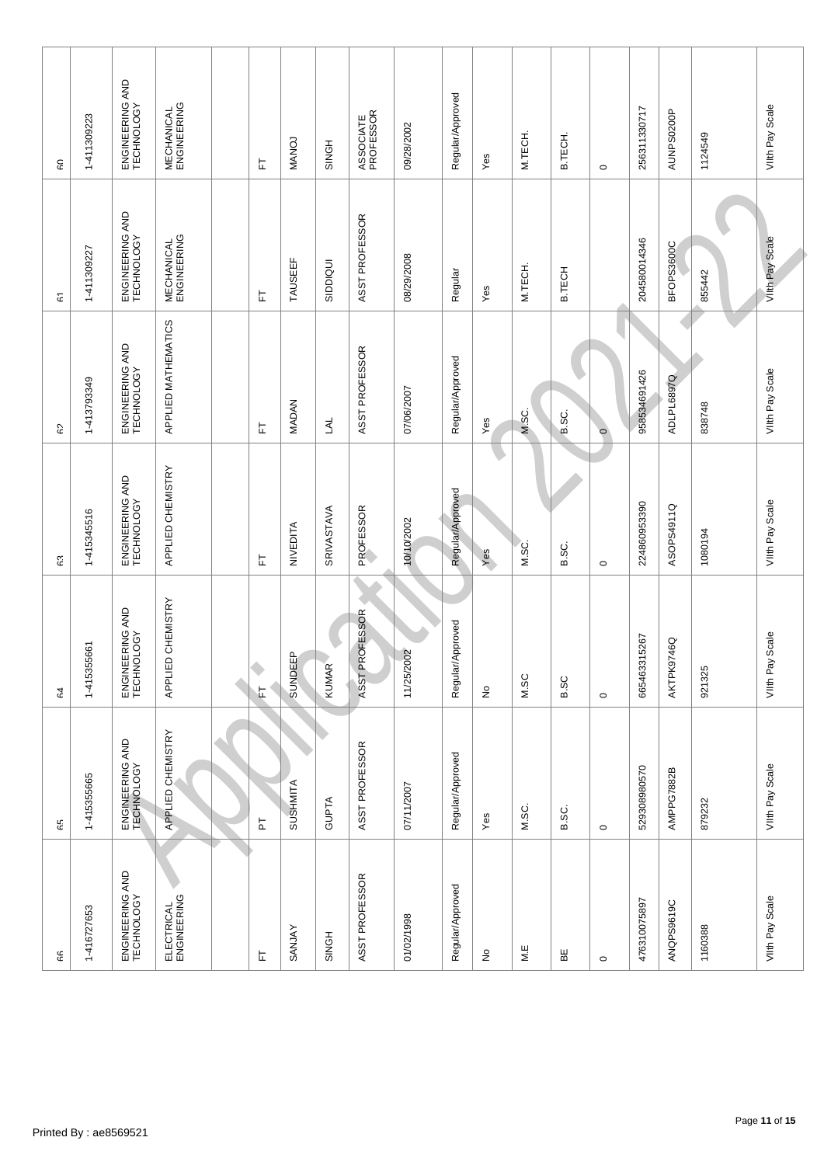| န                             | 65                            | ę,                            | ۴3                            | 9                             | $\mathfrak{S}$                   | GO                               |  |
|-------------------------------|-------------------------------|-------------------------------|-------------------------------|-------------------------------|----------------------------------|----------------------------------|--|
| 1-416727653                   | 1-415355665                   | 1-415355661                   | 1-415345516                   | 1-413793349                   | 1-411309227                      | 1-411309223                      |  |
| ENGINEERING AND<br>TECHNOLOGY | ENGINEERING AND<br>TECHNOLOGY | ENGINEERING AND<br>TECHNOLOGY | ENGINEERING AND<br>TECHNOLOGY | ENGINEERING AND<br>TECHNOLOGY | ENGINEERING AND<br>TECHNOLOGY    | ENGINEERING AND<br>TECHNOLOGY    |  |
| ELECTRICAL<br>ENGINEERING     | APPLIED CHEMISTRY             | APPLIED CHEMISTRY             | APPLIED CHEMISTRY             | APPLIED MATHEMATICS           | <b>MECHANICAL</b><br>ENGINEERING | <b>MECHANICAL</b><br>ENGINEERING |  |
|                               |                               |                               |                               |                               |                                  |                                  |  |
| 匸                             | $\overline{a}$                | ۹<br>上                        | 匸                             | 눈                             | 匸                                | 는                                |  |
| SANJAY                        | SUSHMITA                      | SUNDEEP                       | NIVEDITA                      | MADAN                         | <b>TAUSEEF</b>                   | <b>NANOJ</b>                     |  |
| SINGH                         | GUPTA                         | <b>KUMAR</b>                  | SRIVASTAVA                    | <b>TYT</b>                    | SIDDIQUI                         | <b>SINGH</b>                     |  |
| ASST PROFESSOR                | ASST PROFESSOR                | ASST PROFESSOR                | PROFESSOR                     | ASST PROFESSOR                | ASST PROFESSOR                   | ASSOCIATE<br>PROFESSOR           |  |
| 01/02/1998                    | 07/11/2007                    | 11/25/2002                    | 10/10/2002                    | 07/06/2007                    | 08/29/2008                       | 09/28/2002                       |  |
| Regular/Approved              | Regular/Approved              | Regular/Approved              | Regular/Approved              | Regular/Approved              | Regular                          | Regular/Approved                 |  |
| $\hat{\mathsf{z}}$            | Yes                           | ş                             | Yes                           | $Y$ es                        | Yes                              | Yes                              |  |
| M.E                           | M.SC.                         | M.SC                          | M.SC.                         | M.SC.                         | M.TECH.                          | M.TECH.                          |  |
| ΒË                            | B.SC.                         | B.SC                          | B.SC.                         | B.SC.                         | <b>B.TECH</b>                    | B.TECH.                          |  |
| $\circ$                       | $\circ$                       | $\circ$                       | $\circ$                       | $\circ$                       |                                  | $\circ$                          |  |
| 476310075897                  | 529308980570                  | 665463315267                  | 224860953390                  | 958534691426                  | 204580014346                     | 256311330717                     |  |
| ANQPS9619C                    | AMPPG7882B                    | AKTPK9746Q                    | ASOPS4911Q                    | ADLPL6897Q                    | BFOPS3600C                       | AUNPS0200P                       |  |
| 1160388                       | 879232                        | 921325                        | 1080194                       | 838748                        | 855442                           | 1124549                          |  |
| Viith Pay Scale               | VIIth Pay Scale               | Viith Pay Scale               | VIIth Pay Scale               | VIIth Pay Scale               | Viith Pay Scale                  | VIIth Pay Scale                  |  |
|                               |                               |                               |                               |                               |                                  |                                  |  |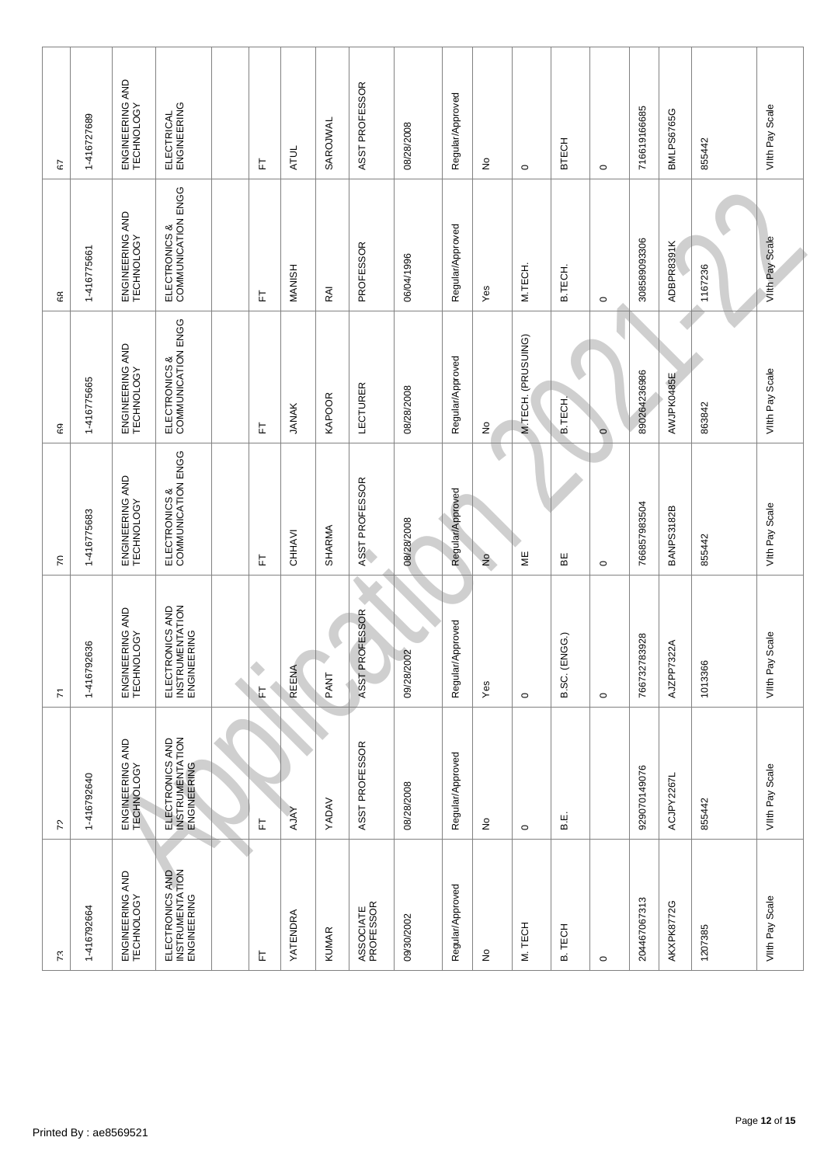| 72                                                | $\mathbf{r}$                  | $\mathcal{E}$                                     | 69                                  | နေ                                  | 55                            |
|---------------------------------------------------|-------------------------------|---------------------------------------------------|-------------------------------------|-------------------------------------|-------------------------------|
| 1-416792640                                       | 1-416792636                   | 1-416775683                                       | 1-416775665                         | 1-416775661                         | 1-416727689                   |
| ENGINEERING AND<br>TECHNOLOGY                     | ENGINEERING AND<br>TECHNOLOGY | ENGINEERING AND<br>TECHNOLOGY                     | ENGINEERING AND<br>TECHNOLOGY       | ENGINEERING AND<br>TECHNOLOGY       | ENGINEERING AND<br>TECHNOLOGY |
| ELECTRONICS AND<br>INSTRUMENTATION<br>ENGINEERING |                               | ELECTRONICS &<br>COMMUNICATION ENGG               | ELECTRONICS &<br>COMMUNICATION ENGG | ELECTRONICS &<br>COMMUNICATION ENGG | ELECTRICAL<br>ENGINEERING     |
| ۵                                                 |                               |                                                   |                                     |                                     |                               |
| 됴                                                 | 丘                             | 匸                                                 | 匸                                   | 匸                                   | 는                             |
| <b>AJAY</b>                                       | REENA                         | CHHAVI                                            | <b>JANAK</b>                        | MANISH                              | <b>ATUL</b>                   |
| YADAV                                             | PANT                          | SHARMA                                            | <b>KAPOOR</b>                       | RAI                                 | SAROJWAL                      |
| ASST PROFESSOR                                    | ASST PROFESSOR                | ASST PROFESSOR                                    | LECTURER                            | PROFESSOR                           | ASST PROFESSOR                |
| 08/28/2008                                        | 09/28/2002                    | 08/28/2008                                        | 08/28/2008                          | 06/04/1996                          | 08/28/2008                    |
| Regular/Approved                                  | Approved<br>Regular           | Regular/Approved                                  | Regular/Approved                    | Regular/Approved                    | Regular/Approved              |
| $\frac{1}{2}$                                     | Yes                           |                                                   | $\stackrel{\circ}{\simeq}$          | Yes                                 | $\frac{1}{2}$                 |
| $\circ$                                           | $\circ$                       | ΨE                                                | M.TECH. (PRUSUING)                  | M.TECH.                             | $\circ$                       |
| نه<br>ه                                           | (ENGG.)<br>B.SC.              | 띪                                                 | <b>B.TECH</b>                       | B.TECH.                             | <b>BTECH</b>                  |
|                                                   | $\circ$                       | $\circ$                                           | $\circ$                             | $\circ$                             | $\circ$                       |
| 929070149076                                      | 783928<br>766732              | 766857983504                                      | 890264236986                        | 308589093306                        | 716619166685                  |
| ACJPY2267L                                        | '322A<br>AJZPP7               | <b>BANPS3182B</b>                                 | AWJPK0485E                          | ADBPR8391K                          | BMLPS6765G                    |
| 855442                                            | 1013366                       | 855442                                            | 863842                              | 1167236                             | 855442                        |
| VIIth Pay Scale                                   | VIIth Pay Scale               | Vith Pay Scale                                    | VIIth Pay Scale                     | Vilth Pay Scale                     | VIIth Pay Scale               |
|                                                   |                               |                                                   |                                     |                                     |                               |
|                                                   |                               | ELECTRONICS AND<br>INSTRUMENTATION<br>ENGINEERING | $\frac{1}{2}$                       |                                     |                               |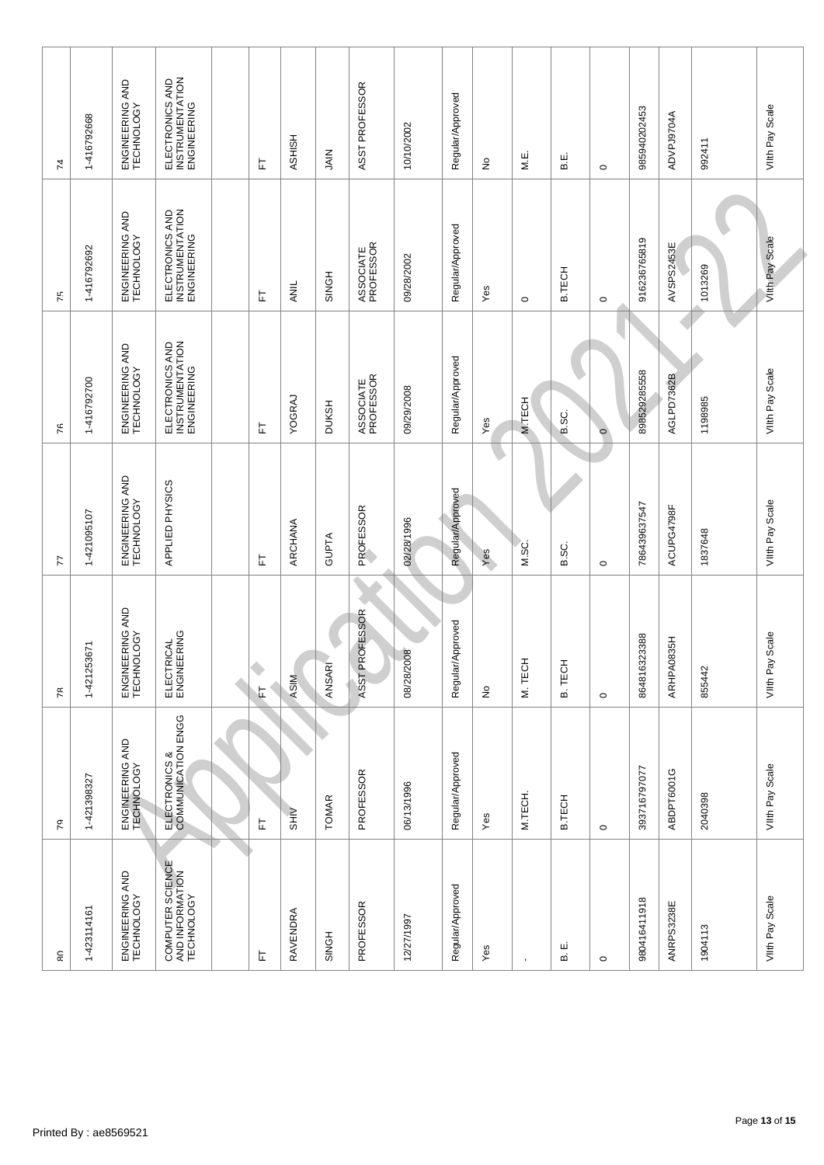| œ                                                 | 79                                  | $\tau$                                | F                             | 76                                                | 75                                                | 74                                                |
|---------------------------------------------------|-------------------------------------|---------------------------------------|-------------------------------|---------------------------------------------------|---------------------------------------------------|---------------------------------------------------|
| 1-423114161                                       | 1-421398327                         | 1-421253671                           | 1-421095107                   | 1-416792700                                       | 1-416792692                                       | 1-416792668                                       |
| ENGINEERING AND<br>TECHNOLOGY                     | ENGINEERING AND<br>TECHNOLOGY       | ENGINEERING AND<br>TECHNOLOGY         | ENGINEERING AND<br>TECHNOLOGY | ENGINEERING AND<br>TECHNOLOGY                     | ENGINEERING AND<br>TECHNOLOGY                     | ENGINEERING AND<br>TECHNOLOGY                     |
| COMPUTER SCIENCE<br>AND INFORMATION<br>TECHNOLOGY | ELECTRONICS &<br>COMMUNICATION ENGG | ELECTRICAL<br>ENGINEERING             | APPLIED PHYSICS               | ELECTRONICS AND<br>INSTRUMENTATION<br>ENGINEERING | ELECTRONICS AND<br>INSTRUMENTATION<br>ENGINEERING | ELECTRONICS AND<br>INSTRUMENTATION<br>ENGINEERING |
|                                                   |                                     |                                       |                               |                                                   |                                                   |                                                   |
| 匸                                                 | 됴                                   | ۰<br>に                                | 匸                             | 匸                                                 | Ŀ                                                 | 는                                                 |
| RAVENDRA                                          | <b>SHIV</b>                         | <b>ASIM</b>                           | ARCHANA                       | YOGRAJ                                            | ANIL                                              | HSHISH                                            |
| <b>SINGH</b>                                      | <b>TOMAR</b>                        | ANSAR                                 | <b>GUPTA</b>                  | <b>DUKSH</b>                                      | <b>SINGH</b>                                      | NIAIL                                             |
| PROFESSOR                                         | PROFESSOR                           | <b>ROFESSOR</b><br>ASST <sub>PF</sub> | PROFESSOR                     | ASSOCIATE<br>PROFESSOR                            | ASSOCIATE<br>PROFESSOR                            | ASST PROFESSOR                                    |
| 12/27/1997                                        | 06/13/1996                          | 08/28/2008                            | 02/28/1996                    | 09/29/2008                                        | 09/28/2002                                        | 10/10/2002                                        |
| Regular/Approved                                  | Regular/Approved                    | Approved<br>Regular                   | Regular/Approved              | Regular/Approved                                  | Regular/Approved                                  | Regular/Approved                                  |
| Yes                                               | Yes                                 | $\epsilon$                            | Yes                           | Yes                                               | Yes                                               | ş                                                 |
|                                                   | M.TECH.                             | M. TECH                               | M.SC.                         | M.TECH                                            | $\circ$                                           | ші<br>М.                                          |
| ші<br>മ                                           | B.TECH                              | B. TECH                               | B.SC.                         | B.SC.                                             | <b>B.TECH</b>                                     | نه<br>ه                                           |
| $\circ$                                           | $\circ$                             | $\circ$                               | $\circ$                       | $\circ$                                           | $\circ$                                           | $\circ$                                           |
| 980416411918                                      | 393716797077                        | 864816323388                          | 786439637547                  | 898529285558                                      | 916236765819                                      | 985940202453                                      |
| ANRPS3238E                                        | ABDPT6001G                          | ARHPA0835H                            | ACUPG4798F                    | AGLPD7362B                                        | AVSPS2453E                                        | ADVPJ9704A                                        |
| 1904113                                           | 2040398                             | 855442                                | 1837648                       | 1198985                                           | 1013269                                           | 992411                                            |
| VIIth Pay Scale                                   | VIIth Pay Scale                     | VIIth Pay Scale                       | VIIth Pay Scale               | VIIth Pay Scale                                   | Vilth Pay Scale                                   | VIIth Pay Scale                                   |
|                                                   |                                     |                                       |                               |                                                   |                                                   |                                                   |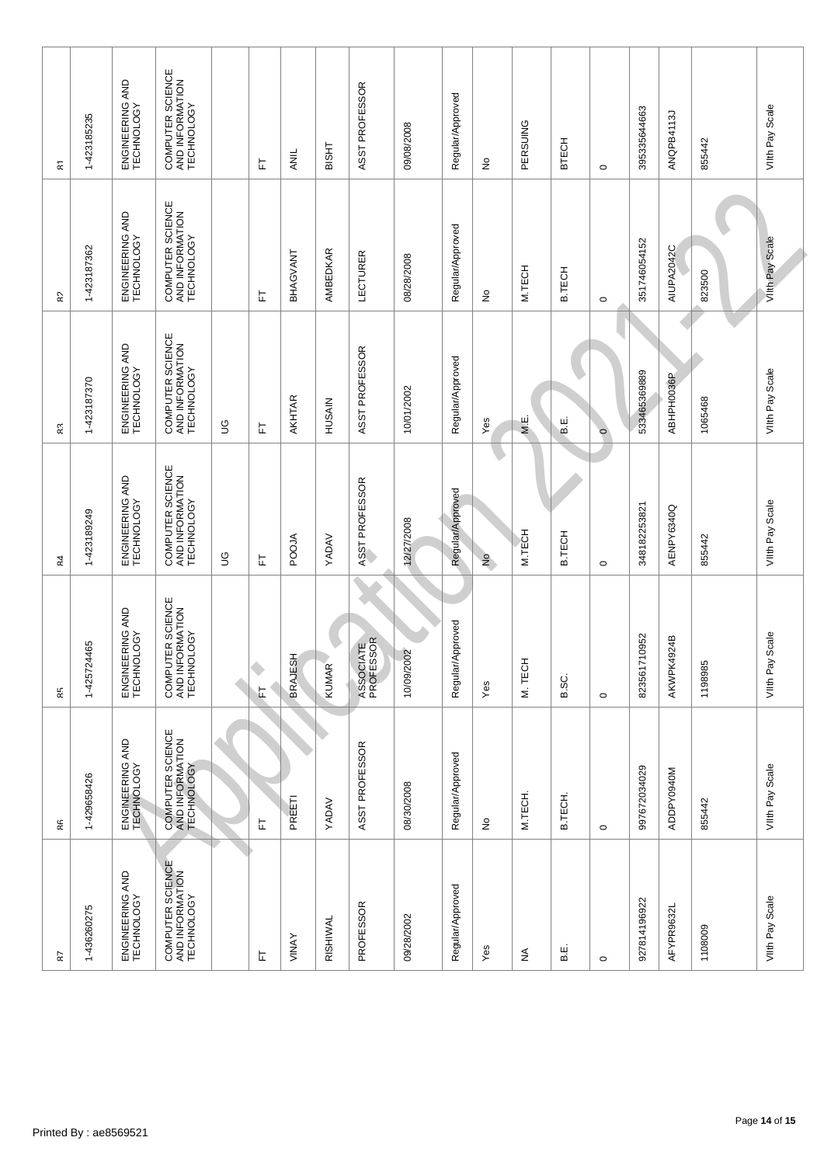| ΚZ                                                | Rĥ                                                | Ŗξ                                                | 84                                                | χś                                                | 5                                                 | $\bf \overline{a}$                                |  |
|---------------------------------------------------|---------------------------------------------------|---------------------------------------------------|---------------------------------------------------|---------------------------------------------------|---------------------------------------------------|---------------------------------------------------|--|
| 1-436260275                                       | 1-429658426                                       | 1-425724465                                       | 1-423189249                                       | 1-423187370                                       | 1-423187362                                       | 1-423185235                                       |  |
| ENGINEERING AND<br>TECHNOLOGY                     | ENGINEERING AND<br>TECHNOLOGY                     | ENGINEERING AND<br>TECHNOLOGY                     | ENGINEERING AND<br>TECHNOLOGY                     | ENGINEERING AND<br>TECHNOLOGY                     | ENGINEERING AND<br>TECHNOLOGY                     | ENGINEERING AND<br>TECHNOLOGY                     |  |
| COMPUTER SCIENCE<br>AND INFORMATION<br>TECHNOLOGY | COMPUTER SCIENCE<br>AND INFORMATION<br>TECHNOLOGY | COMPUTER SCIENCE<br>AND INFORMATION<br>TECHNOLOGY | COMPUTER SCIENCE<br>AND INFORMATION<br>TECHNOLOGY | COMPUTER SCIENCE<br>AND INFORMATION<br>TECHNOLOGY | COMPUTER SCIENCE<br>AND INFORMATION<br>TECHNOLOGY | COMPUTER SCIENCE<br>AND INFORMATION<br>TECHNOLOGY |  |
|                                                   | ۸                                                 |                                                   | 9D                                                | 9D                                                |                                                   |                                                   |  |
| 匸                                                 | 匸                                                 | ۹<br>丘                                            | 匸                                                 | 는                                                 | ᄂ                                                 | 는                                                 |  |
| VINAY                                             | PREET                                             | <b>BRAJESH</b>                                    | POOJA                                             | AKHTAR                                            | BHAGVANT                                          | ANIL                                              |  |
| RISHIWAL                                          | YADAV                                             | KUMAR                                             | YADAV                                             | HUSAIN                                            | AMBEDKAR                                          | <b>THSIB</b>                                      |  |
| PROFESSOR                                         | ASST PROFESSOR                                    | ASSOCIATE<br>PROFESSOR                            | ASST PROFESSOR                                    | ASST PROFESSOR                                    | LECTURER                                          | ASST PROFESSOR                                    |  |
| 09/28/2002                                        | 08/30/2008                                        | 10/09/2002                                        | 12/27/2008                                        | 10/01/2002                                        | 08/28/2008                                        | 09/08/2008                                        |  |
| Regular/Approved                                  | Regular/Approved                                  | Approved<br>Regular                               | Regular/Approved                                  | Regular/Approved                                  | Regular/Approved                                  | Regular/Approved                                  |  |
| Yes                                               | ş                                                 | Yes                                               | $\frac{1}{2}$                                     | Yes                                               | ş                                                 | ş                                                 |  |
| ₹                                                 | M.TECH.                                           | <b>I</b><br>M. TECH                               | M.TECH                                            | M.E.                                              | M.TECH                                            | PERSUING                                          |  |
| نه<br>ه                                           | B.TECH.                                           | B.SC.                                             | <b>B.TECH</b>                                     | نیا<br>فا                                         | <b>B.TECH</b>                                     | <b>BTECH</b>                                      |  |
| $\circ$                                           | $\circ$                                           | $\circ$                                           | $\circ$                                           | $\circ$                                           | $\circ$                                           | $\circ$                                           |  |
| 927814196922                                      | 997672034029                                      | 823561710952                                      | 348182253821                                      | 533465369889                                      | 351746054152                                      | 395335644663                                      |  |
| AFYPR9632L                                        | ADDPY0940M                                        | AKWPK4924B                                        | AENPY6340Q                                        | ABHPH0036P                                        | AIUPA2042C                                        | ANQPB4113J                                        |  |
| 1108009                                           | 855442                                            | 1198985                                           | 855442                                            | 1065468                                           | 823500                                            | 855442                                            |  |
| VIIth Pay Scale                                   | VIIth Pay Scale                                   | VIIth Pay Scale                                   | VIIth Pay Scale                                   | VIIth Pay Scale                                   | Vilth Pay Scale                                   | VIIth Pay Scale                                   |  |
|                                                   |                                                   |                                                   |                                                   |                                                   |                                                   |                                                   |  |